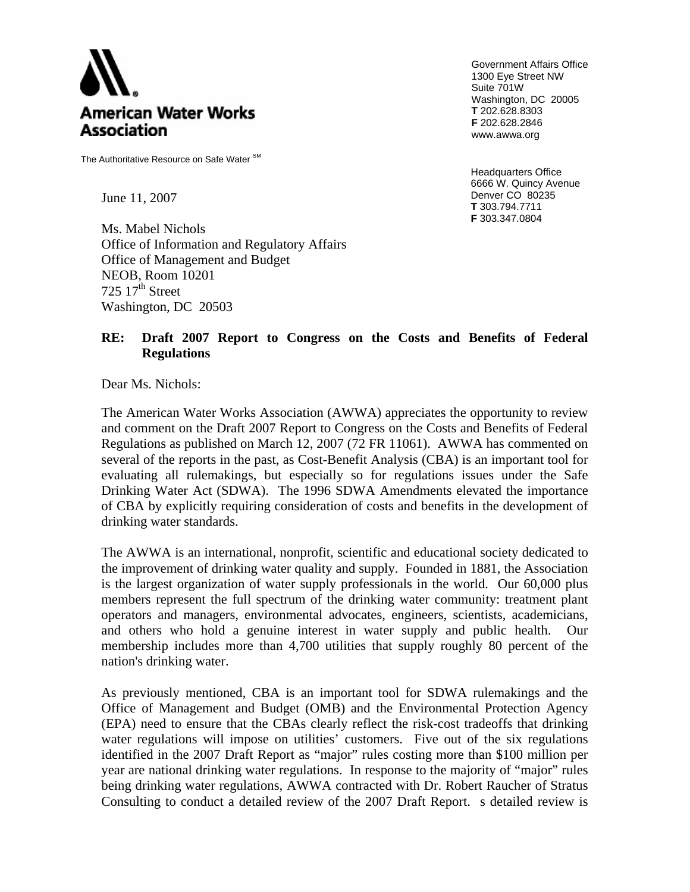

The Authoritative Resource on Safe Water SM

Government Affairs Office 1300 Eye Street NW Suite 701W Washington, DC 20005 **T** 202.628.8303 **F** 202.628.2846 www.awwa.org

Headquarters Office 6666 W. Quincy Avenue Denver CO 80235 June 11, 2007 **T** 303.794.7711 **F** 303.347.0804

Ms. Mabel Nichols Office of Information and Regulatory Affairs Office of Management and Budget NEOB, Room 10201 725  $17<sup>th</sup>$  Street Washington, DC 20503

#### **RE: Draft 2007 Report to Congress on the Costs and Benefits of Federal Regulations**

Dear Ms. Nichols:

The American Water Works Association (AWWA) appreciates the opportunity to review and comment on the Draft 2007 Report to Congress on the Costs and Benefits of Federal Regulations as published on March 12, 2007 (72 FR 11061). AWWA has commented on several of the reports in the past, as Cost-Benefit Analysis (CBA) is an important tool for evaluating all rulemakings, but especially so for regulations issues under the Safe Drinking Water Act (SDWA). The 1996 SDWA Amendments elevated the importance of CBA by explicitly requiring consideration of costs and benefits in the development of drinking water standards.

The AWWA is an international, nonprofit, scientific and educational society dedicated to the improvement of drinking water quality and supply. Founded in 1881, the Association is the largest organization of water supply professionals in the world. Our 60,000 plus members represent the full spectrum of the drinking water community: treatment plant operators and managers, environmental advocates, engineers, scientists, academicians, and others who hold a genuine interest in water supply and public health. Our membership includes more than 4,700 utilities that supply roughly 80 percent of the nation's drinking water.

As previously mentioned, CBA is an important tool for SDWA rulemakings and the Office of Management and Budget (OMB) and the Environmental Protection Agency (EPA) need to ensure that the CBAs clearly reflect the risk-cost tradeoffs that drinking water regulations will impose on utilities' customers. Five out of the six regulations identified in the 2007 Draft Report as "major" rules costing more than \$100 million per year are national drinking water regulations. In response to the majority of "major" rules being drinking water regulations, AWWA contracted with Dr. Robert Raucher of Stratus Consulting to conduct a detailed review of the 2007 Draft Report. s detailed review is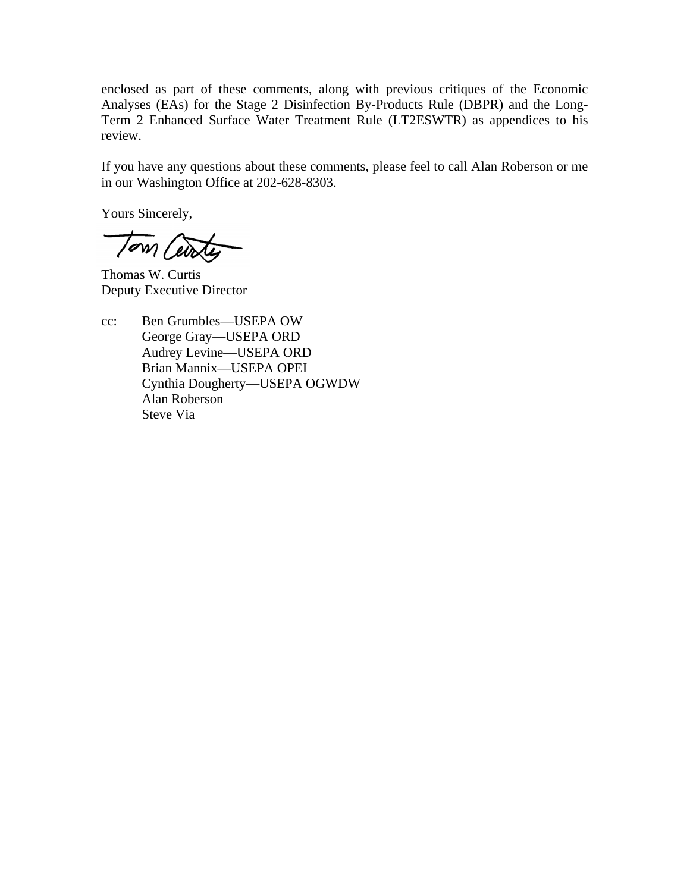enclosed as part of these comments, along with previous critiques of the Economic Analyses (EAs) for the Stage 2 Disinfection By-Products Rule (DBPR) and the Long-Term 2 Enhanced Surface Water Treatment Rule (LT2ESWTR) as appendices to his review.

If you have any questions about these comments, please feel to call Alan Roberson or me in our Washington Office at 202-628-8303.

Yours Sincerely,

Tom Cente

Thomas W. Curtis Deputy Executive Director

 cc: Ben Grumbles—USEPA OW George Gray—USEPA ORD Audrey Levine—USEPA ORD Brian Mannix—USEPA OPEI Cynthia Dougherty—USEPA OGWDW Alan Roberson Steve Via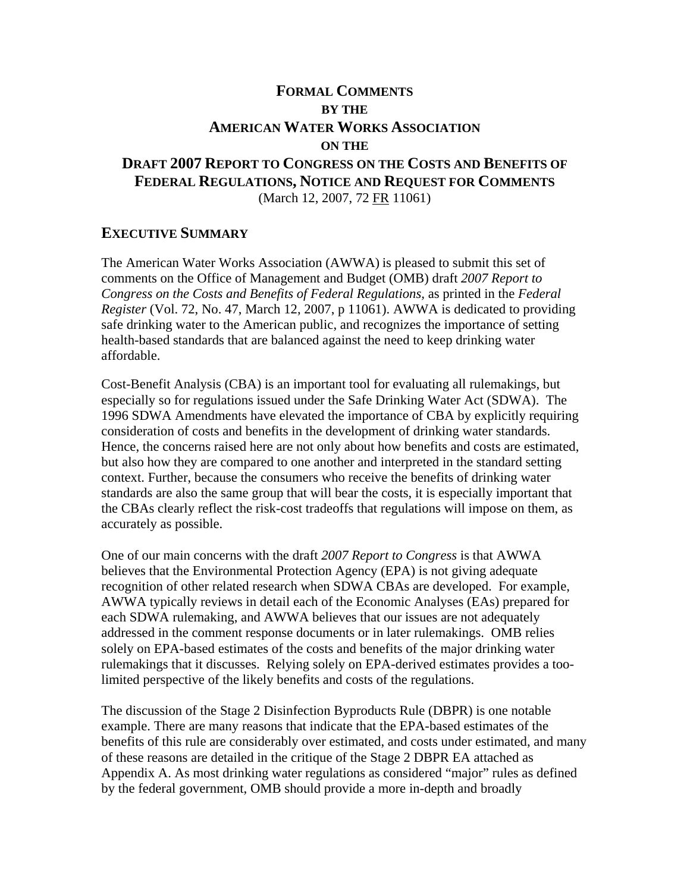#### **FORMAL COMMENTS BY THE AMERICAN WATER WORKS ASSOCIATION ON THE DRAFT 2007 REPORT TO CONGRESS ON THE COSTS AND BENEFITS OF FEDERAL REGULATIONS, NOTICE AND REQUEST FOR COMMENTS** (March 12, 2007, 72 FR 11061)

#### **EXECUTIVE SUMMARY**

The American Water Works Association (AWWA) is pleased to submit this set of comments on the Office of Management and Budget (OMB) draft *2007 Report to Congress on the Costs and Benefits of Federal Regulations,* as printed in the *Federal Register* (Vol. 72, No. 47, March 12, 2007, p 11061). AWWA is dedicated to providing safe drinking water to the American public, and recognizes the importance of setting health-based standards that are balanced against the need to keep drinking water affordable.

Cost-Benefit Analysis (CBA) is an important tool for evaluating all rulemakings, but especially so for regulations issued under the Safe Drinking Water Act (SDWA). The 1996 SDWA Amendments have elevated the importance of CBA by explicitly requiring consideration of costs and benefits in the development of drinking water standards. Hence, the concerns raised here are not only about how benefits and costs are estimated, but also how they are compared to one another and interpreted in the standard setting context. Further, because the consumers who receive the benefits of drinking water standards are also the same group that will bear the costs, it is especially important that the CBAs clearly reflect the risk-cost tradeoffs that regulations will impose on them, as accurately as possible.

One of our main concerns with the draft *2007 Report to Congress* is that AWWA believes that the Environmental Protection Agency (EPA) is not giving adequate recognition of other related research when SDWA CBAs are developed. For example, AWWA typically reviews in detail each of the Economic Analyses (EAs) prepared for each SDWA rulemaking, and AWWA believes that our issues are not adequately addressed in the comment response documents or in later rulemakings. OMB relies solely on EPA-based estimates of the costs and benefits of the major drinking water rulemakings that it discusses. Relying solely on EPA-derived estimates provides a toolimited perspective of the likely benefits and costs of the regulations.

The discussion of the Stage 2 Disinfection Byproducts Rule (DBPR) is one notable example. There are many reasons that indicate that the EPA-based estimates of the benefits of this rule are considerably over estimated, and costs under estimated, and many of these reasons are detailed in the critique of the Stage 2 DBPR EA attached as Appendix A. As most drinking water regulations as considered "major" rules as defined by the federal government, OMB should provide a more in-depth and broadly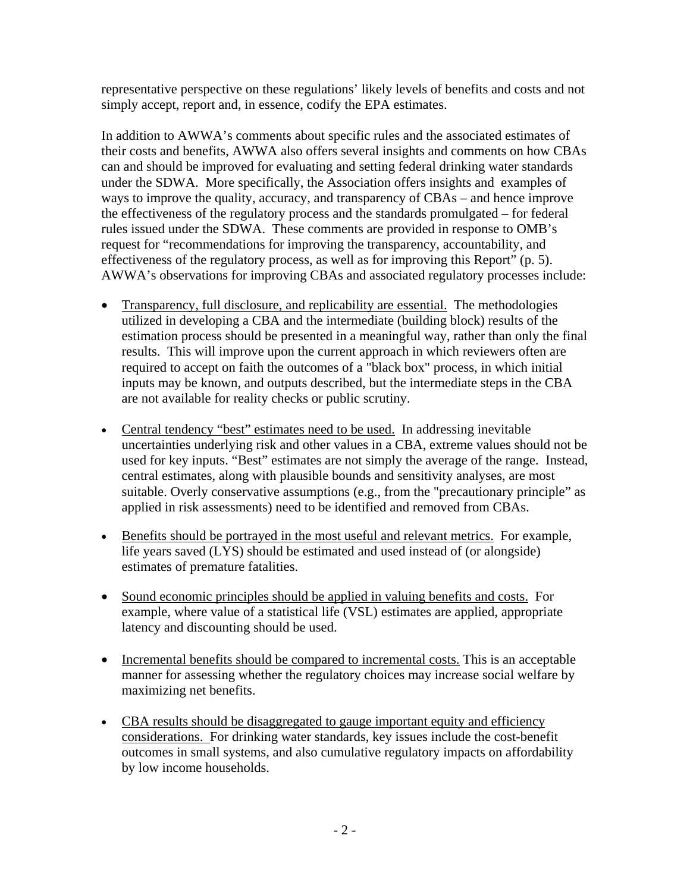representative perspective on these regulations' likely levels of benefits and costs and not simply accept, report and, in essence, codify the EPA estimates.

In addition to AWWA's comments about specific rules and the associated estimates of their costs and benefits, AWWA also offers several insights and comments on how CBAs can and should be improved for evaluating and setting federal drinking water standards under the SDWA. More specifically, the Association offers insights and examples of ways to improve the quality, accuracy, and transparency of CBAs – and hence improve the effectiveness of the regulatory process and the standards promulgated – for federal rules issued under the SDWA. These comments are provided in response to OMB's request for "recommendations for improving the transparency, accountability, and effectiveness of the regulatory process, as well as for improving this Report" (p. 5). AWWA's observations for improving CBAs and associated regulatory processes include:

- Transparency, full disclosure, and replicability are essential. The methodologies utilized in developing a CBA and the intermediate (building block) results of the estimation process should be presented in a meaningful way, rather than only the final results. This will improve upon the current approach in which reviewers often are required to accept on faith the outcomes of a "black box" process, in which initial inputs may be known, and outputs described, but the intermediate steps in the CBA are not available for reality checks or public scrutiny.
- applied in risk assessments) need to be identified and removed from CBAs. • Central tendency "best" estimates need to be used. In addressing inevitable uncertainties underlying risk and other values in a CBA, extreme values should not be used for key inputs. "Best" estimates are not simply the average of the range. Instead, central estimates, along with plausible bounds and sensitivity analyses, are most suitable. Overly conservative assumptions (e.g., from the "precautionary principle" as
- Benefits should be portrayed in the most useful and relevant metrics. For example, life years saved (LYS) should be estimated and used instead of (or alongside) estimates of premature fatalities.
- Sound economic principles should be applied in valuing benefits and costs. For example, where value of a statistical life (VSL) estimates are applied, appropriate latency and discounting should be used.
- Incremental benefits should be compared to incremental costs. This is an acceptable manner for assessing whether the regulatory choices may increase social welfare by maximizing net benefits.
- CBA results should be disaggregated to gauge important equity and efficiency considerations. For drinking water standards, key issues include the cost-benefit outcomes in small systems, and also cumulative regulatory impacts on affordability by low income households.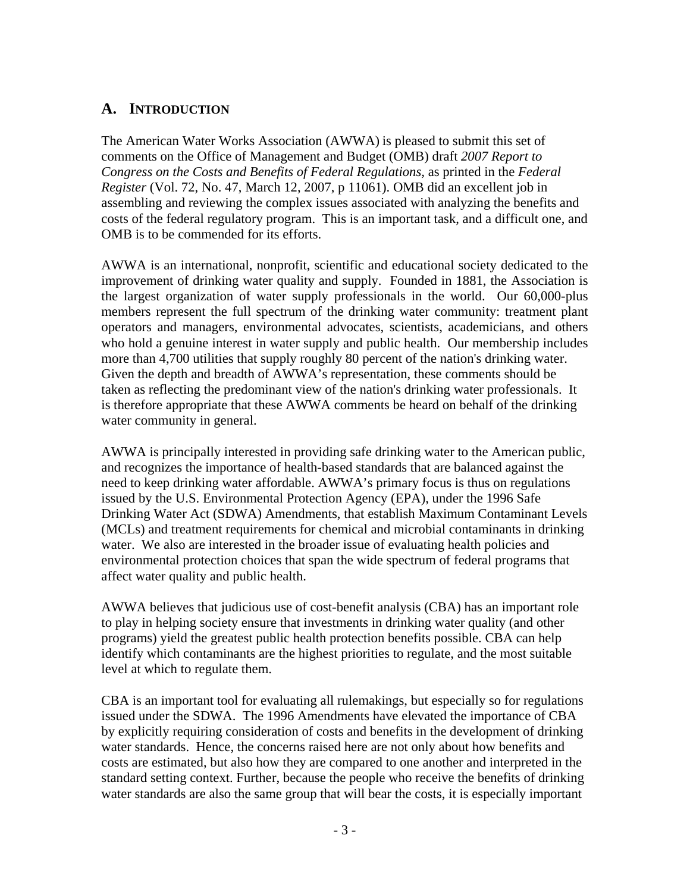#### **A. INTRODUCTION**

The American Water Works Association (AWWA) is pleased to submit this set of comments on the Office of Management and Budget (OMB) draft *2007 Report to Congress on the Costs and Benefits of Federal Regulations,* as printed in the *Federal Register* (Vol. 72, No. 47, March 12, 2007, p 11061). OMB did an excellent job in assembling and reviewing the complex issues associated with analyzing the benefits and costs of the federal regulatory program. This is an important task, and a difficult one, and OMB is to be commended for its efforts.

AWWA is an international, nonprofit, scientific and educational society dedicated to the improvement of drinking water quality and supply. Founded in 1881, the Association is the largest organization of water supply professionals in the world. Our 60,000-plus members represent the full spectrum of the drinking water community: treatment plant operators and managers, environmental advocates, scientists, academicians, and others who hold a genuine interest in water supply and public health. Our membership includes more than 4,700 utilities that supply roughly 80 percent of the nation's drinking water. Given the depth and breadth of AWWA's representation, these comments should be taken as reflecting the predominant view of the nation's drinking water professionals. It is therefore appropriate that these AWWA comments be heard on behalf of the drinking water community in general.

AWWA is principally interested in providing safe drinking water to the American public, and recognizes the importance of health-based standards that are balanced against the need to keep drinking water affordable. AWWA's primary focus is thus on regulations issued by the U.S. Environmental Protection Agency (EPA), under the 1996 Safe Drinking Water Act (SDWA) Amendments, that establish Maximum Contaminant Levels (MCLs) and treatment requirements for chemical and microbial contaminants in drinking water. We also are interested in the broader issue of evaluating health policies and environmental protection choices that span the wide spectrum of federal programs that affect water quality and public health.

AWWA believes that judicious use of cost-benefit analysis (CBA) has an important role to play in helping society ensure that investments in drinking water quality (and other programs) yield the greatest public health protection benefits possible. CBA can help identify which contaminants are the highest priorities to regulate, and the most suitable level at which to regulate them.

CBA is an important tool for evaluating all rulemakings, but especially so for regulations issued under the SDWA. The 1996 Amendments have elevated the importance of CBA by explicitly requiring consideration of costs and benefits in the development of drinking water standards. Hence, the concerns raised here are not only about how benefits and costs are estimated, but also how they are compared to one another and interpreted in the standard setting context. Further, because the people who receive the benefits of drinking water standards are also the same group that will bear the costs, it is especially important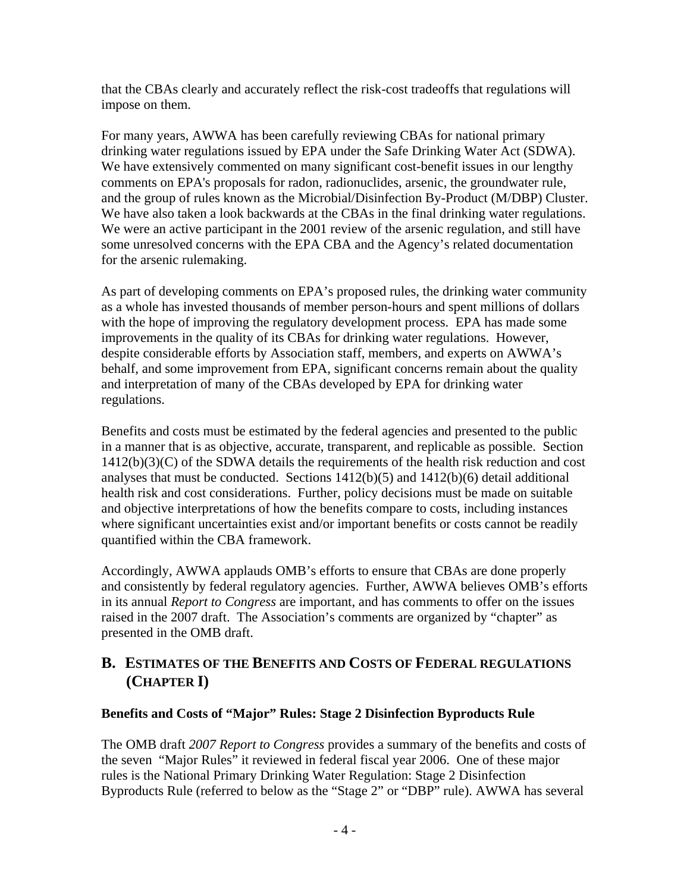that the CBAs clearly and accurately reflect the risk-cost tradeoffs that regulations will impose on them.

For many years, AWWA has been carefully reviewing CBAs for national primary drinking water regulations issued by EPA under the Safe Drinking Water Act (SDWA). We have extensively commented on many significant cost-benefit issues in our lengthy comments on EPA's proposals for radon, radionuclides, arsenic, the groundwater rule, and the group of rules known as the Microbial/Disinfection By-Product (M/DBP) Cluster. We have also taken a look backwards at the CBAs in the final drinking water regulations. We were an active participant in the 2001 review of the arsenic regulation, and still have some unresolved concerns with the EPA CBA and the Agency's related documentation for the arsenic rulemaking.

As part of developing comments on EPA's proposed rules, the drinking water community as a whole has invested thousands of member person-hours and spent millions of dollars with the hope of improving the regulatory development process. EPA has made some improvements in the quality of its CBAs for drinking water regulations. However, despite considerable efforts by Association staff, members, and experts on AWWA's behalf, and some improvement from EPA, significant concerns remain about the quality and interpretation of many of the CBAs developed by EPA for drinking water regulations.

Benefits and costs must be estimated by the federal agencies and presented to the public in a manner that is as objective, accurate, transparent, and replicable as possible. Section  $1412(b)(3)(C)$  of the SDWA details the requirements of the health risk reduction and cost analyses that must be conducted. Sections 1412(b)(5) and 1412(b)(6) detail additional health risk and cost considerations. Further, policy decisions must be made on suitable and objective interpretations of how the benefits compare to costs, including instances where significant uncertainties exist and/or important benefits or costs cannot be readily quantified within the CBA framework.

Accordingly, AWWA applauds OMB's efforts to ensure that CBAs are done properly and consistently by federal regulatory agencies. Further, AWWA believes OMB's efforts in its annual *Report to Congress* are important, and has comments to offer on the issues raised in the 2007 draft. The Association's comments are organized by "chapter" as presented in the OMB draft.

#### **B. ESTIMATES OF THE BENEFITS AND COSTS OF FEDERAL REGULATIONS (CHAPTER I)**

#### **Benefits and Costs of "Major" Rules: Stage 2 Disinfection Byproducts Rule**

The OMB draft *2007 Report to Congress* provides a summary of the benefits and costs of the seven "Major Rules" it reviewed in federal fiscal year 2006. One of these major rules is the National Primary Drinking Water Regulation: Stage 2 Disinfection Byproducts Rule (referred to below as the "Stage 2" or "DBP" rule). AWWA has several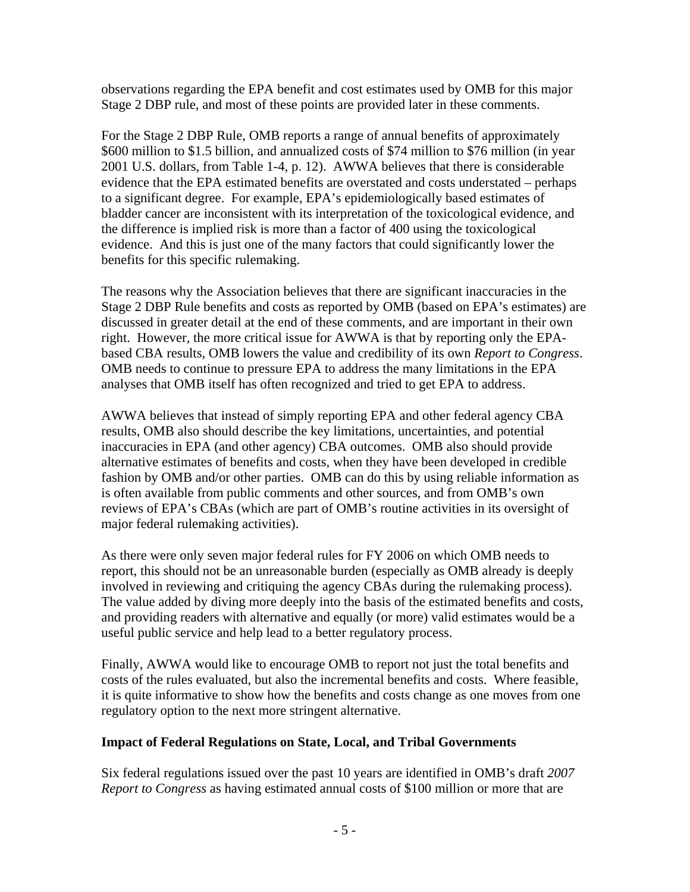observations regarding the EPA benefit and cost estimates used by OMB for this major Stage 2 DBP rule, and most of these points are provided later in these comments.

For the Stage 2 DBP Rule, OMB reports a range of annual benefits of approximately \$600 million to \$1.5 billion, and annualized costs of \$74 million to \$76 million (in year 2001 U.S. dollars, from Table 1-4, p. 12). AWWA believes that there is considerable evidence that the EPA estimated benefits are overstated and costs understated – perhaps to a significant degree. For example, EPA's epidemiologically based estimates of bladder cancer are inconsistent with its interpretation of the toxicological evidence, and the difference is implied risk is more than a factor of 400 using the toxicological evidence. And this is just one of the many factors that could significantly lower the benefits for this specific rulemaking.

The reasons why the Association believes that there are significant inaccuracies in the Stage 2 DBP Rule benefits and costs as reported by OMB (based on EPA's estimates) are discussed in greater detail at the end of these comments, and are important in their own right. However, the more critical issue for AWWA is that by reporting only the EPAbased CBA results, OMB lowers the value and credibility of its own *Report to Congress*. OMB needs to continue to pressure EPA to address the many limitations in the EPA analyses that OMB itself has often recognized and tried to get EPA to address.

AWWA believes that instead of simply reporting EPA and other federal agency CBA results, OMB also should describe the key limitations, uncertainties, and potential inaccuracies in EPA (and other agency) CBA outcomes. OMB also should provide alternative estimates of benefits and costs, when they have been developed in credible fashion by OMB and/or other parties. OMB can do this by using reliable information as is often available from public comments and other sources, and from OMB's own reviews of EPA's CBAs (which are part of OMB's routine activities in its oversight of major federal rulemaking activities).

As there were only seven major federal rules for FY 2006 on which OMB needs to report, this should not be an unreasonable burden (especially as OMB already is deeply involved in reviewing and critiquing the agency CBAs during the rulemaking process). The value added by diving more deeply into the basis of the estimated benefits and costs, and providing readers with alternative and equally (or more) valid estimates would be a useful public service and help lead to a better regulatory process.

Finally, AWWA would like to encourage OMB to report not just the total benefits and costs of the rules evaluated, but also the incremental benefits and costs. Where feasible, it is quite informative to show how the benefits and costs change as one moves from one regulatory option to the next more stringent alternative.

#### **Impact of Federal Regulations on State, Local, and Tribal Governments**

Six federal regulations issued over the past 10 years are identified in OMB's draft *2007 Report to Congress* as having estimated annual costs of \$100 million or more that are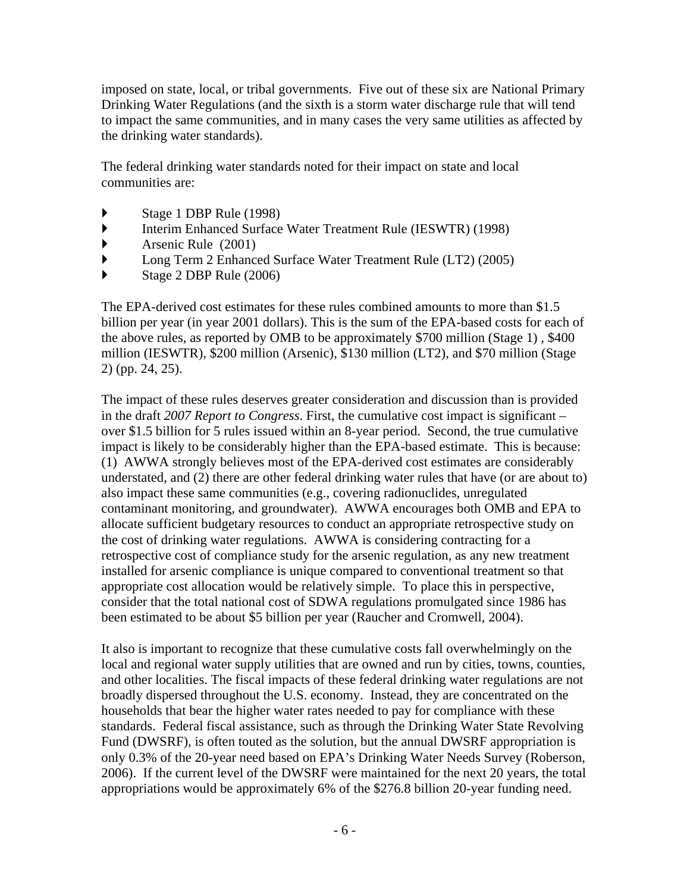imposed on state, local, or tribal governments. Five out of these six are National Primary Drinking Water Regulations (and the sixth is a storm water discharge rule that will tend to impact the same communities, and in many cases the very same utilities as affected by the drinking water standards).

The federal drinking water standards noted for their impact on state and local communities are:

- ` Stage 1 DBP Rule (1998)
- ` Interim Enhanced Surface Water Treatment Rule (IESWTR) (1998)
- $\blacktriangleright$  Arsenic Rule (2001)
- ` Long Term 2 Enhanced Surface Water Treatment Rule (LT2) (2005)
- $\blacktriangleright$  Stage 2 DBP Rule (2006)

The EPA-derived cost estimates for these rules combined amounts to more than \$1.5 billion per year (in year 2001 dollars). This is the sum of the EPA-based costs for each of the above rules, as reported by OMB to be approximately \$700 million (Stage 1) , \$400 million (IESWTR), \$200 million (Arsenic), \$130 million (LT2), and \$70 million (Stage 2) (pp. 24, 25).

The impact of these rules deserves greater consideration and discussion than is provided in the draft *2007 Report to Congress*. First, the cumulative cost impact is significant – over \$1.5 billion for 5 rules issued within an 8-year period. Second, the true cumulative impact is likely to be considerably higher than the EPA-based estimate. This is because: (1) AWWA strongly believes most of the EPA-derived cost estimates are considerably understated, and (2) there are other federal drinking water rules that have (or are about to) also impact these same communities (e.g., covering radionuclides, unregulated contaminant monitoring, and groundwater). AWWA encourages both OMB and EPA to allocate sufficient budgetary resources to conduct an appropriate retrospective study on the cost of drinking water regulations. AWWA is considering contracting for a retrospective cost of compliance study for the arsenic regulation, as any new treatment installed for arsenic compliance is unique compared to conventional treatment so that appropriate cost allocation would be relatively simple. To place this in perspective, consider that the total national cost of SDWA regulations promulgated since 1986 has been estimated to be about \$5 billion per year (Raucher and Cromwell, 2004).

It also is important to recognize that these cumulative costs fall overwhelmingly on the local and regional water supply utilities that are owned and run by cities, towns, counties, and other localities. The fiscal impacts of these federal drinking water regulations are not broadly dispersed throughout the U.S. economy. Instead, they are concentrated on the households that bear the higher water rates needed to pay for compliance with these standards. Federal fiscal assistance, such as through the Drinking Water State Revolving Fund (DWSRF), is often touted as the solution, but the annual DWSRF appropriation is only 0.3% of the 20-year need based on EPA's Drinking Water Needs Survey (Roberson, 2006). If the current level of the DWSRF were maintained for the next 20 years, the total appropriations would be approximately 6% of the \$276.8 billion 20-year funding need.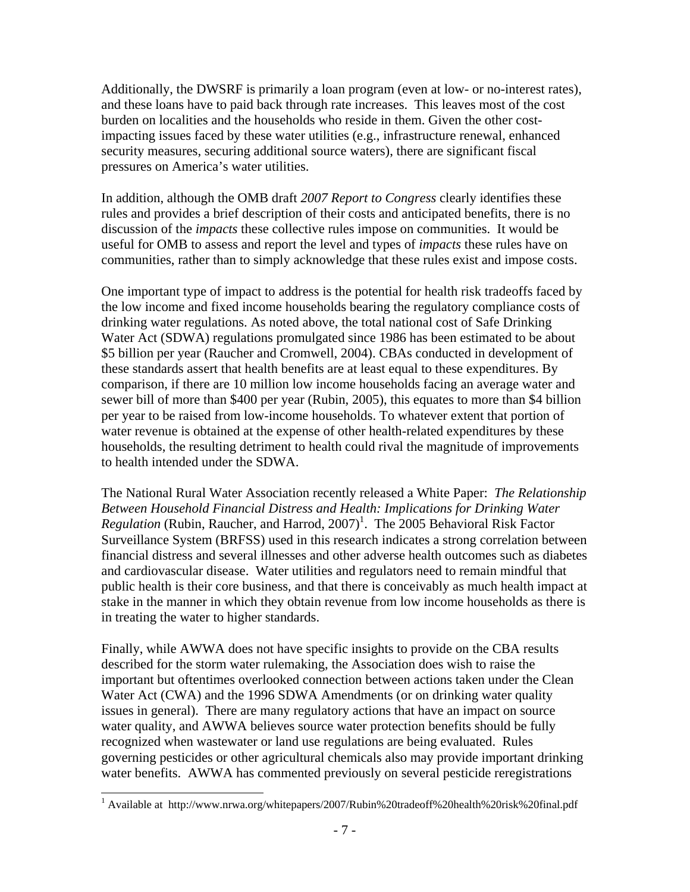Additionally, the DWSRF is primarily a loan program (even at low- or no-interest rates), and these loans have to paid back through rate increases. This leaves most of the cost burden on localities and the households who reside in them. Given the other costimpacting issues faced by these water utilities (e.g., infrastructure renewal, enhanced security measures, securing additional source waters), there are significant fiscal pressures on America's water utilities.

In addition, although the OMB draft *2007 Report to Congress* clearly identifies these rules and provides a brief description of their costs and anticipated benefits, there is no discussion of the *impacts* these collective rules impose on communities. It would be useful for OMB to assess and report the level and types of *impacts* these rules have on communities, rather than to simply acknowledge that these rules exist and impose costs.

One important type of impact to address is the potential for health risk tradeoffs faced by the low income and fixed income households bearing the regulatory compliance costs of drinking water regulations. As noted above, the total national cost of Safe Drinking Water Act (SDWA) regulations promulgated since 1986 has been estimated to be about \$5 billion per year (Raucher and Cromwell, 2004). CBAs conducted in development of these standards assert that health benefits are at least equal to these expenditures. By comparison, if there are 10 million low income households facing an average water and sewer bill of more than \$400 per year (Rubin, 2005), this equates to more than \$4 billion per year to be raised from low-income households. To whatever extent that portion of water revenue is obtained at the expense of other health-related expenditures by these households, the resulting detriment to health could rival the magnitude of improvements to health intended under the SDWA.

The National Rural Water Association recently released a White Paper: *The Relationship Between Household Financial Distress and Health: Implications for Drinking Water*  Regulation (Rubin, Raucher, and Harrod, 2007)<sup>1</sup>. The 2005 Behavioral Risk Factor Surveillance System (BRFSS) used in this research indicates a strong correlation between financial distress and several illnesses and other adverse health outcomes such as diabetes and cardiovascular disease. Water utilities and regulators need to remain mindful that public health is their core business, and that there is conceivably as much health impact at stake in the manner in which they obtain revenue from low income households as there is in treating the water to higher standards.

Finally, while AWWA does not have specific insights to provide on the CBA results described for the storm water rulemaking, the Association does wish to raise the important but oftentimes overlooked connection between actions taken under the Clean Water Act (CWA) and the 1996 SDWA Amendments (or on drinking water quality issues in general). There are many regulatory actions that have an impact on source water quality, and AWWA believes source water protection benefits should be fully recognized when wastewater or land use regulations are being evaluated. Rules governing pesticides or other agricultural chemicals also may provide important drinking water benefits. AWWA has commented previously on several pesticide reregistrations

 $\overline{\phantom{a}}$ 

<sup>&</sup>lt;sup>1</sup> Available at http://www.nrwa.org/whitepapers/2007/Rubin%20tradeoff%20health%20risk%20final.pdf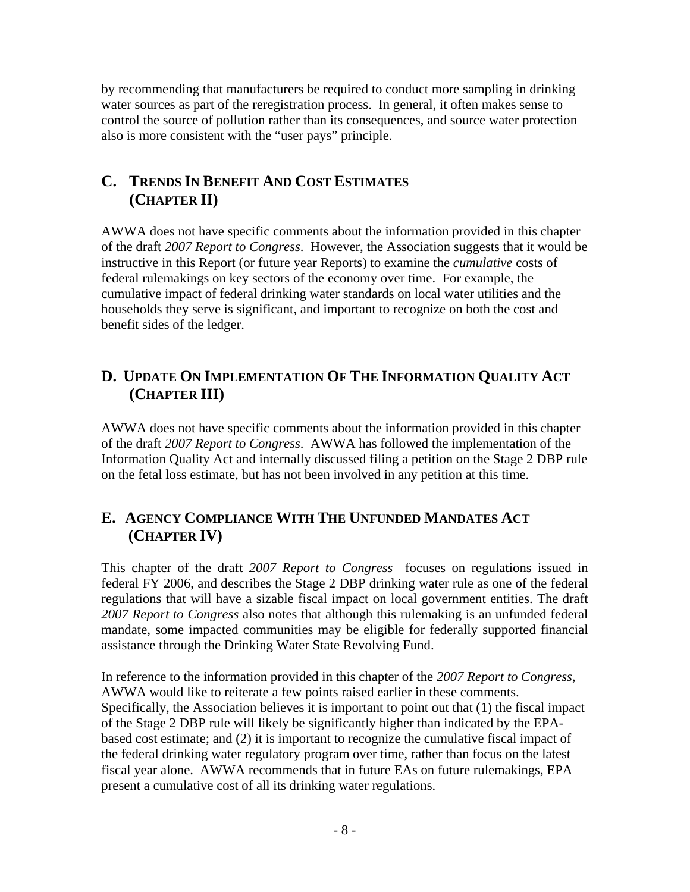by recommending that manufacturers be required to conduct more sampling in drinking water sources as part of the reregistration process. In general, it often makes sense to control the source of pollution rather than its consequences, and source water protection also is more consistent with the "user pays" principle.

#### **C. TRENDS IN BENEFIT AND COST ESTIMATES (CHAPTER II)**

AWWA does not have specific comments about the information provided in this chapter of the draft *2007 Report to Congress*. However, the Association suggests that it would be instructive in this Report (or future year Reports) to examine the *cumulative* costs of federal rulemakings on key sectors of the economy over time. For example, the cumulative impact of federal drinking water standards on local water utilities and the households they serve is significant, and important to recognize on both the cost and benefit sides of the ledger.

#### **D. UPDATE ON IMPLEMENTATION OF THE INFORMATION QUALITY ACT (CHAPTER III)**

AWWA does not have specific comments about the information provided in this chapter of the draft *2007 Report to Congress*. AWWA has followed the implementation of the Information Quality Act and internally discussed filing a petition on the Stage 2 DBP rule on the fetal loss estimate, but has not been involved in any petition at this time.

#### **E. AGENCY COMPLIANCE WITH THE UNFUNDED MANDATES ACT (CHAPTER IV)**

This chapter of the draft *2007 Report to Congress* focuses on regulations issued in federal FY 2006, and describes the Stage 2 DBP drinking water rule as one of the federal regulations that will have a sizable fiscal impact on local government entities. The draft *2007 Report to Congress* also notes that although this rulemaking is an unfunded federal mandate, some impacted communities may be eligible for federally supported financial assistance through the Drinking Water State Revolving Fund.

present a cumulative cost of all its drinking water regulations.<br>-8 -In reference to the information provided in this chapter of the *2007 Report to Congress*, AWWA would like to reiterate a few points raised earlier in these comments. Specifically, the Association believes it is important to point out that (1) the fiscal impact of the Stage 2 DBP rule will likely be significantly higher than indicated by the EPAbased cost estimate; and (2) it is important to recognize the cumulative fiscal impact of the federal drinking water regulatory program over time, rather than focus on the latest fiscal year alone. AWWA recommends that in future EAs on future rulemakings, EPA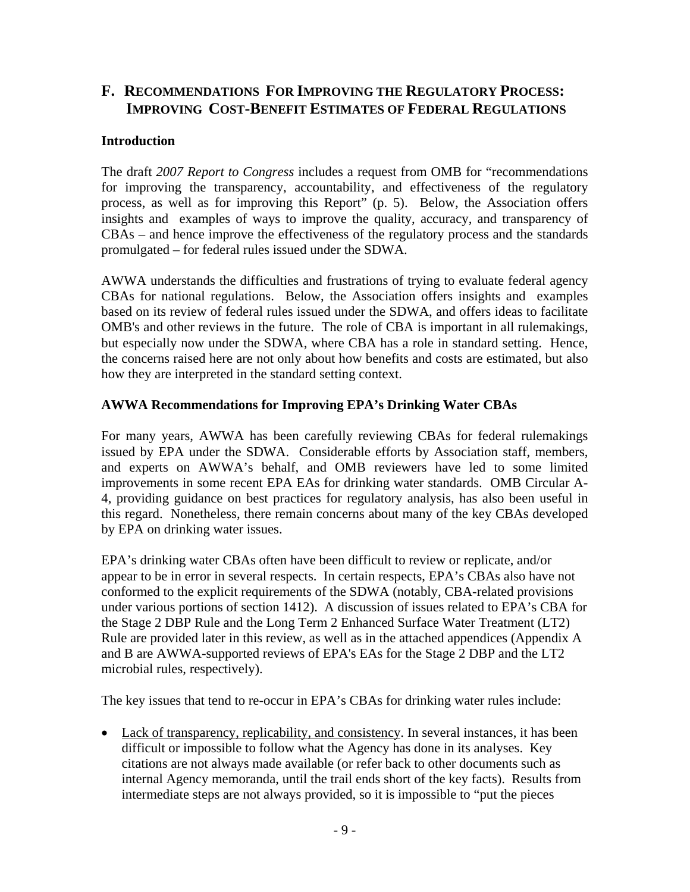#### **F. RECOMMENDATIONS FOR IMPROVING THE REGULATORY PROCESS: IMPROVING COST-BENEFIT ESTIMATES OF FEDERAL REGULATIONS**

#### **Introduction**

The draft *2007 Report to Congress* includes a request from OMB for "recommendations for improving the transparency, accountability, and effectiveness of the regulatory process, as well as for improving this Report" (p. 5). Below, the Association offers insights and examples of ways to improve the quality, accuracy, and transparency of CBAs – and hence improve the effectiveness of the regulatory process and the standards promulgated – for federal rules issued under the SDWA.

AWWA understands the difficulties and frustrations of trying to evaluate federal agency CBAs for national regulations. Below, the Association offers insights and examples based on its review of federal rules issued under the SDWA, and offers ideas to facilitate OMB's and other reviews in the future. The role of CBA is important in all rulemakings, but especially now under the SDWA, where CBA has a role in standard setting. Hence, the concerns raised here are not only about how benefits and costs are estimated, but also how they are interpreted in the standard setting context.

#### **AWWA Recommendations for Improving EPA's Drinking Water CBAs**

For many years, AWWA has been carefully reviewing CBAs for federal rulemakings issued by EPA under the SDWA. Considerable efforts by Association staff, members, and experts on AWWA's behalf, and OMB reviewers have led to some limited improvements in some recent EPA EAs for drinking water standards. OMB Circular A-4, providing guidance on best practices for regulatory analysis, has also been useful in this regard. Nonetheless, there remain concerns about many of the key CBAs developed by EPA on drinking water issues.

EPA's drinking water CBAs often have been difficult to review or replicate, and/or appear to be in error in several respects. In certain respects, EPA's CBAs also have not conformed to the explicit requirements of the SDWA (notably, CBA-related provisions under various portions of section 1412). A discussion of issues related to EPA's CBA for the Stage 2 DBP Rule and the Long Term 2 Enhanced Surface Water Treatment (LT2) Rule are provided later in this review, as well as in the attached appendices (Appendix A and B are AWWA-supported reviews of EPA's EAs for the Stage 2 DBP and the LT2 microbial rules, respectively).

The key issues that tend to re-occur in EPA's CBAs for drinking water rules include:

• Lack of transparency, replicability, and consistency. In several instances, it has been difficult or impossible to follow what the Agency has done in its analyses. Key citations are not always made available (or refer back to other documents such as internal Agency memoranda, until the trail ends short of the key facts). Results from intermediate steps are not always provided, so it is impossible to "put the pieces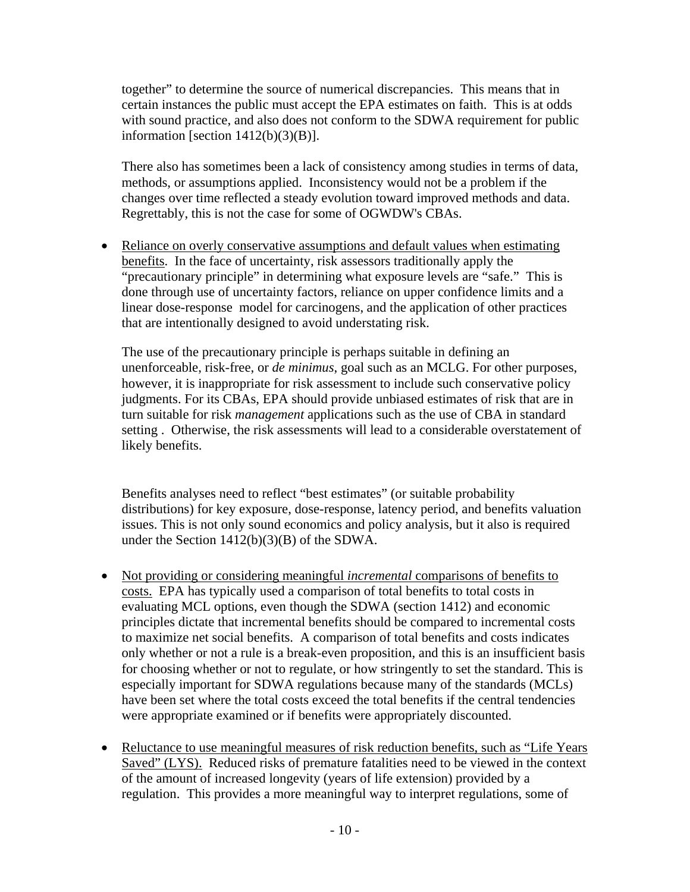together" to determine the source of numerical discrepancies. This means that in certain instances the public must accept the EPA estimates on faith. This is at odds with sound practice, and also does not conform to the SDWA requirement for public information [section  $1412(b)(3)(B)$ ].

There also has sometimes been a lack of consistency among studies in terms of data, methods, or assumptions applied. Inconsistency would not be a problem if the changes over time reflected a steady evolution toward improved methods and data. Regrettably, this is not the case for some of OGWDW's CBAs.

• Reliance on overly conservative assumptions and default values when estimating benefits. In the face of uncertainty, risk assessors traditionally apply the "precautionary principle" in determining what exposure levels are "safe." This is done through use of uncertainty factors, reliance on upper confidence limits and a linear dose-response model for carcinogens, and the application of other practices that are intentionally designed to avoid understating risk.

The use of the precautionary principle is perhaps suitable in defining an unenforceable, risk-free, or *de minimus*, goal such as an MCLG. For other purposes, however, it is inappropriate for risk assessment to include such conservative policy judgments. For its CBAs, EPA should provide unbiased estimates of risk that are in turn suitable for risk *management* applications such as the use of CBA in standard setting . Otherwise, the risk assessments will lead to a considerable overstatement of likely benefits.

Benefits analyses need to reflect "best estimates" (or suitable probability distributions) for key exposure, dose-response, latency period, and benefits valuation issues. This is not only sound economics and policy analysis, but it also is required under the Section 1412(b)(3)(B) of the SDWA.

- • Not providing or considering meaningful *incremental* comparisons of benefits to costs. EPA has typically used a comparison of total benefits to total costs in evaluating MCL options, even though the SDWA (section 1412) and economic principles dictate that incremental benefits should be compared to incremental costs to maximize net social benefits. A comparison of total benefits and costs indicates only whether or not a rule is a break-even proposition, and this is an insufficient basis for choosing whether or not to regulate, or how stringently to set the standard. This is especially important for SDWA regulations because many of the standards (MCLs) have been set where the total costs exceed the total benefits if the central tendencies were appropriate examined or if benefits were appropriately discounted.
- Reluctance to use meaningful measures of risk reduction benefits, such as "Life Years" Saved" (LYS). Reduced risks of premature fatalities need to be viewed in the context of the amount of increased longevity (years of life extension) provided by a regulation. This provides a more meaningful way to interpret regulations, some of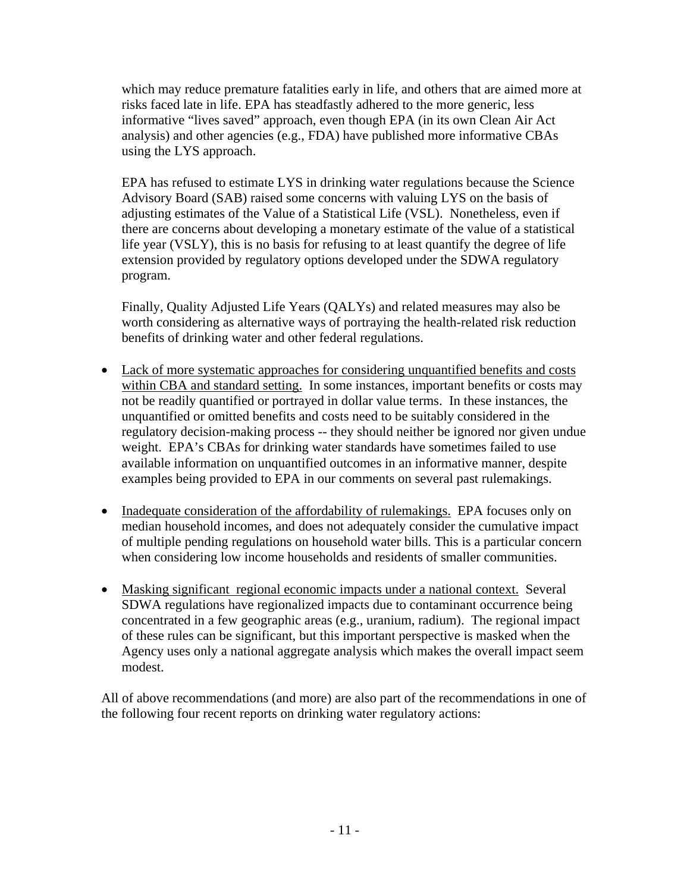which may reduce premature fatalities early in life, and others that are aimed more at risks faced late in life. EPA has steadfastly adhered to the more generic, less informative "lives saved" approach, even though EPA (in its own Clean Air Act analysis) and other agencies (e.g., FDA) have published more informative CBAs using the LYS approach.

EPA has refused to estimate LYS in drinking water regulations because the Science Advisory Board (SAB) raised some concerns with valuing LYS on the basis of adjusting estimates of the Value of a Statistical Life (VSL). Nonetheless, even if there are concerns about developing a monetary estimate of the value of a statistical life year (VSLY), this is no basis for refusing to at least quantify the degree of life extension provided by regulatory options developed under the SDWA regulatory program.

Finally, Quality Adjusted Life Years (QALYs) and related measures may also be worth considering as alternative ways of portraying the health-related risk reduction benefits of drinking water and other federal regulations.

- Lack of more systematic approaches for considering unquantified benefits and costs within CBA and standard setting. In some instances, important benefits or costs may not be readily quantified or portrayed in dollar value terms. In these instances, the unquantified or omitted benefits and costs need to be suitably considered in the regulatory decision-making process -- they should neither be ignored nor given undue weight. EPA's CBAs for drinking water standards have sometimes failed to use available information on unquantified outcomes in an informative manner, despite examples being provided to EPA in our comments on several past rulemakings.
- Inadequate consideration of the affordability of rulemakings. EPA focuses only on median household incomes, and does not adequately consider the cumulative impact of multiple pending regulations on household water bills. This is a particular concern when considering low income households and residents of smaller communities.
- Masking significant regional economic impacts under a national context. Several SDWA regulations have regionalized impacts due to contaminant occurrence being concentrated in a few geographic areas (e.g., uranium, radium). The regional impact of these rules can be significant, but this important perspective is masked when the Agency uses only a national aggregate analysis which makes the overall impact seem modest.

All of above recommendations (and more) are also part of the recommendations in one of the following four recent reports on drinking water regulatory actions: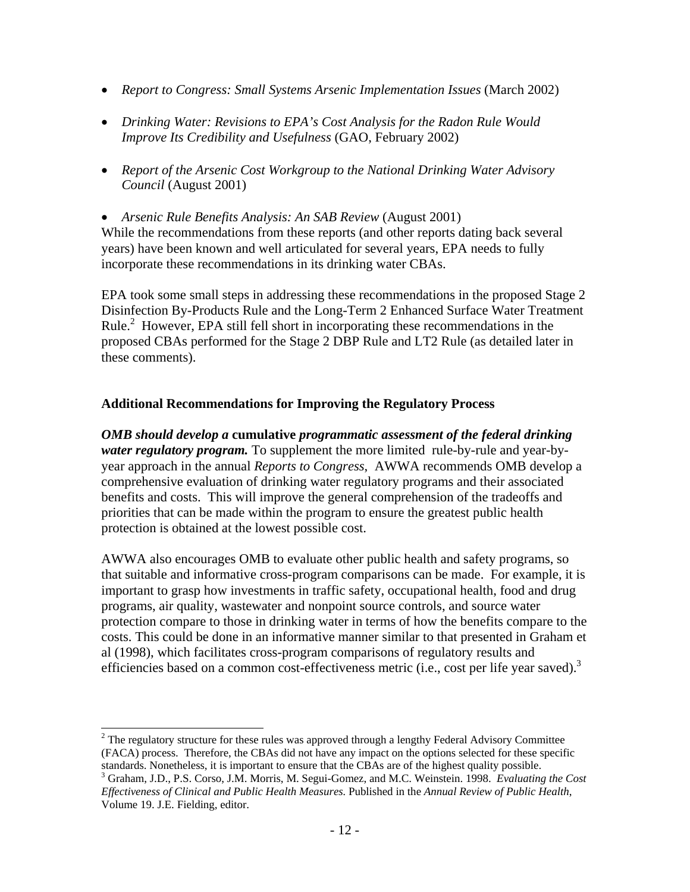- *Report to Congress: Small Systems Arsenic Implementation Issues (March 2002)*
- *Drinking Water: Revisions to EPA's Cost Analysis for the Radon Rule Would Improve Its Credibility and Usefulness* (GAO, February 2002)
- • *Report of the Arsenic Cost Workgroup to the National Drinking Water Advisory Council* (August 2001)
- *Arsenic Rule Benefits Analysis: An SAB Review* (August 2001) While the recommendations from these reports (and other reports dating back several

years) have been known and well articulated for several years, EPA needs to fully incorporate these recommendations in its drinking water CBAs.

EPA took some small steps in addressing these recommendations in the proposed Stage 2 Disinfection By-Products Rule and the Long-Term 2 Enhanced Surface Water Treatment Rule.<sup>2</sup> However, EPA still fell short in incorporating these recommendations in the proposed CBAs performed for the Stage 2 DBP Rule and LT2 Rule (as detailed later in these comments).

#### **Additional Recommendations for Improving the Regulatory Process**

*OMB should develop a* **cumulative** *programmatic assessment of the federal drinking water regulatory program.* To supplement the more limited rule-by-rule and year-byyear approach in the annual *Reports to Congress*, AWWA recommends OMB develop a comprehensive evaluation of drinking water regulatory programs and their associated benefits and costs. This will improve the general comprehension of the tradeoffs and priorities that can be made within the program to ensure the greatest public health protection is obtained at the lowest possible cost.

AWWA also encourages OMB to evaluate other public health and safety programs, so that suitable and informative cross-program comparisons can be made. For example, it is important to grasp how investments in traffic safety, occupational health, food and drug programs, air quality, wastewater and nonpoint source controls, and source water protection compare to those in drinking water in terms of how the benefits compare to the costs. This could be done in an informative manner similar to that presented in Graham et al (1998), which facilitates cross-program comparisons of regulatory results and efficiencies based on a common cost-effectiveness metric (i.e., cost per life year saved).<sup>3</sup>

<sup>2</sup> The regulatory structure for these rules was approved through a lengthy Federal Advisory Committee (FACA) process. Therefore, the CBAs did not have any impact on the options selected for these specific standards. Nonetheless, it is important to ensure that the CBAs are of the highest quality possible.

 *Effectiveness of Clinical and Public Health Measures.* Published in the *Annual Review of Public Health*, 3 Graham, J.D., P.S. Corso, J.M. Morris, M. Segui-Gomez, and M.C. Weinstein. 1998. *Evaluating the Cost*  Volume 19. J.E. Fielding, editor.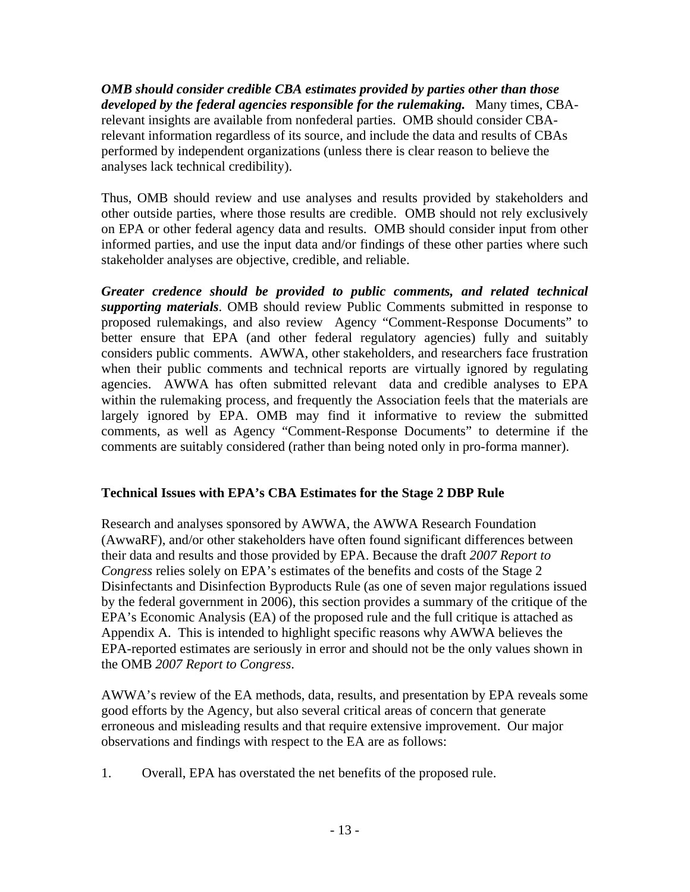*OMB should consider credible CBA estimates provided by parties other than those developed by the federal agencies responsible for the rulemaking.* Many times, CBArelevant insights are available from nonfederal parties. OMB should consider CBArelevant information regardless of its source, and include the data and results of CBAs performed by independent organizations (unless there is clear reason to believe the analyses lack technical credibility).

Thus, OMB should review and use analyses and results provided by stakeholders and other outside parties, where those results are credible. OMB should not rely exclusively on EPA or other federal agency data and results. OMB should consider input from other informed parties, and use the input data and/or findings of these other parties where such stakeholder analyses are objective, credible, and reliable.

*Greater credence should be provided to public comments, and related technical supporting materials*. OMB should review Public Comments submitted in response to proposed rulemakings, and also review Agency "Comment-Response Documents" to better ensure that EPA (and other federal regulatory agencies) fully and suitably considers public comments. AWWA, other stakeholders, and researchers face frustration when their public comments and technical reports are virtually ignored by regulating agencies. AWWA has often submitted relevant data and credible analyses to EPA within the rulemaking process, and frequently the Association feels that the materials are largely ignored by EPA. OMB may find it informative to review the submitted comments, as well as Agency "Comment-Response Documents" to determine if the comments are suitably considered (rather than being noted only in pro-forma manner).

#### **Technical Issues with EPA's CBA Estimates for the Stage 2 DBP Rule**

Research and analyses sponsored by AWWA, the AWWA Research Foundation (AwwaRF), and/or other stakeholders have often found significant differences between their data and results and those provided by EPA. Because the draft *2007 Report to Congress* relies solely on EPA's estimates of the benefits and costs of the Stage 2 Disinfectants and Disinfection Byproducts Rule (as one of seven major regulations issued by the federal government in 2006), this section provides a summary of the critique of the EPA's Economic Analysis (EA) of the proposed rule and the full critique is attached as Appendix A. This is intended to highlight specific reasons why AWWA believes the EPA-reported estimates are seriously in error and should not be the only values shown in the OMB *2007 Report to Congress*.

AWWA's review of the EA methods, data, results, and presentation by EPA reveals some good efforts by the Agency, but also several critical areas of concern that generate erroneous and misleading results and that require extensive improvement. Our major observations and findings with respect to the EA are as follows:

1. Overall, EPA has overstated the net benefits of the proposed rule.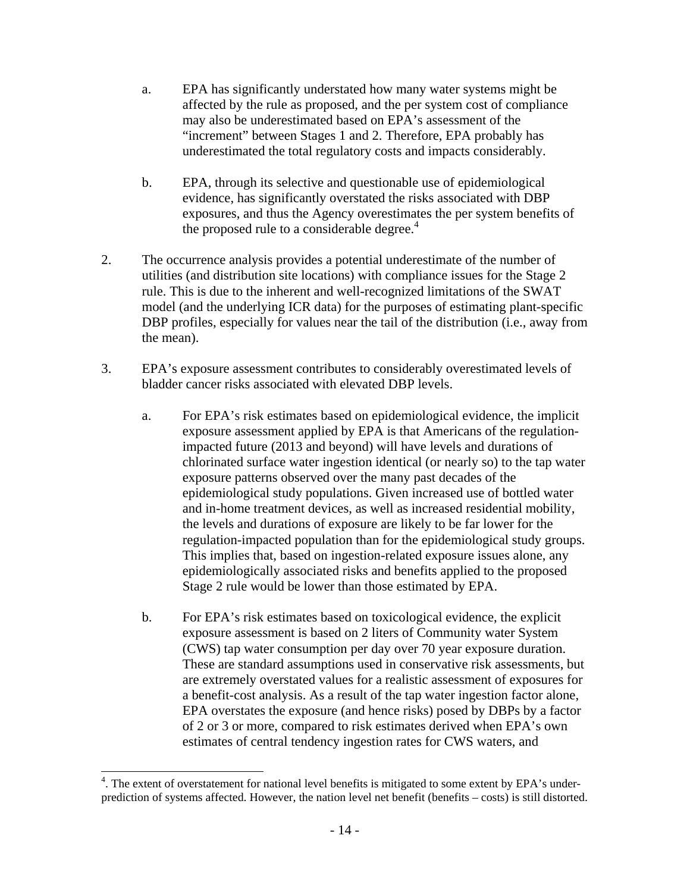- a. EPA has significantly understated how many water systems might be affected by the rule as proposed, and the per system cost of compliance may also be underestimated based on EPA's assessment of the "increment" between Stages 1 and 2. Therefore, EPA probably has underestimated the total regulatory costs and impacts considerably.
- the proposed rule to a considerable degree.<sup>4</sup> b. EPA, through its selective and questionable use of epidemiological evidence, has significantly overstated the risks associated with DBP exposures, and thus the Agency overestimates the per system benefits of
- 2. The occurrence analysis provides a potential underestimate of the number of utilities (and distribution site locations) with compliance issues for the Stage 2 rule. This is due to the inherent and well-recognized limitations of the SWAT model (and the underlying ICR data) for the purposes of estimating plant-specific DBP profiles, especially for values near the tail of the distribution (i.e., away from the mean).
- 3. EPA's exposure assessment contributes to considerably overestimated levels of bladder cancer risks associated with elevated DBP levels.
	- a. For EPA's risk estimates based on epidemiological evidence, the implicit exposure assessment applied by EPA is that Americans of the regulationimpacted future (2013 and beyond) will have levels and durations of chlorinated surface water ingestion identical (or nearly so) to the tap water exposure patterns observed over the many past decades of the epidemiological study populations. Given increased use of bottled water and in-home treatment devices, as well as increased residential mobility, the levels and durations of exposure are likely to be far lower for the regulation-impacted population than for the epidemiological study groups. This implies that, based on ingestion-related exposure issues alone, any epidemiologically associated risks and benefits applied to the proposed Stage 2 rule would be lower than those estimated by EPA.
	- b. For EPA's risk estimates based on toxicological evidence, the explicit exposure assessment is based on 2 liters of Community water System (CWS) tap water consumption per day over 70 year exposure duration. These are standard assumptions used in conservative risk assessments, but are extremely overstated values for a realistic assessment of exposures for a benefit-cost analysis. As a result of the tap water ingestion factor alone, EPA overstates the exposure (and hence risks) posed by DBPs by a factor of 2 or 3 or more, compared to risk estimates derived when EPA's own estimates of central tendency ingestion rates for CWS waters, and

 $\overline{\phantom{a}}$ 

<sup>&</sup>lt;sup>4</sup>. The extent of overstatement for national level benefits is mitigated to some extent by EPA's underprediction of systems affected. However, the nation level net benefit (benefits – costs) is still distorted.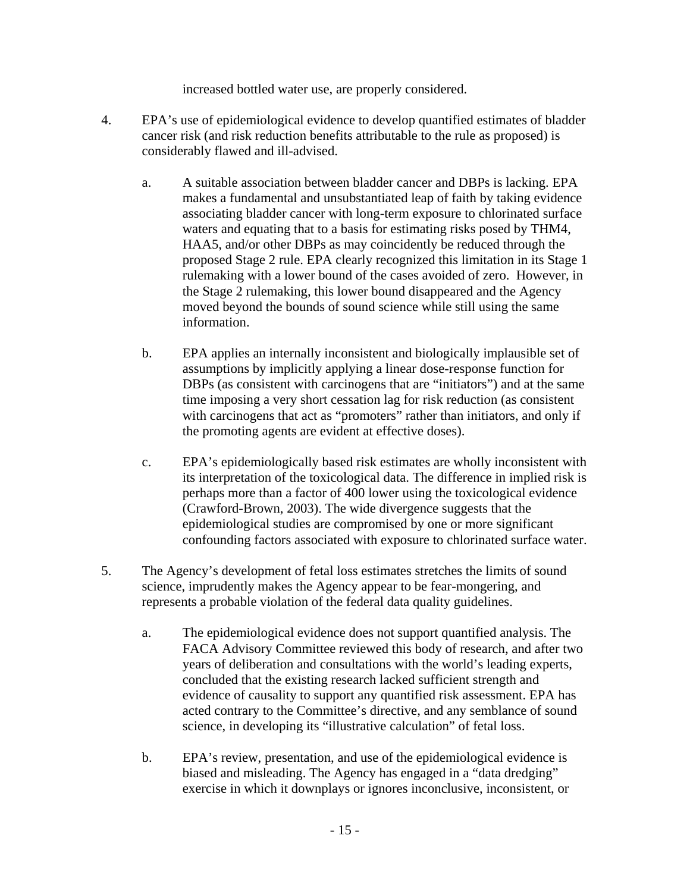increased bottled water use, are properly considered.

- 4. EPA's use of epidemiological evidence to develop quantified estimates of bladder cancer risk (and risk reduction benefits attributable to the rule as proposed) is considerably flawed and ill-advised.
	- a. A suitable association between bladder cancer and DBPs is lacking. EPA makes a fundamental and unsubstantiated leap of faith by taking evidence associating bladder cancer with long-term exposure to chlorinated surface waters and equating that to a basis for estimating risks posed by THM4, HAA5, and/or other DBPs as may coincidently be reduced through the proposed Stage 2 rule. EPA clearly recognized this limitation in its Stage 1 rulemaking with a lower bound of the cases avoided of zero. However, in the Stage 2 rulemaking, this lower bound disappeared and the Agency moved beyond the bounds of sound science while still using the same information.
	- b. EPA applies an internally inconsistent and biologically implausible set of assumptions by implicitly applying a linear dose-response function for DBPs (as consistent with carcinogens that are "initiators") and at the same time imposing a very short cessation lag for risk reduction (as consistent with carcinogens that act as "promoters" rather than initiators, and only if the promoting agents are evident at effective doses).
	- c. EPA's epidemiologically based risk estimates are wholly inconsistent with its interpretation of the toxicological data. The difference in implied risk is perhaps more than a factor of 400 lower using the toxicological evidence (Crawford-Brown, 2003). The wide divergence suggests that the epidemiological studies are compromised by one or more significant confounding factors associated with exposure to chlorinated surface water.
- 5. The Agency's development of fetal loss estimates stretches the limits of sound science, imprudently makes the Agency appear to be fear-mongering, and represents a probable violation of the federal data quality guidelines.
	- a. The epidemiological evidence does not support quantified analysis. The FACA Advisory Committee reviewed this body of research, and after two years of deliberation and consultations with the world's leading experts, concluded that the existing research lacked sufficient strength and evidence of causality to support any quantified risk assessment. EPA has acted contrary to the Committee's directive, and any semblance of sound science, in developing its "illustrative calculation" of fetal loss.
	- b. EPA's review, presentation, and use of the epidemiological evidence is biased and misleading. The Agency has engaged in a "data dredging" exercise in which it downplays or ignores inconclusive, inconsistent, or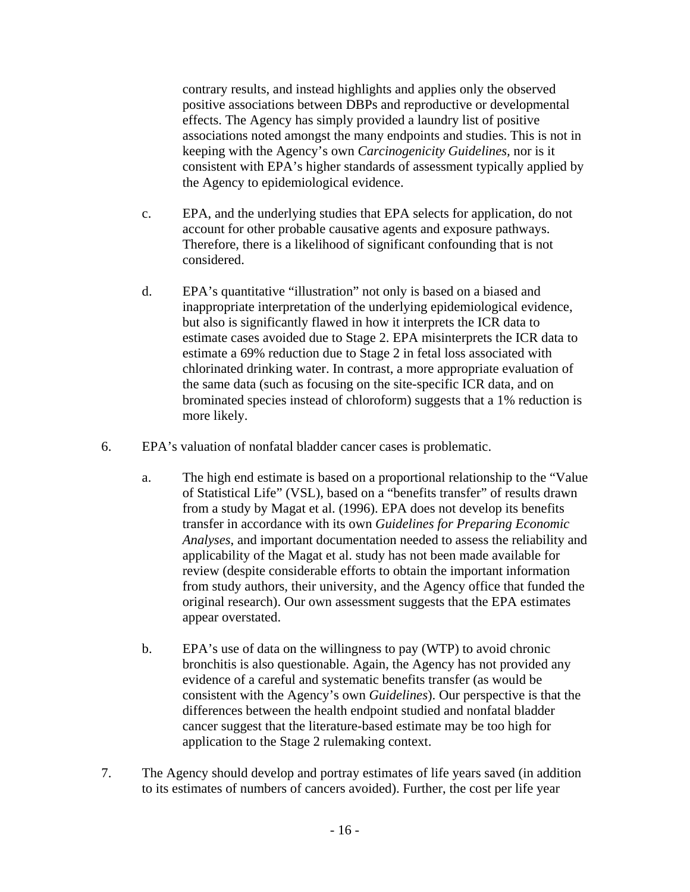contrary results, and instead highlights and applies only the observed positive associations between DBPs and reproductive or developmental effects. The Agency has simply provided a laundry list of positive associations noted amongst the many endpoints and studies. This is not in keeping with the Agency's own *Carcinogenicity Guidelines,* nor is it consistent with EPA's higher standards of assessment typically applied by the Agency to epidemiological evidence.

- c. EPA, and the underlying studies that EPA selects for application, do not account for other probable causative agents and exposure pathways. Therefore, there is a likelihood of significant confounding that is not considered.
- d. EPA's quantitative "illustration" not only is based on a biased and inappropriate interpretation of the underlying epidemiological evidence, but also is significantly flawed in how it interprets the ICR data to estimate cases avoided due to Stage 2. EPA misinterprets the ICR data to estimate a 69% reduction due to Stage 2 in fetal loss associated with chlorinated drinking water. In contrast, a more appropriate evaluation of the same data (such as focusing on the site-specific ICR data, and on brominated species instead of chloroform) suggests that a 1% reduction is more likely.
- 6. EPA's valuation of nonfatal bladder cancer cases is problematic.
	- a. The high end estimate is based on a proportional relationship to the "Value of Statistical Life" (VSL), based on a "benefits transfer" of results drawn from a study by Magat et al. (1996). EPA does not develop its benefits transfer in accordance with its own *Guidelines for Preparing Economic Analyses*, and important documentation needed to assess the reliability and applicability of the Magat et al. study has not been made available for review (despite considerable efforts to obtain the important information from study authors, their university, and the Agency office that funded the original research). Our own assessment suggests that the EPA estimates appear overstated.
	- b. EPA's use of data on the willingness to pay (WTP) to avoid chronic bronchitis is also questionable. Again, the Agency has not provided any evidence of a careful and systematic benefits transfer (as would be consistent with the Agency's own *Guidelines*). Our perspective is that the differences between the health endpoint studied and nonfatal bladder cancer suggest that the literature-based estimate may be too high for application to the Stage 2 rulemaking context.
- 7. The Agency should develop and portray estimates of life years saved (in addition to its estimates of numbers of cancers avoided). Further, the cost per life year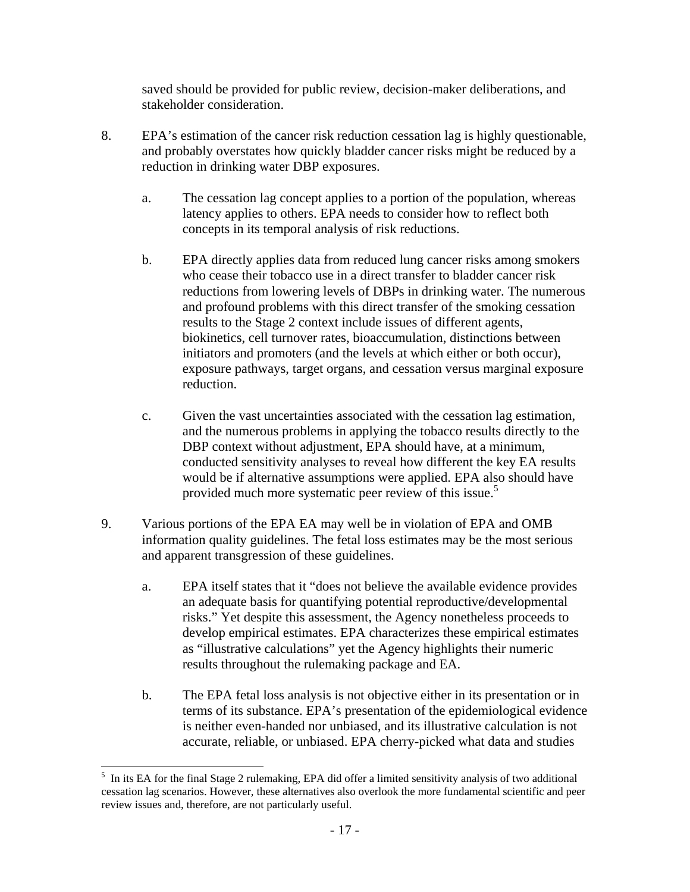saved should be provided for public review, decision-maker deliberations, and stakeholder consideration.

- 8. EPA's estimation of the cancer risk reduction cessation lag is highly questionable, and probably overstates how quickly bladder cancer risks might be reduced by a reduction in drinking water DBP exposures.
	- a. The cessation lag concept applies to a portion of the population, whereas latency applies to others. EPA needs to consider how to reflect both concepts in its temporal analysis of risk reductions.
	- b. EPA directly applies data from reduced lung cancer risks among smokers who cease their tobacco use in a direct transfer to bladder cancer risk reductions from lowering levels of DBPs in drinking water. The numerous and profound problems with this direct transfer of the smoking cessation results to the Stage 2 context include issues of different agents, biokinetics, cell turnover rates, bioaccumulation, distinctions between initiators and promoters (and the levels at which either or both occur), exposure pathways, target organs, and cessation versus marginal exposure reduction.
	- provided much more systematic peer review of this issue.<sup>5</sup> c. Given the vast uncertainties associated with the cessation lag estimation, and the numerous problems in applying the tobacco results directly to the DBP context without adjustment, EPA should have, at a minimum, conducted sensitivity analyses to reveal how different the key EA results would be if alternative assumptions were applied. EPA also should have
- 9. Various portions of the EPA EA may well be in violation of EPA and OMB information quality guidelines. The fetal loss estimates may be the most serious and apparent transgression of these guidelines.
	- a. EPA itself states that it "does not believe the available evidence provides an adequate basis for quantifying potential reproductive/developmental risks." Yet despite this assessment, the Agency nonetheless proceeds to develop empirical estimates. EPA characterizes these empirical estimates as "illustrative calculations" yet the Agency highlights their numeric results throughout the rulemaking package and EA.
	- b. The EPA fetal loss analysis is not objective either in its presentation or in terms of its substance. EPA's presentation of the epidemiological evidence is neither even-handed nor unbiased, and its illustrative calculation is not accurate, reliable, or unbiased. EPA cherry-picked what data and studies

l <sup>5</sup> In its EA for the final Stage 2 rulemaking, EPA did offer a limited sensitivity analysis of two additional review issues and, therefore, are not particularly useful. cessation lag scenarios. However, these alternatives also overlook the more fundamental scientific and peer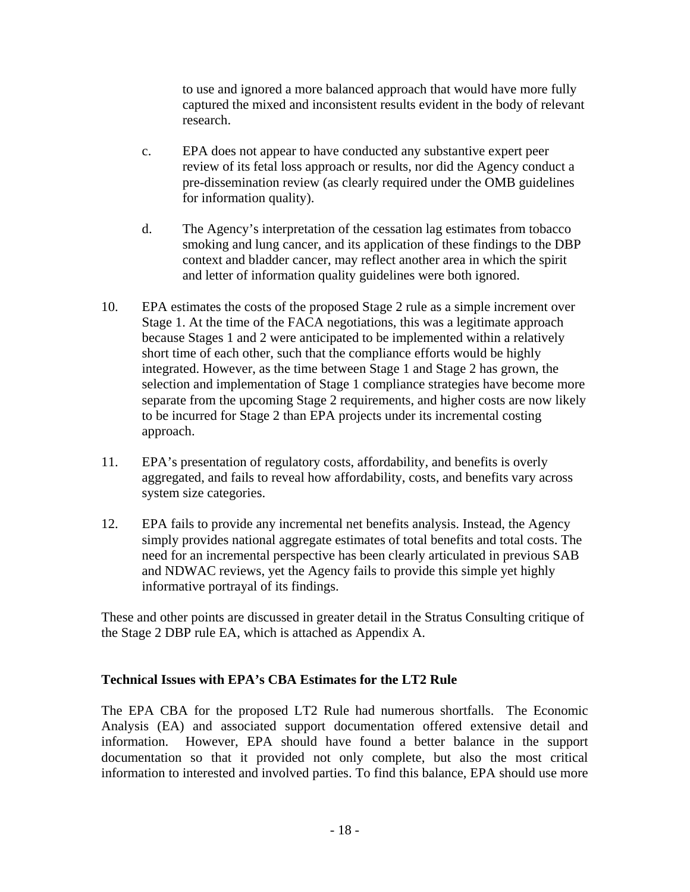to use and ignored a more balanced approach that would have more fully captured the mixed and inconsistent results evident in the body of relevant research.

- c. EPA does not appear to have conducted any substantive expert peer review of its fetal loss approach or results, nor did the Agency conduct a pre-dissemination review (as clearly required under the OMB guidelines for information quality).
- d. The Agency's interpretation of the cessation lag estimates from tobacco smoking and lung cancer, and its application of these findings to the DBP context and bladder cancer, may reflect another area in which the spirit and letter of information quality guidelines were both ignored.
- 10. EPA estimates the costs of the proposed Stage 2 rule as a simple increment over Stage 1. At the time of the FACA negotiations, this was a legitimate approach because Stages 1 and 2 were anticipated to be implemented within a relatively short time of each other, such that the compliance efforts would be highly integrated. However, as the time between Stage 1 and Stage 2 has grown, the selection and implementation of Stage 1 compliance strategies have become more separate from the upcoming Stage 2 requirements, and higher costs are now likely to be incurred for Stage 2 than EPA projects under its incremental costing approach.
- 11. EPA's presentation of regulatory costs, affordability, and benefits is overly aggregated, and fails to reveal how affordability, costs, and benefits vary across system size categories.
- 12. EPA fails to provide any incremental net benefits analysis. Instead, the Agency simply provides national aggregate estimates of total benefits and total costs. The need for an incremental perspective has been clearly articulated in previous SAB and NDWAC reviews, yet the Agency fails to provide this simple yet highly informative portrayal of its findings.

These and other points are discussed in greater detail in the Stratus Consulting critique of the Stage 2 DBP rule EA, which is attached as Appendix A.

#### **Technical Issues with EPA's CBA Estimates for the LT2 Rule**

The EPA CBA for the proposed LT2 Rule had numerous shortfalls. The Economic Analysis (EA) and associated support documentation offered extensive detail and information. However, EPA should have found a better balance in the support documentation so that it provided not only complete, but also the most critical information to interested and involved parties. To find this balance, EPA should use more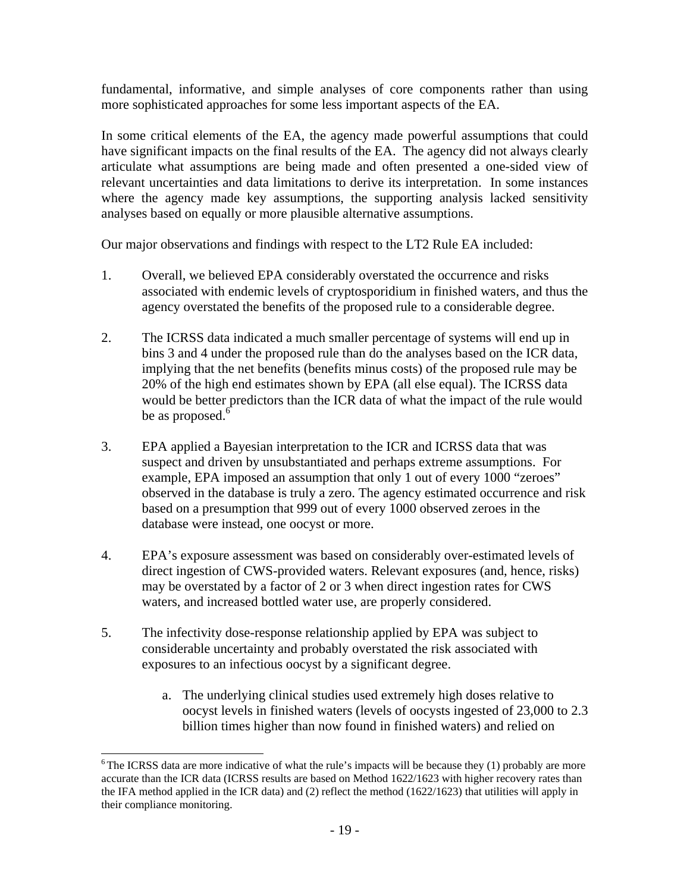fundamental, informative, and simple analyses of core components rather than using more sophisticated approaches for some less important aspects of the EA.

In some critical elements of the EA, the agency made powerful assumptions that could have significant impacts on the final results of the EA. The agency did not always clearly articulate what assumptions are being made and often presented a one-sided view of relevant uncertainties and data limitations to derive its interpretation. In some instances where the agency made key assumptions, the supporting analysis lacked sensitivity analyses based on equally or more plausible alternative assumptions.

Our major observations and findings with respect to the LT2 Rule EA included:

- 1. Overall, we believed EPA considerably overstated the occurrence and risks associated with endemic levels of cryptosporidium in finished waters, and thus the agency overstated the benefits of the proposed rule to a considerable degree.
- 2. The ICRSS data indicated a much smaller percentage of systems will end up in bins 3 and 4 under the proposed rule than do the analyses based on the ICR data, implying that the net benefits (benefits minus costs) of the proposed rule may be 20% of the high end estimates shown by EPA (all else equal). The ICRSS data would be better predictors than the ICR data of what the impact of the rule would be as proposed.<sup>6</sup>
- 3. EPA applied a Bayesian interpretation to the ICR and ICRSS data that was suspect and driven by unsubstantiated and perhaps extreme assumptions. For example, EPA imposed an assumption that only 1 out of every 1000 "zeroes" observed in the database is truly a zero. The agency estimated occurrence and risk based on a presumption that 999 out of every 1000 observed zeroes in the database were instead, one oocyst or more.
- 4. EPA's exposure assessment was based on considerably over-estimated levels of direct ingestion of CWS-provided waters. Relevant exposures (and, hence, risks) may be overstated by a factor of 2 or 3 when direct ingestion rates for CWS waters, and increased bottled water use, are properly considered.
- 5. The infectivity dose-response relationship applied by EPA was subject to considerable uncertainty and probably overstated the risk associated with exposures to an infectious oocyst by a significant degree.

 $\overline{\phantom{a}}$ 

a. The underlying clinical studies used extremely high doses relative to oocyst levels in finished waters (levels of oocysts ingested of 23,000 to 2.3 billion times higher than now found in finished waters) and relied on

 $6$ The ICRSS data are more indicative of what the rule's impacts will be because they (1) probably are more accurate than the ICR data (ICRSS results are based on Method 1622/1623 with higher recovery rates than the IFA method applied in the ICR data) and (2) reflect the method (1622/1623) that utilities will apply in their compliance monitoring.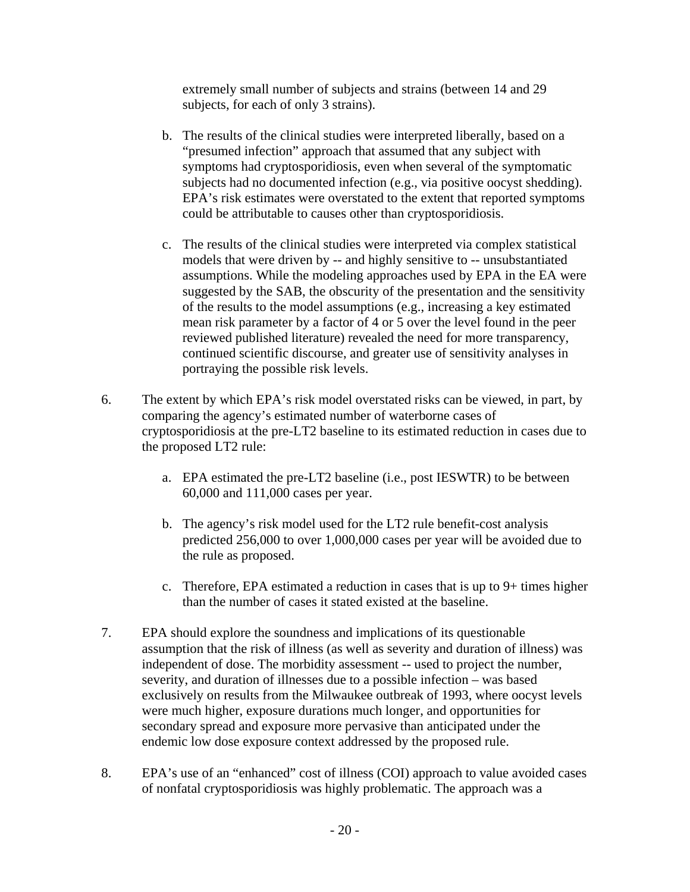extremely small number of subjects and strains (between 14 and 29 subjects, for each of only 3 strains).

- subjects had no documented infection (e.g., via positive oocyst shedding). b. The results of the clinical studies were interpreted liberally, based on a "presumed infection" approach that assumed that any subject with symptoms had cryptosporidiosis, even when several of the symptomatic EPA's risk estimates were overstated to the extent that reported symptoms could be attributable to causes other than cryptosporidiosis.
- c. The results of the clinical studies were interpreted via complex statistical models that were driven by -- and highly sensitive to -- unsubstantiated assumptions. While the modeling approaches used by EPA in the EA were suggested by the SAB, the obscurity of the presentation and the sensitivity of the results to the model assumptions (e.g., increasing a key estimated mean risk parameter by a factor of 4 or 5 over the level found in the peer reviewed published literature) revealed the need for more transparency, continued scientific discourse, and greater use of sensitivity analyses in portraying the possible risk levels.
- 6. The extent by which EPA's risk model overstated risks can be viewed, in part, by comparing the agency's estimated number of waterborne cases of cryptosporidiosis at the pre-LT2 baseline to its estimated reduction in cases due to the proposed LT2 rule:
	- a. EPA estimated the pre-LT2 baseline (i.e., post IESWTR) to be between 60,000 and 111,000 cases per year.
	- b. The agency's risk model used for the LT2 rule benefit-cost analysis predicted 256,000 to over 1,000,000 cases per year will be avoided due to the rule as proposed.
	- c. Therefore, EPA estimated a reduction in cases that is up to  $9+$  times higher than the number of cases it stated existed at the baseline.
- 7. EPA should explore the soundness and implications of its questionable assumption that the risk of illness (as well as severity and duration of illness) was independent of dose. The morbidity assessment -- used to project the number, severity, and duration of illnesses due to a possible infection – was based exclusively on results from the Milwaukee outbreak of 1993, where oocyst levels were much higher, exposure durations much longer, and opportunities for secondary spread and exposure more pervasive than anticipated under the endemic low dose exposure context addressed by the proposed rule.
- 8. EPA's use of an "enhanced" cost of illness (COI) approach to value avoided cases of nonfatal cryptosporidiosis was highly problematic. The approach was a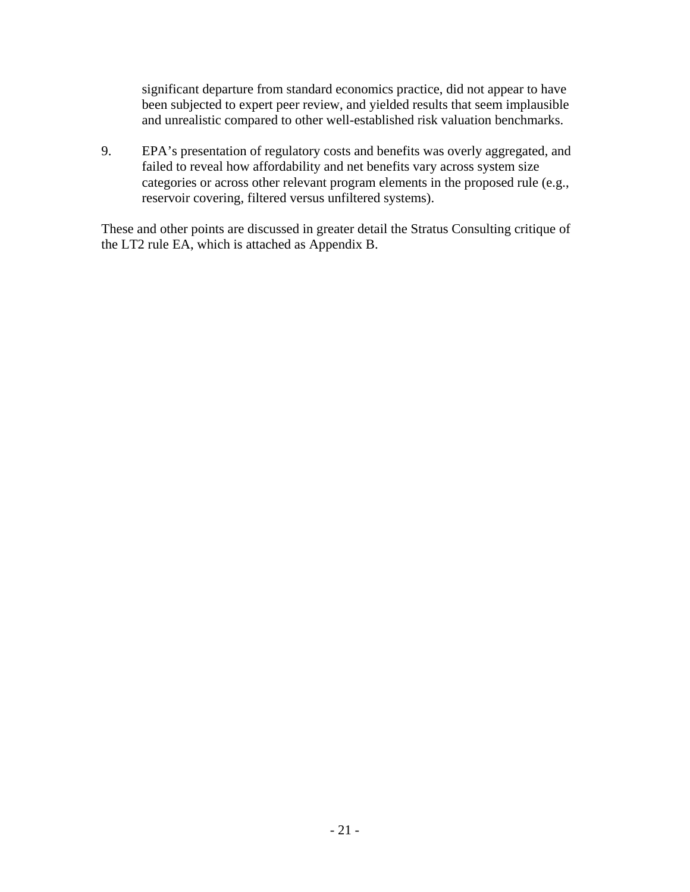significant departure from standard economics practice, did not appear to have been subjected to expert peer review, and yielded results that seem implausible and unrealistic compared to other well-established risk valuation benchmarks.

9. EPA's presentation of regulatory costs and benefits was overly aggregated, and failed to reveal how affordability and net benefits vary across system size categories or across other relevant program elements in the proposed rule (e.g., reservoir covering, filtered versus unfiltered systems).

These and other points are discussed in greater detail the Stratus Consulting critique of the LT2 rule EA, which is attached as Appendix B.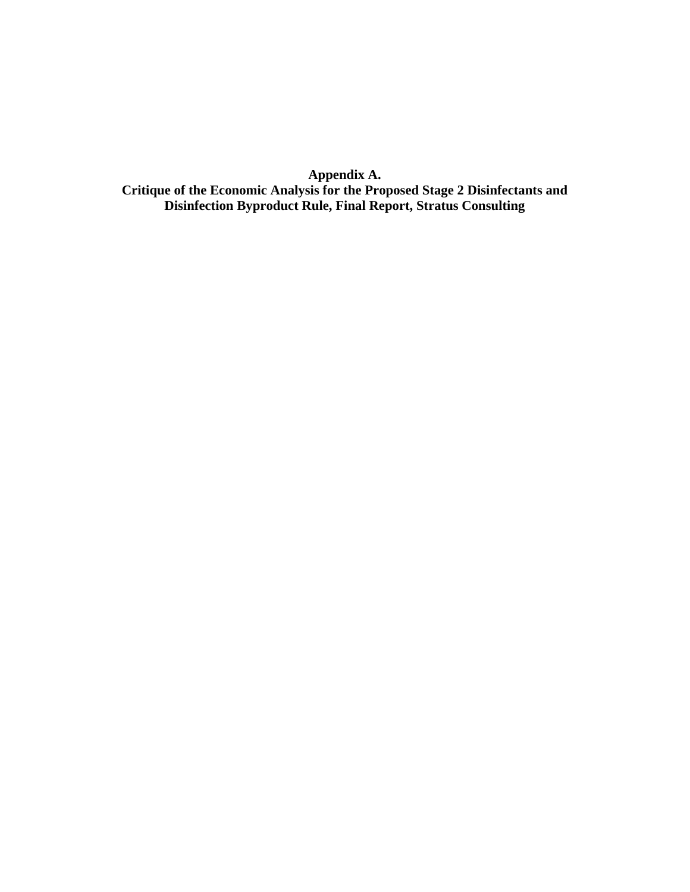**Appendix A. Critique of the Economic Analysis for the Proposed Stage 2 Disinfectants and Disinfection Byproduct Rule, Final Report, Stratus Consulting**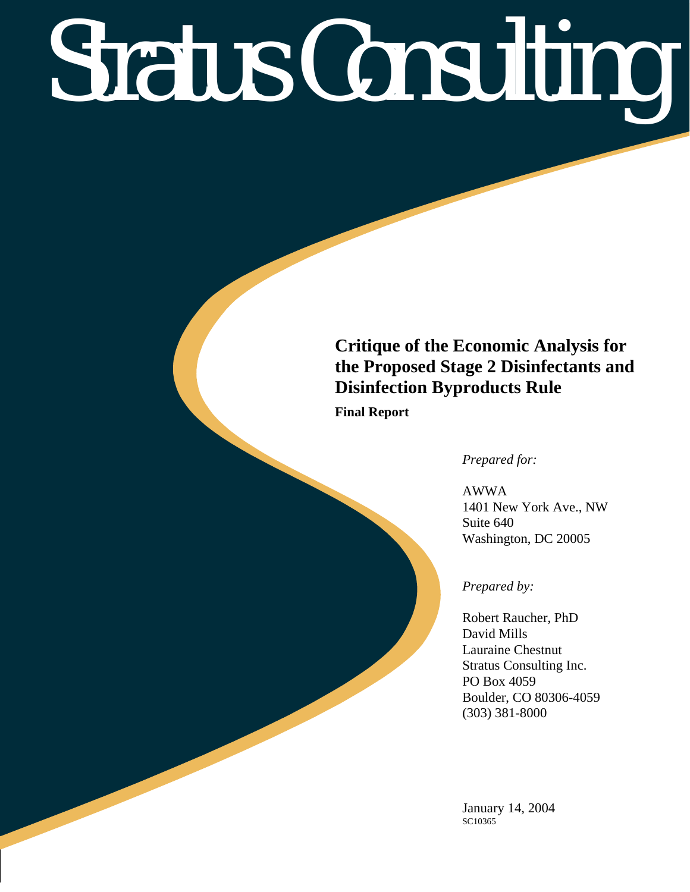# Stratus Consulting

## **Critique of the Economic Analysis for the Proposed Stage 2 Disinfectants and Disinfection Byproducts Rule**

**Final Report** 

*Prepared for:* 

AWWA 1401 New York Ave., NW Suite 640 Washington, DC 20005

#### *Prepared by:*

Robert Raucher, PhD David Mills Lauraine Chestnut Stratus Consulting Inc. PO Box 4059 Boulder, CO 80306-4059 (303) 381-8000

January 14, 2004 SC10365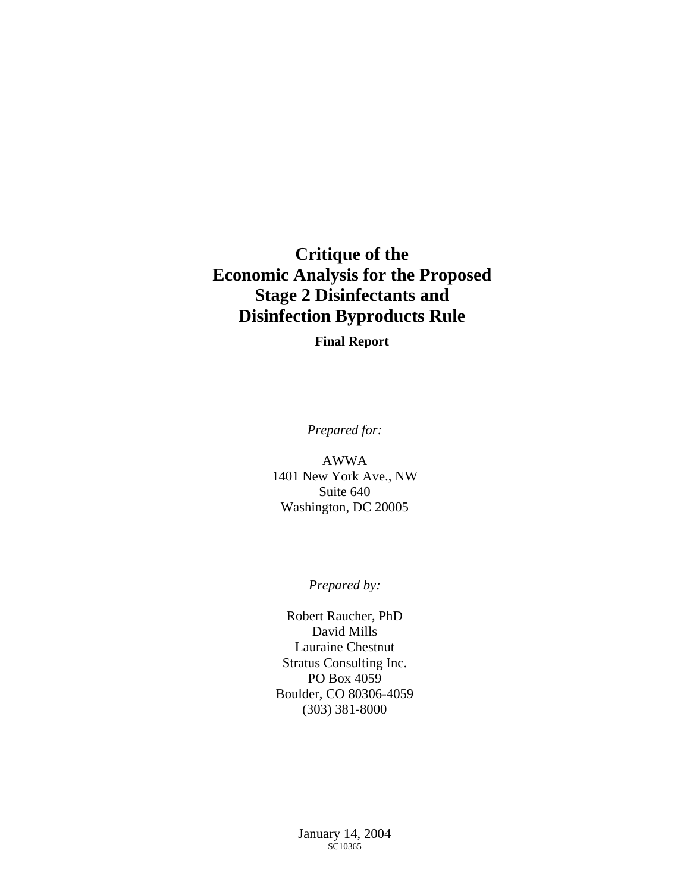## **Critique of the Economic Analysis for the Proposed Stage 2 Disinfectants and Disinfection Byproducts Rule**

**Final Report** 

*Prepared for:* 

AWWA 1401 New York Ave., NW Suite 640 Washington, DC 20005

*Prepared by:* 

Robert Raucher, PhD David Mills Lauraine Chestnut Stratus Consulting Inc. PO Box 4059 Boulder, CO 80306-4059 (303) 381-8000

> January 14, 2004 SC10365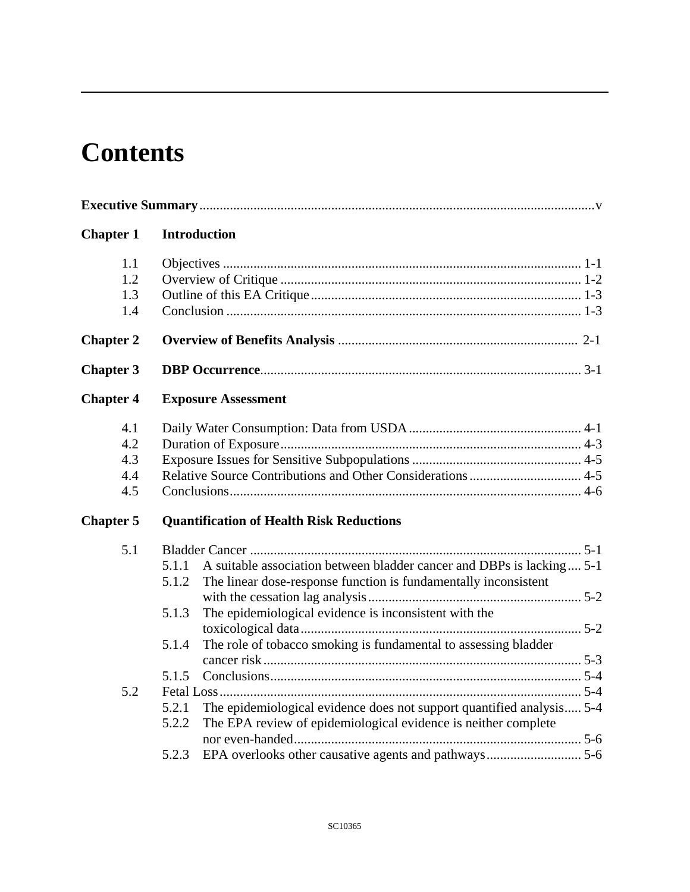# **Contents**

| <b>Chapter 1</b>                | <b>Introduction</b>                                                                                                                                                                                                                                                                                               |  |
|---------------------------------|-------------------------------------------------------------------------------------------------------------------------------------------------------------------------------------------------------------------------------------------------------------------------------------------------------------------|--|
| 1.1<br>1.2<br>1.3<br>1.4        |                                                                                                                                                                                                                                                                                                                   |  |
| <b>Chapter 2</b>                |                                                                                                                                                                                                                                                                                                                   |  |
| <b>Chapter 3</b>                |                                                                                                                                                                                                                                                                                                                   |  |
| <b>Chapter 4</b>                | <b>Exposure Assessment</b>                                                                                                                                                                                                                                                                                        |  |
| 4.1<br>4.2<br>4.3<br>4.4<br>4.5 |                                                                                                                                                                                                                                                                                                                   |  |
| <b>Chapter 5</b>                | <b>Quantification of Health Risk Reductions</b>                                                                                                                                                                                                                                                                   |  |
| 5.1                             | A suitable association between bladder cancer and DBPs is lacking 5-1<br>5.1.1<br>5.1.2<br>The linear dose-response function is fundamentally inconsistent<br>5.1.3<br>The epidemiological evidence is inconsistent with the<br>The role of tobacco smoking is fundamental to assessing bladder<br>5.1.4<br>5.1.5 |  |
| 5.2                             | The epidemiological evidence does not support quantified analysis 5-4<br>5.2.1<br>The EPA review of epidemiological evidence is neither complete<br>5.2.2<br>5.2.3                                                                                                                                                |  |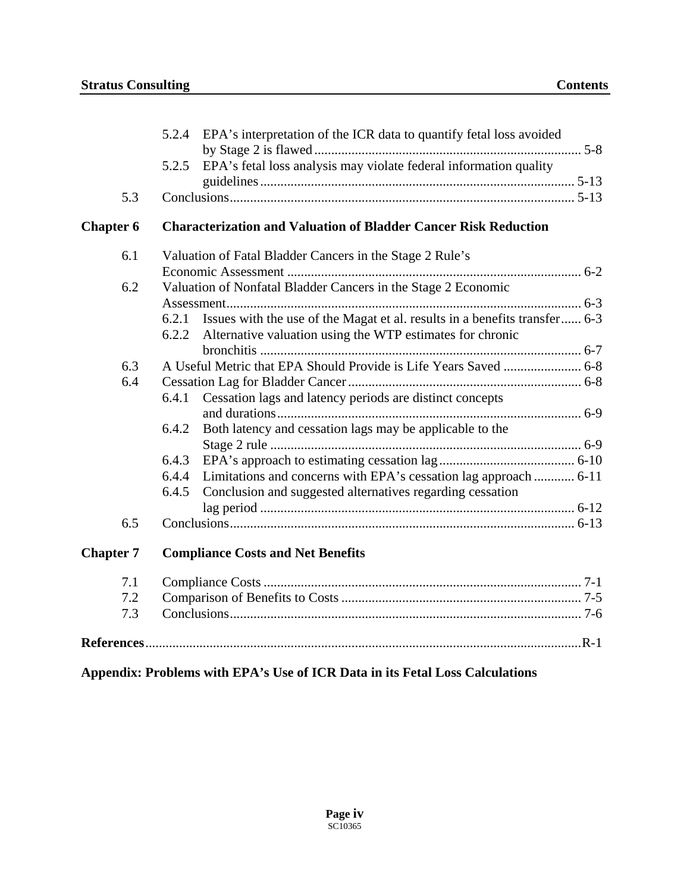|                  | 5.2.4 EPA's interpretation of the ICR data to quantify fetal loss avoided           |
|------------------|-------------------------------------------------------------------------------------|
|                  |                                                                                     |
|                  | EPA's fetal loss analysis may violate federal information quality<br>5.2.5          |
|                  |                                                                                     |
| 5.3              |                                                                                     |
| <b>Chapter 6</b> | <b>Characterization and Valuation of Bladder Cancer Risk Reduction</b>              |
| 6.1              | Valuation of Fatal Bladder Cancers in the Stage 2 Rule's                            |
|                  |                                                                                     |
| 6.2              | Valuation of Nonfatal Bladder Cancers in the Stage 2 Economic                       |
|                  |                                                                                     |
|                  | Issues with the use of the Magat et al. results in a benefits transfer 6-3<br>6.2.1 |
|                  | Alternative valuation using the WTP estimates for chronic<br>6.2.2                  |
|                  |                                                                                     |
| 6.3              |                                                                                     |
| 6.4              |                                                                                     |
|                  | Cessation lags and latency periods are distinct concepts<br>6.4.1                   |
|                  |                                                                                     |
|                  | 6.4.2<br>Both latency and cessation lags may be applicable to the                   |
|                  |                                                                                     |
|                  | 6.4.3                                                                               |
|                  | Limitations and concerns with EPA's cessation lag approach  6-11<br>6.4.4           |
|                  | Conclusion and suggested alternatives regarding cessation<br>6.4.5                  |
|                  |                                                                                     |
| 6.5              |                                                                                     |
| <b>Chapter 7</b> | <b>Compliance Costs and Net Benefits</b>                                            |
| 7.1              |                                                                                     |
| 7.2              |                                                                                     |
| 7.3              |                                                                                     |
|                  |                                                                                     |

### **Appendix: Problems with EPA's Use of ICR Data in its Fetal Loss Calculations**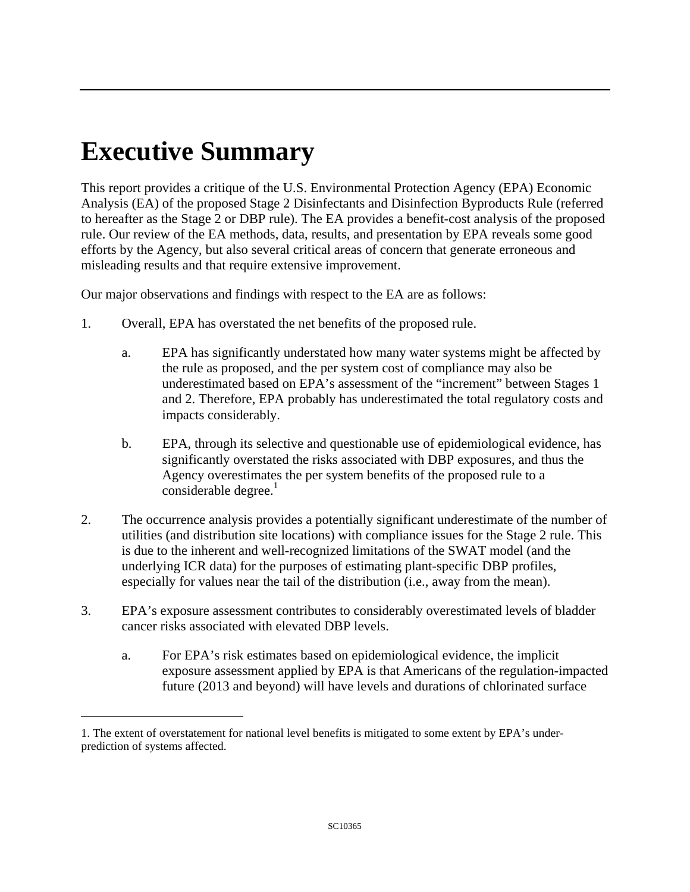# <span id="page-28-0"></span>**Executive Summary**

 $\overline{a}$ 

This report provides a critique of the U.S. Environmental Protection Agency (EPA) Economic Analysis (EA) of the proposed Stage 2 Disinfectants and Disinfection Byproducts Rule (referred to hereafter as the Stage 2 or DBP rule). The EA provides a benefit-cost analysis of the proposed rule. Our review of the EA methods, data, results, and presentation by EPA reveals some good efforts by the Agency, but also several critical areas of concern that generate erroneous and misleading results and that require extensive improvement.

Our major observations and findings with respect to the EA are as follows:

- 1. Overall, EPA has overstated the net benefits of the proposed rule.
	- a. EPA has significantly understated how many water systems might be affected by the rule as proposed, and the per system cost of compliance may also be underestimated based on EPA's assessment of the "increment" between Stages 1 and 2. Therefore, EPA probably has underestimated the total regulatory costs and impacts considerably.
	- $\text{considerable degree.}^1$ b. EPA, through its selective and questionable use of epidemiological evidence, has significantly overstated the risks associated with DBP exposures, and thus the Agency overestimates the per system benefits of the proposed rule to a
- 2. The occurrence analysis provides a potentially significant underestimate of the number of utilities (and distribution site locations) with compliance issues for the Stage 2 rule. This is due to the inherent and well-recognized limitations of the SWAT model (and the underlying ICR data) for the purposes of estimating plant-specific DBP profiles, especially for values near the tail of the distribution (i.e., away from the mean).
- 3. EPA's exposure assessment contributes to considerably overestimated levels of bladder cancer risks associated with elevated DBP levels.
	- a. For EPA's risk estimates based on epidemiological evidence, the implicit exposure assessment applied by EPA is that Americans of the regulation-impacted future (2013 and beyond) will have levels and durations of chlorinated surface

<span id="page-28-1"></span><sup>1.</sup> The extent of overstatement for national level benefits is mitigated to some extent by EPA's underprediction of systems affected.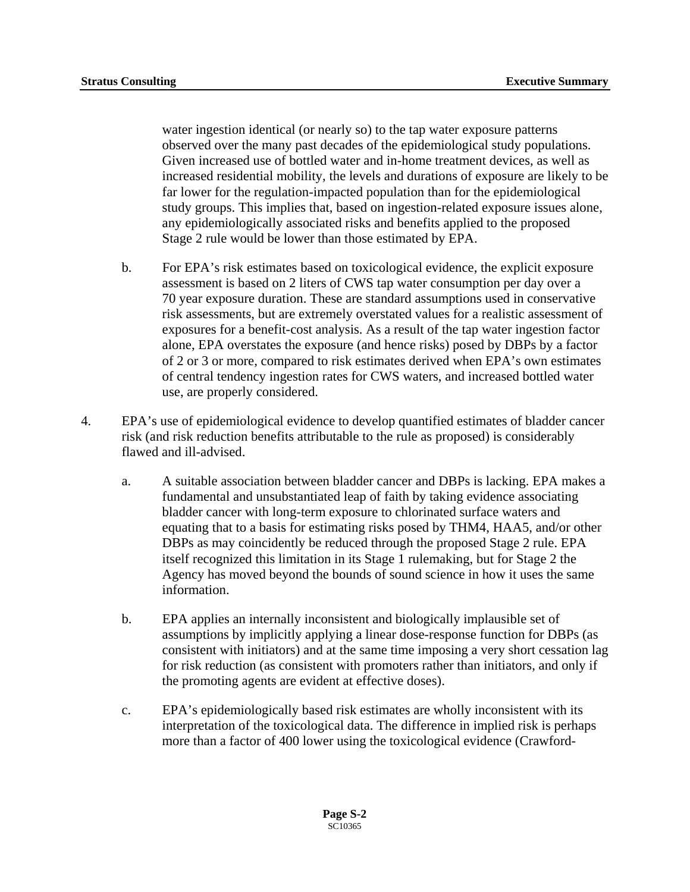water ingestion identical (or nearly so) to the tap water exposure patterns observed over the many past decades of the epidemiological study populations. Given increased use of bottled water and in-home treatment devices, as well as increased residential mobility, the levels and durations of exposure are likely to be far lower for the regulation-impacted population than for the epidemiological study groups. This implies that, based on ingestion-related exposure issues alone, any epidemiologically associated risks and benefits applied to the proposed Stage 2 rule would be lower than those estimated by EPA.

- b. For EPA's risk estimates based on toxicological evidence, the explicit exposure assessment is based on 2 liters of CWS tap water consumption per day over a 70 year exposure duration. These are standard assumptions used in conservative risk assessments, but are extremely overstated values for a realistic assessment of exposures for a benefit-cost analysis. As a result of the tap water ingestion factor alone, EPA overstates the exposure (and hence risks) posed by DBPs by a factor of 2 or 3 or more, compared to risk estimates derived when EPA's own estimates of central tendency ingestion rates for CWS waters, and increased bottled water use, are properly considered.
- 4. EPA's use of epidemiological evidence to develop quantified estimates of bladder cancer risk (and risk reduction benefits attributable to the rule as proposed) is considerably flawed and ill-advised.
	- a. A suitable association between bladder cancer and DBPs is lacking. EPA makes a fundamental and unsubstantiated leap of faith by taking evidence associating bladder cancer with long-term exposure to chlorinated surface waters and equating that to a basis for estimating risks posed by THM4, HAA5, and/or other DBPs as may coincidently be reduced through the proposed Stage 2 rule. EPA itself recognized this limitation in its Stage 1 rulemaking, but for Stage 2 the Agency has moved beyond the bounds of sound science in how it uses the same information.
	- b. EPA applies an internally inconsistent and biologically implausible set of assumptions by implicitly applying a linear dose-response function for DBPs (as consistent with initiators) and at the same time imposing a very short cessation lag for risk reduction (as consistent with promoters rather than initiators, and only if the promoting agents are evident at effective doses).
	- c. EPA's epidemiologically based risk estimates are wholly inconsistent with its interpretation of the toxicological data. The difference in implied risk is perhaps more than a factor of 400 lower using the toxicological evidence (Crawford-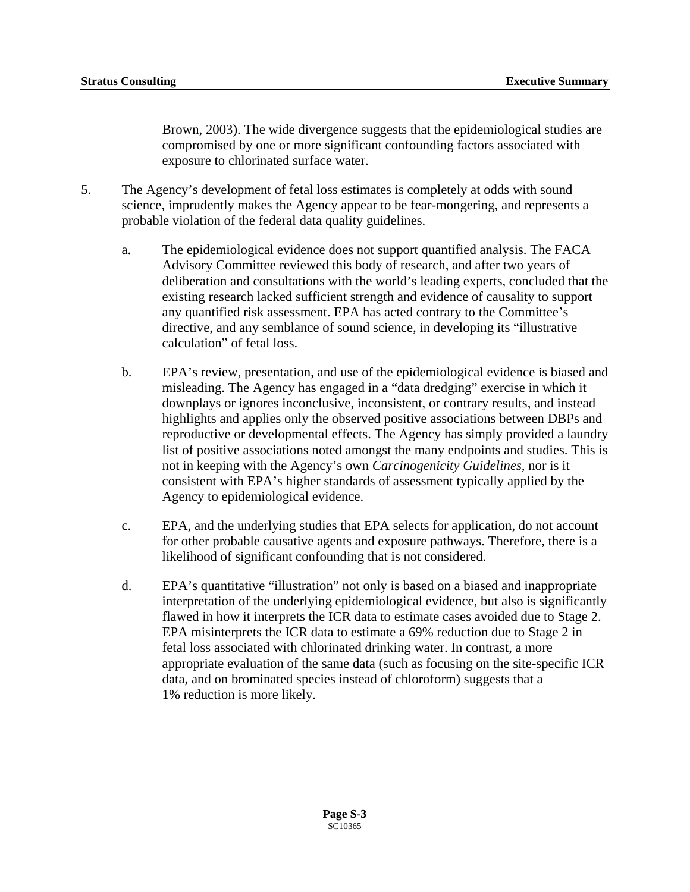Brown, 2003). The wide divergence suggests that the epidemiological studies are compromised by one or more significant confounding factors associated with exposure to chlorinated surface water.

- 5. The Agency's development of fetal loss estimates is completely at odds with sound science, imprudently makes the Agency appear to be fear-mongering, and represents a probable violation of the federal data quality guidelines.
	- a. The epidemiological evidence does not support quantified analysis. The FACA Advisory Committee reviewed this body of research, and after two years of deliberation and consultations with the world's leading experts, concluded that the existing research lacked sufficient strength and evidence of causality to support any quantified risk assessment. EPA has acted contrary to the Committee's directive, and any semblance of sound science, in developing its "illustrative calculation" of fetal loss.
	- b. EPA's review, presentation, and use of the epidemiological evidence is biased and misleading. The Agency has engaged in a "data dredging" exercise in which it downplays or ignores inconclusive, inconsistent, or contrary results, and instead highlights and applies only the observed positive associations between DBPs and reproductive or developmental effects. The Agency has simply provided a laundry list of positive associations noted amongst the many endpoints and studies. This is not in keeping with the Agency's own *Carcinogenicity Guidelines,* nor is it consistent with EPA's higher standards of assessment typically applied by the Agency to epidemiological evidence.
	- c. EPA, and the underlying studies that EPA selects for application, do not account for other probable causative agents and exposure pathways. Therefore, there is a likelihood of significant confounding that is not considered.
	- d. EPA's quantitative "illustration" not only is based on a biased and inappropriate interpretation of the underlying epidemiological evidence, but also is significantly flawed in how it interprets the ICR data to estimate cases avoided due to Stage 2. EPA misinterprets the ICR data to estimate a 69% reduction due to Stage 2 in fetal loss associated with chlorinated drinking water. In contrast, a more appropriate evaluation of the same data (such as focusing on the site-specific ICR data, and on brominated species instead of chloroform) suggests that a 1% reduction is more likely.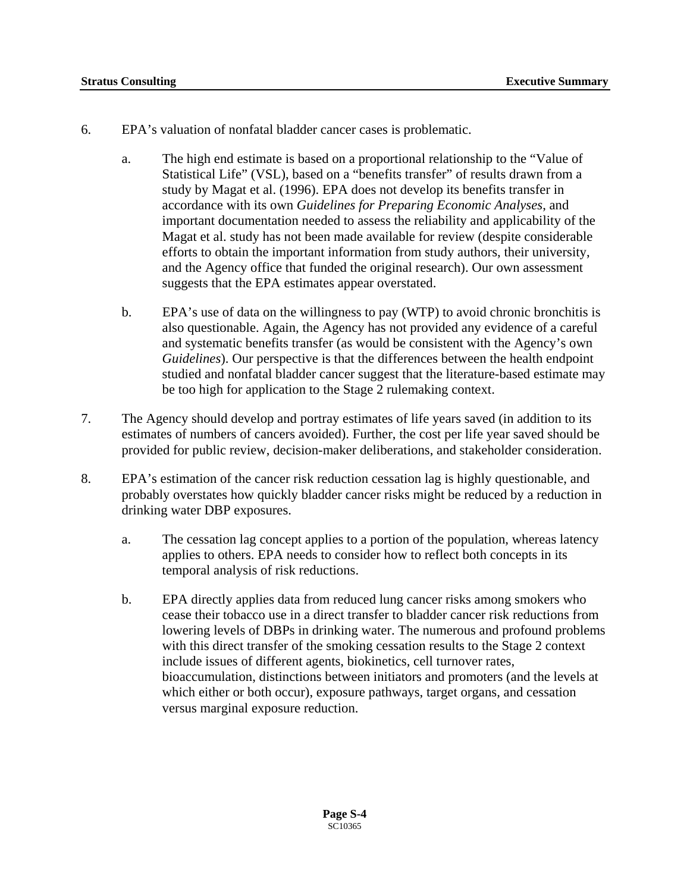- 6. EPA's valuation of nonfatal bladder cancer cases is problematic.
	- a. The high end estimate is based on a proportional relationship to the "Value of Statistical Life" (VSL), based on a "benefits transfer" of results drawn from a study by Magat et al. (1996). EPA does not develop its benefits transfer in accordance with its own *Guidelines for Preparing Economic Analyses*, and important documentation needed to assess the reliability and applicability of the Magat et al. study has not been made available for review (despite considerable efforts to obtain the important information from study authors, their university, and the Agency office that funded the original research). Our own assessment suggests that the EPA estimates appear overstated.
	- b. EPA's use of data on the willingness to pay (WTP) to avoid chronic bronchitis is also questionable. Again, the Agency has not provided any evidence of a careful and systematic benefits transfer (as would be consistent with the Agency's own *Guidelines*). Our perspective is that the differences between the health endpoint studied and nonfatal bladder cancer suggest that the literature-based estimate may be too high for application to the Stage 2 rulemaking context.
- 7. The Agency should develop and portray estimates of life years saved (in addition to its estimates of numbers of cancers avoided). Further, the cost per life year saved should be provided for public review, decision-maker deliberations, and stakeholder consideration.
- 8. EPA's estimation of the cancer risk reduction cessation lag is highly questionable, and probably overstates how quickly bladder cancer risks might be reduced by a reduction in drinking water DBP exposures.
	- a. The cessation lag concept applies to a portion of the population, whereas latency applies to others. EPA needs to consider how to reflect both concepts in its temporal analysis of risk reductions.
	- b. EPA directly applies data from reduced lung cancer risks among smokers who cease their tobacco use in a direct transfer to bladder cancer risk reductions from lowering levels of DBPs in drinking water. The numerous and profound problems with this direct transfer of the smoking cessation results to the Stage 2 context include issues of different agents, biokinetics, cell turnover rates, bioaccumulation, distinctions between initiators and promoters (and the levels at which either or both occur), exposure pathways, target organs, and cessation versus marginal exposure reduction.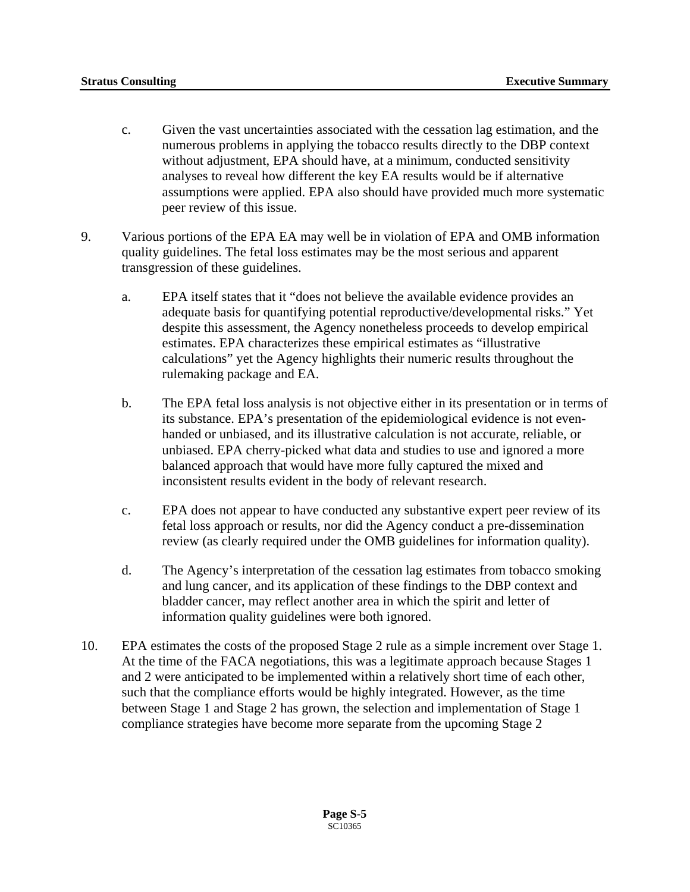- c. Given the vast uncertainties associated with the cessation lag estimation, and the numerous problems in applying the tobacco results directly to the DBP context without adjustment, EPA should have, at a minimum, conducted sensitivity analyses to reveal how different the key EA results would be if alternative assumptions were applied. EPA also should have provided much more systematic peer review of this issue.
- 9. Various portions of the EPA EA may well be in violation of EPA and OMB information quality guidelines. The fetal loss estimates may be the most serious and apparent transgression of these guidelines.
	- a. EPA itself states that it "does not believe the available evidence provides an adequate basis for quantifying potential reproductive/developmental risks." Yet despite this assessment, the Agency nonetheless proceeds to develop empirical estimates. EPA characterizes these empirical estimates as "illustrative calculations" yet the Agency highlights their numeric results throughout the rulemaking package and EA.
	- b. The EPA fetal loss analysis is not objective either in its presentation or in terms of its substance. EPA's presentation of the epidemiological evidence is not evenhanded or unbiased, and its illustrative calculation is not accurate, reliable, or unbiased. EPA cherry-picked what data and studies to use and ignored a more balanced approach that would have more fully captured the mixed and inconsistent results evident in the body of relevant research.
	- c. EPA does not appear to have conducted any substantive expert peer review of its fetal loss approach or results, nor did the Agency conduct a pre-dissemination review (as clearly required under the OMB guidelines for information quality).
	- d. The Agency's interpretation of the cessation lag estimates from tobacco smoking and lung cancer, and its application of these findings to the DBP context and bladder cancer, may reflect another area in which the spirit and letter of information quality guidelines were both ignored.
- 10. EPA estimates the costs of the proposed Stage 2 rule as a simple increment over Stage 1. At the time of the FACA negotiations, this was a legitimate approach because Stages 1 and 2 were anticipated to be implemented within a relatively short time of each other, such that the compliance efforts would be highly integrated. However, as the time between Stage 1 and Stage 2 has grown, the selection and implementation of Stage 1 compliance strategies have become more separate from the upcoming Stage 2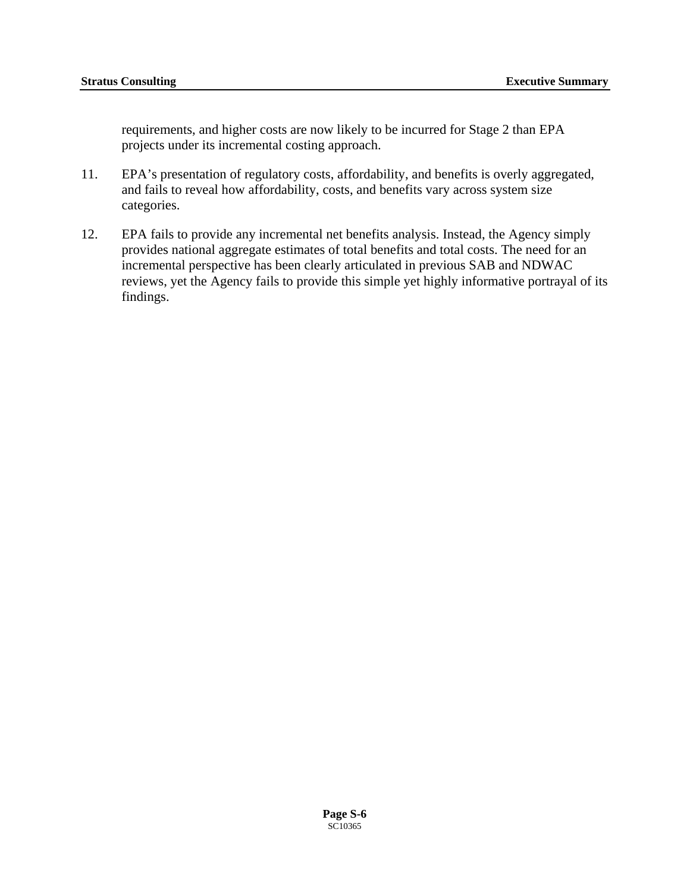requirements, and higher costs are now likely to be incurred for Stage 2 than EPA projects under its incremental costing approach.

- 11. EPA's presentation of regulatory costs, affordability, and benefits is overly aggregated, and fails to reveal how affordability, costs, and benefits vary across system size categories.
- 12. EPA fails to provide any incremental net benefits analysis. Instead, the Agency simply provides national aggregate estimates of total benefits and total costs. The need for an incremental perspective has been clearly articulated in previous SAB and NDWAC reviews, yet the Agency fails to provide this simple yet highly informative portrayal of its findings.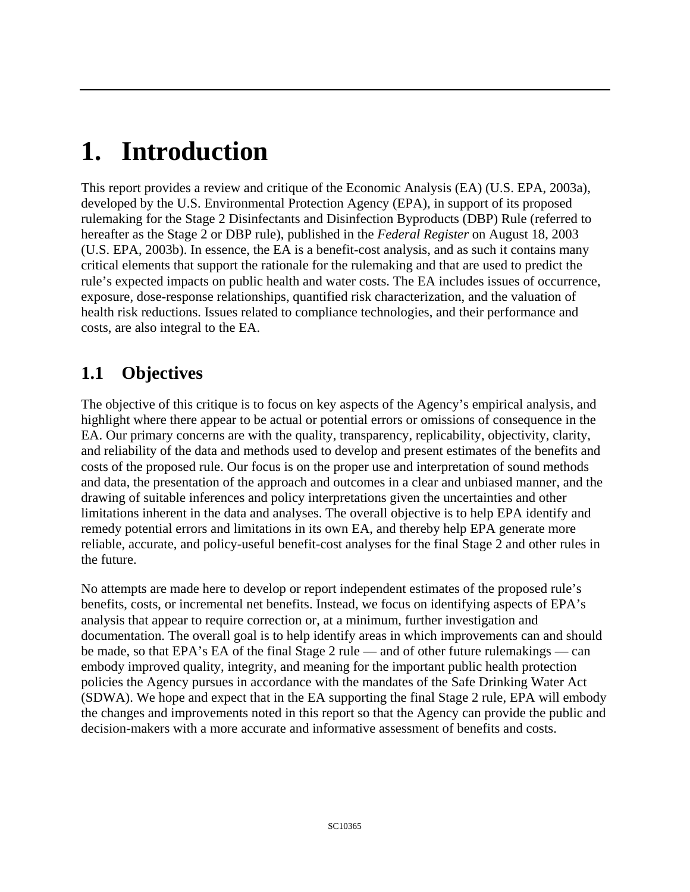# **1. Introduction**

This report provides a review and critique of the Economic Analysis (EA) (U.S. EPA, 2003a), developed by the U.S. Environmental Protection Agency (EPA), in support of its proposed rulemaking for the Stage 2 Disinfectants and Disinfection Byproducts (DBP) Rule (referred to hereafter as the Stage 2 or DBP rule), published in the *Federal Register* on August 18, 2003 (U.S. EPA, 2003b). In essence, the EA is a benefit-cost analysis, and as such it contains many critical elements that support the rationale for the rulemaking and that are used to predict the rule's expected impacts on public health and water costs. The EA includes issues of occurrence, exposure, dose-response relationships, quantified risk characterization, and the valuation of health risk reductions. Issues related to compliance technologies, and their performance and costs, are also integral to the EA.

# **1.1 Objectives**

The objective of this critique is to focus on key aspects of the Agency's empirical analysis, and highlight where there appear to be actual or potential errors or omissions of consequence in the EA. Our primary concerns are with the quality, transparency, replicability, objectivity, clarity, and reliability of the data and methods used to develop and present estimates of the benefits and costs of the proposed rule. Our focus is on the proper use and interpretation of sound methods and data, the presentation of the approach and outcomes in a clear and unbiased manner, and the drawing of suitable inferences and policy interpretations given the uncertainties and other limitations inherent in the data and analyses. The overall objective is to help EPA identify and remedy potential errors and limitations in its own EA, and thereby help EPA generate more reliable, accurate, and policy-useful benefit-cost analyses for the final Stage 2 and other rules in the future.

No attempts are made here to develop or report independent estimates of the proposed rule's benefits, costs, or incremental net benefits. Instead, we focus on identifying aspects of EPA's analysis that appear to require correction or, at a minimum, further investigation and documentation. The overall goal is to help identify areas in which improvements can and should be made, so that EPA's EA of the final Stage 2 rule — and of other future rulemakings — can embody improved quality, integrity, and meaning for the important public health protection policies the Agency pursues in accordance with the mandates of the Safe Drinking Water Act (SDWA). We hope and expect that in the EA supporting the final Stage 2 rule, EPA will embody the changes and improvements noted in this report so that the Agency can provide the public and decision-makers with a more accurate and informative assessment of benefits and costs.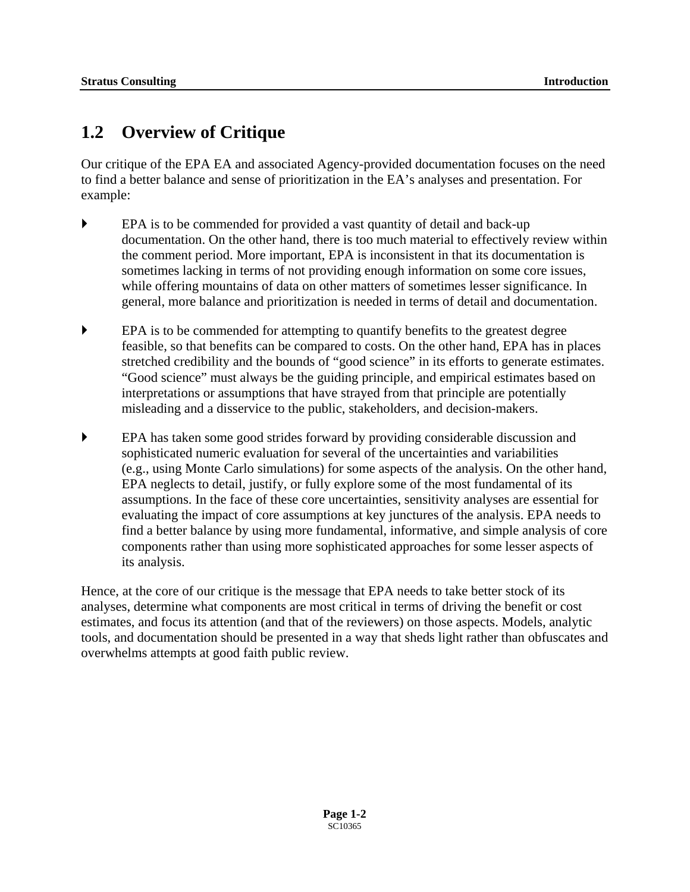## <span id="page-35-0"></span>**1.2 Overview of Critique**

Our critique of the EPA EA and associated Agency-provided documentation focuses on the need to find a better balance and sense of prioritization in the EA's analyses and presentation. For example:

- ` EPA is to be commended for provided a vast quantity of detail and back-up documentation. On the other hand, there is too much material to effectively review within the comment period. More important, EPA is inconsistent in that its documentation is sometimes lacking in terms of not providing enough information on some core issues, while offering mountains of data on other matters of sometimes lesser significance. In general, more balance and prioritization is needed in terms of detail and documentation.
- $\blacktriangleright$  EPA is to be commended for attempting to quantify benefits to the greatest degree feasible, so that benefits can be compared to costs. On the other hand, EPA has in places stretched credibility and the bounds of "good science" in its efforts to generate estimates. "Good science" must always be the guiding principle, and empirical estimates based on interpretations or assumptions that have strayed from that principle are potentially misleading and a disservice to the public, stakeholders, and decision-makers.
- ` EPA has taken some good strides forward by providing considerable discussion and sophisticated numeric evaluation for several of the uncertainties and variabilities (e.g., using Monte Carlo simulations) for some aspects of the analysis. On the other hand, EPA neglects to detail, justify, or fully explore some of the most fundamental of its assumptions. In the face of these core uncertainties, sensitivity analyses are essential for evaluating the impact of core assumptions at key junctures of the analysis. EPA needs to find a better balance by using more fundamental, informative, and simple analysis of core components rather than using more sophisticated approaches for some lesser aspects of its analysis.

Hence, at the core of our critique is the message that EPA needs to take better stock of its analyses, determine what components are most critical in terms of driving the benefit or cost estimates, and focus its attention (and that of the reviewers) on those aspects. Models, analytic tools, and documentation should be presented in a way that sheds light rather than obfuscates and overwhelms attempts at good faith public review.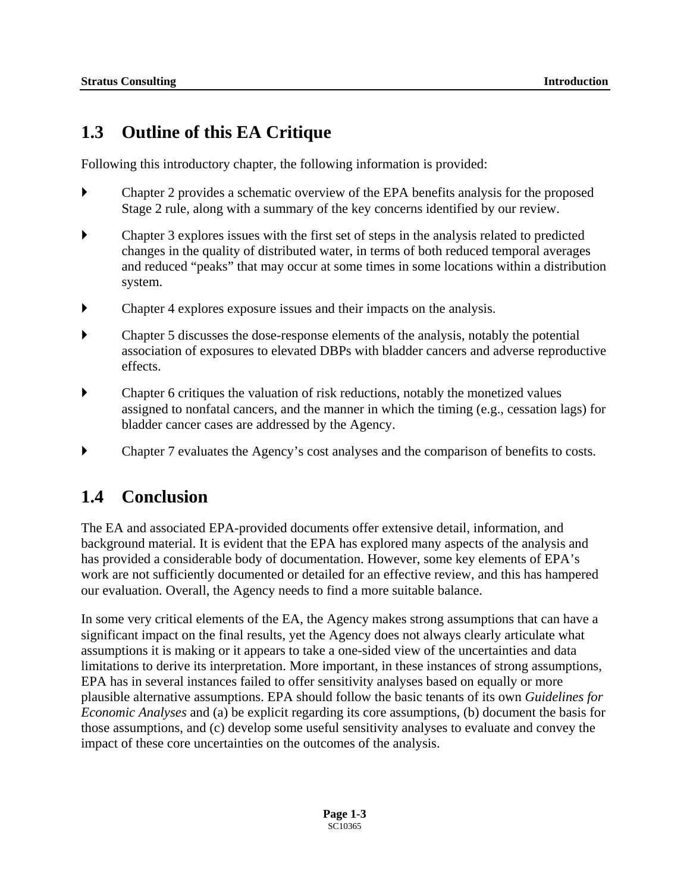## **1.3 Outline of this EA Critique**

Following this introductory chapter, the following information is provided:

- $\blacktriangleright$  Chapter 2 provides a schematic overview of the EPA benefits analysis for the proposed Stage 2 rule, along with a summary of the key concerns identified by our review.
- Chapter 3 explores issues with the first set of steps in the analysis related to predicted changes in the quality of distributed water, in terms of both reduced temporal averages and reduced "peaks" that may occur at some times in some locations within a distribution system.
- Chapter 4 explores exposure issues and their impacts on the analysis.
- ` Chapter 5 discusses the dose-response elements of the analysis, notably the potential association of exposures to elevated DBPs with bladder cancers and adverse reproductive effects.
- $\blacktriangleright$  Chapter 6 critiques the valuation of risk reductions, notably the monetized values assigned to nonfatal cancers, and the manner in which the timing (e.g., cessation lags) for bladder cancer cases are addressed by the Agency.
- Chapter 7 evaluates the Agency's cost analyses and the comparison of benefits to costs.

### **1.4 Conclusion**

The EA and associated EPA-provided documents offer extensive detail, information, and background material. It is evident that the EPA has explored many aspects of the analysis and has provided a considerable body of documentation. However, some key elements of EPA's work are not sufficiently documented or detailed for an effective review, and this has hampered our evaluation. Overall, the Agency needs to find a more suitable balance.

In some very critical elements of the EA, the Agency makes strong assumptions that can have a significant impact on the final results, yet the Agency does not always clearly articulate what assumptions it is making or it appears to take a one-sided view of the uncertainties and data limitations to derive its interpretation. More important, in these instances of strong assumptions, EPA has in several instances failed to offer sensitivity analyses based on equally or more plausible alternative assumptions. EPA should follow the basic tenants of its own *Guidelines for Economic Analyses* and (a) be explicit regarding its core assumptions, (b) document the basis for those assumptions, and (c) develop some useful sensitivity analyses to evaluate and convey the impact of these core uncertainties on the outcomes of the analysis.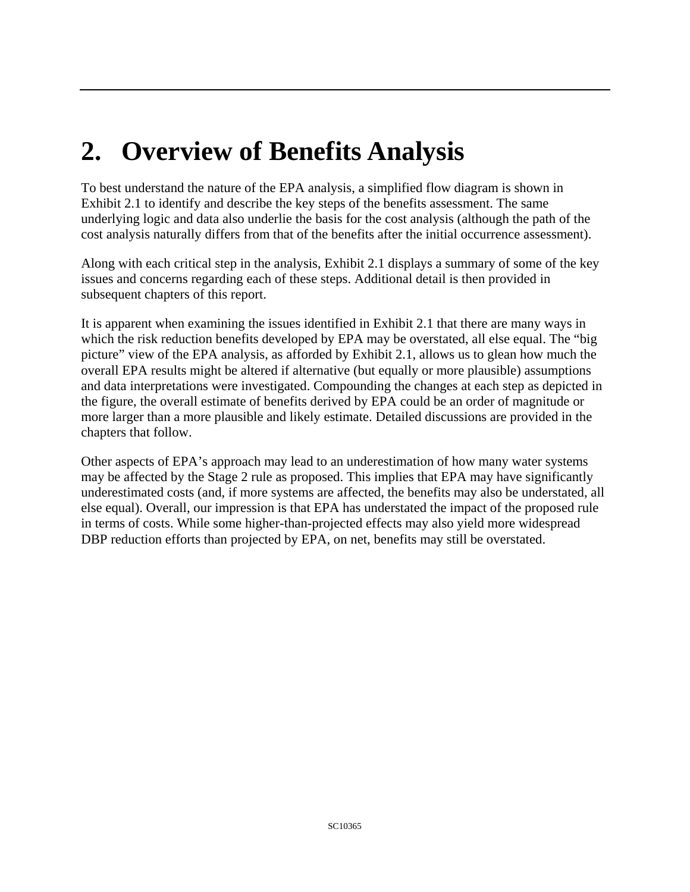# **2. Overview of Benefits Analysis**

To best understand the nature of the EPA analysis, a simplified flow diagram is shown in Exhibit 2.1 to identify and describe the key steps of the benefits assessment. The same underlying logic and data also underlie the basis for the cost analysis (although the path of the cost analysis naturally differs from that of the benefits after the initial occurrence assessment).

Along with each critical step in the analysis, Exhibit 2.1 displays a summary of some of the key issues and concerns regarding each of these steps. Additional detail is then provided in subsequent chapters of this report.

It is apparent when examining the issues identified in Exhibit 2.1 that there are many ways in which the risk reduction benefits developed by EPA may be overstated, all else equal. The "big picture" view of the EPA analysis, as afforded by Exhibit 2.1, allows us to glean how much the overall EPA results might be altered if alternative (but equally or more plausible) assumptions and data interpretations were investigated. Compounding the changes at each step as depicted in the figure, the overall estimate of benefits derived by EPA could be an order of magnitude or more larger than a more plausible and likely estimate. Detailed discussions are provided in the chapters that follow.

Other aspects of EPA's approach may lead to an underestimation of how many water systems may be affected by the Stage 2 rule as proposed. This implies that EPA may have significantly underestimated costs (and, if more systems are affected, the benefits may also be understated, all else equal). Overall, our impression is that EPA has understated the impact of the proposed rule in terms of costs. While some higher-than-projected effects may also yield more widespread DBP reduction efforts than projected by EPA, on net, benefits may still be overstated.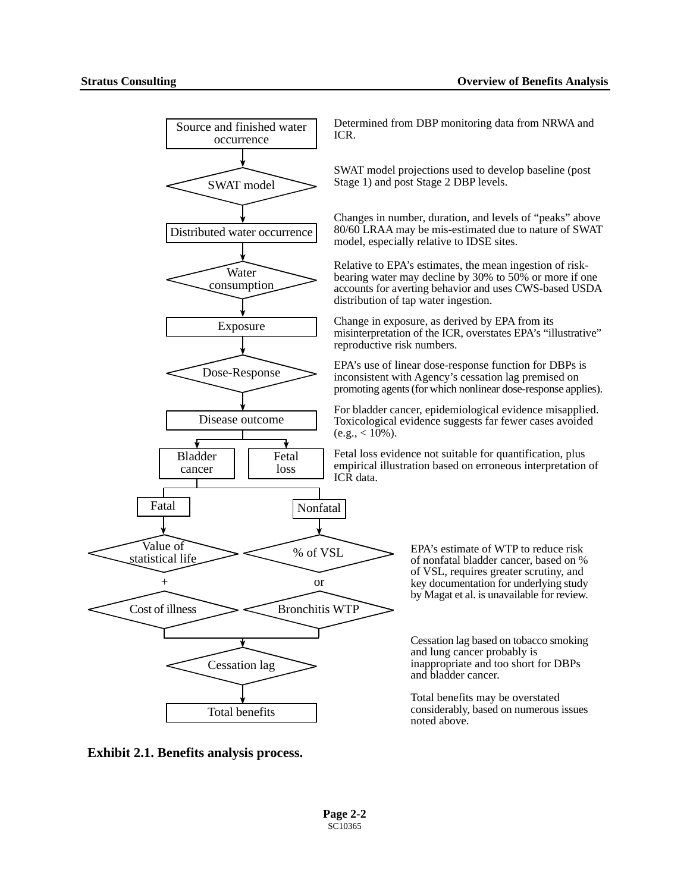

**Exhibit 2.1. Benefits analysis process.**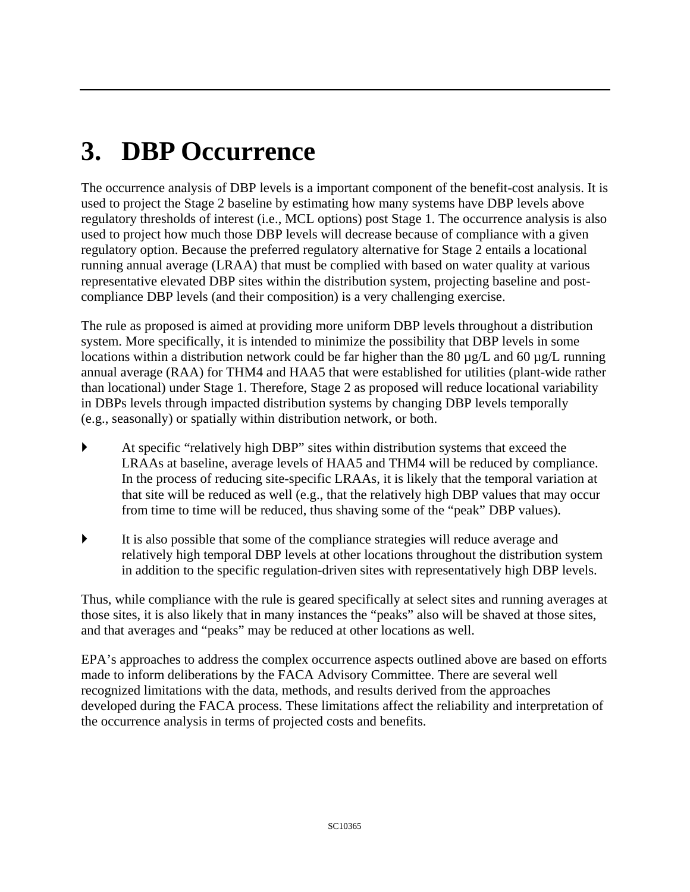# **3. DBP Occurrence**

The occurrence analysis of DBP levels is a important component of the benefit-cost analysis. It is used to project the Stage 2 baseline by estimating how many systems have DBP levels above regulatory thresholds of interest (i.e., MCL options) post Stage 1. The occurrence analysis is also used to project how much those DBP levels will decrease because of compliance with a given regulatory option. Because the preferred regulatory alternative for Stage 2 entails a locational running annual average (LRAA) that must be complied with based on water quality at various representative elevated DBP sites within the distribution system, projecting baseline and postcompliance DBP levels (and their composition) is a very challenging exercise.

The rule as proposed is aimed at providing more uniform DBP levels throughout a distribution system. More specifically, it is intended to minimize the possibility that DBP levels in some locations within a distribution network could be far higher than the 80  $\mu$ g/L and 60  $\mu$ g/L running annual average (RAA) for THM4 and HAA5 that were established for utilities (plant-wide rather than locational) under Stage 1. Therefore, Stage 2 as proposed will reduce locational variability in DBPs levels through impacted distribution systems by changing DBP levels temporally (e.g., seasonally) or spatially within distribution network, or both.

- At specific "relatively high DBP" sites within distribution systems that exceed the LRAAs at baseline, average levels of HAA5 and THM4 will be reduced by compliance. In the process of reducing site-specific LRAAs, it is likely that the temporal variation at that site will be reduced as well (e.g., that the relatively high DBP values that may occur from time to time will be reduced, thus shaving some of the "peak" DBP values).
- ` It is also possible that some of the compliance strategies will reduce average and relatively high temporal DBP levels at other locations throughout the distribution system in addition to the specific regulation-driven sites with representatively high DBP levels.

Thus, while compliance with the rule is geared specifically at select sites and running averages at those sites, it is also likely that in many instances the "peaks" also will be shaved at those sites, and that averages and "peaks" may be reduced at other locations as well.

EPA's approaches to address the complex occurrence aspects outlined above are based on efforts made to inform deliberations by the FACA Advisory Committee. There are several well recognized limitations with the data, methods, and results derived from the approaches developed during the FACA process. These limitations affect the reliability and interpretation of the occurrence analysis in terms of projected costs and benefits.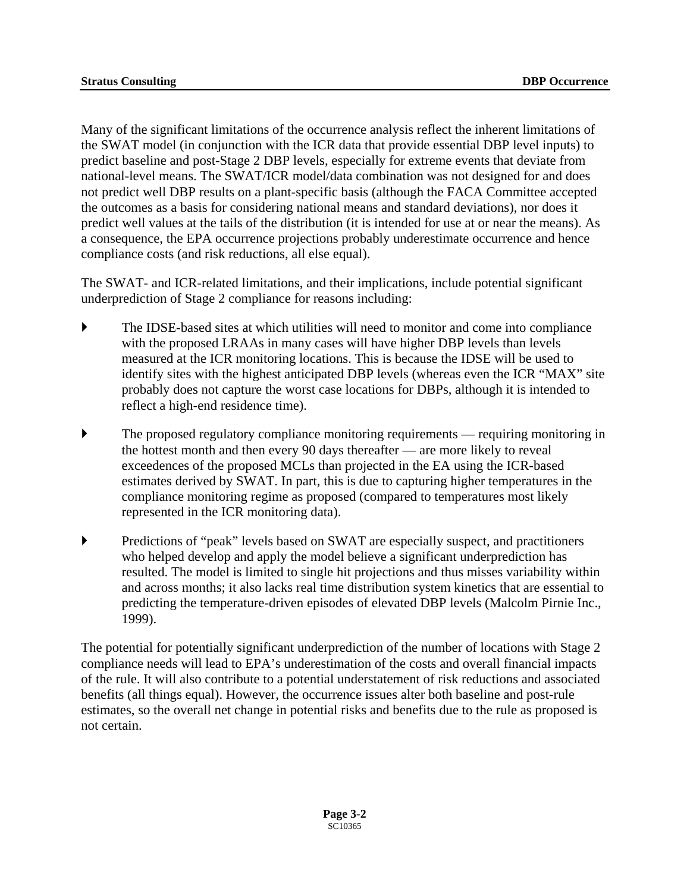Many of the significant limitations of the occurrence analysis reflect the inherent limitations of the SWAT model (in conjunction with the ICR data that provide essential DBP level inputs) to predict baseline and post-Stage 2 DBP levels, especially for extreme events that deviate from national-level means. The SWAT/ICR model/data combination was not designed for and does not predict well DBP results on a plant-specific basis (although the FACA Committee accepted the outcomes as a basis for considering national means and standard deviations), nor does it predict well values at the tails of the distribution (it is intended for use at or near the means). As a consequence, the EPA occurrence projections probably underestimate occurrence and hence compliance costs (and risk reductions, all else equal).

The SWAT- and ICR-related limitations, and their implications, include potential significant underprediction of Stage 2 compliance for reasons including:

- The IDSE-based sites at which utilities will need to monitor and come into compliance with the proposed LRAAs in many cases will have higher DBP levels than levels measured at the ICR monitoring locations. This is because the IDSE will be used to identify sites with the highest anticipated DBP levels (whereas even the ICR "MAX" site probably does not capture the worst case locations for DBPs, although it is intended to reflect a high-end residence time).
- $\blacktriangleright$  The proposed regulatory compliance monitoring requirements requiring monitoring in the hottest month and then every 90 days thereafter — are more likely to reveal exceedences of the proposed MCLs than projected in the EA using the ICR-based estimates derived by SWAT. In part, this is due to capturing higher temperatures in the compliance monitoring regime as proposed (compared to temperatures most likely represented in the ICR monitoring data).
- ` Predictions of "peak" levels based on SWAT are especially suspect, and practitioners who helped develop and apply the model believe a significant underprediction has resulted. The model is limited to single hit projections and thus misses variability within and across months; it also lacks real time distribution system kinetics that are essential to predicting the temperature-driven episodes of elevated DBP levels (Malcolm Pirnie Inc., 1999).

The potential for potentially significant underprediction of the number of locations with Stage 2 compliance needs will lead to EPA's underestimation of the costs and overall financial impacts of the rule. It will also contribute to a potential understatement of risk reductions and associated benefits (all things equal). However, the occurrence issues alter both baseline and post-rule estimates, so the overall net change in potential risks and benefits due to the rule as proposed is not certain.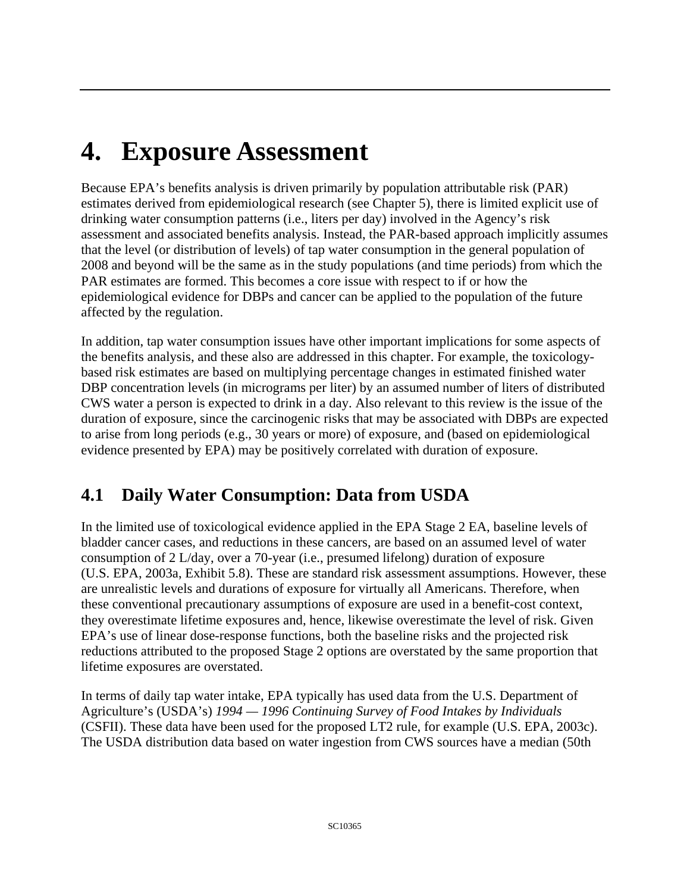# **4. Exposure Assessment**

Because EPA's benefits analysis is driven primarily by population attributable risk (PAR) estimates derived from epidemiological research (see Chapter 5), there is limited explicit use of drinking water consumption patterns (i.e., liters per day) involved in the Agency's risk assessment and associated benefits analysis. Instead, the PAR-based approach implicitly assumes that the level (or distribution of levels) of tap water consumption in the general population of 2008 and beyond will be the same as in the study populations (and time periods) from which the PAR estimates are formed. This becomes a core issue with respect to if or how the epidemiological evidence for DBPs and cancer can be applied to the population of the future affected by the regulation.

In addition, tap water consumption issues have other important implications for some aspects of the benefits analysis, and these also are addressed in this chapter. For example, the toxicologybased risk estimates are based on multiplying percentage changes in estimated finished water DBP concentration levels (in micrograms per liter) by an assumed number of liters of distributed CWS water a person is expected to drink in a day. Also relevant to this review is the issue of the duration of exposure, since the carcinogenic risks that may be associated with DBPs are expected to arise from long periods (e.g., 30 years or more) of exposure, and (based on epidemiological evidence presented by EPA) may be positively correlated with duration of exposure.

# **4.1 Daily Water Consumption: Data from USDA**

In the limited use of toxicological evidence applied in the EPA Stage 2 EA, baseline levels of bladder cancer cases, and reductions in these cancers, are based on an assumed level of water consumption of 2 L/day, over a 70-year (i.e., presumed lifelong) duration of exposure (U.S. EPA, 2003a, Exhibit 5.8). These are standard risk assessment assumptions. However, these are unrealistic levels and durations of exposure for virtually all Americans. Therefore, when these conventional precautionary assumptions of exposure are used in a benefit-cost context, they overestimate lifetime exposures and, hence, likewise overestimate the level of risk. Given EPA's use of linear dose-response functions, both the baseline risks and the projected risk reductions attributed to the proposed Stage 2 options are overstated by the same proportion that lifetime exposures are overstated.

In terms of daily tap water intake, EPA typically has used data from the U.S. Department of Agriculture's (USDA's) *1994 — 1996 Continuing Survey of Food Intakes by Individuals*  (CSFII). These data have been used for the proposed LT2 rule, for example (U.S. EPA, 2003c). The USDA distribution data based on water ingestion from CWS sources have a median (50th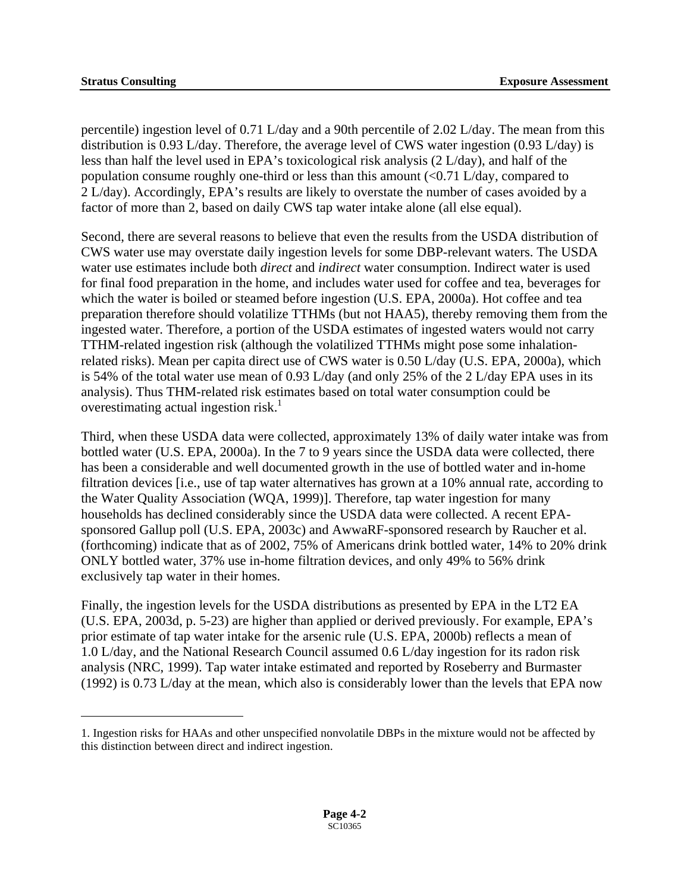$\overline{a}$ 

percentile) ingestion level of 0.71 L/day and a 90th percentile of 2.02 L/day. The mean from this distribution is 0.93 L/day. Therefore, the average level of CWS water ingestion (0.93 L/day) is less than half the level used in EPA's toxicological risk analysis (2 L/day), and half of the population consume roughly one-third or less than this amount  $\left($  <0.71 L/day, compared to 2 L/day). Accordingly, EPA's results are likely to overstate the number of cases avoided by a factor of more than 2, based on daily CWS tap water intake alone (all else equal).

overestimating actual ingestion risk. $1$ Second, there are several reasons to believe that even the results from the USDA distribution of CWS water use may overstate daily ingestion levels for some DBP-relevant waters. The USDA water use estimates include both *direct* and *indirect* water consumption. Indirect water is used for final food preparation in the home, and includes water used for coffee and tea, beverages for which the water is boiled or steamed before ingestion (U.S. EPA, 2000a). Hot coffee and tea preparation therefore should volatilize TTHMs (but not HAA5), thereby removing them from the ingested water. Therefore, a portion of the USDA estimates of ingested waters would not carry TTHM-related ingestion risk (although the volatilized TTHMs might pose some inhalationrelated risks). Mean per capita direct use of CWS water is 0.50 L/day (U.S. EPA, 2000a), which is 54% of the total water use mean of 0.93 L/day (and only 25% of the 2 L/day EPA uses in its analysis). Thus THM-related risk estimates based on total water consumption could be

Third, when these USDA data were collected, approximately 13% of daily water intake was from bottled water (U.S. EPA, 2000a). In the 7 to 9 years since the USDA data were collected, there has been a considerable and well documented growth in the use of bottled water and in-home filtration devices [i.e., use of tap water alternatives has grown at a 10% annual rate, according to the Water Quality Association (WQA, 1999)]. Therefore, tap water ingestion for many households has declined considerably since the USDA data were collected. A recent EPAsponsored Gallup poll (U.S. EPA, 2003c) and AwwaRF-sponsored research by Raucher et al. (forthcoming) indicate that as of 2002, 75% of Americans drink bottled water, 14% to 20% drink ONLY bottled water, 37% use in-home filtration devices, and only 49% to 56% drink exclusively tap water in their homes.

Finally, the ingestion levels for the USDA distributions as presented by EPA in the LT2 EA (U.S. EPA, 2003d, p. 5-23) are higher than applied or derived previously. For example, EPA's prior estimate of tap water intake for the arsenic rule (U.S. EPA, 2000b) reflects a mean of 1.0 L/day, and the National Research Council assumed 0.6 L/day ingestion for its radon risk analysis (NRC, 1999). Tap water intake estimated and reported by Roseberry and Burmaster (1992) is 0.73 L/day at the mean, which also is considerably lower than the levels that EPA now

<span id="page-42-0"></span><sup>1.</sup> Ingestion risks for HAAs and other unspecified nonvolatile DBPs in the mixture would not be affected by this distinction between direct and indirect ingestion.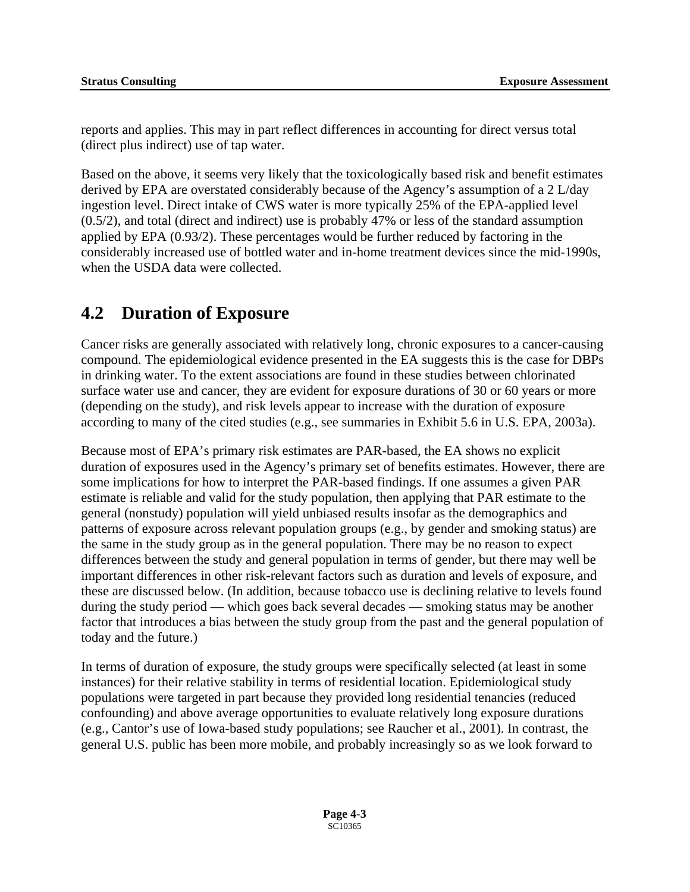reports and applies. This may in part reflect differences in accounting for direct versus total (direct plus indirect) use of tap water.

Based on the above, it seems very likely that the toxicologically based risk and benefit estimates derived by EPA are overstated considerably because of the Agency's assumption of a 2 L/day ingestion level. Direct intake of CWS water is more typically 25% of the EPA-applied level (0.5/2), and total (direct and indirect) use is probably 47% or less of the standard assumption applied by EPA (0.93/2). These percentages would be further reduced by factoring in the considerably increased use of bottled water and in-home treatment devices since the mid-1990s, when the USDA data were collected.

### **4.2 Duration of Exposure**

Cancer risks are generally associated with relatively long, chronic exposures to a cancer-causing compound. The epidemiological evidence presented in the EA suggests this is the case for DBPs in drinking water. To the extent associations are found in these studies between chlorinated surface water use and cancer, they are evident for exposure durations of 30 or 60 years or more (depending on the study), and risk levels appear to increase with the duration of exposure according to many of the cited studies (e.g., see summaries in Exhibit 5.6 in U.S. EPA, 2003a).

Because most of EPA's primary risk estimates are PAR-based, the EA shows no explicit duration of exposures used in the Agency's primary set of benefits estimates. However, there are some implications for how to interpret the PAR-based findings. If one assumes a given PAR estimate is reliable and valid for the study population, then applying that PAR estimate to the general (nonstudy) population will yield unbiased results insofar as the demographics and patterns of exposure across relevant population groups (e.g., by gender and smoking status) are the same in the study group as in the general population. There may be no reason to expect differences between the study and general population in terms of gender, but there may well be important differences in other risk-relevant factors such as duration and levels of exposure, and these are discussed below. (In addition, because tobacco use is declining relative to levels found during the study period — which goes back several decades — smoking status may be another factor that introduces a bias between the study group from the past and the general population of today and the future.)

In terms of duration of exposure, the study groups were specifically selected (at least in some instances) for their relative stability in terms of residential location. Epidemiological study populations were targeted in part because they provided long residential tenancies (reduced confounding) and above average opportunities to evaluate relatively long exposure durations (e.g., Cantor's use of Iowa-based study populations; see Raucher et al., 2001). In contrast, the general U.S. public has been more mobile, and probably increasingly so as we look forward to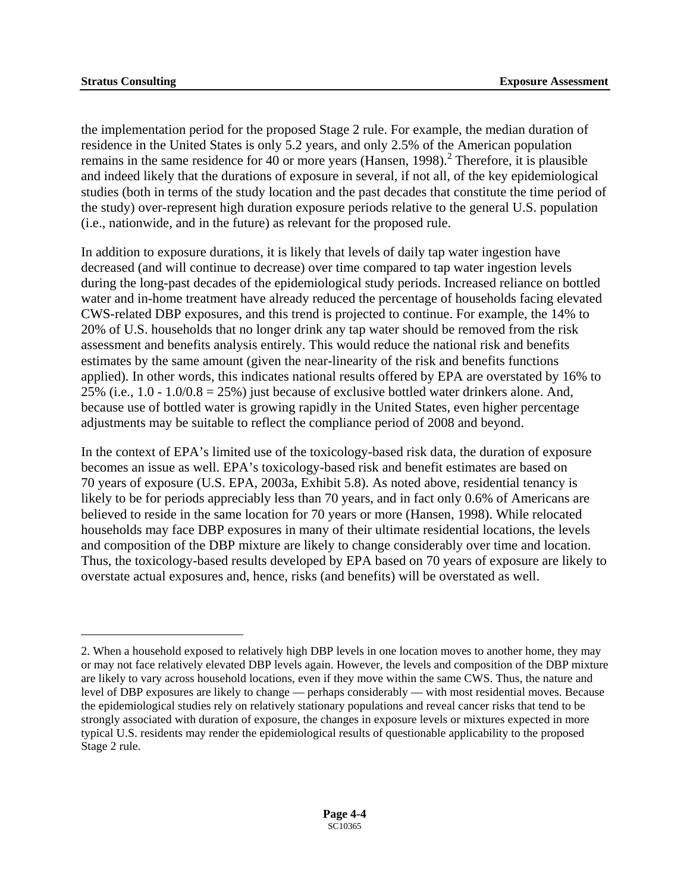$\overline{a}$ 

the implementation period for the proposed Stage 2 rule. For example, the median duration of residence in the United States is only 5.2 years, and only 2.5% of the American population remains in the same residence for 40 or more years (Hansen, 1998).<sup>[2](#page-44-0)</sup> Therefore, it is plausible and indeed likely that the durations of exposure in several, if not all, of the key epidemiological studies (both in terms of the study location and the past decades that constitute the time period of the study) over-represent high duration exposure periods relative to the general U.S. population (i.e., nationwide, and in the future) as relevant for the proposed rule.

In addition to exposure durations, it is likely that levels of daily tap water ingestion have decreased (and will continue to decrease) over time compared to tap water ingestion levels during the long-past decades of the epidemiological study periods. Increased reliance on bottled water and in-home treatment have already reduced the percentage of households facing elevated CWS-related DBP exposures, and this trend is projected to continue. For example, the 14% to 20% of U.S. households that no longer drink any tap water should be removed from the risk assessment and benefits analysis entirely. This would reduce the national risk and benefits estimates by the same amount (given the near-linearity of the risk and benefits functions applied). In other words, this indicates national results offered by EPA are overstated by 16% to 25% (i.e.,  $1.0 - 1.0/0.8 = 25%$ ) just because of exclusive bottled water drinkers alone. And, because use of bottled water is growing rapidly in the United States, even higher percentage adjustments may be suitable to reflect the compliance period of 2008 and beyond.

In the context of EPA's limited use of the toxicology-based risk data, the duration of exposure becomes an issue as well. EPA's toxicology-based risk and benefit estimates are based on 70 years of exposure (U.S. EPA, 2003a, Exhibit 5.8). As noted above, residential tenancy is likely to be for periods appreciably less than 70 years, and in fact only 0.6% of Americans are believed to reside in the same location for 70 years or more (Hansen, 1998). While relocated households may face DBP exposures in many of their ultimate residential locations, the levels and composition of the DBP mixture are likely to change considerably over time and location. Thus, the toxicology-based results developed by EPA based on 70 years of exposure are likely to overstate actual exposures and, hence, risks (and benefits) will be overstated as well.

<span id="page-44-0"></span><sup>2.</sup> When a household exposed to relatively high DBP levels in one location moves to another home, they may or may not face relatively elevated DBP levels again. However, the levels and composition of the DBP mixture are likely to vary across household locations, even if they move within the same CWS. Thus, the nature and level of DBP exposures are likely to change — perhaps considerably — with most residential moves. Because the epidemiological studies rely on relatively stationary populations and reveal cancer risks that tend to be strongly associated with duration of exposure, the changes in exposure levels or mixtures expected in more typical U.S. residents may render the epidemiological results of questionable applicability to the proposed Stage 2 rule.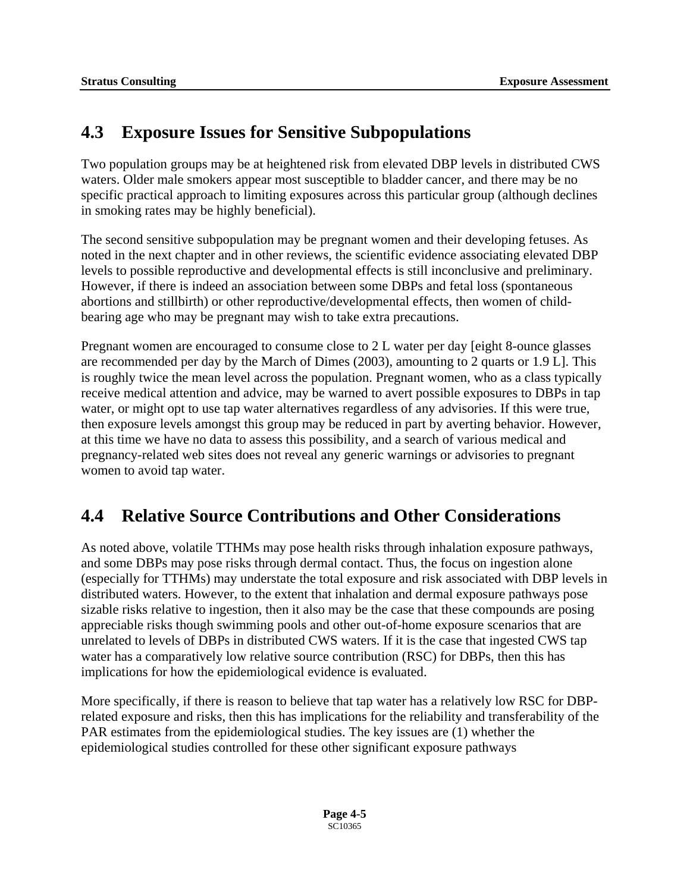## **4.3 Exposure Issues for Sensitive Subpopulations**

Two population groups may be at heightened risk from elevated DBP levels in distributed CWS waters. Older male smokers appear most susceptible to bladder cancer, and there may be no specific practical approach to limiting exposures across this particular group (although declines in smoking rates may be highly beneficial).

The second sensitive subpopulation may be pregnant women and their developing fetuses. As noted in the next chapter and in other reviews, the scientific evidence associating elevated DBP levels to possible reproductive and developmental effects is still inconclusive and preliminary. However, if there is indeed an association between some DBPs and fetal loss (spontaneous abortions and stillbirth) or other reproductive/developmental effects, then women of childbearing age who may be pregnant may wish to take extra precautions.

Pregnant women are encouraged to consume close to 2 L water per day [eight 8-ounce glasses are recommended per day by the March of Dimes (2003), amounting to 2 quarts or 1.9 L]. This is roughly twice the mean level across the population. Pregnant women, who as a class typically receive medical attention and advice, may be warned to avert possible exposures to DBPs in tap water, or might opt to use tap water alternatives regardless of any advisories. If this were true, then exposure levels amongst this group may be reduced in part by averting behavior. However, at this time we have no data to assess this possibility, and a search of various medical and pregnancy-related web sites does not reveal any generic warnings or advisories to pregnant women to avoid tap water.

# **4.4 Relative Source Contributions and Other Considerations**

As noted above, volatile TTHMs may pose health risks through inhalation exposure pathways, and some DBPs may pose risks through dermal contact. Thus, the focus on ingestion alone (especially for TTHMs) may understate the total exposure and risk associated with DBP levels in distributed waters. However, to the extent that inhalation and dermal exposure pathways pose sizable risks relative to ingestion, then it also may be the case that these compounds are posing appreciable risks though swimming pools and other out-of-home exposure scenarios that are unrelated to levels of DBPs in distributed CWS waters. If it is the case that ingested CWS tap water has a comparatively low relative source contribution (RSC) for DBPs, then this has implications for how the epidemiological evidence is evaluated.

More specifically, if there is reason to believe that tap water has a relatively low RSC for DBPrelated exposure and risks, then this has implications for the reliability and transferability of the PAR estimates from the epidemiological studies. The key issues are (1) whether the epidemiological studies controlled for these other significant exposure pathways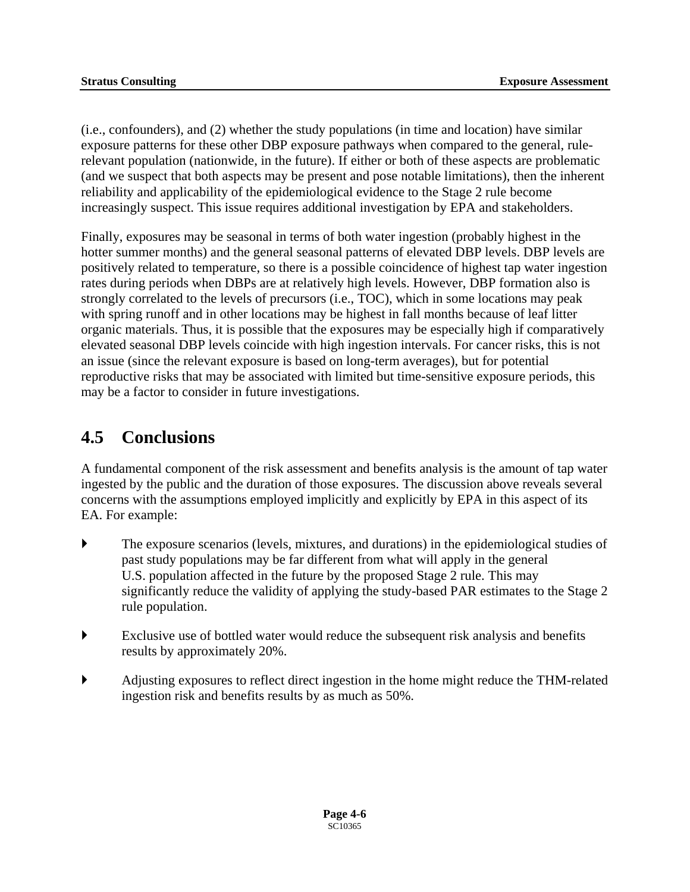(i.e., confounders), and (2) whether the study populations (in time and location) have similar exposure patterns for these other DBP exposure pathways when compared to the general, rulerelevant population (nationwide, in the future). If either or both of these aspects are problematic (and we suspect that both aspects may be present and pose notable limitations), then the inherent reliability and applicability of the epidemiological evidence to the Stage 2 rule become increasingly suspect. This issue requires additional investigation by EPA and stakeholders.

Finally, exposures may be seasonal in terms of both water ingestion (probably highest in the hotter summer months) and the general seasonal patterns of elevated DBP levels. DBP levels are positively related to temperature, so there is a possible coincidence of highest tap water ingestion rates during periods when DBPs are at relatively high levels. However, DBP formation also is strongly correlated to the levels of precursors (i.e., TOC), which in some locations may peak with spring runoff and in other locations may be highest in fall months because of leaf litter organic materials. Thus, it is possible that the exposures may be especially high if comparatively elevated seasonal DBP levels coincide with high ingestion intervals. For cancer risks, this is not an issue (since the relevant exposure is based on long-term averages), but for potential reproductive risks that may be associated with limited but time-sensitive exposure periods, this may be a factor to consider in future investigations.

### **4.5 Conclusions**

A fundamental component of the risk assessment and benefits analysis is the amount of tap water ingested by the public and the duration of those exposures. The discussion above reveals several concerns with the assumptions employed implicitly and explicitly by EPA in this aspect of its EA. For example:

- $\blacktriangleright$  The exposure scenarios (levels, mixtures, and durations) in the epidemiological studies of past study populations may be far different from what will apply in the general U.S. population affected in the future by the proposed Stage 2 rule. This may significantly reduce the validity of applying the study-based PAR estimates to the Stage 2 rule population.
- ` Exclusive use of bottled water would reduce the subsequent risk analysis and benefits results by approximately 20%.
- ` Adjusting exposures to reflect direct ingestion in the home might reduce the THM-related ingestion risk and benefits results by as much as 50%.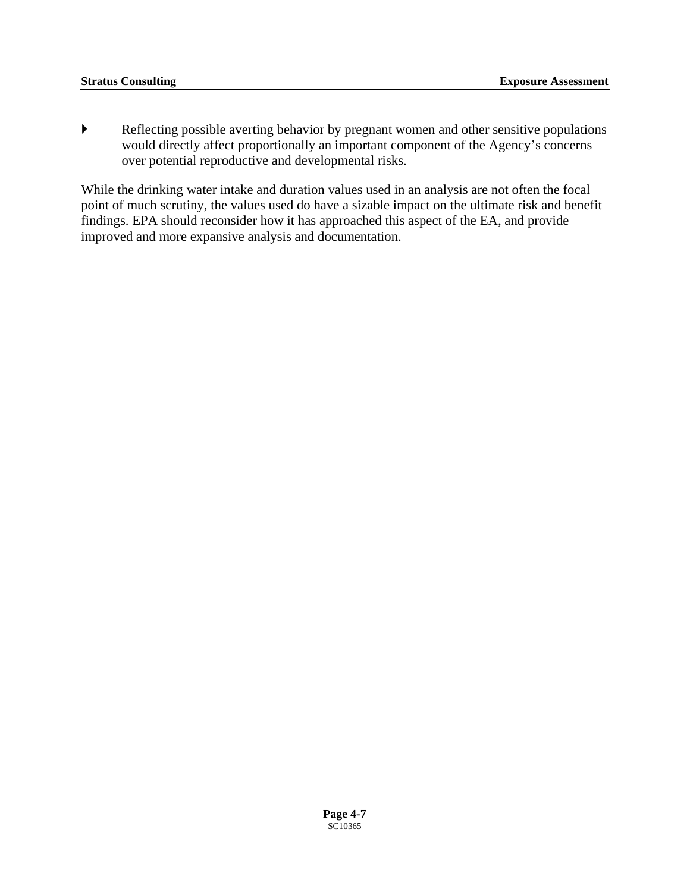` Reflecting possible averting behavior by pregnant women and other sensitive populations would directly affect proportionally an important component of the Agency's concerns over potential reproductive and developmental risks.

While the drinking water intake and duration values used in an analysis are not often the focal point of much scrutiny, the values used do have a sizable impact on the ultimate risk and benefit findings. EPA should reconsider how it has approached this aspect of the EA, and provide improved and more expansive analysis and documentation.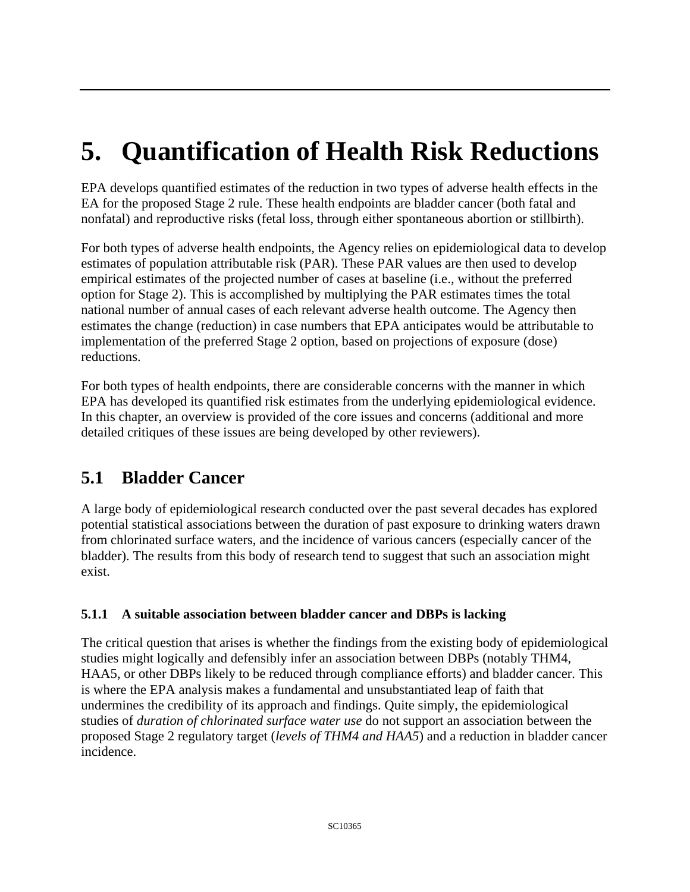# **5. Quantification of Health Risk Reductions**

EPA develops quantified estimates of the reduction in two types of adverse health effects in the EA for the proposed Stage 2 rule. These health endpoints are bladder cancer (both fatal and nonfatal) and reproductive risks (fetal loss, through either spontaneous abortion or stillbirth).

For both types of adverse health endpoints, the Agency relies on epidemiological data to develop estimates of population attributable risk (PAR). These PAR values are then used to develop empirical estimates of the projected number of cases at baseline (i.e., without the preferred option for Stage 2). This is accomplished by multiplying the PAR estimates times the total national number of annual cases of each relevant adverse health outcome. The Agency then estimates the change (reduction) in case numbers that EPA anticipates would be attributable to implementation of the preferred Stage 2 option, based on projections of exposure (dose) reductions.

For both types of health endpoints, there are considerable concerns with the manner in which EPA has developed its quantified risk estimates from the underlying epidemiological evidence. In this chapter, an overview is provided of the core issues and concerns (additional and more detailed critiques of these issues are being developed by other reviewers).

# **5.1 Bladder Cancer**

A large body of epidemiological research conducted over the past several decades has explored potential statistical associations between the duration of past exposure to drinking waters drawn from chlorinated surface waters, and the incidence of various cancers (especially cancer of the bladder). The results from this body of research tend to suggest that such an association might exist.

#### **5.1.1 A suitable association between bladder cancer and DBPs is lacking**

The critical question that arises is whether the findings from the existing body of epidemiological studies might logically and defensibly infer an association between DBPs (notably THM4, HAA5, or other DBPs likely to be reduced through compliance efforts) and bladder cancer. This is where the EPA analysis makes a fundamental and unsubstantiated leap of faith that undermines the credibility of its approach and findings. Quite simply, the epidemiological studies of *duration of chlorinated surface water use* do not support an association between the proposed Stage 2 regulatory target (*levels of THM4 and HAA5*) and a reduction in bladder cancer incidence.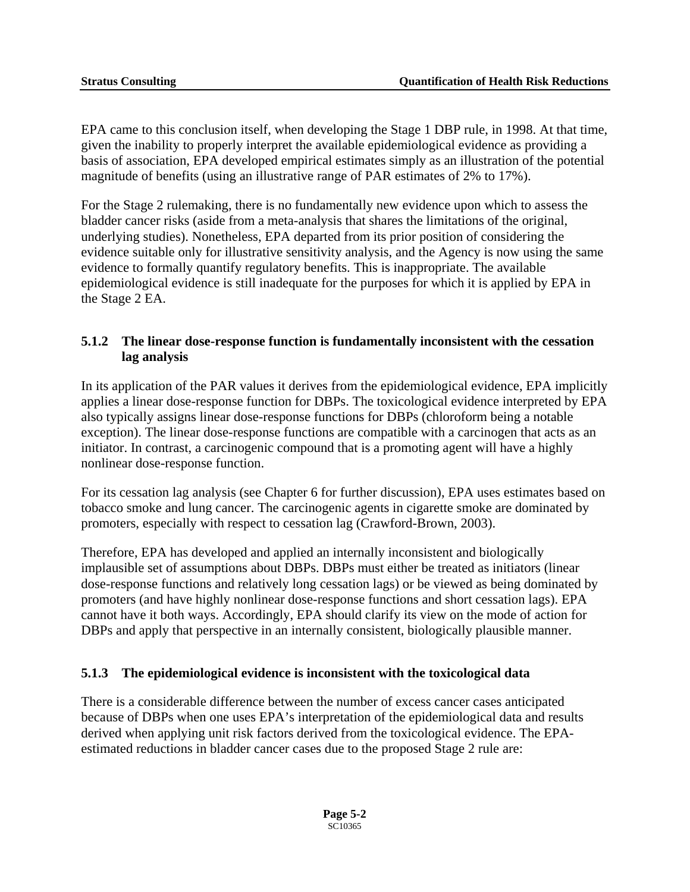EPA came to this conclusion itself, when developing the Stage 1 DBP rule, in 1998. At that time, given the inability to properly interpret the available epidemiological evidence as providing a basis of association, EPA developed empirical estimates simply as an illustration of the potential magnitude of benefits (using an illustrative range of PAR estimates of 2% to 17%).

For the Stage 2 rulemaking, there is no fundamentally new evidence upon which to assess the bladder cancer risks (aside from a meta-analysis that shares the limitations of the original, underlying studies). Nonetheless, EPA departed from its prior position of considering the evidence suitable only for illustrative sensitivity analysis, and the Agency is now using the same evidence to formally quantify regulatory benefits. This is inappropriate. The available epidemiological evidence is still inadequate for the purposes for which it is applied by EPA in the Stage 2 EA.

#### **5.1.2 The linear dose-response function is fundamentally inconsistent with the cessation lag analysis**

In its application of the PAR values it derives from the epidemiological evidence, EPA implicitly applies a linear dose-response function for DBPs. The toxicological evidence interpreted by EPA also typically assigns linear dose-response functions for DBPs (chloroform being a notable exception). The linear dose-response functions are compatible with a carcinogen that acts as an initiator. In contrast, a carcinogenic compound that is a promoting agent will have a highly nonlinear dose-response function.

For its cessation lag analysis (see Chapter 6 for further discussion), EPA uses estimates based on tobacco smoke and lung cancer. The carcinogenic agents in cigarette smoke are dominated by promoters, especially with respect to cessation lag (Crawford-Brown, 2003).

Therefore, EPA has developed and applied an internally inconsistent and biologically implausible set of assumptions about DBPs. DBPs must either be treated as initiators (linear dose-response functions and relatively long cessation lags) or be viewed as being dominated by promoters (and have highly nonlinear dose-response functions and short cessation lags). EPA cannot have it both ways. Accordingly, EPA should clarify its view on the mode of action for DBPs and apply that perspective in an internally consistent, biologically plausible manner.

#### **5.1.3 The epidemiological evidence is inconsistent with the toxicological data**

There is a considerable difference between the number of excess cancer cases anticipated because of DBPs when one uses EPA's interpretation of the epidemiological data and results derived when applying unit risk factors derived from the toxicological evidence. The EPAestimated reductions in bladder cancer cases due to the proposed Stage 2 rule are: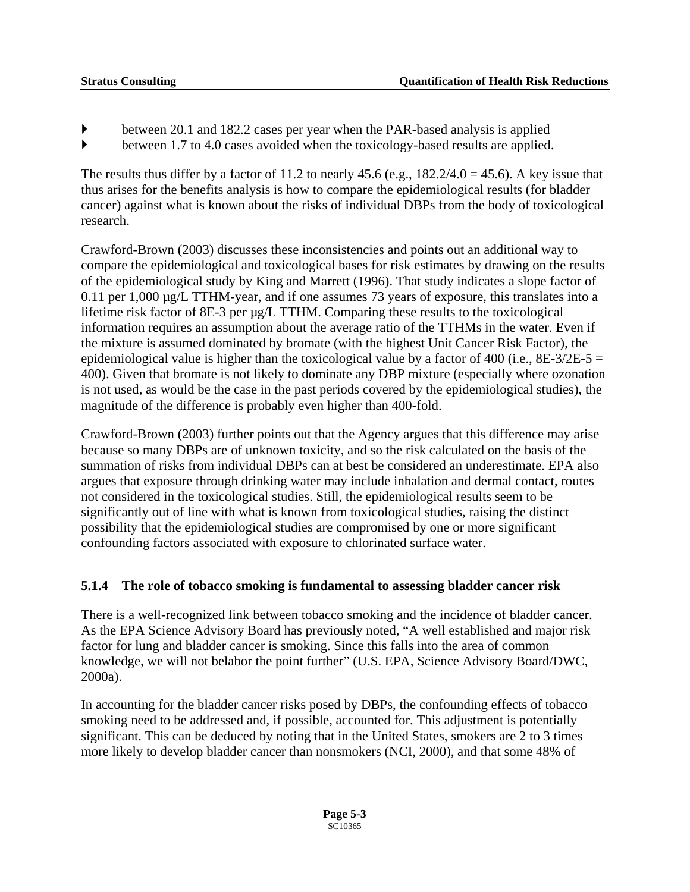- $\blacktriangleright$  between 20.1 and 182.2 cases per year when the PAR-based analysis is applied
- ` between 1.7 to 4.0 cases avoided when the toxicology-based results are applied.

The results thus differ by a factor of 11.2 to nearly 45.6 (e.g.,  $182.2/4.0 = 45.6$ ). A key issue that thus arises for the benefits analysis is how to compare the epidemiological results (for bladder cancer) against what is known about the risks of individual DBPs from the body of toxicological research.

Crawford-Brown (2003) discusses these inconsistencies and points out an additional way to compare the epidemiological and toxicological bases for risk estimates by drawing on the results of the epidemiological study by King and Marrett (1996). That study indicates a slope factor of 0.11 per 1,000 µg/L TTHM-year, and if one assumes 73 years of exposure, this translates into a lifetime risk factor of 8E-3 per µg/L TTHM. Comparing these results to the toxicological information requires an assumption about the average ratio of the TTHMs in the water. Even if the mixture is assumed dominated by bromate (with the highest Unit Cancer Risk Factor), the epidemiological value is higher than the toxicological value by a factor of 400 (i.e.,  $8E-3/2E-5 =$ 400). Given that bromate is not likely to dominate any DBP mixture (especially where ozonation is not used, as would be the case in the past periods covered by the epidemiological studies), the magnitude of the difference is probably even higher than 400-fold.

Crawford-Brown (2003) further points out that the Agency argues that this difference may arise because so many DBPs are of unknown toxicity, and so the risk calculated on the basis of the summation of risks from individual DBPs can at best be considered an underestimate. EPA also argues that exposure through drinking water may include inhalation and dermal contact, routes not considered in the toxicological studies. Still, the epidemiological results seem to be significantly out of line with what is known from toxicological studies, raising the distinct possibility that the epidemiological studies are compromised by one or more significant confounding factors associated with exposure to chlorinated surface water.

#### **5.1.4 The role of tobacco smoking is fundamental to assessing bladder cancer risk**

There is a well-recognized link between tobacco smoking and the incidence of bladder cancer. As the EPA Science Advisory Board has previously noted, "A well established and major risk factor for lung and bladder cancer is smoking. Since this falls into the area of common knowledge, we will not belabor the point further" (U.S. EPA, Science Advisory Board/DWC, 2000a).

In accounting for the bladder cancer risks posed by DBPs, the confounding effects of tobacco smoking need to be addressed and, if possible, accounted for. This adjustment is potentially significant. This can be deduced by noting that in the United States, smokers are 2 to 3 times more likely to develop bladder cancer than nonsmokers (NCI, 2000), and that some 48% of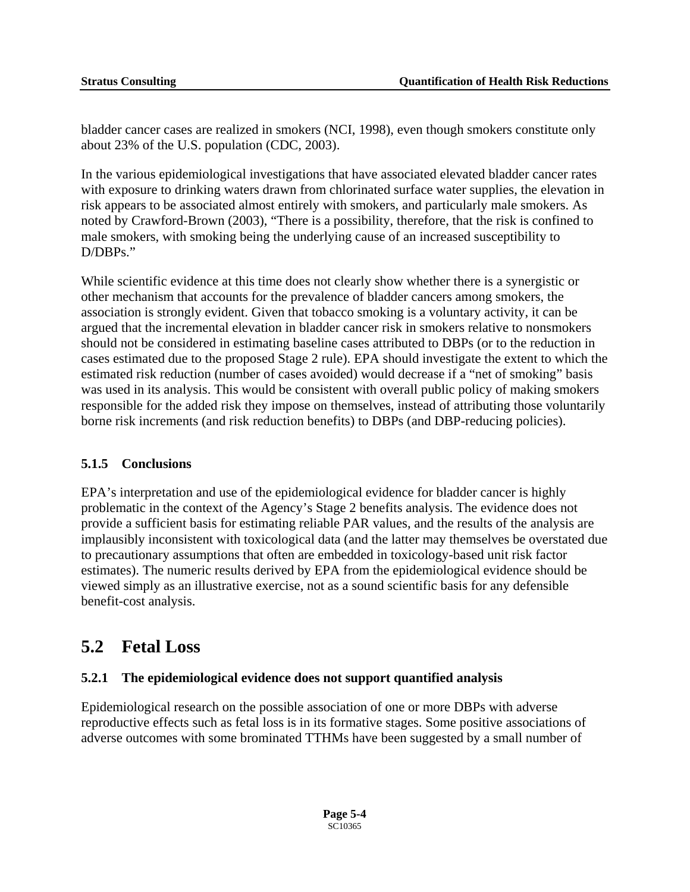bladder cancer cases are realized in smokers (NCI, 1998), even though smokers constitute only about 23% of the U.S. population (CDC, 2003).

In the various epidemiological investigations that have associated elevated bladder cancer rates with exposure to drinking waters drawn from chlorinated surface water supplies, the elevation in risk appears to be associated almost entirely with smokers, and particularly male smokers. As noted by Crawford-Brown (2003), "There is a possibility, therefore, that the risk is confined to male smokers, with smoking being the underlying cause of an increased susceptibility to D/DBPs."

While scientific evidence at this time does not clearly show whether there is a synergistic or other mechanism that accounts for the prevalence of bladder cancers among smokers, the association is strongly evident. Given that tobacco smoking is a voluntary activity, it can be argued that the incremental elevation in bladder cancer risk in smokers relative to nonsmokers should not be considered in estimating baseline cases attributed to DBPs (or to the reduction in cases estimated due to the proposed Stage 2 rule). EPA should investigate the extent to which the estimated risk reduction (number of cases avoided) would decrease if a "net of smoking" basis was used in its analysis. This would be consistent with overall public policy of making smokers responsible for the added risk they impose on themselves, instead of attributing those voluntarily borne risk increments (and risk reduction benefits) to DBPs (and DBP-reducing policies).

#### **5.1.5 Conclusions**

EPA's interpretation and use of the epidemiological evidence for bladder cancer is highly problematic in the context of the Agency's Stage 2 benefits analysis. The evidence does not provide a sufficient basis for estimating reliable PAR values, and the results of the analysis are implausibly inconsistent with toxicological data (and the latter may themselves be overstated due to precautionary assumptions that often are embedded in toxicology-based unit risk factor estimates). The numeric results derived by EPA from the epidemiological evidence should be viewed simply as an illustrative exercise, not as a sound scientific basis for any defensible benefit-cost analysis.

### **5.2 Fetal Loss**

#### **5.2.1 The epidemiological evidence does not support quantified analysis**

Epidemiological research on the possible association of one or more DBPs with adverse reproductive effects such as fetal loss is in its formative stages. Some positive associations of adverse outcomes with some brominated TTHMs have been suggested by a small number of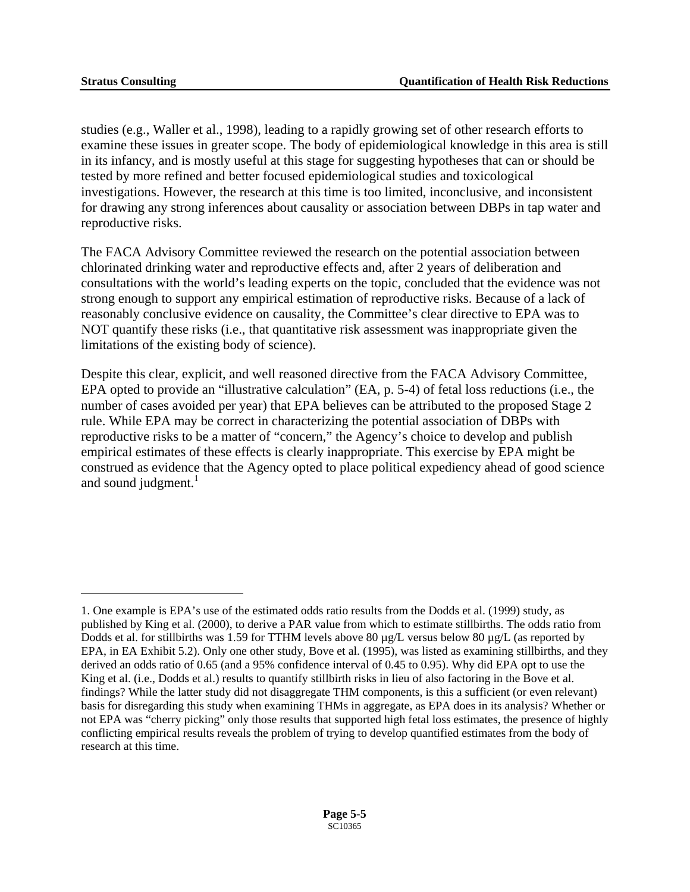1

studies (e.g., Waller et al., 1998), leading to a rapidly growing set of other research efforts to examine these issues in greater scope. The body of epidemiological knowledge in this area is still in its infancy, and is mostly useful at this stage for suggesting hypotheses that can or should be tested by more refined and better focused epidemiological studies and toxicological investigations. However, the research at this time is too limited, inconclusive, and inconsistent for drawing any strong inferences about causality or association between DBPs in tap water and reproductive risks.

The FACA Advisory Committee reviewed the research on the potential association between chlorinated drinking water and reproductive effects and, after 2 years of deliberation and consultations with the world's leading experts on the topic, concluded that the evidence was not strong enough to support any empirical estimation of reproductive risks. Because of a lack of reasonably conclusive evidence on causality, the Committee's clear directive to EPA was to NOT quantify these risks (i.e., that quantitative risk assessment was inappropriate given the limitations of the existing body of science).

and sound judgment. $1$ Despite this clear, explicit, and well reasoned directive from the FACA Advisory Committee, EPA opted to provide an "illustrative calculation" (EA, p. 5-4) of fetal loss reductions (i.e., the number of cases avoided per year) that EPA believes can be attributed to the proposed Stage 2 rule. While EPA may be correct in characterizing the potential association of DBPs with reproductive risks to be a matter of "concern," the Agency's choice to develop and publish empirical estimates of these effects is clearly inappropriate. This exercise by EPA might be construed as evidence that the Agency opted to place political expediency ahead of good science

<span id="page-52-0"></span><sup>1.</sup> One example is EPA's use of the estimated odds ratio results from the Dodds et al. (1999) study, as published by King et al. (2000), to derive a PAR value from which to estimate stillbirths. The odds ratio from Dodds et al. for stillbirths was 1.59 for TTHM levels above 80 µg/L versus below 80 µg/L (as reported by EPA, in EA Exhibit 5.2). Only one other study, Bove et al. (1995), was listed as examining stillbirths, and they derived an odds ratio of 0.65 (and a 95% confidence interval of 0.45 to 0.95). Why did EPA opt to use the King et al. (i.e., Dodds et al.) results to quantify stillbirth risks in lieu of also factoring in the Bove et al. findings? While the latter study did not disaggregate THM components, is this a sufficient (or even relevant) basis for disregarding this study when examining THMs in aggregate, as EPA does in its analysis? Whether or not EPA was "cherry picking" only those results that supported high fetal loss estimates, the presence of highly conflicting empirical results reveals the problem of trying to develop quantified estimates from the body of research at this time.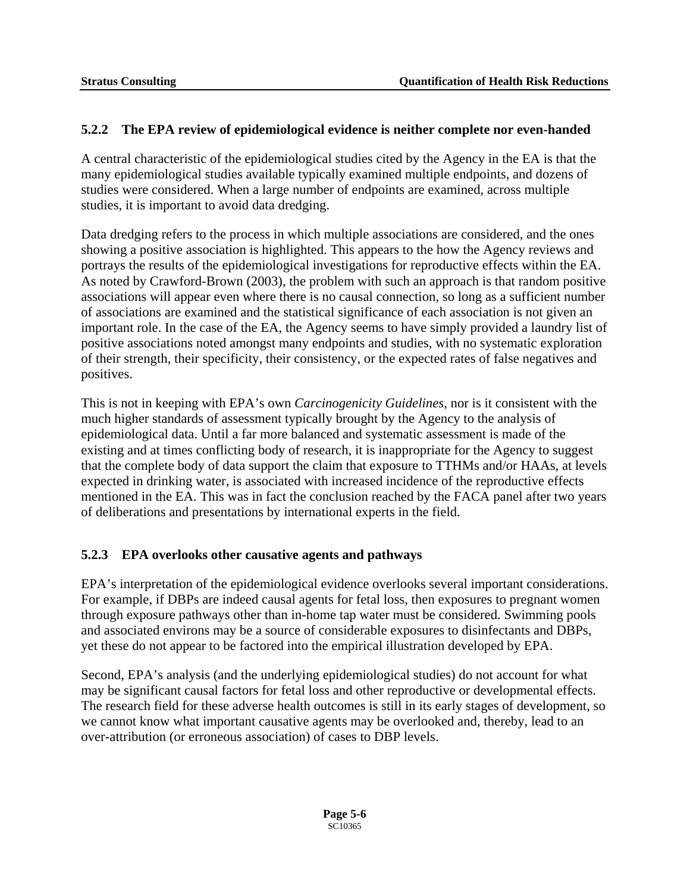#### **5.2.2 The EPA review of epidemiological evidence is neither complete nor even-handed**

A central characteristic of the epidemiological studies cited by the Agency in the EA is that the many epidemiological studies available typically examined multiple endpoints, and dozens of studies were considered. When a large number of endpoints are examined, across multiple studies, it is important to avoid data dredging.

Data dredging refers to the process in which multiple associations are considered, and the ones showing a positive association is highlighted. This appears to the how the Agency reviews and portrays the results of the epidemiological investigations for reproductive effects within the EA. As noted by Crawford-Brown (2003), the problem with such an approach is that random positive associations will appear even where there is no causal connection, so long as a sufficient number of associations are examined and the statistical significance of each association is not given an important role. In the case of the EA, the Agency seems to have simply provided a laundry list of positive associations noted amongst many endpoints and studies, with no systematic exploration of their strength, their specificity, their consistency, or the expected rates of false negatives and positives.

This is not in keeping with EPA's own *Carcinogenicity Guidelines*, nor is it consistent with the much higher standards of assessment typically brought by the Agency to the analysis of epidemiological data. Until a far more balanced and systematic assessment is made of the existing and at times conflicting body of research, it is inappropriate for the Agency to suggest that the complete body of data support the claim that exposure to TTHMs and/or HAAs, at levels expected in drinking water, is associated with increased incidence of the reproductive effects mentioned in the EA. This was in fact the conclusion reached by the FACA panel after two years of deliberations and presentations by international experts in the field.

#### **5.2.3 EPA overlooks other causative agents and pathways**

EPA's interpretation of the epidemiological evidence overlooks several important considerations. For example, if DBPs are indeed causal agents for fetal loss, then exposures to pregnant women through exposure pathways other than in-home tap water must be considered. Swimming pools and associated environs may be a source of considerable exposures to disinfectants and DBPs, yet these do not appear to be factored into the empirical illustration developed by EPA.

Second, EPA's analysis (and the underlying epidemiological studies) do not account for what may be significant causal factors for fetal loss and other reproductive or developmental effects. The research field for these adverse health outcomes is still in its early stages of development, so we cannot know what important causative agents may be overlooked and, thereby, lead to an over-attribution (or erroneous association) of cases to DBP levels.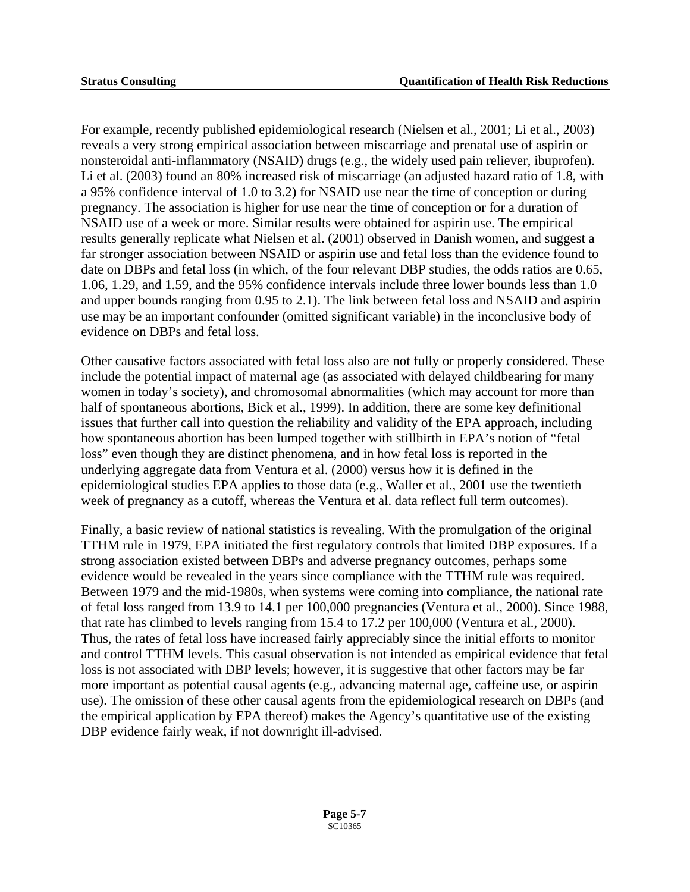For example, recently published epidemiological research (Nielsen et al., 2001; Li et al., 2003) reveals a very strong empirical association between miscarriage and prenatal use of aspirin or nonsteroidal anti-inflammatory (NSAID) drugs (e.g., the widely used pain reliever, ibuprofen). Li et al. (2003) found an 80% increased risk of miscarriage (an adjusted hazard ratio of 1.8, with a 95% confidence interval of 1.0 to 3.2) for NSAID use near the time of conception or during pregnancy. The association is higher for use near the time of conception or for a duration of NSAID use of a week or more. Similar results were obtained for aspirin use. The empirical results generally replicate what Nielsen et al. (2001) observed in Danish women, and suggest a far stronger association between NSAID or aspirin use and fetal loss than the evidence found to date on DBPs and fetal loss (in which, of the four relevant DBP studies, the odds ratios are 0.65, 1.06, 1.29, and 1.59, and the 95% confidence intervals include three lower bounds less than 1.0 and upper bounds ranging from 0.95 to 2.1). The link between fetal loss and NSAID and aspirin use may be an important confounder (omitted significant variable) in the inconclusive body of evidence on DBPs and fetal loss.

Other causative factors associated with fetal loss also are not fully or properly considered. These include the potential impact of maternal age (as associated with delayed childbearing for many women in today's society), and chromosomal abnormalities (which may account for more than half of spontaneous abortions, Bick et al., 1999). In addition, there are some key definitional issues that further call into question the reliability and validity of the EPA approach, including how spontaneous abortion has been lumped together with stillbirth in EPA's notion of "fetal loss" even though they are distinct phenomena, and in how fetal loss is reported in the underlying aggregate data from Ventura et al. (2000) versus how it is defined in the epidemiological studies EPA applies to those data (e.g., Waller et al., 2001 use the twentieth week of pregnancy as a cutoff, whereas the Ventura et al. data reflect full term outcomes).

Finally, a basic review of national statistics is revealing. With the promulgation of the original TTHM rule in 1979, EPA initiated the first regulatory controls that limited DBP exposures. If a strong association existed between DBPs and adverse pregnancy outcomes, perhaps some evidence would be revealed in the years since compliance with the TTHM rule was required. Between 1979 and the mid-1980s, when systems were coming into compliance, the national rate of fetal loss ranged from 13.9 to 14.1 per 100,000 pregnancies (Ventura et al., 2000). Since 1988, that rate has climbed to levels ranging from 15.4 to 17.2 per 100,000 (Ventura et al., 2000). Thus, the rates of fetal loss have increased fairly appreciably since the initial efforts to monitor and control TTHM levels. This casual observation is not intended as empirical evidence that fetal loss is not associated with DBP levels; however, it is suggestive that other factors may be far more important as potential causal agents (e.g., advancing maternal age, caffeine use, or aspirin use). The omission of these other causal agents from the epidemiological research on DBPs (and the empirical application by EPA thereof) makes the Agency's quantitative use of the existing DBP evidence fairly weak, if not downright ill-advised.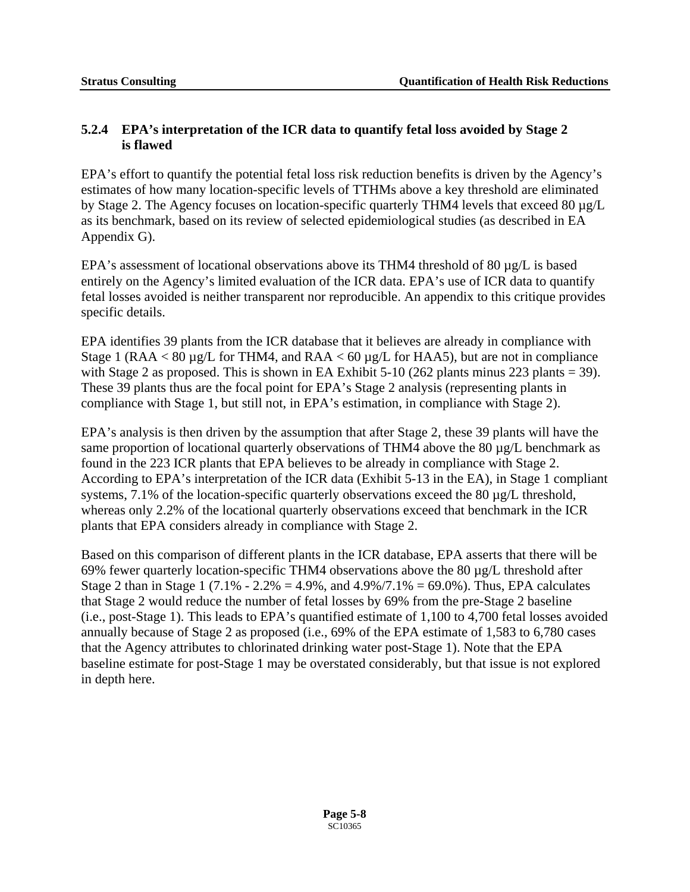#### **5.2.4 EPA's interpretation of the ICR data to quantify fetal loss avoided by Stage 2 is flawed**

EPA's effort to quantify the potential fetal loss risk reduction benefits is driven by the Agency's estimates of how many location-specific levels of TTHMs above a key threshold are eliminated by Stage 2. The Agency focuses on location-specific quarterly THM4 levels that exceed 80 µg/L as its benchmark, based on its review of selected epidemiological studies (as described in EA Appendix G).

EPA's assessment of locational observations above its THM4 threshold of 80 µg/L is based entirely on the Agency's limited evaluation of the ICR data. EPA's use of ICR data to quantify fetal losses avoided is neither transparent nor reproducible. An appendix to this critique provides specific details.

EPA identifies 39 plants from the ICR database that it believes are already in compliance with Stage 1 (RAA < 80 µg/L for THM4, and RAA < 60 µg/L for HAA5), but are not in compliance with Stage 2 as proposed. This is shown in EA Exhibit 5-10 (262 plants minus 223 plants = 39). These 39 plants thus are the focal point for EPA's Stage 2 analysis (representing plants in compliance with Stage 1, but still not, in EPA's estimation, in compliance with Stage 2).

EPA's analysis is then driven by the assumption that after Stage 2, these 39 plants will have the same proportion of locational quarterly observations of THM4 above the 80  $\mu$ g/L benchmark as found in the 223 ICR plants that EPA believes to be already in compliance with Stage 2. According to EPA's interpretation of the ICR data (Exhibit 5-13 in the EA), in Stage 1 compliant systems, 7.1% of the location-specific quarterly observations exceed the 80 µg/L threshold, whereas only 2.2% of the locational quarterly observations exceed that benchmark in the ICR plants that EPA considers already in compliance with Stage 2.

Based on this comparison of different plants in the ICR database, EPA asserts that there will be 69% fewer quarterly location-specific THM4 observations above the 80 µg/L threshold after Stage 2 than in Stage 1 (7.1% - 2.2% = 4.9%, and  $4.9\%/7.1\% = 69.0\%$ ). Thus, EPA calculates that Stage 2 would reduce the number of fetal losses by 69% from the pre-Stage 2 baseline (i.e., post-Stage 1). This leads to EPA's quantified estimate of 1,100 to 4,700 fetal losses avoided annually because of Stage 2 as proposed (i.e., 69% of the EPA estimate of 1,583 to 6,780 cases that the Agency attributes to chlorinated drinking water post-Stage 1). Note that the EPA baseline estimate for post-Stage 1 may be overstated considerably, but that issue is not explored in depth here.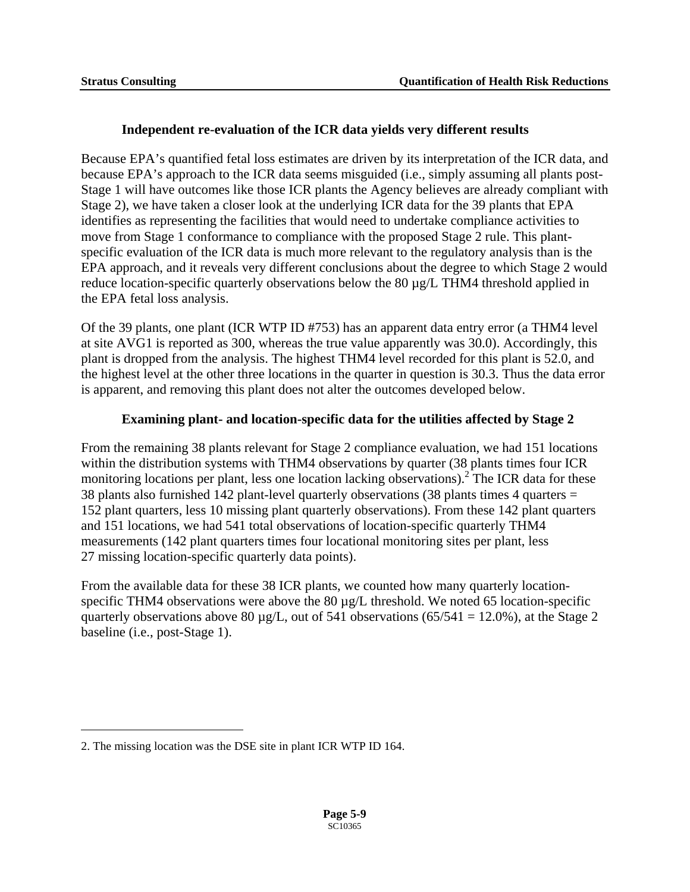#### **Independent re-evaluation of the ICR data yields very different results**

Because EPA's quantified fetal loss estimates are driven by its interpretation of the ICR data, and because EPA's approach to the ICR data seems misguided (i.e., simply assuming all plants post-Stage 1 will have outcomes like those ICR plants the Agency believes are already compliant with Stage 2), we have taken a closer look at the underlying ICR data for the 39 plants that EPA identifies as representing the facilities that would need to undertake compliance activities to move from Stage 1 conformance to compliance with the proposed Stage 2 rule. This plantspecific evaluation of the ICR data is much more relevant to the regulatory analysis than is the EPA approach, and it reveals very different conclusions about the degree to which Stage 2 would reduce location-specific quarterly observations below the 80 µg/L THM4 threshold applied in the EPA fetal loss analysis.

Of the 39 plants, one plant (ICR WTP ID #753) has an apparent data entry error (a THM4 level at site AVG1 is reported as 300, whereas the true value apparently was 30.0). Accordingly, this plant is dropped from the analysis. The highest THM4 level recorded for this plant is 52.0, and the highest level at the other three locations in the quarter in question is 30.3. Thus the data error is apparent, and removing this plant does not alter the outcomes developed below.

#### **Examining plant- and location-specific data for the utilities affected by Stage 2**

From the remaining 38 plants relevant for Stage 2 compliance evaluation, we had 151 locations within the distribution systems with THM4 observations by quarter (38 plants times four ICR monitoring locations per plant, less one location lacking observations).<sup>[2](#page-56-0)</sup> The ICR data for these 38 plants also furnished 142 plant-level quarterly observations (38 plants times 4 quarters = 152 plant quarters, less 10 missing plant quarterly observations). From these 142 plant quarters and 151 locations, we had 541 total observations of location-specific quarterly THM4 measurements (142 plant quarters times four locational monitoring sites per plant, less 27 missing location-specific quarterly data points).

From the available data for these 38 ICR plants, we counted how many quarterly locationspecific THM4 observations were above the 80 µg/L threshold. We noted 65 location-specific quarterly observations above 80  $\mu$ g/L, out of 541 observations (65/541 = 12.0%), at the Stage 2 baseline (i.e., post-Stage 1).

 $\overline{a}$ 

<span id="page-56-0"></span><sup>2.</sup> The missing location was the DSE site in plant ICR WTP ID 164.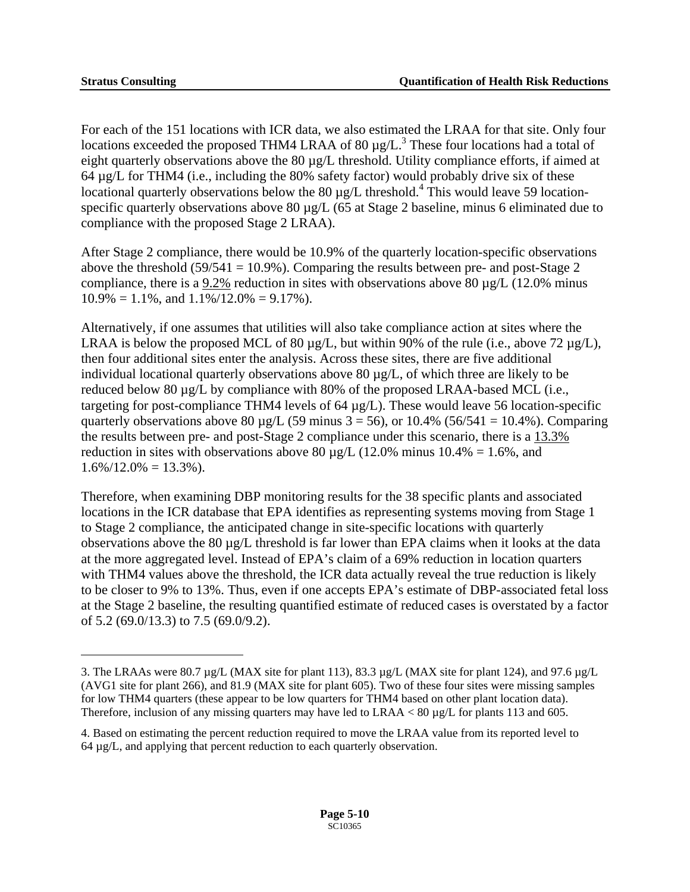1

For each of the 151 locations with ICR data, we also estimated the LRAA for that site. Only four locations exceeded the proposed [T](#page-57-0)HM4 LRAA of 80  $\mu$ g/L.<sup>3</sup> These four locations had a total of eight quarterly observations above the 80 µg/L threshold. Utility compliance efforts, if aimed at 64 µg/L for THM4 (i.e., including the 80% safety factor) would probably drive six of these locationalquarterly observations below the 80  $\mu$ g/L threshold.<sup>4</sup> This would leave 59 locationspecific quarterly observations above 80  $\mu$ g/L (65 at Stage 2 baseline, minus 6 eliminated due to compliance with the proposed Stage 2 LRAA).

After Stage 2 compliance, there would be 10.9% of the quarterly location-specific observations above the threshold (59/541 = 10.9%). Comparing the results between pre- and post-Stage 2 compliance, there is a 9.2% reduction in sites with observations above 80  $\mu$ g/L (12.0% minus  $10.9\% = 1.1\%$ , and  $1.1\%/12.0\% = 9.17\%$ .

Alternatively, if one assumes that utilities will also take compliance action at sites where the LRAA is below the proposed MCL of 80  $\mu$ g/L, but within 90% of the rule (i.e., above 72  $\mu$ g/L), then four additional sites enter the analysis. Across these sites, there are five additional individual locational quarterly observations above 80  $\mu$ g/L, of which three are likely to be reduced below 80 µg/L by compliance with 80% of the proposed LRAA-based MCL (i.e., targeting for post-compliance THM4 levels of 64 µg/L). These would leave 56 location-specific quarterly observations above 80  $\mu$ g/L (59 minus 3 = 56), or 10.4% (56/541 = 10.4%). Comparing the results between pre- and post-Stage 2 compliance under this scenario, there is a 13.3% reduction in sites with observations above 80  $\mu$ g/L (12.0% minus 10.4% = 1.6%, and  $1.6\%/12.0\% = 13.3\%$ .

Therefore, when examining DBP monitoring results for the 38 specific plants and associated locations in the ICR database that EPA identifies as representing systems moving from Stage 1 to Stage 2 compliance, the anticipated change in site-specific locations with quarterly observations above the 80  $\mu$ g/L threshold is far lower than EPA claims when it looks at the data at the more aggregated level. Instead of EPA's claim of a 69% reduction in location quarters with THM4 values above the threshold, the ICR data actually reveal the true reduction is likely to be closer to 9% to 13%. Thus, even if one accepts EPA's estimate of DBP-associated fetal loss at the Stage 2 baseline, the resulting quantified estimate of reduced cases is overstated by a factor of 5.2 (69.0/13.3) to 7.5 (69.0/9.2).

<span id="page-57-0"></span><sup>3.</sup> The LRAAs were 80.7 µg/L (MAX site for plant 113), 83.3 µg/L (MAX site for plant 124), and 97.6 µg/L (AVG1 site for plant 266), and 81.9 (MAX site for plant 605). Two of these four sites were missing samples for low THM4 quarters (these appear to be low quarters for THM4 based on other plant location data). Therefore, inclusion of any missing quarters may have led to LRAA < 80 µg/L for plants 113 and 605.

<span id="page-57-1"></span><sup>4.</sup> Based on estimating the percent reduction required to move the LRAA value from its reported level to 64 µg/L, and applying that percent reduction to each quarterly observation.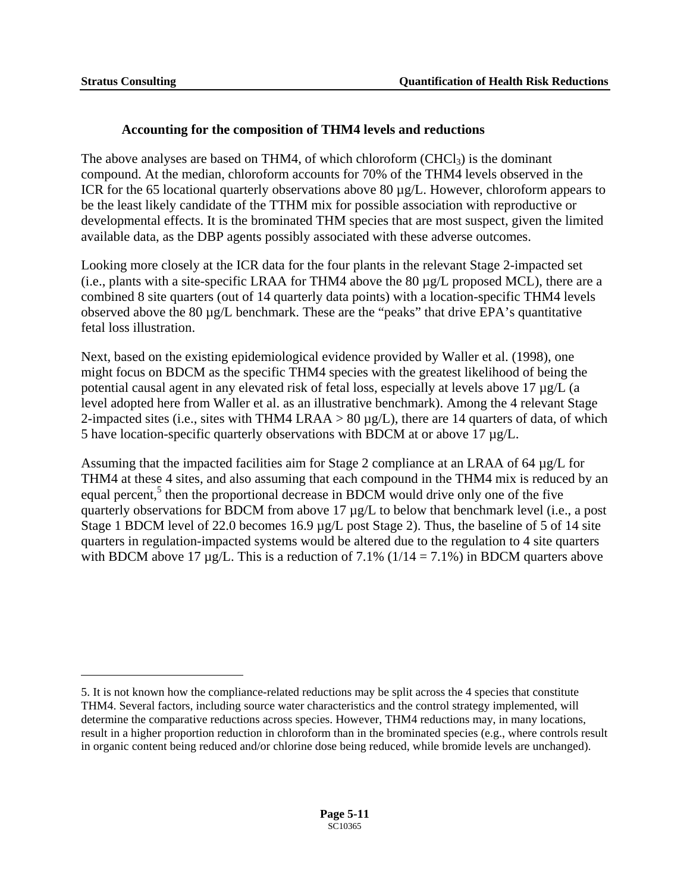$\overline{a}$ 

#### **Accounting for the composition of THM4 levels and reductions**

The above analyses are based on THM4, of which chloroform  $(CHCl<sub>3</sub>)$  is the dominant compound. At the median, chloroform accounts for 70% of the THM4 levels observed in the ICR for the 65 locational quarterly observations above 80  $\mu$ g/L. However, chloroform appears to be the least likely candidate of the TTHM mix for possible association with reproductive or developmental effects. It is the brominated THM species that are most suspect, given the limited available data, as the DBP agents possibly associated with these adverse outcomes.

Looking more closely at the ICR data for the four plants in the relevant Stage 2-impacted set (i.e., plants with a site-specific LRAA for THM4 above the 80 µg/L proposed MCL), there are a combined 8 site quarters (out of 14 quarterly data points) with a location-specific THM4 levels observed above the 80 µg/L benchmark. These are the "peaks" that drive EPA's quantitative fetal loss illustration.

Next, based on the existing epidemiological evidence provided by Waller et al. (1998), one might focus on BDCM as the specific THM4 species with the greatest likelihood of being the potential causal agent in any elevated risk of fetal loss, especially at levels above 17 µg/L (a level adopted here from Waller et al. as an illustrative benchmark). Among the 4 relevant Stage 2-impacted sites (i.e., sites with THM4 LRAA >  $80 \mu g/L$ ), there are 14 quarters of data, of which 5 have location-specific quarterly observations with BDCM at or above 17 µg/L.

Assuming that the impacted facilities aim for Stage 2 compliance at an LRAA of 64 µg/L for THM4 at these 4 sites, and also assuming that each compound in the THM4 mix is reduced by an equal percent,<sup>[5](#page-58-0)</sup> then the proportional decrease in BDCM would drive only one of the five quarterly observations for BDCM from above 17 µg/L to below that benchmark level (i.e., a post Stage 1 BDCM level of 22.0 becomes 16.9 µg/L post Stage 2). Thus, the baseline of 5 of 14 site quarters in regulation-impacted systems would be altered due to the regulation to 4 site quarters with BDCM above 17  $\mu$ g/L. This is a reduction of 7.1% (1/14 = 7.1%) in BDCM quarters above

<span id="page-58-0"></span><sup>5.</sup> It is not known how the compliance-related reductions may be split across the 4 species that constitute THM4. Several factors, including source water characteristics and the control strategy implemented, will determine the comparative reductions across species. However, THM4 reductions may, in many locations, result in a higher proportion reduction in chloroform than in the brominated species (e.g., where controls result in organic content being reduced and/or chlorine dose being reduced, while bromide levels are unchanged).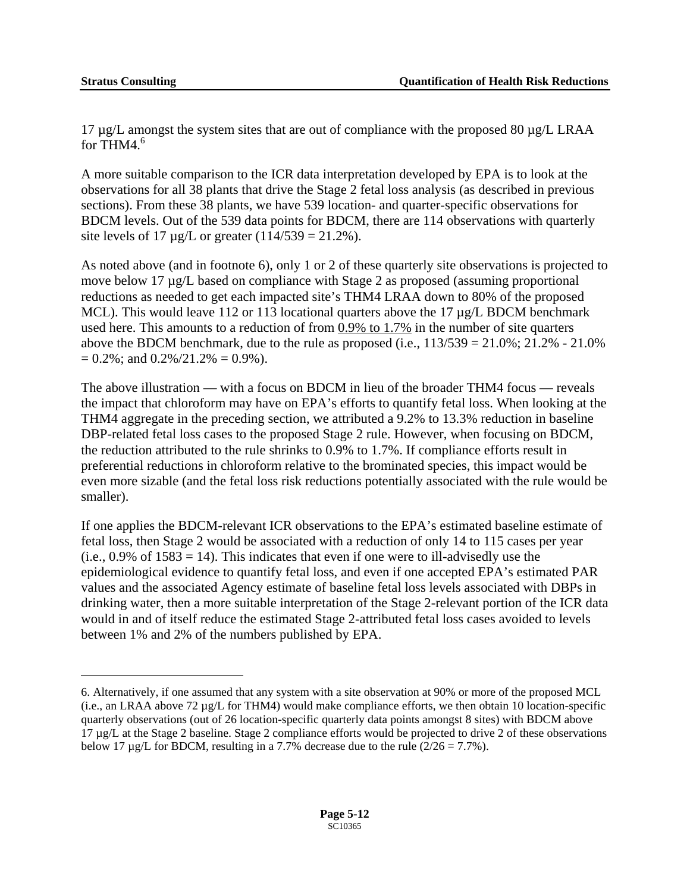$\overline{a}$ 

17  $\mu$ g/L amongst the system sites that are out of compliance with the proposed 80  $\mu$ g/L LRAA for THM4. $6$ 

A more suitable comparison to the ICR data interpretation developed by EPA is to look at the observations for all 38 plants that drive the Stage 2 fetal loss analysis (as described in previous sections). From these 38 plants, we have 539 location- and quarter-specific observations for BDCM levels. Out of the 539 data points for BDCM, there are 114 observations with quarterly site levels of 17  $\mu$ g/L or greater (114/539 = 21.2%).

As noted above (and in footnote 6), only 1 or 2 of these quarterly site observations is projected to move below 17 µg/L based on compliance with Stage 2 as proposed (assuming proportional reductions as needed to get each impacted site's THM4 LRAA down to 80% of the proposed MCL). This would leave 112 or 113 locational quarters above the 17  $\mu$ g/L BDCM benchmark used here. This amounts to a reduction of from 0.9% to 1.7% in the number of site quarters above the BDCM benchmark, due to the rule as proposed (i.e.,  $113/539 = 21.0\%$ ;  $21.2\% - 21.0\%$ )  $= 0.2\%$ ; and  $0.2\%/21.2\% = 0.9\%$ ).

The above illustration — with a focus on BDCM in lieu of the broader THM4 focus — reveals the impact that chloroform may have on EPA's efforts to quantify fetal loss. When looking at the THM4 aggregate in the preceding section, we attributed a 9.2% to 13.3% reduction in baseline DBP-related fetal loss cases to the proposed Stage 2 rule. However, when focusing on BDCM, the reduction attributed to the rule shrinks to 0.9% to 1.7%. If compliance efforts result in preferential reductions in chloroform relative to the brominated species, this impact would be even more sizable (and the fetal loss risk reductions potentially associated with the rule would be smaller).

If one applies the BDCM-relevant ICR observations to the EPA's estimated baseline estimate of fetal loss, then Stage 2 would be associated with a reduction of only 14 to 115 cases per year  $(i.e., 0.9\%$  of  $1583 = 14$ ). This indicates that even if one were to ill-advisedly use the epidemiological evidence to quantify fetal loss, and even if one accepted EPA's estimated PAR values and the associated Agency estimate of baseline fetal loss levels associated with DBPs in drinking water, then a more suitable interpretation of the Stage 2-relevant portion of the ICR data would in and of itself reduce the estimated Stage 2-attributed fetal loss cases avoided to levels between 1% and 2% of the numbers published by EPA.

<span id="page-59-0"></span><sup>6.</sup> Alternatively, if one assumed that any system with a site observation at 90% or more of the proposed MCL (i.e., an LRAA above 72 µg/L for THM4) would make compliance efforts, we then obtain 10 location-specific quarterly observations (out of 26 location-specific quarterly data points amongst 8 sites) with BDCM above 17 µg/L at the Stage 2 baseline. Stage 2 compliance efforts would be projected to drive 2 of these observations below 17  $\mu$ g/L for BDCM, resulting in a 7.7% decrease due to the rule (2/26 = 7.7%).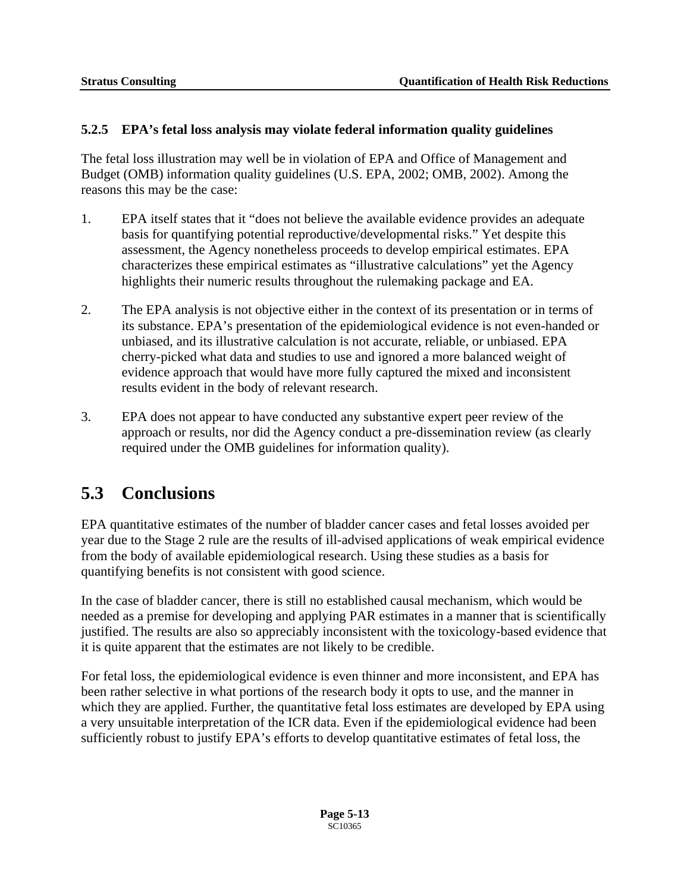#### **5.2.5 EPA's fetal loss analysis may violate federal information quality guidelines**

The fetal loss illustration may well be in violation of EPA and Office of Management and Budget (OMB) information quality guidelines (U.S. EPA, 2002; OMB, 2002). Among the reasons this may be the case:

- 1. EPA itself states that it "does not believe the available evidence provides an adequate basis for quantifying potential reproductive/developmental risks." Yet despite this assessment, the Agency nonetheless proceeds to develop empirical estimates. EPA characterizes these empirical estimates as "illustrative calculations" yet the Agency highlights their numeric results throughout the rulemaking package and EA.
- 2. The EPA analysis is not objective either in the context of its presentation or in terms of its substance. EPA's presentation of the epidemiological evidence is not even-handed or unbiased, and its illustrative calculation is not accurate, reliable, or unbiased. EPA cherry-picked what data and studies to use and ignored a more balanced weight of evidence approach that would have more fully captured the mixed and inconsistent results evident in the body of relevant research.
- 3. EPA does not appear to have conducted any substantive expert peer review of the approach or results, nor did the Agency conduct a pre-dissemination review (as clearly required under the OMB guidelines for information quality).

### **5.3 Conclusions**

EPA quantitative estimates of the number of bladder cancer cases and fetal losses avoided per year due to the Stage 2 rule are the results of ill-advised applications of weak empirical evidence from the body of available epidemiological research. Using these studies as a basis for quantifying benefits is not consistent with good science.

In the case of bladder cancer, there is still no established causal mechanism, which would be needed as a premise for developing and applying PAR estimates in a manner that is scientifically justified. The results are also so appreciably inconsistent with the toxicology-based evidence that it is quite apparent that the estimates are not likely to be credible.

For fetal loss, the epidemiological evidence is even thinner and more inconsistent, and EPA has been rather selective in what portions of the research body it opts to use, and the manner in which they are applied. Further, the quantitative fetal loss estimates are developed by EPA using a very unsuitable interpretation of the ICR data. Even if the epidemiological evidence had been sufficiently robust to justify EPA's efforts to develop quantitative estimates of fetal loss, the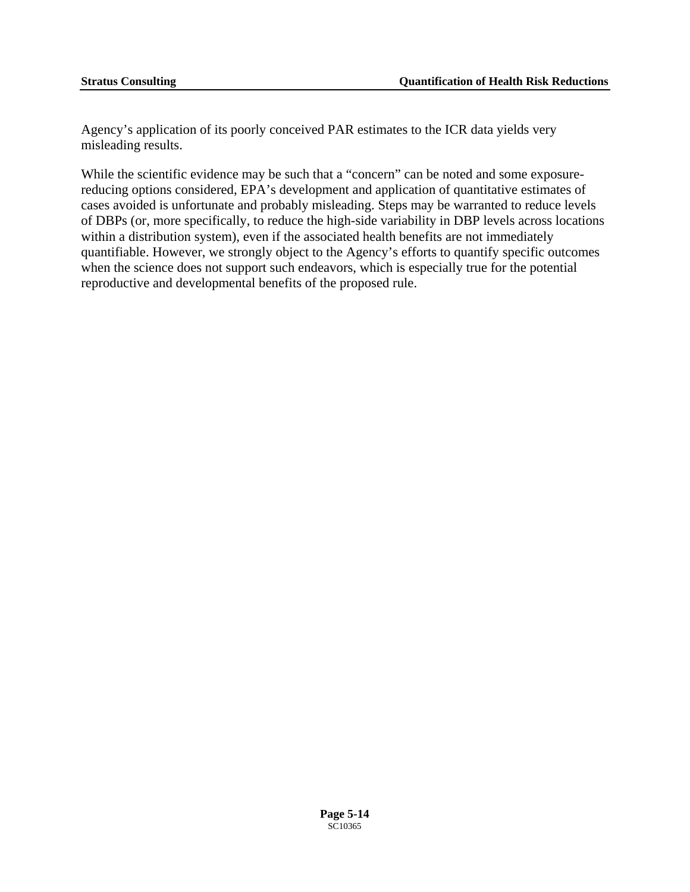Agency's application of its poorly conceived PAR estimates to the ICR data yields very misleading results.

While the scientific evidence may be such that a "concern" can be noted and some exposurereducing options considered, EPA's development and application of quantitative estimates of cases avoided is unfortunate and probably misleading. Steps may be warranted to reduce levels of DBPs (or, more specifically, to reduce the high-side variability in DBP levels across locations within a distribution system), even if the associated health benefits are not immediately quantifiable. However, we strongly object to the Agency's efforts to quantify specific outcomes when the science does not support such endeavors, which is especially true for the potential reproductive and developmental benefits of the proposed rule.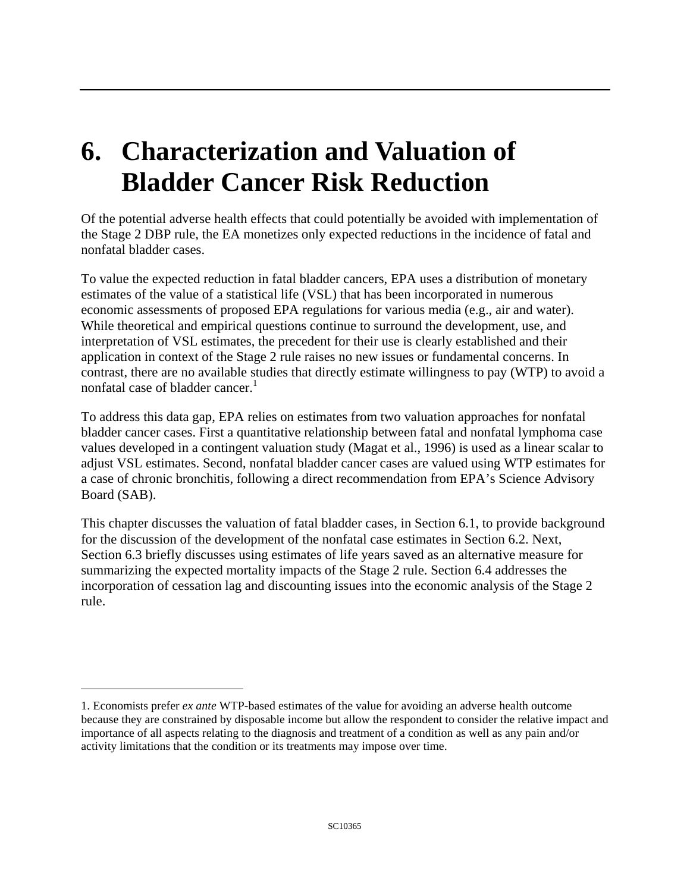# **6. Characterization and Valuation of Bladder Cancer Risk Reduction**

Of the potential adverse health effects that could potentially be avoided with implementation of the Stage 2 DBP rule, the EA monetizes only expected reductions in the incidence of fatal and nonfatal bladder cases.

nonfatal case of bladder cancer. $<sup>1</sup>$ </sup> To value the expected reduction in fatal bladder cancers, EPA uses a distribution of monetary estimates of the value of a statistical life (VSL) that has been incorporated in numerous economic assessments of proposed EPA regulations for various media (e.g., air and water). While theoretical and empirical questions continue to surround the development, use, and interpretation of VSL estimates, the precedent for their use is clearly established and their application in context of the Stage 2 rule raises no new issues or fundamental concerns. In contrast, there are no available studies that directly estimate willingness to pay (WTP) to avoid a

To address this data gap, EPA relies on estimates from two valuation approaches for nonfatal bladder cancer cases. First a quantitative relationship between fatal and nonfatal lymphoma case values developed in a contingent valuation study (Magat et al., 1996) is used as a linear scalar to adjust VSL estimates. Second, nonfatal bladder cancer cases are valued using WTP estimates for a case of chronic bronchitis, following a direct recommendation from EPA's Science Advisory Board (SAB).

This chapter discusses the valuation of fatal bladder cases, in Section 6.1, to provide background for the discussion of the development of the nonfatal case estimates in Section 6.2. Next, Section 6.3 briefly discusses using estimates of life years saved as an alternative measure for summarizing the expected mortality impacts of the Stage 2 rule. Section 6.4 addresses the incorporation of cessation lag and discounting issues into the economic analysis of the Stage 2 rule.

 $\overline{a}$ 

<span id="page-62-0"></span><sup>1.</sup> Economists prefer *ex ante* WTP-based estimates of the value for avoiding an adverse health outcome because they are constrained by disposable income but allow the respondent to consider the relative impact and importance of all aspects relating to the diagnosis and treatment of a condition as well as any pain and/or activity limitations that the condition or its treatments may impose over time.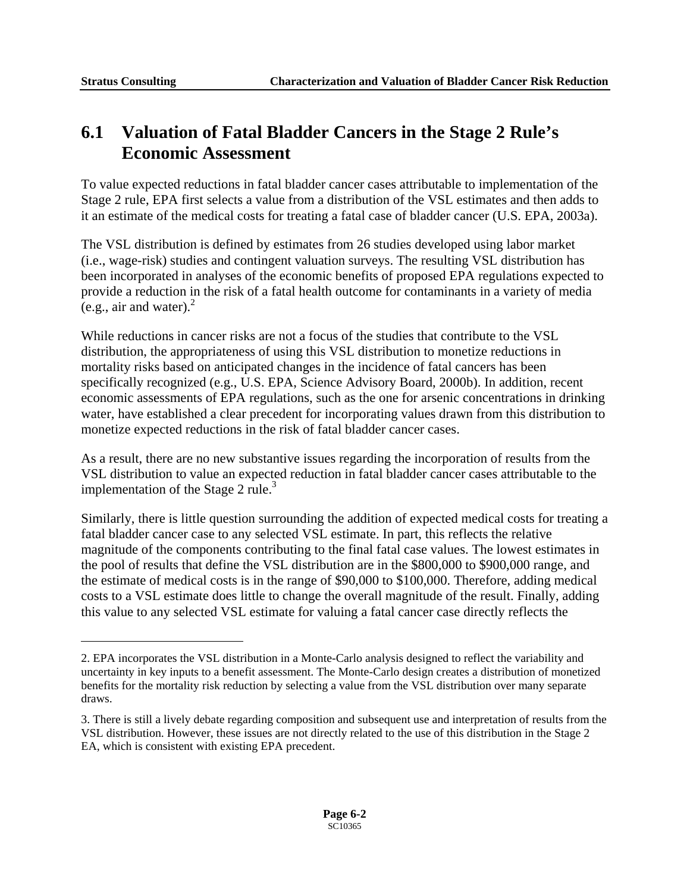$\overline{a}$ 

## **6.1 Valuation of Fatal Bladder Cancers in the Stage 2 Rule's Economic Assessment**

To value expected reductions in fatal bladder cancer cases attributable to implementation of the Stage 2 rule, EPA first selects a value from a distribution of the VSL estimates and then adds to it an estimate of the medical costs for treating a fatal case of bladder cancer (U.S. EPA, 2003a).

 $(e.g., air and water).$ <sup>2</sup> The VSL distribution is defined by estimates from 26 studies developed using labor market (i.e., wage-risk) studies and contingent valuation surveys. The resulting VSL distribution has been incorporated in analyses of the economic benefits of proposed EPA regulations expected to provide a reduction in the risk of a fatal health outcome for contaminants in a variety of media

While reductions in cancer risks are not a focus of the studies that contribute to the VSL distribution, the appropriateness of using this VSL distribution to monetize reductions in mortality risks based on anticipated changes in the incidence of fatal cancers has been specifically recognized (e.g., U.S. EPA, Science Advisory Board, 2000b). In addition, recent economic assessments of EPA regulations, such as the one for arsenic concentrations in drinking water, have established a clear precedent for incorporating values drawn from this distribution to monetize expected reductions in the risk of fatal bladder cancer cases.

As a result, there are no new substantive issues regarding the incorporation of results from the VSL distribution to value an expected reduction in fatal bladder cancer cases attributable to the implementation of the Stage 2 rule.<sup>3</sup>

Similarly, there is little question surrounding the addition of expected medical costs for treating a fatal bladder cancer case to any selected VSL estimate. In part, this reflects the relative magnitude of the components contributing to the final fatal case values. The lowest estimates in the pool of results that define the VSL distribution are in the \$800,000 to \$900,000 range, and the estimate of medical costs is in the range of \$90,000 to \$100,000. Therefore, adding medical costs to a VSL estimate does little to change the overall magnitude of the result. Finally, adding this value to any selected VSL estimate for valuing a fatal cancer case directly reflects the

<span id="page-63-0"></span><sup>2.</sup> EPA incorporates the VSL distribution in a Monte-Carlo analysis designed to reflect the variability and uncertainty in key inputs to a benefit assessment. The Monte-Carlo design creates a distribution of monetized benefits for the mortality risk reduction by selecting a value from the VSL distribution over many separate draws.

<span id="page-63-1"></span><sup>3.</sup> There is still a lively debate regarding composition and subsequent use and interpretation of results from the VSL distribution. However, these issues are not directly related to the use of this distribution in the Stage 2 EA, which is consistent with existing EPA precedent.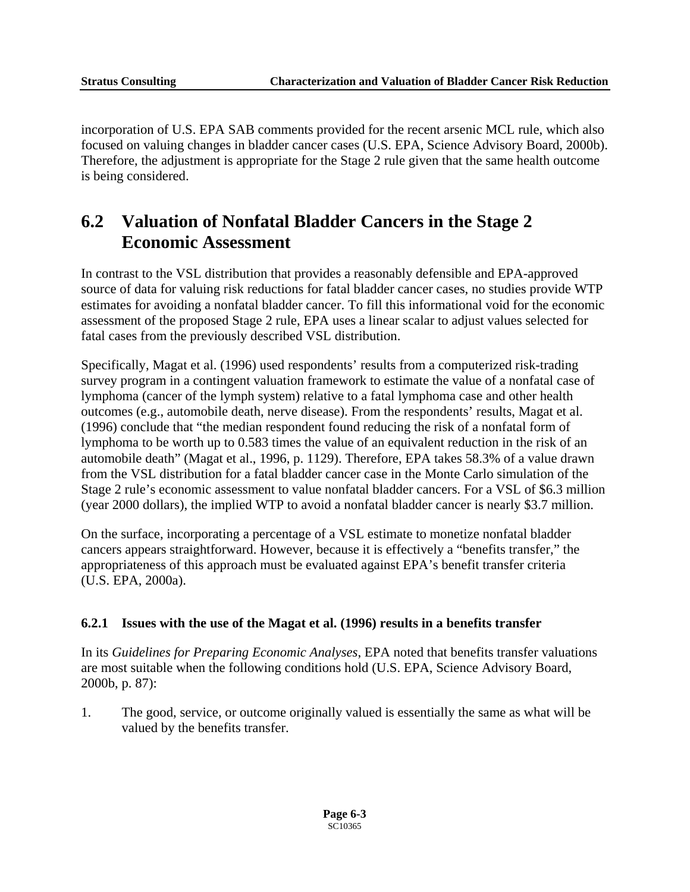incorporation of U.S. EPA SAB comments provided for the recent arsenic MCL rule, which also focused on valuing changes in bladder cancer cases (U.S. EPA, Science Advisory Board, 2000b). Therefore, the adjustment is appropriate for the Stage 2 rule given that the same health outcome is being considered.

## **6.2 Valuation of Nonfatal Bladder Cancers in the Stage 2 Economic Assessment**

In contrast to the VSL distribution that provides a reasonably defensible and EPA-approved source of data for valuing risk reductions for fatal bladder cancer cases, no studies provide WTP estimates for avoiding a nonfatal bladder cancer. To fill this informational void for the economic assessment of the proposed Stage 2 rule, EPA uses a linear scalar to adjust values selected for fatal cases from the previously described VSL distribution.

Specifically, Magat et al. (1996) used respondents' results from a computerized risk-trading survey program in a contingent valuation framework to estimate the value of a nonfatal case of lymphoma (cancer of the lymph system) relative to a fatal lymphoma case and other health outcomes (e.g., automobile death, nerve disease). From the respondents' results, Magat et al. (1996) conclude that "the median respondent found reducing the risk of a nonfatal form of lymphoma to be worth up to 0.583 times the value of an equivalent reduction in the risk of an automobile death" (Magat et al., 1996, p. 1129). Therefore, EPA takes 58.3% of a value drawn from the VSL distribution for a fatal bladder cancer case in the Monte Carlo simulation of the Stage 2 rule's economic assessment to value nonfatal bladder cancers. For a VSL of \$6.3 million (year 2000 dollars), the implied WTP to avoid a nonfatal bladder cancer is nearly \$3.7 million.

On the surface, incorporating a percentage of a VSL estimate to monetize nonfatal bladder cancers appears straightforward. However, because it is effectively a "benefits transfer," the appropriateness of this approach must be evaluated against EPA's benefit transfer criteria (U.S. EPA, 2000a).

#### **6.2.1 Issues with the use of the Magat et al. (1996) results in a benefits transfer**

In its *Guidelines for Preparing Economic Analyses*, EPA noted that benefits transfer valuations are most suitable when the following conditions hold (U.S. EPA, Science Advisory Board, 2000b, p. 87):

1. The good, service, or outcome originally valued is essentially the same as what will be valued by the benefits transfer.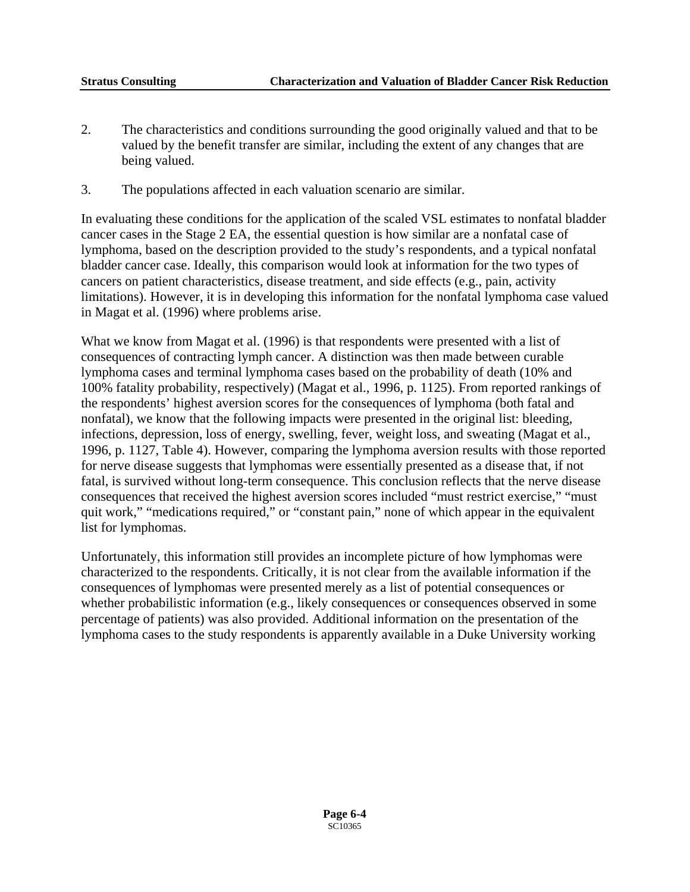- 2. The characteristics and conditions surrounding the good originally valued and that to be valued by the benefit transfer are similar, including the extent of any changes that are being valued.
- 3. The populations affected in each valuation scenario are similar.

In evaluating these conditions for the application of the scaled VSL estimates to nonfatal bladder cancer cases in the Stage 2 EA, the essential question is how similar are a nonfatal case of lymphoma, based on the description provided to the study's respondents, and a typical nonfatal bladder cancer case. Ideally, this comparison would look at information for the two types of cancers on patient characteristics, disease treatment, and side effects (e.g., pain, activity limitations). However, it is in developing this information for the nonfatal lymphoma case valued in Magat et al. (1996) where problems arise.

What we know from Magat et al. (1996) is that respondents were presented with a list of consequences of contracting lymph cancer. A distinction was then made between curable lymphoma cases and terminal lymphoma cases based on the probability of death (10% and 100% fatality probability, respectively) (Magat et al., 1996, p. 1125). From reported rankings of the respondents' highest aversion scores for the consequences of lymphoma (both fatal and nonfatal), we know that the following impacts were presented in the original list: bleeding, infections, depression, loss of energy, swelling, fever, weight loss, and sweating (Magat et al., 1996, p. 1127, Table 4). However, comparing the lymphoma aversion results with those reported for nerve disease suggests that lymphomas were essentially presented as a disease that, if not fatal, is survived without long-term consequence. This conclusion reflects that the nerve disease consequences that received the highest aversion scores included "must restrict exercise," "must quit work," "medications required," or "constant pain," none of which appear in the equivalent list for lymphomas.

Unfortunately, this information still provides an incomplete picture of how lymphomas were characterized to the respondents. Critically, it is not clear from the available information if the consequences of lymphomas were presented merely as a list of potential consequences or whether probabilistic information (e.g., likely consequences or consequences observed in some percentage of patients) was also provided. Additional information on the presentation of the lymphoma cases to the study respondents is apparently available in a Duke University working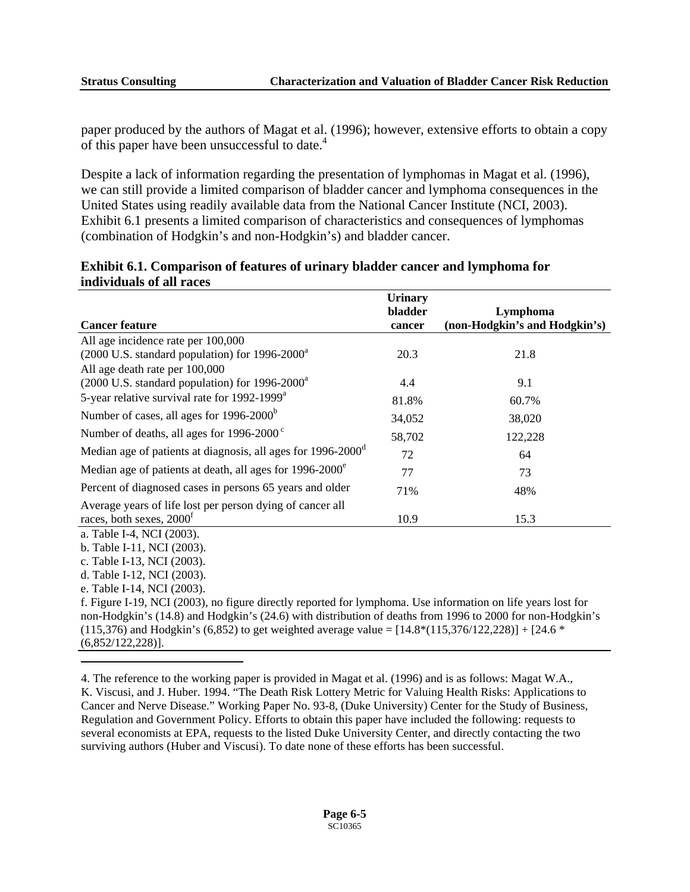paper produced by the authors of Magat et al. (1996); however, extensive efforts to obtain a copy of this paper have been unsuccessful to date.<sup>4</sup>

Despite a lack of information regarding the presentation of lymphomas in Magat et al. (1996), we can still provide a limited comparison of bladder cancer and lymphoma consequences in the United States using readily available data from the National Cancer Institute (NCI, 2003). Exhibit 6.1 presents a limited comparison of characteristics and consequences of lymphomas (combination of Hodgkin's and non-Hodgkin's) and bladder cancer.

|                                                                                                              | <b>Urinary</b> |                               |
|--------------------------------------------------------------------------------------------------------------|----------------|-------------------------------|
|                                                                                                              | bladder        | Lymphoma                      |
| <b>Cancer feature</b>                                                                                        | cancer         | (non-Hodgkin's and Hodgkin's) |
| All age incidence rate per 100,000                                                                           |                |                               |
| (2000 U.S. standard population) for 1996-2000 <sup>a</sup>                                                   | 20.3           | 21.8                          |
| All age death rate per 100,000                                                                               |                |                               |
| $(2000 \text{ U.S. standard population})$ for 1996-2000 <sup>a</sup>                                         | 4.4            | 9.1                           |
| 5-year relative survival rate for 1992-1999 <sup>a</sup>                                                     | 81.8%          | 60.7%                         |
| Number of cases, all ages for 1996-2000 <sup>b</sup>                                                         | 34,052         | 38,020                        |
| Number of deaths, all ages for $1996-2000^{\circ}$                                                           | 58,702         | 122,228                       |
| Median age of patients at diagnosis, all ages for 1996-2000 <sup>d</sup>                                     | 72             | 64                            |
| Median age of patients at death, all ages for 1996-2000 <sup>e</sup>                                         | 77             | 73                            |
| Percent of diagnosed cases in persons 65 years and older                                                     | 71%            | 48%                           |
| Average years of life lost per person dying of cancer all                                                    |                |                               |
| races, both sexes, 2000 <sup>f</sup>                                                                         | 10.9           | 15.3                          |
| a. Table I-4, NCI (2003).                                                                                    |                |                               |
| b. Table I-11, NCI (2003).                                                                                   |                |                               |
| c. Table I-13, NCI (2003).                                                                                   |                |                               |
| d. Table I-12, NCI (2003).                                                                                   |                |                               |
| e. Table I-14, NCI (2003).                                                                                   |                |                               |
| f. Figure I-19, NCI (2003), no figure directly reported for lymphoma. Use information on life years lost for |                |                               |
| non-Hodgkin's (14.8) and Hodgkin's (24.6) with distribution of deaths from 1996 to 2000 for non-Hodgkin's    |                |                               |
| $(115,376)$ and Hodgkin's (6,852) to get weighted average value = [14.8*(115,376/122,228)] + [24.6 *         |                |                               |
| $(6,852/122,228)$ ].                                                                                         |                |                               |
|                                                                                                              |                |                               |

#### **Exhibit 6.1. Comparison of features of urinary bladder cancer and lymphoma for individuals of all races**

<span id="page-66-0"></span>4. The reference to the working paper is provided in Magat et al. (1996) and is as follows: Magat W.A., K. Viscusi, and J. Huber. 1994. "The Death Risk Lottery Metric for Valuing Health Risks: Applications to Cancer and Nerve Disease." Working Paper No. 93-8, (Duke University) Center for the Study of Business, Regulation and Government Policy. Efforts to obtain this paper have included the following: requests to several economists at EPA, requests to the listed Duke University Center, and directly contacting the two surviving authors (Huber and Viscusi). To date none of these efforts has been successful.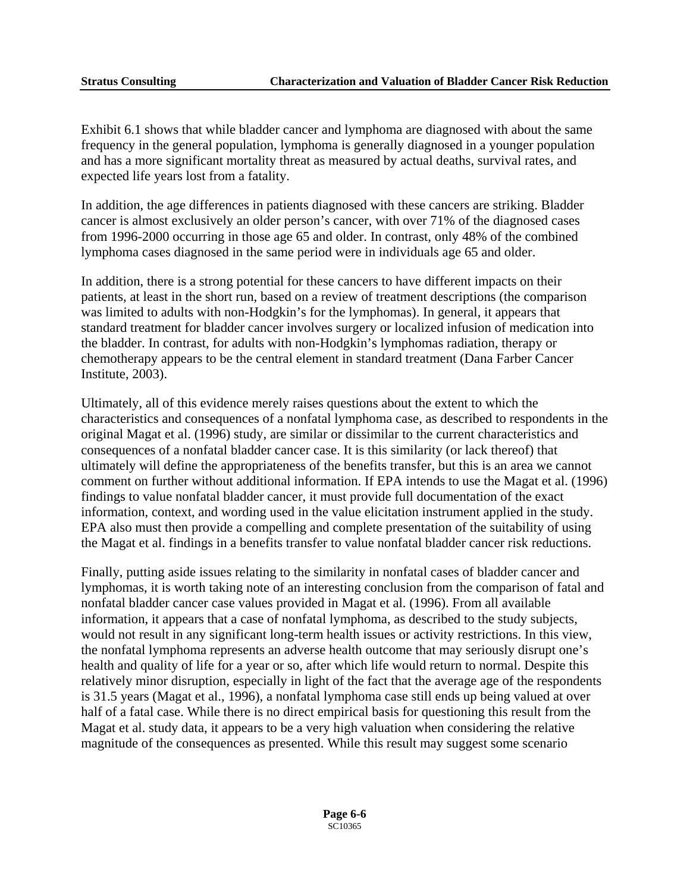Exhibit 6.1 shows that while bladder cancer and lymphoma are diagnosed with about the same frequency in the general population, lymphoma is generally diagnosed in a younger population and has a more significant mortality threat as measured by actual deaths, survival rates, and expected life years lost from a fatality.

In addition, the age differences in patients diagnosed with these cancers are striking. Bladder cancer is almost exclusively an older person's cancer, with over 71% of the diagnosed cases from 1996-2000 occurring in those age 65 and older. In contrast, only 48% of the combined lymphoma cases diagnosed in the same period were in individuals age 65 and older.

In addition, there is a strong potential for these cancers to have different impacts on their patients, at least in the short run, based on a review of treatment descriptions (the comparison was limited to adults with non-Hodgkin's for the lymphomas). In general, it appears that standard treatment for bladder cancer involves surgery or localized infusion of medication into the bladder. In contrast, for adults with non-Hodgkin's lymphomas radiation, therapy or chemotherapy appears to be the central element in standard treatment (Dana Farber Cancer Institute, 2003).

Ultimately, all of this evidence merely raises questions about the extent to which the characteristics and consequences of a nonfatal lymphoma case, as described to respondents in the original Magat et al. (1996) study, are similar or dissimilar to the current characteristics and consequences of a nonfatal bladder cancer case. It is this similarity (or lack thereof) that ultimately will define the appropriateness of the benefits transfer, but this is an area we cannot comment on further without additional information. If EPA intends to use the Magat et al. (1996) findings to value nonfatal bladder cancer, it must provide full documentation of the exact information, context, and wording used in the value elicitation instrument applied in the study. EPA also must then provide a compelling and complete presentation of the suitability of using the Magat et al. findings in a benefits transfer to value nonfatal bladder cancer risk reductions.

Finally, putting aside issues relating to the similarity in nonfatal cases of bladder cancer and lymphomas, it is worth taking note of an interesting conclusion from the comparison of fatal and nonfatal bladder cancer case values provided in Magat et al. (1996). From all available information, it appears that a case of nonfatal lymphoma, as described to the study subjects, would not result in any significant long-term health issues or activity restrictions. In this view, the nonfatal lymphoma represents an adverse health outcome that may seriously disrupt one's health and quality of life for a year or so, after which life would return to normal. Despite this relatively minor disruption, especially in light of the fact that the average age of the respondents is 31.5 years (Magat et al., 1996), a nonfatal lymphoma case still ends up being valued at over half of a fatal case. While there is no direct empirical basis for questioning this result from the Magat et al. study data, it appears to be a very high valuation when considering the relative magnitude of the consequences as presented. While this result may suggest some scenario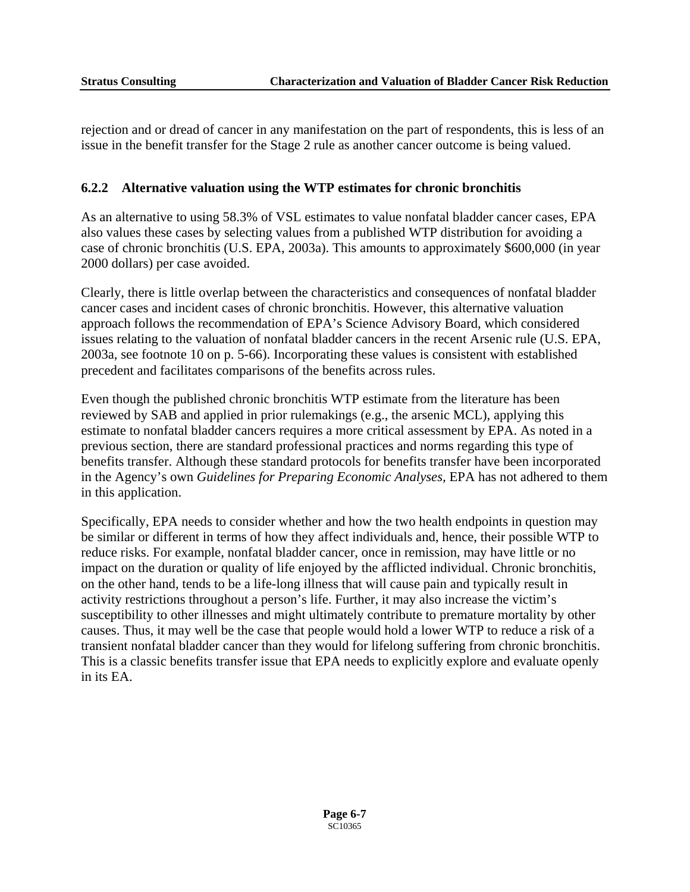rejection and or dread of cancer in any manifestation on the part of respondents, this is less of an issue in the benefit transfer for the Stage 2 rule as another cancer outcome is being valued.

#### **6.2.2 Alternative valuation using the WTP estimates for chronic bronchitis**

As an alternative to using 58.3% of VSL estimates to value nonfatal bladder cancer cases, EPA also values these cases by selecting values from a published WTP distribution for avoiding a case of chronic bronchitis (U.S. EPA, 2003a). This amounts to approximately \$600,000 (in year 2000 dollars) per case avoided.

Clearly, there is little overlap between the characteristics and consequences of nonfatal bladder cancer cases and incident cases of chronic bronchitis. However, this alternative valuation approach follows the recommendation of EPA's Science Advisory Board, which considered issues relating to the valuation of nonfatal bladder cancers in the recent Arsenic rule (U.S. EPA, 2003a, see footnote 10 on p. 5-66). Incorporating these values is consistent with established precedent and facilitates comparisons of the benefits across rules.

Even though the published chronic bronchitis WTP estimate from the literature has been reviewed by SAB and applied in prior rulemakings (e.g., the arsenic MCL), applying this estimate to nonfatal bladder cancers requires a more critical assessment by EPA. As noted in a previous section, there are standard professional practices and norms regarding this type of benefits transfer. Although these standard protocols for benefits transfer have been incorporated in the Agency's own *Guidelines for Preparing Economic Analyses,* EPA has not adhered to them in this application.

Specifically, EPA needs to consider whether and how the two health endpoints in question may be similar or different in terms of how they affect individuals and, hence, their possible WTP to reduce risks. For example, nonfatal bladder cancer, once in remission, may have little or no impact on the duration or quality of life enjoyed by the afflicted individual. Chronic bronchitis, on the other hand, tends to be a life-long illness that will cause pain and typically result in activity restrictions throughout a person's life. Further, it may also increase the victim's susceptibility to other illnesses and might ultimately contribute to premature mortality by other causes. Thus, it may well be the case that people would hold a lower WTP to reduce a risk of a transient nonfatal bladder cancer than they would for lifelong suffering from chronic bronchitis. This is a classic benefits transfer issue that EPA needs to explicitly explore and evaluate openly in its EA.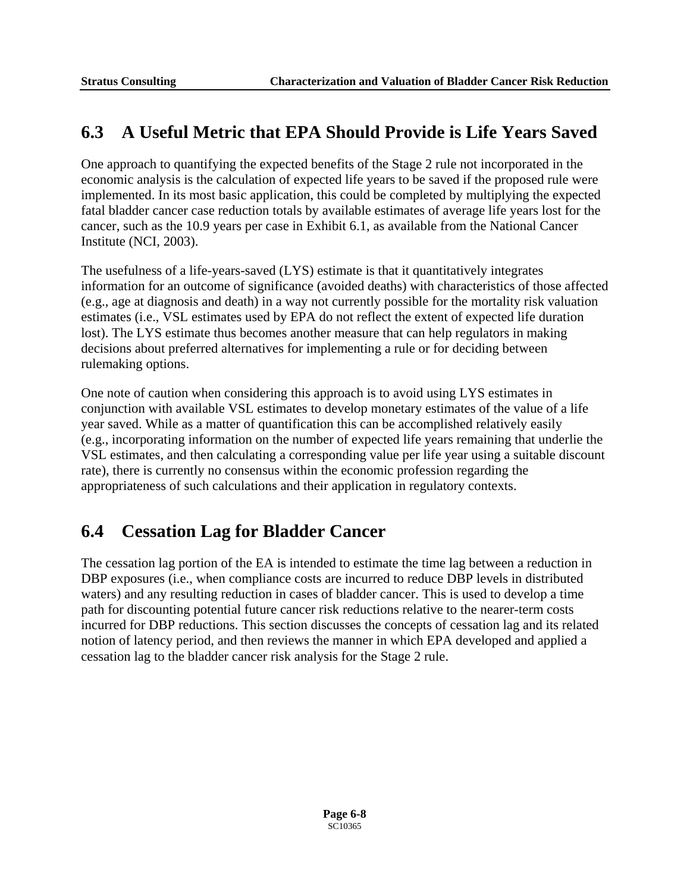## **6.3 A Useful Metric that EPA Should Provide is Life Years Saved**

One approach to quantifying the expected benefits of the Stage 2 rule not incorporated in the economic analysis is the calculation of expected life years to be saved if the proposed rule were implemented. In its most basic application, this could be completed by multiplying the expected fatal bladder cancer case reduction totals by available estimates of average life years lost for the cancer, such as the 10.9 years per case in Exhibit 6.1, as available from the National Cancer Institute (NCI, 2003).

The usefulness of a life-years-saved (LYS) estimate is that it quantitatively integrates information for an outcome of significance (avoided deaths) with characteristics of those affected (e.g., age at diagnosis and death) in a way not currently possible for the mortality risk valuation estimates (i.e., VSL estimates used by EPA do not reflect the extent of expected life duration lost). The LYS estimate thus becomes another measure that can help regulators in making decisions about preferred alternatives for implementing a rule or for deciding between rulemaking options.

One note of caution when considering this approach is to avoid using LYS estimates in conjunction with available VSL estimates to develop monetary estimates of the value of a life year saved. While as a matter of quantification this can be accomplished relatively easily (e.g., incorporating information on the number of expected life years remaining that underlie the VSL estimates, and then calculating a corresponding value per life year using a suitable discount rate), there is currently no consensus within the economic profession regarding the appropriateness of such calculations and their application in regulatory contexts.

# **6.4 Cessation Lag for Bladder Cancer**

The cessation lag portion of the EA is intended to estimate the time lag between a reduction in DBP exposures (i.e., when compliance costs are incurred to reduce DBP levels in distributed waters) and any resulting reduction in cases of bladder cancer. This is used to develop a time path for discounting potential future cancer risk reductions relative to the nearer-term costs incurred for DBP reductions. This section discusses the concepts of cessation lag and its related notion of latency period, and then reviews the manner in which EPA developed and applied a cessation lag to the bladder cancer risk analysis for the Stage 2 rule.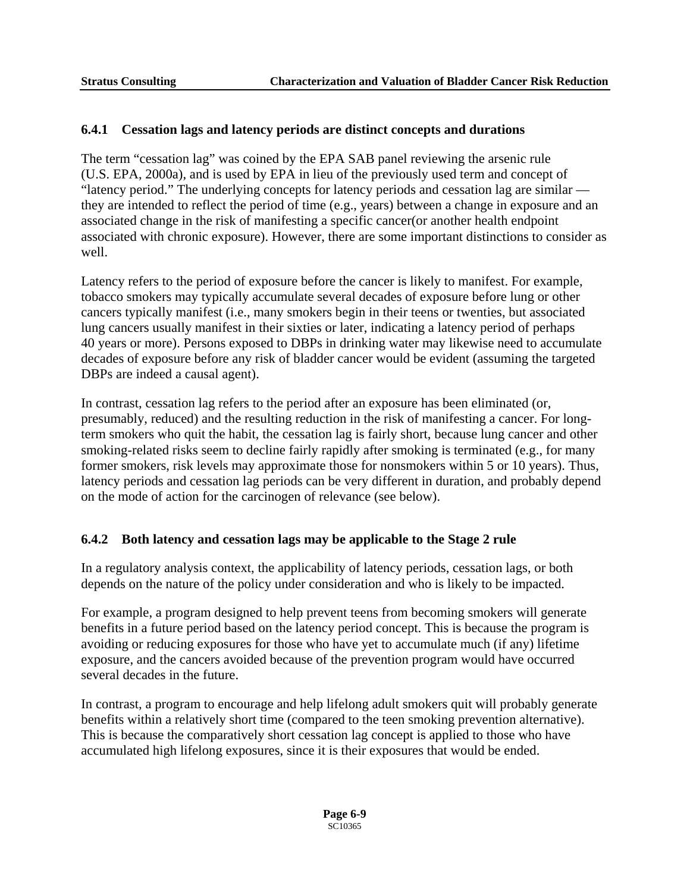#### **6.4.1 Cessation lags and latency periods are distinct concepts and durations**

The term "cessation lag" was coined by the EPA SAB panel reviewing the arsenic rule (U.S. EPA, 2000a), and is used by EPA in lieu of the previously used term and concept of "latency period." The underlying concepts for latency periods and cessation lag are similar they are intended to reflect the period of time (e.g., years) between a change in exposure and an associated change in the risk of manifesting a specific cancer(or another health endpoint associated with chronic exposure). However, there are some important distinctions to consider as well.

Latency refers to the period of exposure before the cancer is likely to manifest. For example, tobacco smokers may typically accumulate several decades of exposure before lung or other cancers typically manifest (i.e., many smokers begin in their teens or twenties, but associated lung cancers usually manifest in their sixties or later, indicating a latency period of perhaps 40 years or more). Persons exposed to DBPs in drinking water may likewise need to accumulate decades of exposure before any risk of bladder cancer would be evident (assuming the targeted DBPs are indeed a causal agent).

In contrast, cessation lag refers to the period after an exposure has been eliminated (or, presumably, reduced) and the resulting reduction in the risk of manifesting a cancer. For longterm smokers who quit the habit, the cessation lag is fairly short, because lung cancer and other smoking-related risks seem to decline fairly rapidly after smoking is terminated (e.g., for many former smokers, risk levels may approximate those for nonsmokers within 5 or 10 years). Thus, latency periods and cessation lag periods can be very different in duration, and probably depend on the mode of action for the carcinogen of relevance (see below).

#### **6.4.2 Both latency and cessation lags may be applicable to the Stage 2 rule**

In a regulatory analysis context, the applicability of latency periods, cessation lags, or both depends on the nature of the policy under consideration and who is likely to be impacted.

For example, a program designed to help prevent teens from becoming smokers will generate benefits in a future period based on the latency period concept. This is because the program is avoiding or reducing exposures for those who have yet to accumulate much (if any) lifetime exposure, and the cancers avoided because of the prevention program would have occurred several decades in the future.

In contrast, a program to encourage and help lifelong adult smokers quit will probably generate benefits within a relatively short time (compared to the teen smoking prevention alternative). This is because the comparatively short cessation lag concept is applied to those who have accumulated high lifelong exposures, since it is their exposures that would be ended.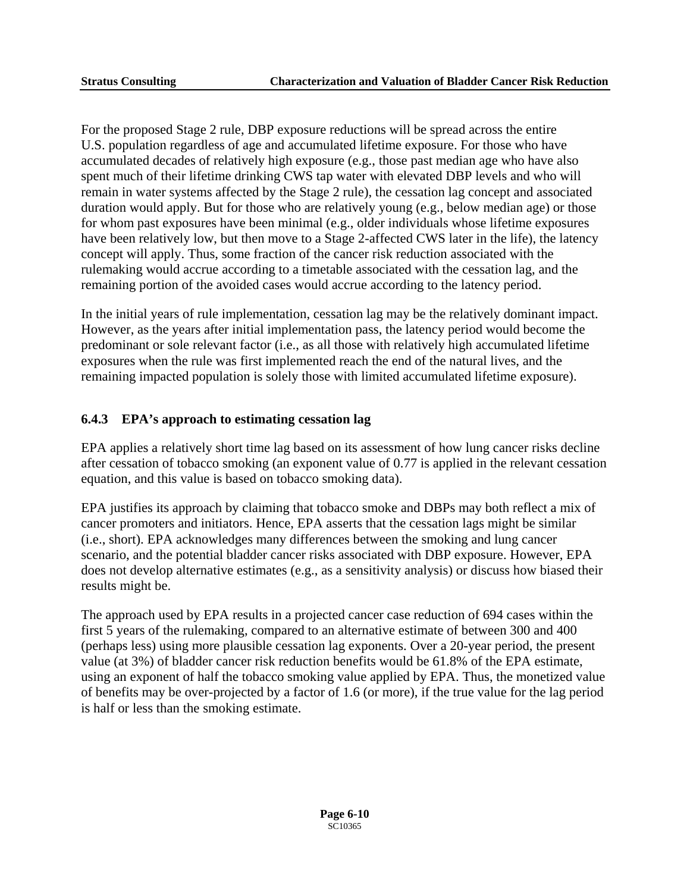For the proposed Stage 2 rule, DBP exposure reductions will be spread across the entire U.S. population regardless of age and accumulated lifetime exposure. For those who have accumulated decades of relatively high exposure (e.g., those past median age who have also spent much of their lifetime drinking CWS tap water with elevated DBP levels and who will remain in water systems affected by the Stage 2 rule), the cessation lag concept and associated duration would apply. But for those who are relatively young (e.g., below median age) or those for whom past exposures have been minimal (e.g., older individuals whose lifetime exposures have been relatively low, but then move to a Stage 2-affected CWS later in the life), the latency concept will apply. Thus, some fraction of the cancer risk reduction associated with the rulemaking would accrue according to a timetable associated with the cessation lag, and the remaining portion of the avoided cases would accrue according to the latency period.

In the initial years of rule implementation, cessation lag may be the relatively dominant impact. However, as the years after initial implementation pass, the latency period would become the predominant or sole relevant factor (i.e., as all those with relatively high accumulated lifetime exposures when the rule was first implemented reach the end of the natural lives, and the remaining impacted population is solely those with limited accumulated lifetime exposure).

#### **6.4.3 EPA's approach to estimating cessation lag**

EPA applies a relatively short time lag based on its assessment of how lung cancer risks decline after cessation of tobacco smoking (an exponent value of 0.77 is applied in the relevant cessation equation, and this value is based on tobacco smoking data).

EPA justifies its approach by claiming that tobacco smoke and DBPs may both reflect a mix of cancer promoters and initiators. Hence, EPA asserts that the cessation lags might be similar (i.e., short). EPA acknowledges many differences between the smoking and lung cancer scenario, and the potential bladder cancer risks associated with DBP exposure. However, EPA does not develop alternative estimates (e.g., as a sensitivity analysis) or discuss how biased their results might be.

The approach used by EPA results in a projected cancer case reduction of 694 cases within the first 5 years of the rulemaking, compared to an alternative estimate of between 300 and 400 (perhaps less) using more plausible cessation lag exponents. Over a 20-year period, the present value (at 3%) of bladder cancer risk reduction benefits would be 61.8% of the EPA estimate, using an exponent of half the tobacco smoking value applied by EPA. Thus, the monetized value of benefits may be over-projected by a factor of 1.6 (or more), if the true value for the lag period is half or less than the smoking estimate.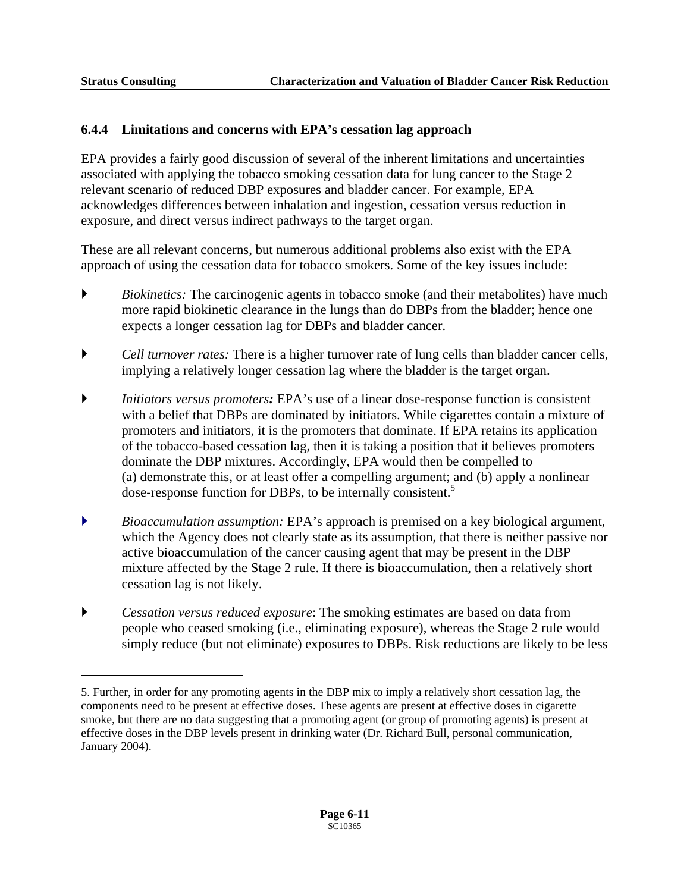1

### **6.4.4 Limitations and concerns with EPA's cessation lag approach**

EPA provides a fairly good discussion of several of the inherent limitations and uncertainties associated with applying the tobacco smoking cessation data for lung cancer to the Stage 2 relevant scenario of reduced DBP exposures and bladder cancer. For example, EPA acknowledges differences between inhalation and ingestion, cessation versus reduction in exposure, and direct versus indirect pathways to the target organ.

These are all relevant concerns, but numerous additional problems also exist with the EPA approach of using the cessation data for tobacco smokers. Some of the key issues include:

- **E** *Biokinetics:* The carcinogenic agents in tobacco smoke (and their metabolites) have much more rapid biokinetic clearance in the lungs than do DBPs from the bladder; hence one expects a longer cessation lag for DBPs and bladder cancer.
- ` *Cell turnover rates:* There is a higher turnover rate of lung cells than bladder cancer cells, implying a relatively longer cessation lag where the bladder is the target organ.
- ` *Initiators versus promoters:* EPA's use of a linear dose-response function is consistent with a belief that DBPs are dominated by initiators. While cigarettes contain a mixture of promoters and initiators, it is the promoters that dominate. If EPA retains its application of the tobacco-based cessation lag, then it is taking a position that it believes promoters dominate the DBP mixtures. Accordingly, EPA would then be compelled to (a) demonstrate this, or at least offer a compelling argument; and (b) apply a nonlinear dose-response function for DBPs, to be internally consistent.<sup>5</sup>
- ` *Bioaccumulation assumption:* EPA's approach is premised on a key biological argument, which the Agency does not clearly state as its assumption, that there is neither passive nor active bioaccumulation of the cancer causing agent that may be present in the DBP mixture affected by the Stage 2 rule. If there is bioaccumulation, then a relatively short cessation lag is not likely.
- ` *Cessation versus reduced exposure*: The smoking estimates are based on data from people who ceased smoking (i.e., eliminating exposure), whereas the Stage 2 rule would simply reduce (but not eliminate) exposures to DBPs. Risk reductions are likely to be less

<span id="page-72-0"></span><sup>5.</sup> Further, in order for any promoting agents in the DBP mix to imply a relatively short cessation lag, the components need to be present at effective doses. These agents are present at effective doses in cigarette smoke, but there are no data suggesting that a promoting agent (or group of promoting agents) is present at effective doses in the DBP levels present in drinking water (Dr. Richard Bull, personal communication, January 2004).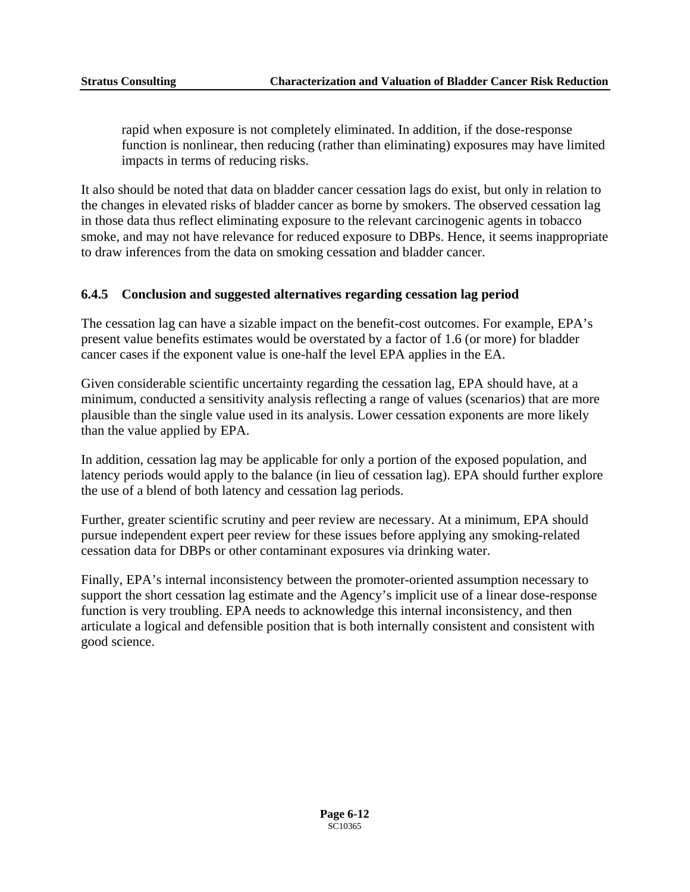rapid when exposure is not completely eliminated. In addition, if the dose-response function is nonlinear, then reducing (rather than eliminating) exposures may have limited impacts in terms of reducing risks.

It also should be noted that data on bladder cancer cessation lags do exist, but only in relation to the changes in elevated risks of bladder cancer as borne by smokers. The observed cessation lag in those data thus reflect eliminating exposure to the relevant carcinogenic agents in tobacco smoke, and may not have relevance for reduced exposure to DBPs. Hence, it seems inappropriate to draw inferences from the data on smoking cessation and bladder cancer.

### **6.4.5 Conclusion and suggested alternatives regarding cessation lag period**

cancer cases if the exponent value is one-half the level EPA applies in the EA. The cessation lag can have a sizable impact on the benefit-cost outcomes. For example, EPA's present value benefits estimates would be overstated by a factor of 1.6 (or more) for bladder

Given considerable scientific uncertainty regarding the cessation lag, EPA should have, at a minimum, conducted a sensitivity analysis reflecting a range of values (scenarios) that are more plausible than the single value used in its analysis. Lower cessation exponents are more likely than the value applied by EPA.

In addition, cessation lag may be applicable for only a portion of the exposed population, and latency periods would apply to the balance (in lieu of cessation lag). EPA should further explore the use of a blend of both latency and cessation lag periods.

Further, greater scientific scrutiny and peer review are necessary. At a minimum, EPA should pursue independent expert peer review for these issues before applying any smoking-related cessation data for DBPs or other contaminant exposures via drinking water.

Finally, EPA's internal inconsistency between the promoter-oriented assumption necessary to support the short cessation lag estimate and the Agency's implicit use of a linear dose-response function is very troubling. EPA needs to acknowledge this internal inconsistency, and then articulate a logical and defensible position that is both internally consistent and consistent with good science.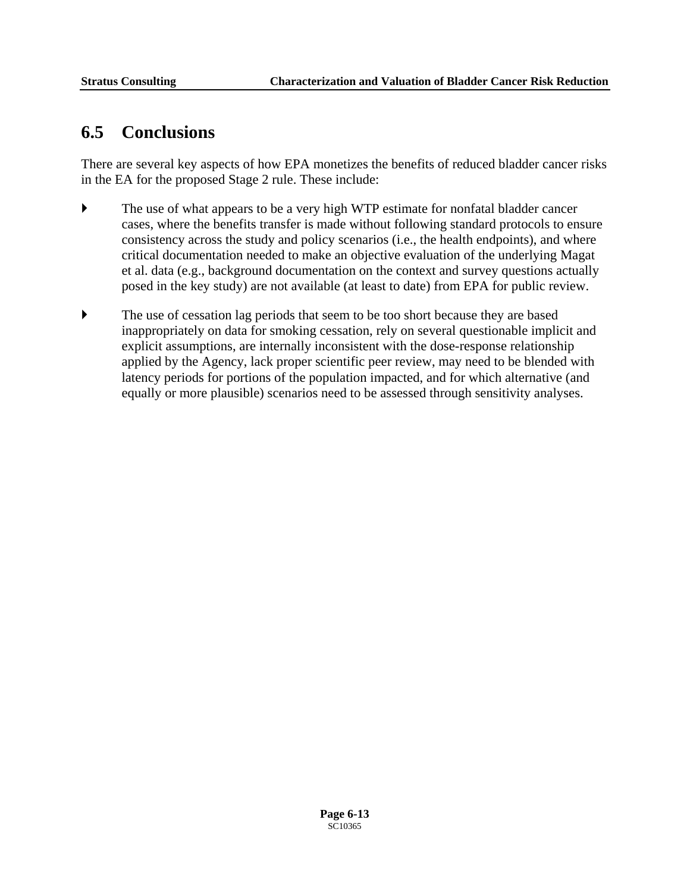# **6.5 Conclusions**

There are several key aspects of how EPA monetizes the benefits of reduced bladder cancer risks in the EA for the proposed Stage 2 rule. These include:

- ` The use of what appears to be a very high WTP estimate for nonfatal bladder cancer cases, where the benefits transfer is made without following standard protocols to ensure consistency across the study and policy scenarios (i.e., the health endpoints), and where critical documentation needed to make an objective evaluation of the underlying Magat et al. data (e.g., background documentation on the context and survey questions actually posed in the key study) are not available (at least to date) from EPA for public review.
- ` The use of cessation lag periods that seem to be too short because they are based inappropriately on data for smoking cessation, rely on several questionable implicit and explicit assumptions, are internally inconsistent with the dose-response relationship applied by the Agency, lack proper scientific peer review, may need to be blended with latency periods for portions of the population impacted, and for which alternative (and equally or more plausible) scenarios need to be assessed through sensitivity analyses.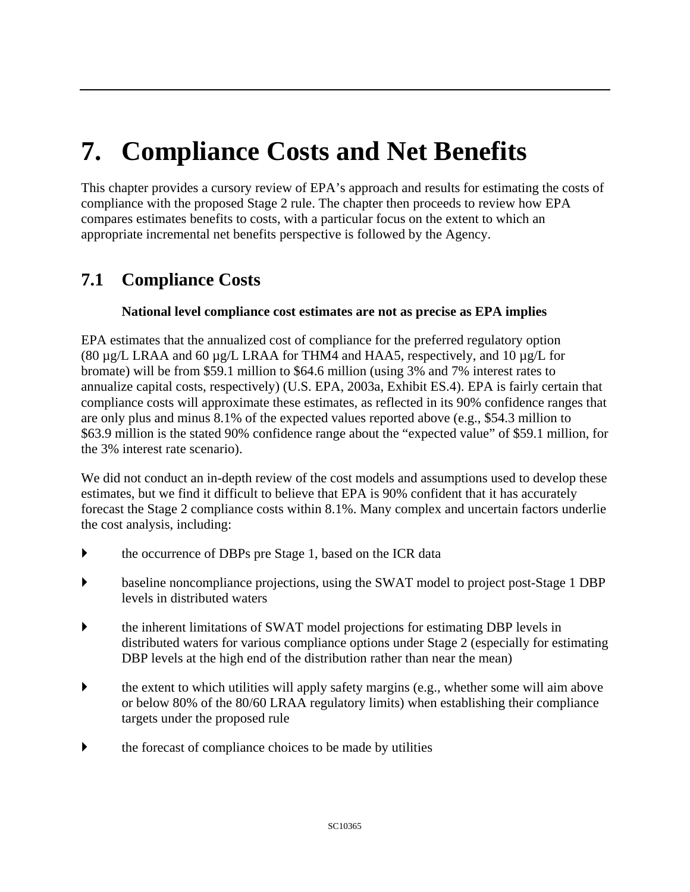# **7. Compliance Costs and Net Benefits**

This chapter provides a cursory review of EPA's approach and results for estimating the costs of compliance with the proposed Stage 2 rule. The chapter then proceeds to review how EPA compares estimates benefits to costs, with a particular focus on the extent to which an appropriate incremental net benefits perspective is followed by the Agency.

# **7.1 Compliance Costs**

### **National level compliance cost estimates are not as precise as EPA implies**

EPA estimates that the annualized cost of compliance for the preferred regulatory option (80  $\mu$ g/L LRAA and 60  $\mu$ g/L LRAA for THM4 and HAA5, respectively, and 10  $\mu$ g/L for bromate) will be from \$59.1 million to \$64.6 million (using 3% and 7% interest rates to annualize capital costs, respectively) (U.S. EPA, 2003a, Exhibit ES.4). EPA is fairly certain that compliance costs will approximate these estimates, as reflected in its 90% confidence ranges that are only plus and minus 8.1% of the expected values reported above (e.g., \$54.3 million to \$63.9 million is the stated 90% confidence range about the "expected value" of \$59.1 million, for the 3% interest rate scenario).

We did not conduct an in-depth review of the cost models and assumptions used to develop these estimates, but we find it difficult to believe that EPA is 90% confident that it has accurately forecast the Stage 2 compliance costs within 8.1%. Many complex and uncertain factors underlie the cost analysis, including:

- the occurrence of DBPs pre Stage 1, based on the ICR data
- $\blacktriangleright$  baseline noncompliance projections, using the SWAT model to project post-Stage 1 DBP levels in distributed waters
- $\blacktriangleright$  the inherent limitations of SWAT model projections for estimating DBP levels in distributed waters for various compliance options under Stage 2 (especially for estimating DBP levels at the high end of the distribution rather than near the mean)
- $\blacktriangleright$  the extent to which utilities will apply safety margins (e.g., whether some will aim above or below 80% of the 80/60 LRAA regulatory limits) when establishing their compliance targets under the proposed rule
- $\blacktriangleright$  the forecast of compliance choices to be made by utilities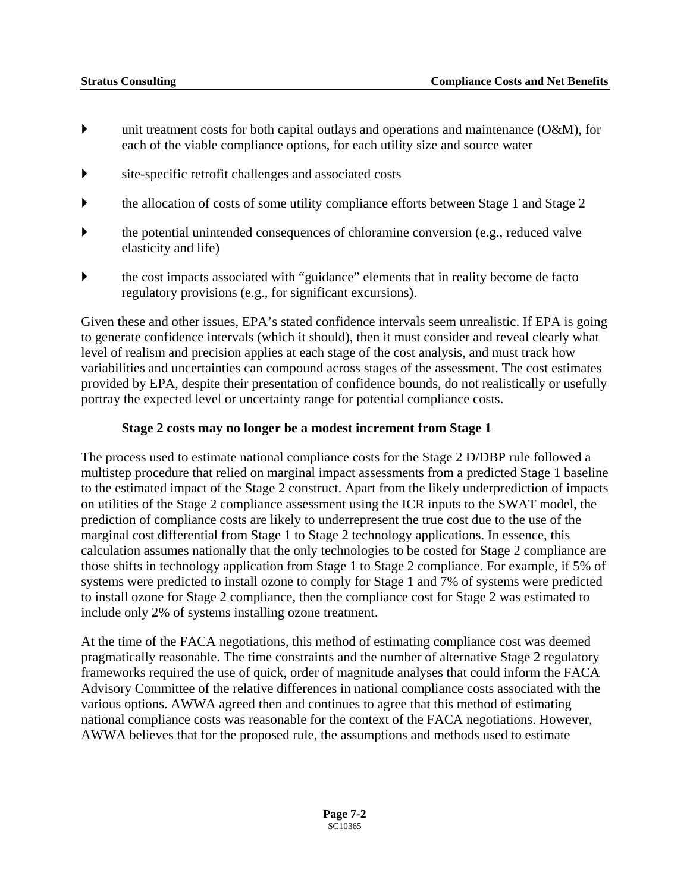- $\triangleright$  unit treatment costs for both capital outlays and operations and maintenance (O&M), for each of the viable compliance options, for each utility size and source water
- $\bullet$  site-specific retrofit challenges and associated costs
- ` the allocation of costs of some utility compliance efforts between Stage 1 and Stage 2
- ` the potential unintended consequences of chloramine conversion (e.g., reduced valve elasticity and life)
- ` the cost impacts associated with "guidance" elements that in reality become de facto regulatory provisions (e.g., for significant excursions).

Given these and other issues, EPA's stated confidence intervals seem unrealistic. If EPA is going to generate confidence intervals (which it should), then it must consider and reveal clearly what level of realism and precision applies at each stage of the cost analysis, and must track how variabilities and uncertainties can compound across stages of the assessment. The cost estimates provided by EPA, despite their presentation of confidence bounds, do not realistically or usefully portray the expected level or uncertainty range for potential compliance costs.

### **Stage 2 costs may no longer be a modest increment from Stage 1**

The process used to estimate national compliance costs for the Stage 2 D/DBP rule followed a multistep procedure that relied on marginal impact assessments from a predicted Stage 1 baseline to the estimated impact of the Stage 2 construct. Apart from the likely underprediction of impacts on utilities of the Stage 2 compliance assessment using the ICR inputs to the SWAT model, the prediction of compliance costs are likely to underrepresent the true cost due to the use of the marginal cost differential from Stage 1 to Stage 2 technology applications. In essence, this calculation assumes nationally that the only technologies to be costed for Stage 2 compliance are those shifts in technology application from Stage 1 to Stage 2 compliance. For example, if 5% of systems were predicted to install ozone to comply for Stage 1 and 7% of systems were predicted to install ozone for Stage 2 compliance, then the compliance cost for Stage 2 was estimated to include only 2% of systems installing ozone treatment.

At the time of the FACA negotiations, this method of estimating compliance cost was deemed pragmatically reasonable. The time constraints and the number of alternative Stage 2 regulatory frameworks required the use of quick, order of magnitude analyses that could inform the FACA Advisory Committee of the relative differences in national compliance costs associated with the various options. AWWA agreed then and continues to agree that this method of estimating national compliance costs was reasonable for the context of the FACA negotiations. However, AWWA believes that for the proposed rule, the assumptions and methods used to estimate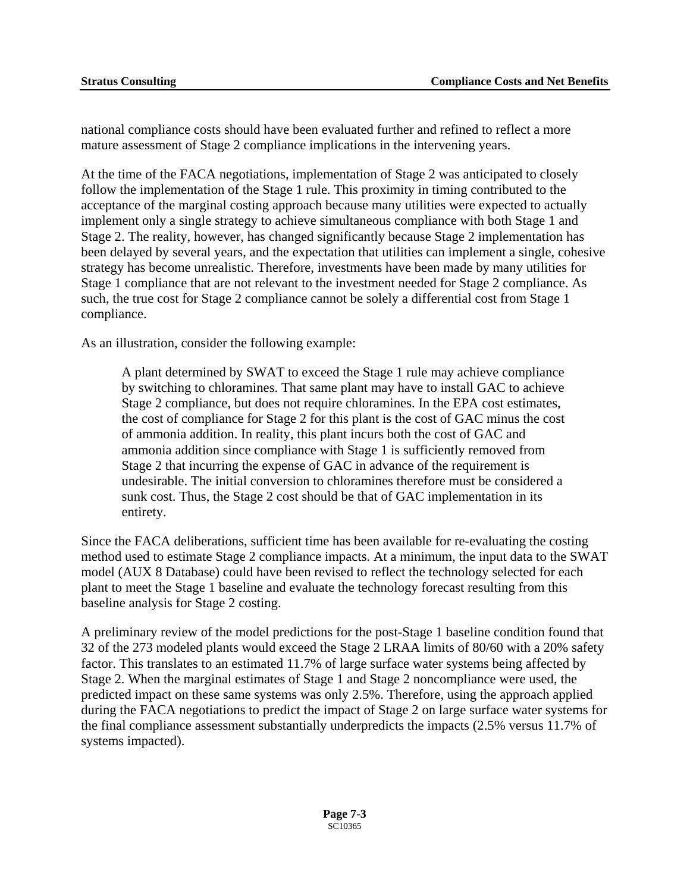<span id="page-77-0"></span>national compliance costs should have been evaluated further and refined to reflect a more mature assessment of Stage 2 compliance implications in the intervening years.

At the time of the FACA negotiations, implementation of Stage 2 was anticipated to closely follow the implementation of the Stage 1 rule. This proximity in timing contributed to the acceptance of the marginal costing approach because many utilities were expected to actually implement only a single strategy to achieve simultaneous compliance with both Stage 1 and Stage 2. The reality, however, has changed significantly because Stage 2 implementation has been delayed by several years, and the expectation that utilities can implement a single, cohesive strategy has become unrealistic. Therefore, investments have been made by many utilities for Stage 1 compliance that are not relevant to the investment needed for Stage 2 compliance. As such, the true cost for Stage 2 compliance cannot be solely a differential cost from Stage 1 compliance.

As an illustration, consider the following example:

A plant determined by SWAT to exceed the Stage 1 rule may achieve compliance by switching to chloramines. That same plant may have to install GAC to achieve Stage 2 compliance, but does not require chloramines. In the EPA cost estimates, the cost of compliance for Stage 2 for this plant is the cost of GAC minus the cost of ammonia addition. In reality, this plant incurs both the cost of GAC and ammonia addition since compliance with Stage 1 is sufficiently removed from Stage 2 that incurring the expense of GAC in advance of the requirement is undesirable. The initial conversion to chloramines therefore must be considered a sunk cost. Thus, the Stage 2 cost should be that of GAC implementation in its entirety.

Since the FACA deliberations, sufficient time has been available for re-evaluating the costing method used to estimate Stage 2 compliance impacts. At a minimum, the input data to the SWAT model (AUX 8 Database) could have been revised to reflect the technology selected for each plant to meet the Stage 1 baseline and evaluate the technology forecast resulting from this baseline analysis for Stage 2 costing.

A preliminary review of the model predictions for the post-Stage 1 baseline condition found that 32 of the 273 modeled plants would exceed the Stage 2 LRAA limits of 80/60 with a 20% safety factor. This translates to an estimated 11.7% of large surface water systems being affected by Stage 2. When the marginal estimates of Stage 1 and Stage 2 noncompliance were used, the predicted impact on these same systems was only 2.5%. Therefore, using the approach applied during the FACA negotiations to predict the impact of Stage 2 on large surface water systems for the final compliance assessment substantially underpredicts the impacts (2.5% versus 11.7% of systems impacted).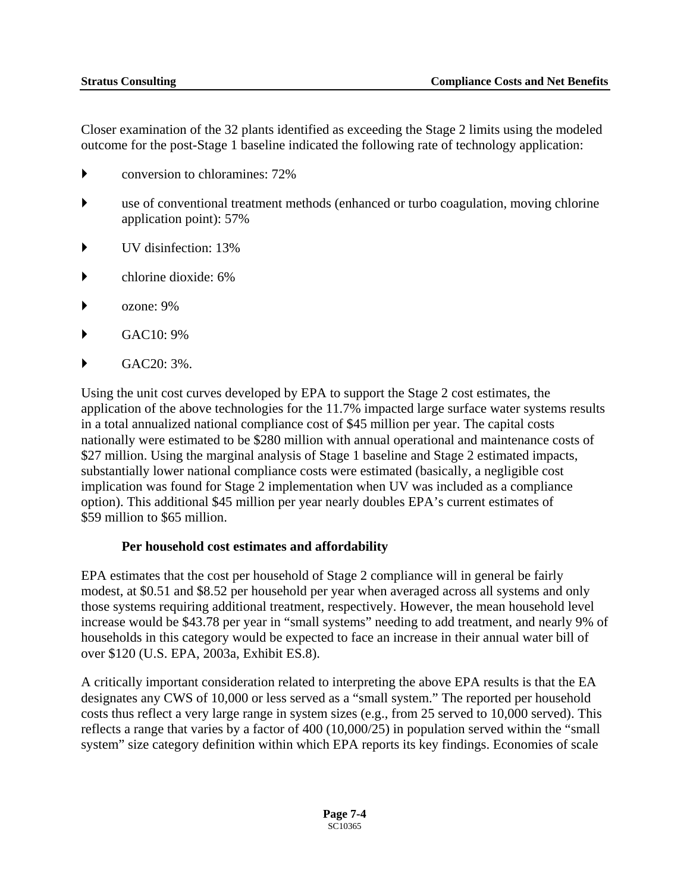Closer examination of the 32 plants identified as exceeding the Stage 2 limits using the modeled outcome for the post-Stage 1 baseline indicated the following rate of technology application:

- $\blacktriangleright$  conversion to chloramines: 72%
- use of conventional treatment methods (enhanced or turbo coagulation, moving chlorine application point): 57%
- $\blacktriangleright$  UV disinfection: 13%
- ` chlorine dioxide: 6%
- ` ozone: 9%
- ` GAC10: 9%
- $\blacktriangleright$  GAC20: 3%.

Using the unit cost curves developed by EPA to support the Stage 2 cost estimates, the application of the above technologies for the 11.7% impacted large surface water systems results in a total annualized national compliance cost of \$45 million per year. The capital costs nationally were estimated to be \$280 million with annual operational and maintenance costs of \$27 million. Using the marginal analysis of Stage 1 baseline and Stage 2 estimated impacts, substantially lower national compliance costs were estimated (basically, a negligible cost implication was found for Stage 2 implementation when UV was included as a compliance option). This additional \$45 million per year nearly doubles EPA's current estimates of \$59 million to \$65 million.

### **Per household cost estimates and affordability**

EPA estimates that the cost per household of Stage 2 compliance will in general be fairly modest, at \$0.51 and \$8.52 per household per year when averaged across all systems and only those systems requiring additional treatment, respectively. However, the mean household level increase would be \$43.78 per year in "small systems" needing to add treatment, and nearly 9% of households in this category would be expected to face an increase in their annual water bill of over \$120 (U.S. EPA, 2003a, Exhibit ES.8).

A critically important consideration related to interpreting the above EPA results is that the EA designates any CWS of 10,000 or less served as a "small system." The reported per household costs thus reflect a very large range in system sizes (e.g., from 25 served to 10,000 served). This reflects a range that varies by a factor of 400 (10,000/25) in population served within the "small system" size category definition within which EPA reports its key findings. Economies of scale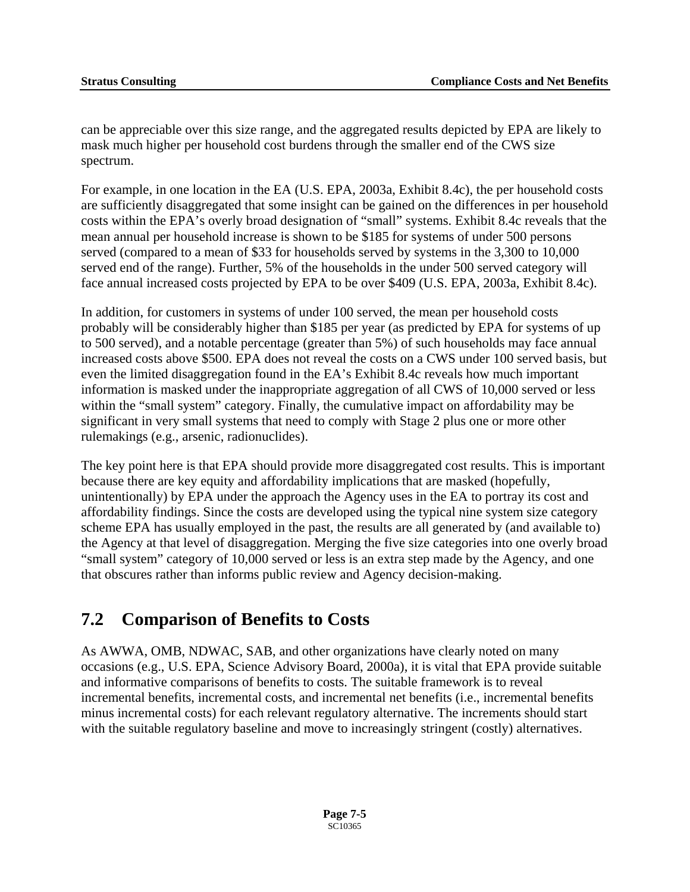can be appreciable over this size range, and the aggregated results depicted by EPA are likely to mask much higher per household cost burdens through the smaller end of the CWS size spectrum.<br>For example, in one location in the EA (U.S. EPA, 2003a, Exhibit 8.4c), the per household costs

are sufficiently disaggregated that some insight can be gained on the differences in per household costs within the EPA's overly broad designation of "small" systems. Exhibit 8.4c reveals that the mean annual per household increase is shown to be \$185 for systems of under 500 persons served (compared to a mean of \$33 for households served by systems in the 3,300 to 10,000 served end of the range). Further, 5% of the households in the under 500 served category will face annual increased costs projected by EPA to be over \$409 (U.S. EPA, 2003a, Exhibit 8.4c).

In addition, for customers in systems of under 100 served, the mean per household costs probably will be considerably higher than \$185 per year (as predicted by EPA for systems of up to 500 served), and a notable percentage (greater than 5%) of such households may face annual increased costs above \$500. EPA does not reveal the costs on a CWS under 100 served basis, but even the limited disaggregation found in the EA's Exhibit 8.4c reveals how much important information is masked under the inappropriate aggregation of all CWS of 10,000 served or less within the "small system" category. Finally, the cumulative impact on affordability may be significant in very small systems that need to comply with Stage 2 plus one or more other rulemakings (e.g., arsenic, radionuclides).

The key point here is that EPA should provide more disaggregated cost results. This is important because there are key equity and affordability implications that are masked (hopefully, unintentionally) by EPA under the approach the Agency uses in the EA to portray its cost and affordability findings. Since the costs are developed using the typical nine system size category scheme EPA has usually employed in the past, the results are all generated by (and available to) the Agency at that level of disaggregation. Merging the five size categories into one overly broad "small system" category of 10,000 served or less is an extra step made by the Agency, and one that obscures rather than informs public review and Agency decision-making.

# **7.2 Comparison of Benefits to Costs**

As AWWA, OMB, NDWAC, SAB, and other organizations have clearly noted on many occasions (e.g., U.S. EPA, Science Advisory Board, 2000a), it is vital that EPA provide suitable and informative comparisons of benefits to costs. The suitable framework is to reveal incremental benefits, incremental costs, and incremental net benefits (i.e., incremental benefits minus incremental costs) for each relevant regulatory alternative. The increments should start with the suitable regulatory baseline and move to increasingly stringent (costly) alternatives.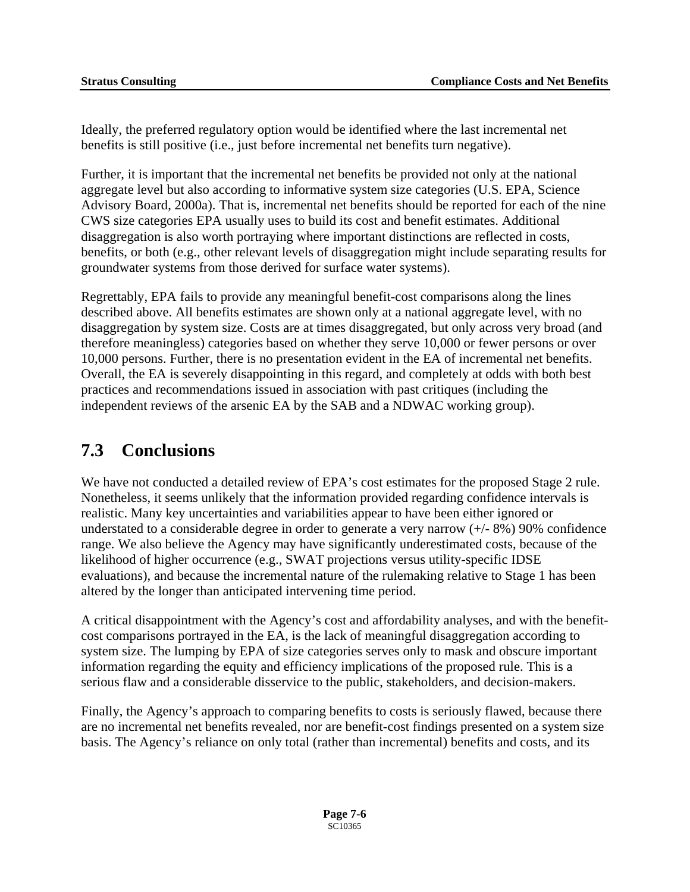Ideally, the preferred regulatory option would be identified where the last incremental net benefits is still positive (i.e., just before incremental net benefits turn negative).

Further, it is important that the incremental net benefits be provided not only at the national aggregate level but also according to informative system size categories (U.S. EPA, Science Advisory Board, 2000a). That is, incremental net benefits should be reported for each of the nine CWS size categories EPA usually uses to build its cost and benefit estimates. Additional disaggregation is also worth portraying where important distinctions are reflected in costs, benefits, or both (e.g., other relevant levels of disaggregation might include separating results for groundwater systems from those derived for surface water systems).

Regrettably, EPA fails to provide any meaningful benefit-cost comparisons along the lines described above. All benefits estimates are shown only at a national aggregate level, with no disaggregation by system size. Costs are at times disaggregated, but only across very broad (and therefore meaningless) categories based on whether they serve 10,000 or fewer persons or over 10,000 persons. Further, there is no presentation evident in the EA of incremental net benefits. Overall, the EA is severely disappointing in this regard, and completely at odds with both best practices and recommendations issued in association with past critiques (including the independent reviews of the arsenic EA by the SAB and a NDWAC working group).

# **7.3 Conclusions**

We have not conducted a detailed review of EPA's cost estimates for the proposed Stage 2 rule. Nonetheless, it seems unlikely that the information provided regarding confidence intervals is realistic. Many key uncertainties and variabilities appear to have been either ignored or understated to a considerable degree in order to generate a very narrow (+/- 8%) 90% confidence range. We also believe the Agency may have significantly underestimated costs, because of the likelihood of higher occurrence (e.g., SWAT projections versus utility-specific IDSE evaluations), and because the incremental nature of the rulemaking relative to Stage 1 has been altered by the longer than anticipated intervening time period.

A critical disappointment with the Agency's cost and affordability analyses, and with the benefitcost comparisons portrayed in the EA, is the lack of meaningful disaggregation according to system size. The lumping by EPA of size categories serves only to mask and obscure important information regarding the equity and efficiency implications of the proposed rule. This is a serious flaw and a considerable disservice to the public, stakeholders, and decision-makers.

Finally, the Agency's approach to comparing benefits to costs is seriously flawed, because there are no incremental net benefits revealed, nor are benefit-cost findings presented on a system size basis. The Agency's reliance on only total (rather than incremental) benefits and costs, and its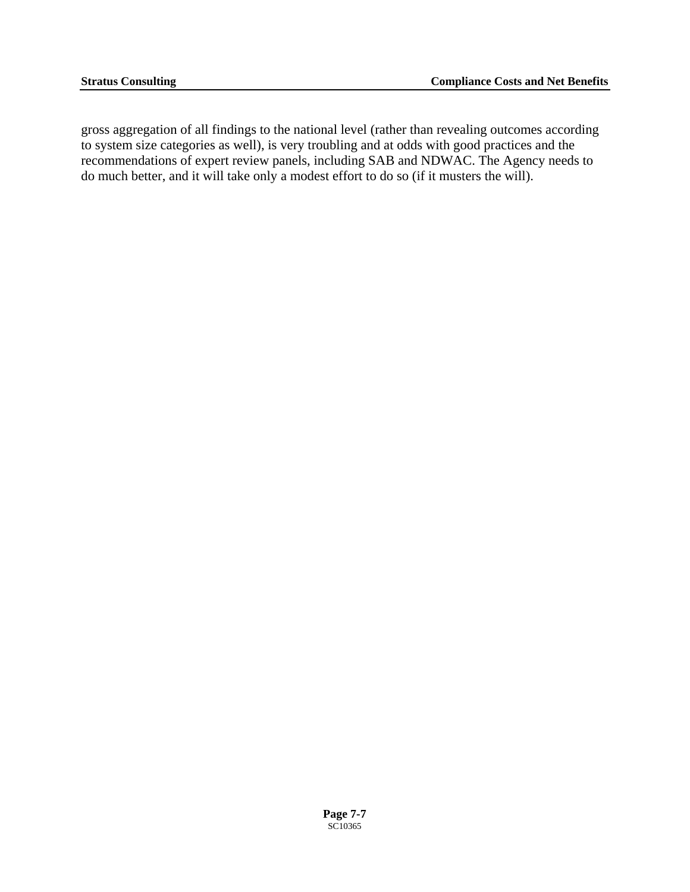gross aggregation of all findings to the national level (rather than revealing outcomes according to system size categories as well), is very troubling and at odds with good practices and the recommendations of expert review panels, including SAB and NDWAC. The Agency needs to do much better, and it will take only a modest effort to do so (if it musters the will).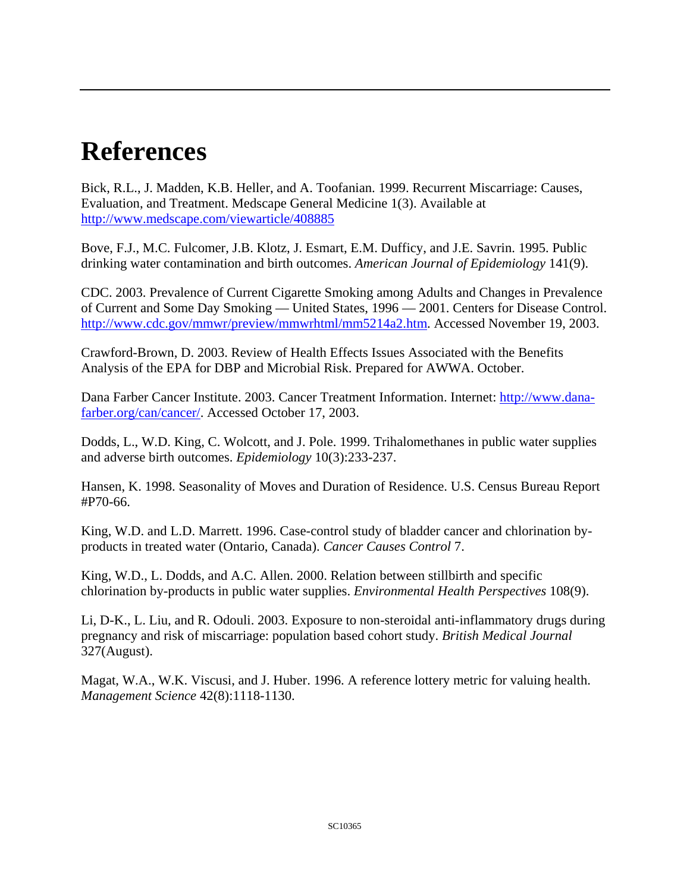# **References**

Bick, R.L., J. Madden, K.B. Heller, and A. Toofanian. 1999. Recurrent Miscarriage: Causes, Evaluation, and Treatment. Medscape General Medicine 1(3). Available at [http://www.medscape.com/viewarticle/408885](http://www.hc-sc.gc.ca/pphb-dgspsp/publicat/reif/index.html) 

Bove, F.J., M.C. Fulcomer, J.B. Klotz, J. Esmart, E.M. Dufficy, and J.E. Savrin. 1995. Public drinking water contamination and birth outcomes. *American Journal of Epidemiology* 141(9).

CDC. 2003. Prevalence of Current Cigarette Smoking among Adults and Changes in Prevalence of Current and Some Day Smoking — United States, 1996 — 2001. Centers for Disease Control. <http://www.cdc.gov/mmwr/preview/mmwrhtml/mm5214a2.htm>. Accessed November 19, 2003.

Crawford-Brown, D. 2003. Review of Health Effects Issues Associated with the Benefits Analysis of the EPA for DBP and Microbial Risk. Prepared for AWWA. October.

Dana Farber Cancer Institute. 2003. Cancer Treatment Information. Internet: [http://www.dana](http://www.dana-farber.org/can/cancer/)[farber.org/can/cancer/.](http://www.dana-farber.org/can/cancer/) Accessed October 17, 2003.

Dodds, L., W.D. King, C. Wolcott, and J. Pole. 1999. Trihalomethanes in public water supplies and adverse birth outcomes. *Epidemiology* 10(3):233-237.

Hansen, K. 1998. Seasonality of Moves and Duration of Residence. U.S. Census Bureau Report #P70-66.

King, W.D. and L.D. Marrett. 1996. Case-control study of bladder cancer and chlorination byproducts in treated water (Ontario, Canada). *Cancer Causes Control* 7.

King, W.D., L. Dodds, and A.C. Allen. 2000. Relation between stillbirth and specific chlorination by-products in public water supplies. *Environmental Health Perspectives* 108(9).

Li, D-K., L. Liu, and R. Odouli. 2003. Exposure to non-steroidal anti-inflammatory drugs during pregnancy and risk of miscarriage: population based cohort study. *British Medical Journal*  327(August).

Magat, W.A., W.K. Viscusi, and J. Huber. 1996. A reference lottery metric for valuing health. *Management Science* 42(8):1118-1130.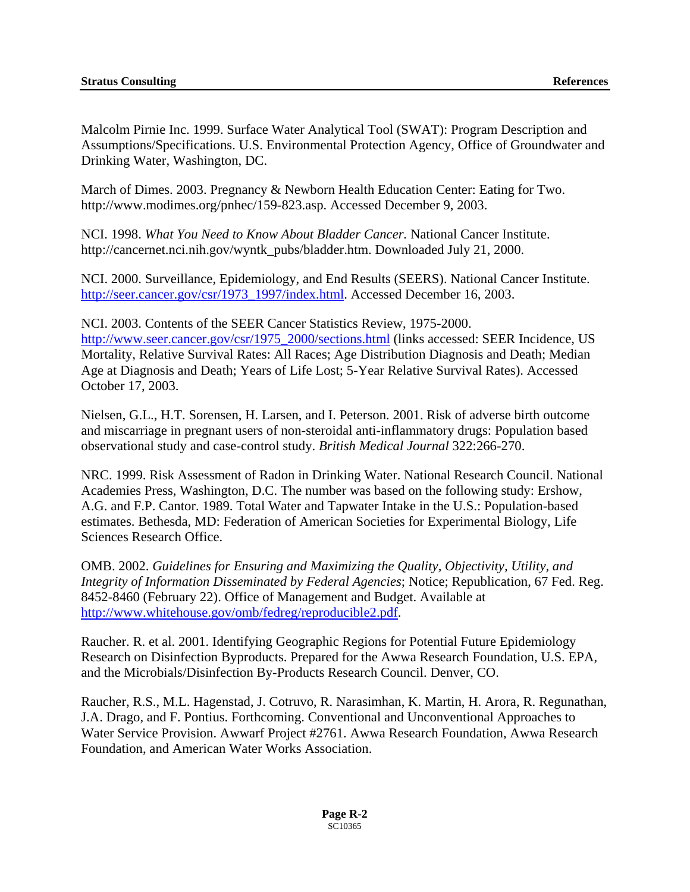Malcolm Pirnie Inc. 1999. Surface Water Analytical Tool (SWAT): Program Description and Assumptions/Specifications. U.S. Environmental Protection Agency, Office of Groundwater and Drinking Water, Washington, DC.

March of Dimes. 2003. Pregnancy & Newborn Health Education Center: Eating for Two. http://www.modimes.org/pnhec/159-823.asp. Accessed December 9, 2003.

NCI. 1998. *What You Need to Know About Bladder Cancer.* National Cancer Institute. http://cancernet.nci.nih.gov/wyntk\_pubs/bladder.htm. Downloaded July 21, 2000.

NCI. 2000. Surveillance, Epidemiology, and End Results (SEERS). National Cancer Institute. [http://seer.cancer.gov/csr/1973\\_1997/index.html](http://seer.cancer.gov/csr/1973_1997/index.html). Accessed December 16, 2003.

NCI. 2003. Contents of the SEER Cancer Statistics Review, 1975-2000. [http://www.seer.cancer.gov/csr/1975\\_2000/sections.html](http://www.seer.cancer.gov/csr/1975_2000/sections.html) (links accessed: SEER Incidence, US Mortality, Relative Survival Rates: All Races; Age Distribution Diagnosis and Death; Median Age at Diagnosis and Death; Years of Life Lost; 5-Year Relative Survival Rates). Accessed October 17, 2003.

Nielsen, G.L., H.T. Sorensen, H. Larsen, and I. Peterson. 2001. Risk of adverse birth outcome and miscarriage in pregnant users of non-steroidal anti-inflammatory drugs: Population based observational study and case-control study. *British Medical Journal* 322:266-270.

NRC. 1999. Risk Assessment of Radon in Drinking Water. National Research Council. National Academies Press, Washington, D.C. The number was based on the following study: Ershow, A.G. and F.P. Cantor. 1989. Total Water and Tapwater Intake in the U.S.: Population-based estimates. Bethesda, MD: Federation of American Societies for Experimental Biology, Life Sciences Research Office.

OMB. 2002. *Guidelines for Ensuring and Maximizing the Quality, Objectivity, Utility, and Integrity of Information Disseminated by Federal Agencies*; Notice; Republication, 67 Fed. Reg. 8452-8460 (February 22). Office of Management and Budget. Available at <http://www.whitehouse.gov/omb/fedreg/reproducible2.pdf>.

Raucher. R. et al. 2001. Identifying Geographic Regions for Potential Future Epidemiology Research on Disinfection Byproducts. Prepared for the Awwa Research Foundation, U.S. EPA, and the Microbials/Disinfection By-Products Research Council. Denver, CO.

Raucher, R.S., M.L. Hagenstad, J. Cotruvo, R. Narasimhan, K. Martin, H. Arora, R. Regunathan, J.A. Drago, and F. Pontius. Forthcoming. Conventional and Unconventional Approaches to Water Service Provision. Awwarf Project #2761. Awwa Research Foundation, Awwa Research Foundation, and American Water Works Association.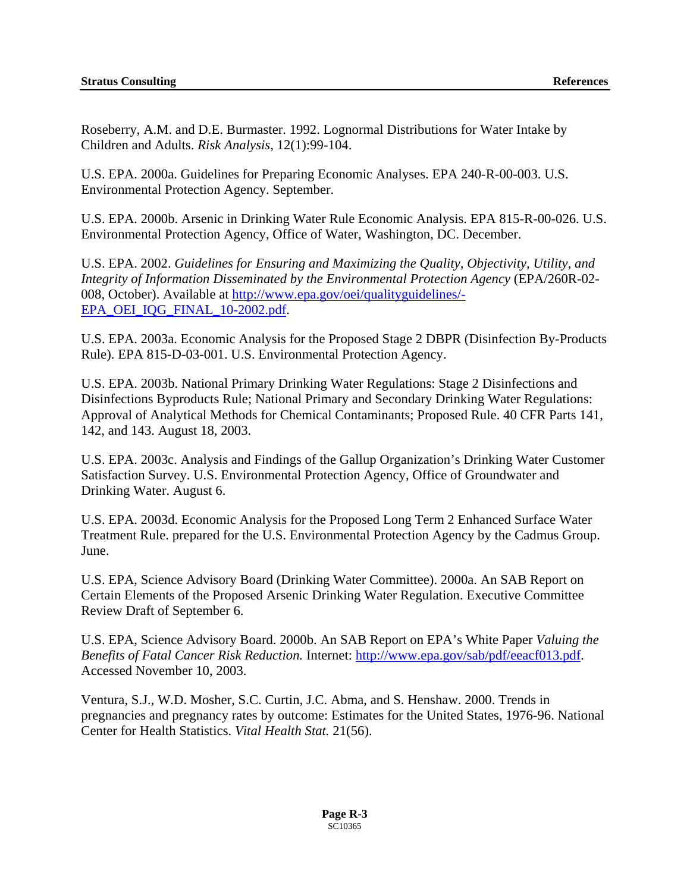Roseberry, A.M. and D.E. Burmaster. 1992. Lognormal Distributions for Water Intake by Children and Adults. *Risk Analysis*, 12(1):99-104.

U.S. EPA. 2000a. Guidelines for Preparing Economic Analyses. EPA 240-R-00-003. U.S. Environmental Protection Agency. September.

U.S. EPA. 2000b. Arsenic in Drinking Water Rule Economic Analysis. EPA 815-R-00-026. U.S. Environmental Protection Agency, Office of Water, Washington, DC. December.

U.S. EPA. 2002. *Guidelines for Ensuring and Maximizing the Quality, Objectivity, Utility, and Integrity of Information Disseminated by the Environmental Protection Agency* (EPA/260R-02- 008, October). Available at [http://www.epa.gov/oei/qualityguidelines/-](http://www.epa.gov/oei/qualityguidelines/-EPA_OEI_IQG_FINAL_10-2002.pdf) [EPA\\_OEI\\_IQG\\_FINAL\\_10-2002.pdf](http://www.epa.gov/oei/qualityguidelines/-EPA_OEI_IQG_FINAL_10-2002.pdf).

U.S. EPA. 2003a. Economic Analysis for the Proposed Stage 2 DBPR (Disinfection By-Products Rule). EPA 815-D-03-001. U.S. Environmental Protection Agency.

U.S. EPA. 2003b. National Primary Drinking Water Regulations: Stage 2 Disinfections and Disinfections Byproducts Rule; National Primary and Secondary Drinking Water Regulations: Approval of Analytical Methods for Chemical Contaminants; Proposed Rule. 40 CFR Parts 141, 142, and 143. August 18, 2003.

U.S. EPA. 2003c. Analysis and Findings of the Gallup Organization's Drinking Water Customer Satisfaction Survey. U.S. Environmental Protection Agency, Office of Groundwater and Drinking Water. August 6.

U.S. EPA. 2003d. Economic Analysis for the Proposed Long Term 2 Enhanced Surface Water Treatment Rule. prepared for the U.S. Environmental Protection Agency by the Cadmus Group. June.

U.S. EPA, Science Advisory Board (Drinking Water Committee). 2000a. An SAB Report on Certain Elements of the Proposed Arsenic Drinking Water Regulation. Executive Committee Review Draft of September 6.

U.S. EPA, Science Advisory Board. 2000b. An SAB Report on EPA's White Paper *Valuing the Benefits of Fatal Cancer Risk Reduction.* Internet: [http://www.epa.gov/sab/pdf/eeacf013.pdf.](http://www.epa.gov/sab/pdf/eeacf013.pdf) Accessed November 10, 2003.

Ventura, S.J., W.D. Mosher, S.C. Curtin, J.C. Abma, and S. Henshaw. 2000. Trends in pregnancies and pregnancy rates by outcome: Estimates for the United States, 1976-96. National Center for Health Statistics. *Vital Health Stat.* 21(56).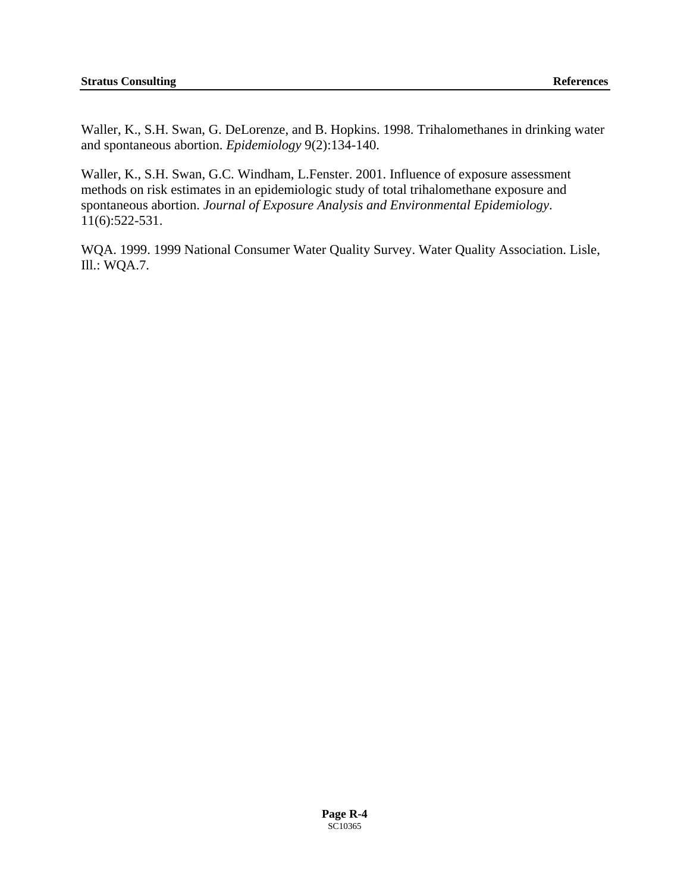Waller, K., S.H. Swan, G. DeLorenze, and B. Hopkins. 1998. Trihalomethanes in drinking water and spontaneous abortion. *Epidemiology* 9(2):134-140.

Waller, K., S.H. Swan, G.C. Windham, L.Fenster. 2001. Influence of exposure assessment methods on risk estimates in an epidemiologic study of total trihalomethane exposure and spontaneous abortion. *Journal of Exposure Analysis and Environmental Epidemiology*. 11(6):522-531.

WQA. 1999. 1999 National Consumer Water Quality Survey. Water Quality Association. Lisle, Ill.: WQA.7.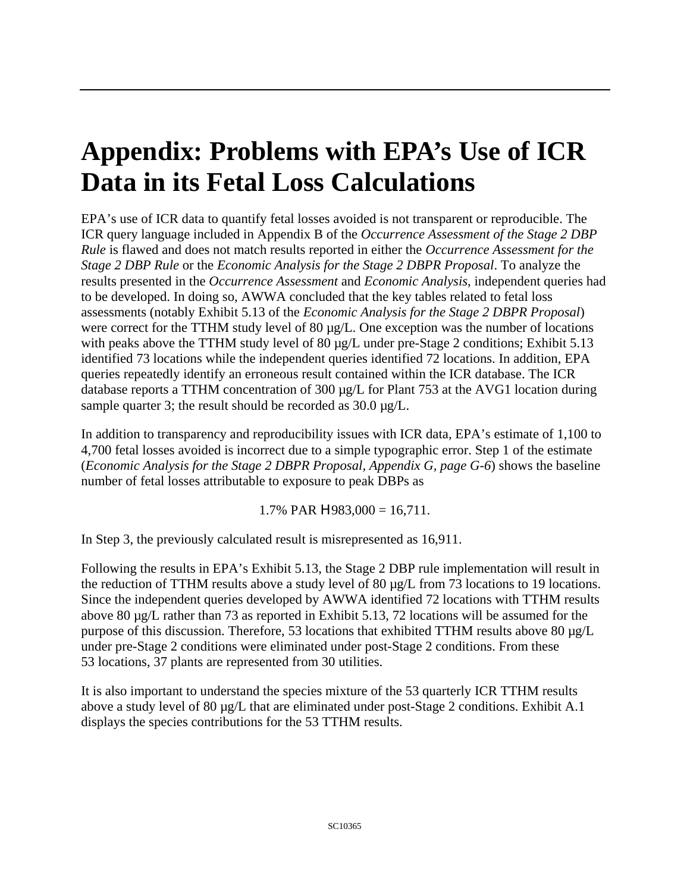# **Appendix: Problems with EPA's Use of ICR Data in its Fetal Loss Calculation[s](#page-86-0)**

EPA's use of ICR data to quantify fetal losses avoided is not transparent or reproducible. The ICR query language included in Appendix B of the *Occurrence Assessment of the Stage 2 DBP Rule* is flawed and does not match results reported in either the *Occurrence Assessment for the Stage 2 DBP Rule* or the *Economic Analysis for the Stage 2 DBPR Proposal*. To analyze the results presented in the *Occurrence Assessment* and *Economic Analysis*, independent queries had to be developed. In doing so, AWWA concluded that the key tables related to fetal loss assessments (notably Exhibit 5.13 of the *Economic Analysis for the Stage 2 DBPR Proposal*) were correct for the TTHM study level of 80  $\mu$ g/L. One exception was the number of locations with peaks above the TTHM study level of 80  $\mu$ g/L under pre-Stage 2 conditions; Exhibit 5.13 identified 73 locations while the independent queries identified 72 locations. In addition, EPA queries repeatedly identify an erroneous result contained within the ICR database. The ICR database reports a TTHM concentration of 300 µg/L for Plant 753 at the AVG1 location during sample quarter 3; the result should be recorded as  $30.0 \mu g/L$ .

In addition to transparency and reproducibility issues with ICR data, EPA's estimate of 1,100 to 4,700 fetal losses avoided is incorrect due to a simple typographic error. Step 1 of the estimate (*Economic Analysis for the Stage 2 DBPR Proposal, Appendix G, page G-6*) shows the baseline number of fetal losses attributable to exposure to peak DBPs as

1.7% PAR  $H$ 983,000 = 16,711.

In Step 3, the previously calculated result is misrepresented as 16,911.

Following the results in EPA's Exhibit 5.13, the Stage 2 DBP rule implementation will result in the reduction of TTHM results above a study level of 80  $\mu$ g/L from 73 locations to 19 locations. Since the independent queries developed by AWWA identified 72 locations with TTHM results above 80 µg/L rather than 73 as reported in Exhibit 5.13, 72 locations will be assumed for the purpose of this discussion. Therefore, 53 locations that exhibited TTHM results above 80 µg/L under pre-Stage 2 conditions were eliminated under post-Stage 2 conditions. From these 53 locations, 37 plants are represented from 30 utilities.

<span id="page-86-0"></span>It is also important to understand the species mixture of the 53 quarterly ICR TTHM results above a study level of 80  $\mu$ g/L that are eliminated under post-Stage 2 conditions. Exhibit A.1 displays the species contributions for the 53 TTHM results.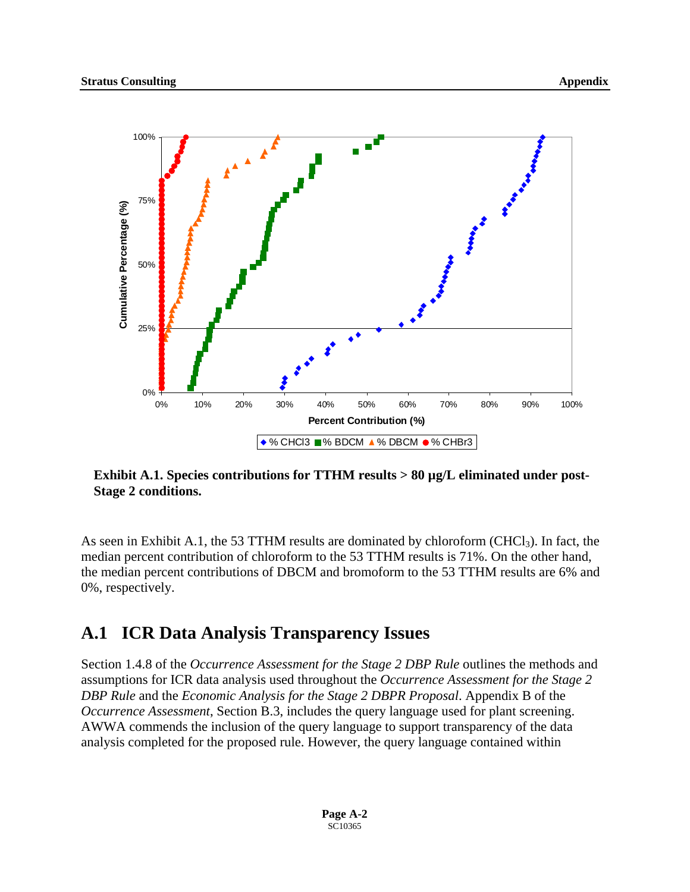

Exhibit A.1. Species contributions for TTHM results > 80 µg/L eliminated under post-**Stage 2 conditions.** 

As seen in Exhibit A.1, the 53 TTHM results are dominated by chloroform (CHCl<sub>3</sub>). In fact, the median percent contribution of chloroform to the 53 TTHM results is 71%. On the other hand, the median percent contributions of DBCM and bromoform to the 53 TTHM results are 6% and 0%, respectively.

### **A.1 ICR Data Analysis Transparency Issues**

Section 1.4.8 of the *Occurrence Assessment for the Stage 2 DBP Rule* outlines the methods and assumptions for ICR data analysis used throughout the *Occurrence Assessment for the Stage 2 DBP Rule* and the *Economic Analysis for the Stage 2 DBPR Proposal*. Appendix B of the *Occurrence Assessment*, Section B.3, includes the query language used for plant screening. AWWA commends the inclusion of the query language to support transparency of the data analysis completed for the proposed rule. However, the query language contained within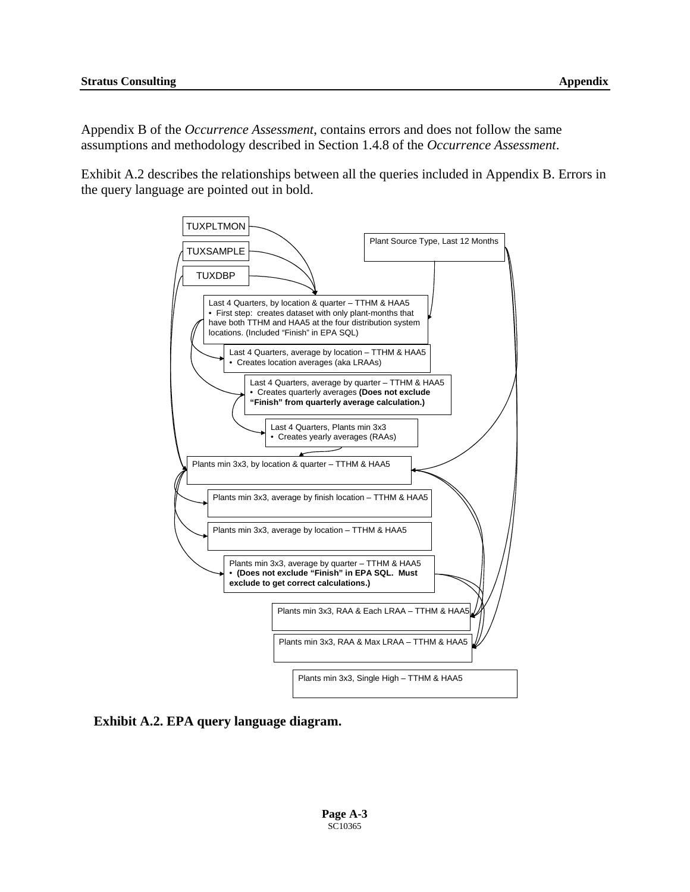Appendix B of the *Occurrence Assessment*, contains errors and does not follow the same assumptions and methodology described in Section 1.4.8 of the *Occurrence Assessment*.

Exhibit A.2 describes the relationships between all the queries included in Appendix B. Errors in the query language are pointed out in bold.



**Exhibit A.2. EPA query language diagram.**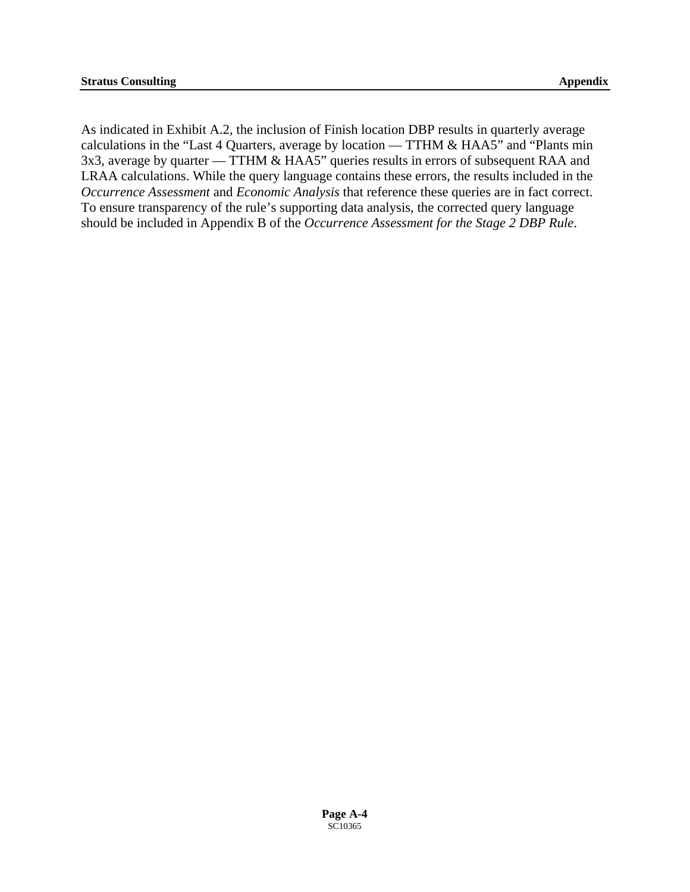As indicated in Exhibit A.2, the inclusion of Finish location DBP results in quarterly average calculations in the "Last 4 Quarters, average by location — TTHM & HAA5" and "Plants min 3x3, average by quarter — TTHM & HAA5" queries results in errors of subsequent RAA and LRAA calculations. While the query language contains these errors, the results included in the *Occurrence Assessment* and *Economic Analysis* that reference these queries are in fact correct. To ensure transparency of the rule's supporting data analysis, the corrected query language should be included in Appendix B of the *Occurrence Assessment for the Stage 2 DBP Rule*.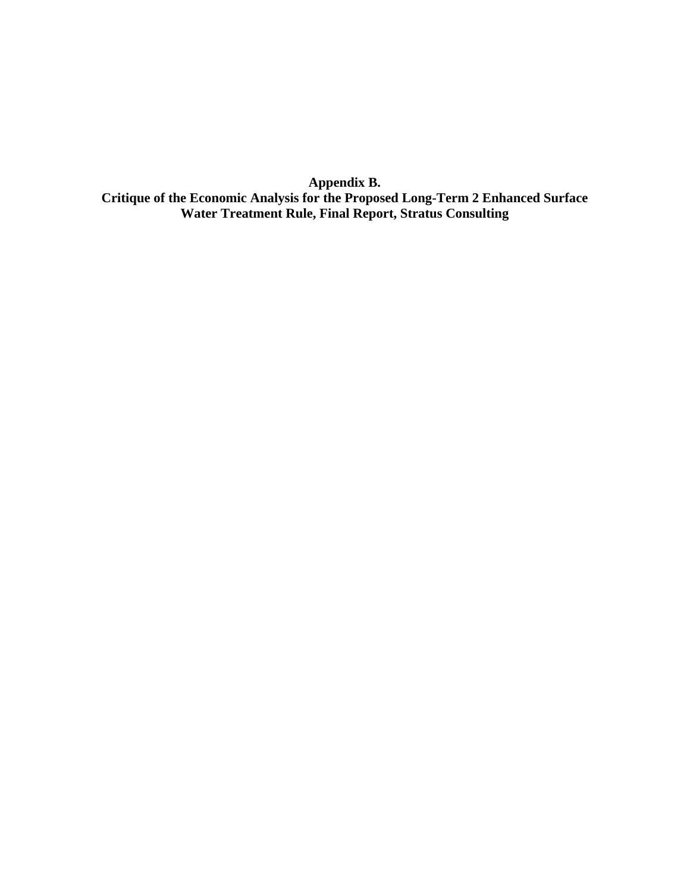**Appendix B. Critique of the Economic Analysis for the Proposed Long-Term 2 Enhanced Surface Water Treatment Rule, Final Report, Stratus Consulting**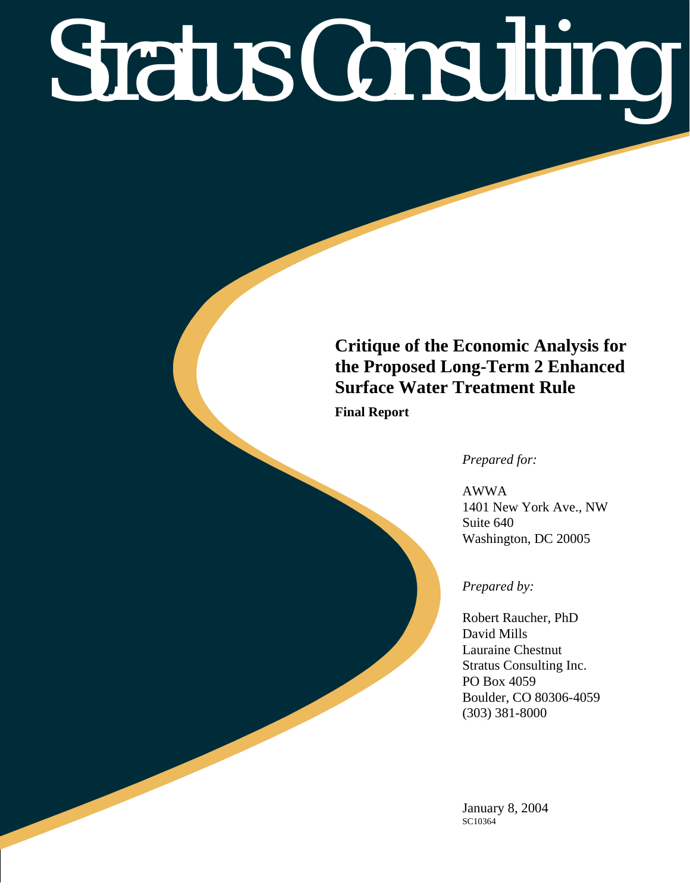# Stratus Consulting

# **Critique of the Economic Analysis for the Proposed Long-Term 2 Enhanced Surface Water Treatment Rule**

**Final Report** 

*Prepared for:* 

AWWA 1401 New York Ave., NW Suite 640 Washington, DC 20005

### *Prepared by:*

Robert Raucher, PhD David Mills Lauraine Chestnut Stratus Consulting Inc. PO Box 4059 Boulder, CO 80306-4059 (303) 381-8000

January 8, 2004 SC10364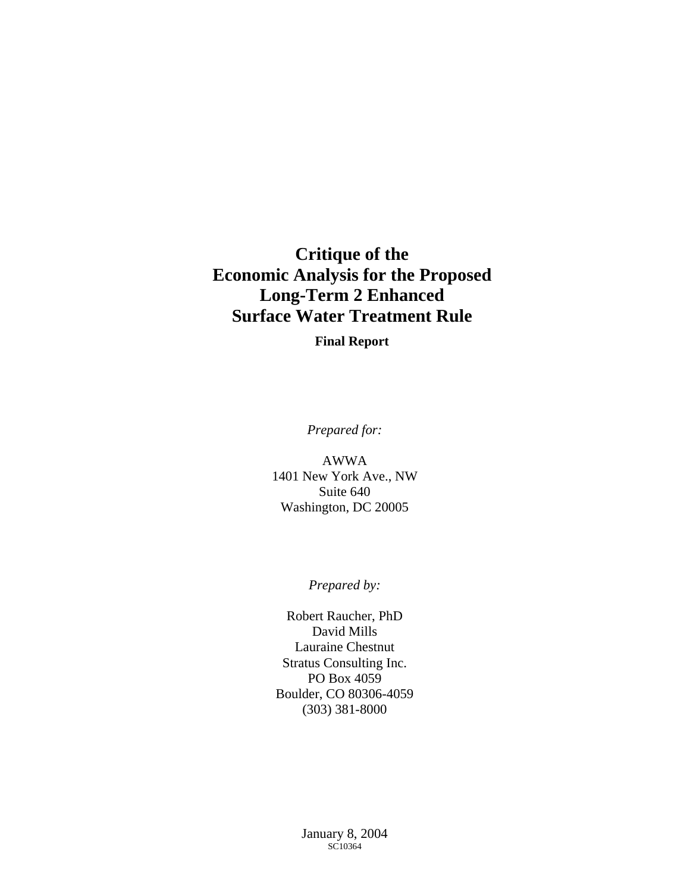# **Critique of the Economic Analysis for the Proposed Long-Term 2 Enhanced Surface Water Treatment Rule**

**Final Report** 

*Prepared for:* 

AWWA 1401 New York Ave., NW Suite 640 Washington, DC 20005

*Prepared by:* 

Robert Raucher, PhD David Mills Lauraine Chestnut Stratus Consulting Inc. PO Box 4059 Boulder, CO 80306-4059 (303) 381-8000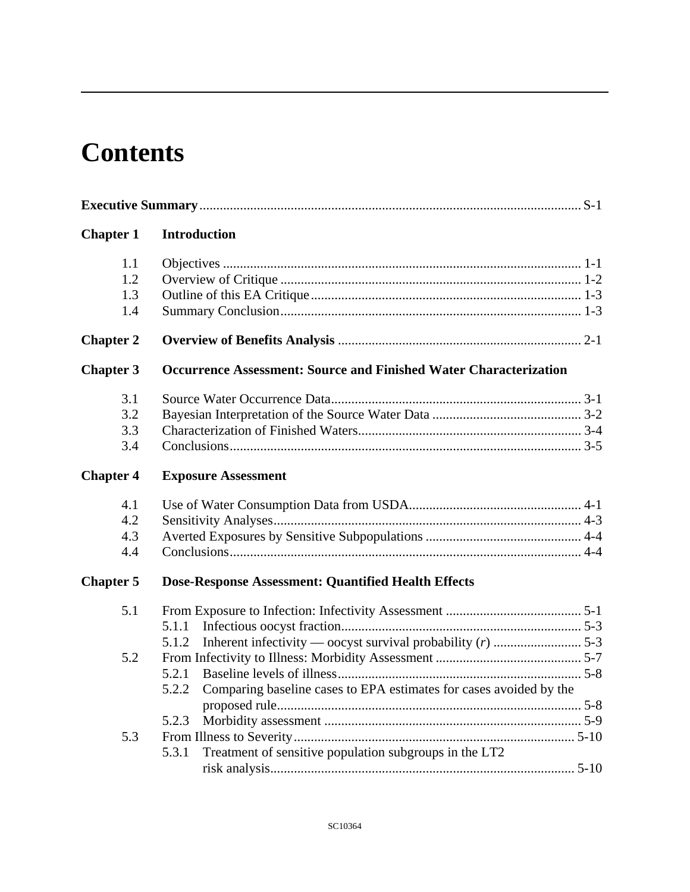# **Contents**

| <b>Chapter 1</b> | <b>Introduction</b>                                                         |  |
|------------------|-----------------------------------------------------------------------------|--|
| 1.1              |                                                                             |  |
| 1.2              |                                                                             |  |
| 1.3              |                                                                             |  |
| 1.4              |                                                                             |  |
| <b>Chapter 2</b> |                                                                             |  |
| <b>Chapter 3</b> | <b>Occurrence Assessment: Source and Finished Water Characterization</b>    |  |
| 3.1              |                                                                             |  |
| 3.2              |                                                                             |  |
| 3.3              |                                                                             |  |
| 3.4              |                                                                             |  |
| <b>Chapter 4</b> | <b>Exposure Assessment</b>                                                  |  |
| 4.1              |                                                                             |  |
| 4.2              |                                                                             |  |
| 4.3              |                                                                             |  |
| 4.4              |                                                                             |  |
| <b>Chapter 5</b> | Dose-Response Assessment: Quantified Health Effects                         |  |
| 5.1              |                                                                             |  |
|                  | 5.1.1                                                                       |  |
|                  | 5.1.2                                                                       |  |
| 5.2              |                                                                             |  |
|                  | 5.2.1                                                                       |  |
|                  | Comparing baseline cases to EPA estimates for cases avoided by the<br>5.2.2 |  |
|                  |                                                                             |  |
|                  | 5.2.3                                                                       |  |
| 5.3              |                                                                             |  |
|                  | Treatment of sensitive population subgroups in the LT2<br>5.3.1             |  |
|                  |                                                                             |  |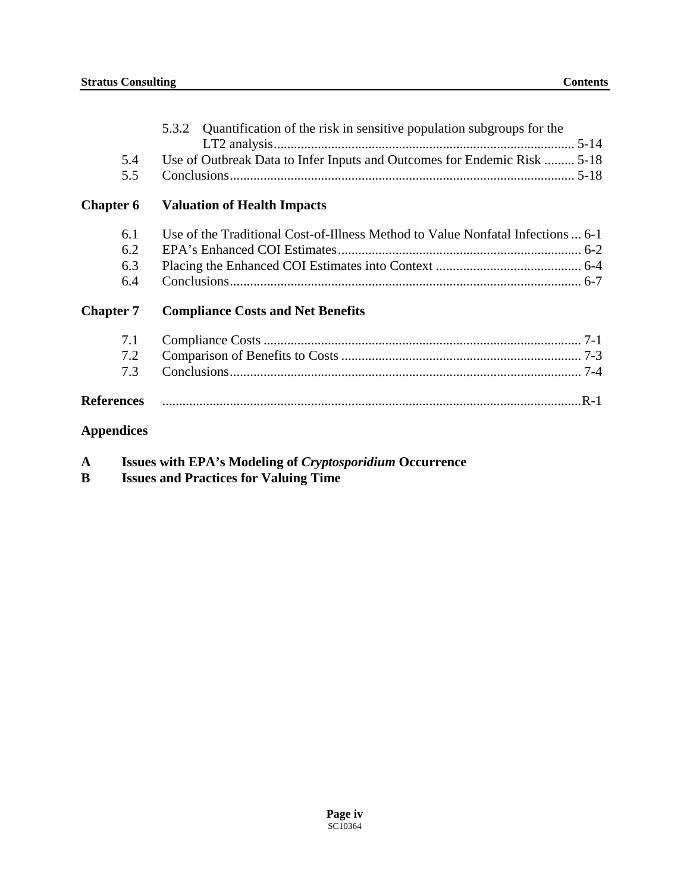|                   | Quantification of the risk in sensitive population subgroups for the<br>5.3.2   |
|-------------------|---------------------------------------------------------------------------------|
|                   |                                                                                 |
| 5.4               | Use of Outbreak Data to Infer Inputs and Outcomes for Endemic Risk  5-18        |
| 5.5               |                                                                                 |
| <b>Chapter 6</b>  | <b>Valuation of Health Impacts</b>                                              |
| 6.1               | Use of the Traditional Cost-of-Illness Method to Value Nonfatal Infections  6-1 |
| 6.2               |                                                                                 |
| 6.3               |                                                                                 |
| 6.4               |                                                                                 |
| <b>Chapter 7</b>  | <b>Compliance Costs and Net Benefits</b>                                        |
| 7.1               |                                                                                 |
| 7.2               |                                                                                 |
| 7.3               |                                                                                 |
| <b>References</b> |                                                                                 |
| <b>Appendices</b> |                                                                                 |

- **A Issues with EPA's Modeling of** *Cryptosporidium* **Occurrence**
- **B Issues and Practices for Valuing Time**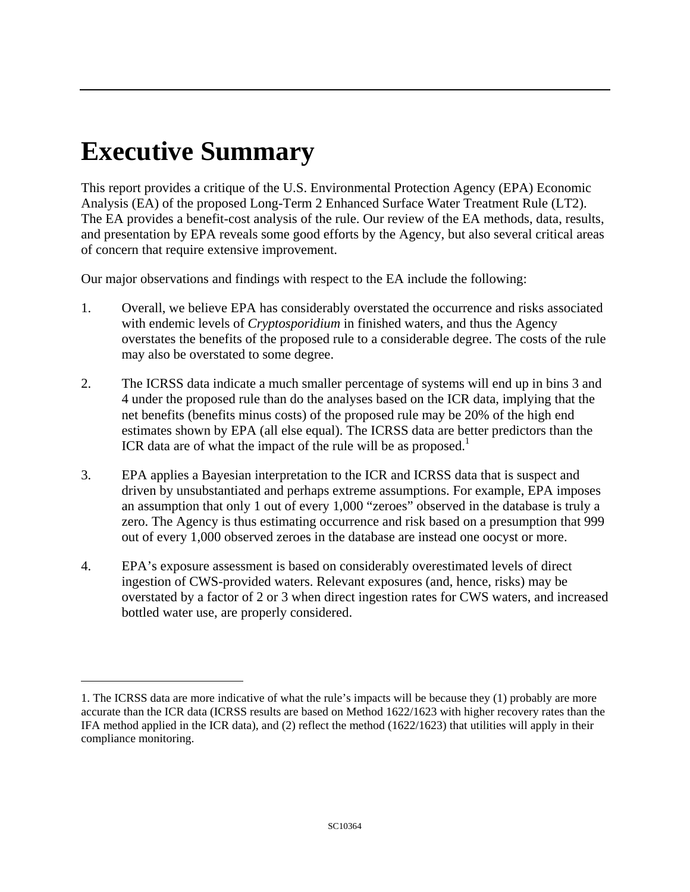# **Executive Summary**

1

This report provides a critique of the U.S. Environmental Protection Agency (EPA) Economic Analysis (EA) of the proposed Long-Term 2 Enhanced Surface Water Treatment Rule (LT2). The EA provides a benefit-cost analysis of the rule. Our review of the EA methods, data, results, and presentation by EPA reveals some good efforts by the Agency, but also several critical areas of concern that require extensive improvement.

Our major observations and findings with respect to the EA include the following:

- 1. Overall, we believe EPA has considerably overstated the occurrence and risks associated with endemic levels of *Cryptosporidium* in finished waters, and thus the Agency overstates the benefits of the proposed rule to a considerable degree. The costs of the rule may also be overstated to some degree.
- 2. The ICRSS data indicate a much smaller percentage of systems will end up in bins 3 and 4 under the proposed rule than do the analyses based on the ICR data, implying that the net benefits (benefits minus costs) of the proposed rule may be 20% of the high end estimates shown by EPA (all else equal). The ICRSS data are better predictors than the ICR data are of what the impact of the rule will be as proposed.<sup>1</sup>
- 3. EPA applies a Bayesian interpretation to the ICR and ICRSS data that is suspect and driven by unsubstantiated and perhaps extreme assumptions. For example, EPA imposes an assumption that only 1 out of every 1,000 "zeroes" observed in the database is truly a zero. The Agency is thus estimating occurrence and risk based on a presumption that 999 out of every 1,000 observed zeroes in the database are instead one oocyst or more.
- 4. EPA's exposure assessment is based on considerably overestimated levels of direct ingestion of CWS-provided waters. Relevant exposures (and, hence, risks) may be overstated by a factor of 2 or 3 when direct ingestion rates for CWS waters, and increased bottled water use, are properly considered.

<span id="page-95-0"></span><sup>1.</sup> The ICRSS data are more indicative of what the rule's impacts will be because they (1) probably are more accurate than the ICR data (ICRSS results are based on Method 1622/1623 with higher recovery rates than the IFA method applied in the ICR data), and (2) reflect the method (1622/1623) that utilities will apply in their compliance monitoring.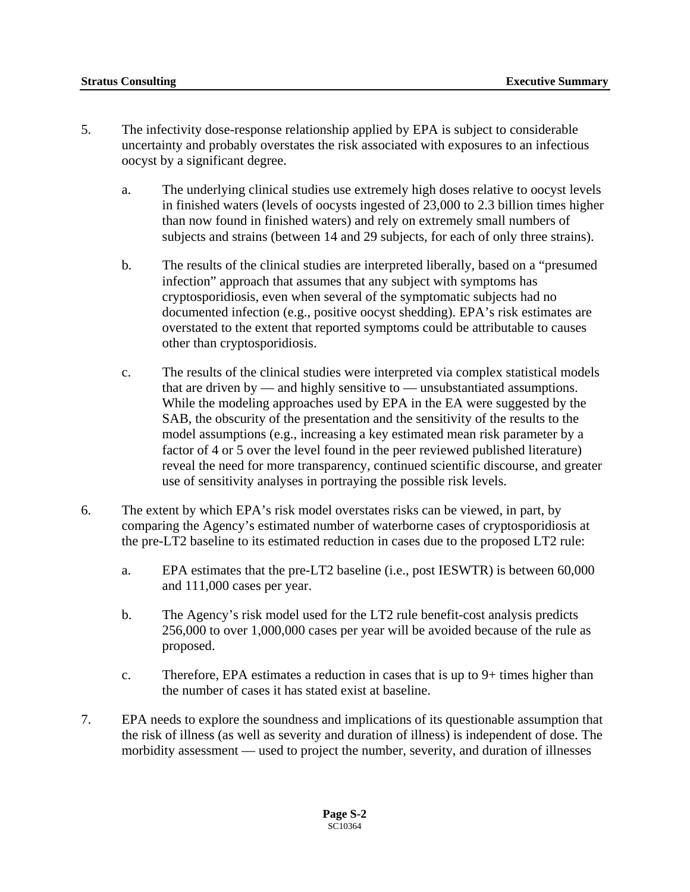- 5. The infectivity dose-response relationship applied by EPA is subject to considerable uncertainty and probably overstates the risk associated with exposures to an infectious oocyst by a significant degree.
	- a. The underlying clinical studies use extremely high doses relative to oocyst levels in finished waters (levels of oocysts ingested of 23,000 to 2.3 billion times higher than now found in finished waters) and rely on extremely small numbers of subjects and strains (between 14 and 29 subjects, for each of only three strains).
	- b. The results of the clinical studies are interpreted liberally, based on a "presumed infection" approach that assumes that any subject with symptoms has cryptosporidiosis, even when several of the symptomatic subjects had no documented infection (e.g., positive oocyst shedding). EPA's risk estimates are overstated to the extent that reported symptoms could be attributable to causes other than cryptosporidiosis.
	- c. The results of the clinical studies were interpreted via complex statistical models that are driven by — and highly sensitive to — unsubstantiated assumptions. While the modeling approaches used by EPA in the EA were suggested by the SAB, the obscurity of the presentation and the sensitivity of the results to the model assumptions (e.g., increasing a key estimated mean risk parameter by a factor of 4 or 5 over the level found in the peer reviewed published literature) reveal the need for more transparency, continued scientific discourse, and greater use of sensitivity analyses in portraying the possible risk levels.
- 6. The extent by which EPA's risk model overstates risks can be viewed, in part, by comparing the Agency's estimated number of waterborne cases of cryptosporidiosis at the pre-LT2 baseline to its estimated reduction in cases due to the proposed LT2 rule:
	- a. EPA estimates that the pre-LT2 baseline (i.e., post IESWTR) is between 60,000 and 111,000 cases per year.
	- b. The Agency's risk model used for the LT2 rule benefit-cost analysis predicts 256,000 to over 1,000,000 cases per year will be avoided because of the rule as proposed.
	- c. Therefore, EPA estimates a reduction in cases that is up to 9+ times higher than the number of cases it has stated exist at baseline.
- 7. EPA needs to explore the soundness and implications of its questionable assumption that the risk of illness (as well as severity and duration of illness) is independent of dose. The morbidity assessment — used to project the number, severity, and duration of illnesses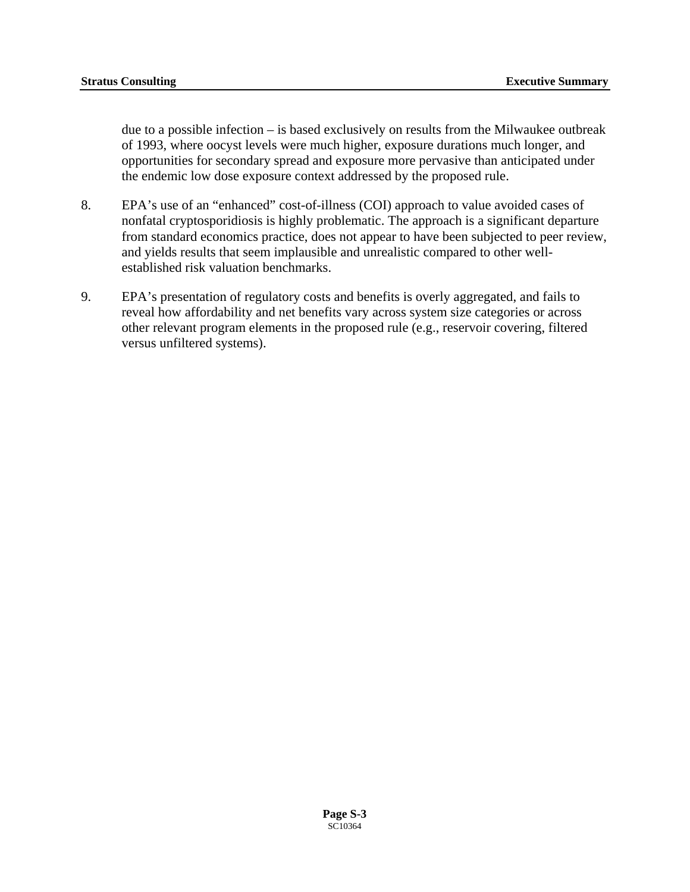due to a possible infection – is based exclusively on results from the Milwaukee outbreak of 1993, where oocyst levels were much higher, exposure durations much longer, and opportunities for secondary spread and exposure more pervasive than anticipated under the endemic low dose exposure context addressed by the proposed rule.

- 8. EPA's use of an "enhanced" cost-of-illness (COI) approach to value avoided cases of nonfatal cryptosporidiosis is highly problematic. The approach is a significant departure from standard economics practice, does not appear to have been subjected to peer review, and yields results that seem implausible and unrealistic compared to other wellestablished risk valuation benchmarks.
- 9. EPA's presentation of regulatory costs and benefits is overly aggregated, and fails to reveal how affordability and net benefits vary across system size categories or across other relevant program elements in the proposed rule (e.g., reservoir covering, filtered versus unfiltered systems).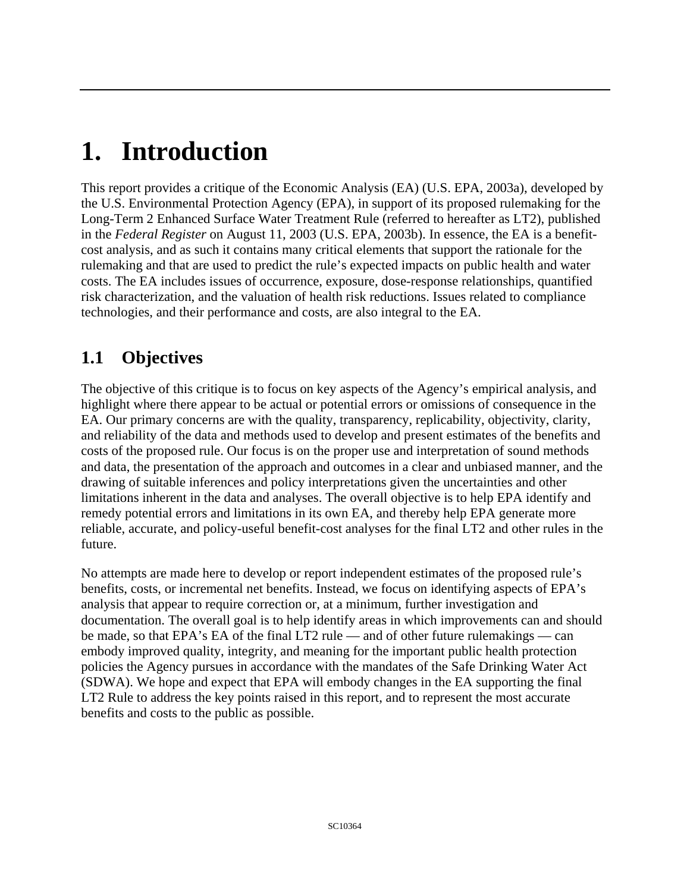# **1. Introduction**

This report provides a critique of the Economic Analysis (EA) (U.S. EPA, 2003a), developed by the U.S. Environmental Protection Agency (EPA), in support of its proposed rulemaking for the Long-Term 2 Enhanced Surface Water Treatment Rule (referred to hereafter as LT2), published in the *Federal Register* on August 11, 2003 (U.S. EPA, 2003b). In essence, the EA is a benefitcost analysis, and as such it contains many critical elements that support the rationale for the rulemaking and that are used to predict the rule's expected impacts on public health and water costs. The EA includes issues of occurrence, exposure, dose-response relationships, quantified risk characterization, and the valuation of health risk reductions. Issues related to compliance technologies, and their performance and costs, are also integral to the EA.

# **1.1 Objectives**

The objective of this critique is to focus on key aspects of the Agency's empirical analysis, and highlight where there appear to be actual or potential errors or omissions of consequence in the EA. Our primary concerns are with the quality, transparency, replicability, objectivity, clarity, and reliability of the data and methods used to develop and present estimates of the benefits and costs of the proposed rule. Our focus is on the proper use and interpretation of sound methods and data, the presentation of the approach and outcomes in a clear and unbiased manner, and the drawing of suitable inferences and policy interpretations given the uncertainties and other limitations inherent in the data and analyses. The overall objective is to help EPA identify and remedy potential errors and limitations in its own EA, and thereby help EPA generate more reliable, accurate, and policy-useful benefit-cost analyses for the final LT2 and other rules in the future.

No attempts are made here to develop or report independent estimates of the proposed rule's benefits, costs, or incremental net benefits. Instead, we focus on identifying aspects of EPA's analysis that appear to require correction or, at a minimum, further investigation and documentation. The overall goal is to help identify areas in which improvements can and should be made, so that EPA's EA of the final LT2 rule — and of other future rulemakings — can embody improved quality, integrity, and meaning for the important public health protection policies the Agency pursues in accordance with the mandates of the Safe Drinking Water Act (SDWA). We hope and expect that EPA will embody changes in the EA supporting the final LT2 Rule to address the key points raised in this report, and to represent the most accurate benefits and costs to the public as possible.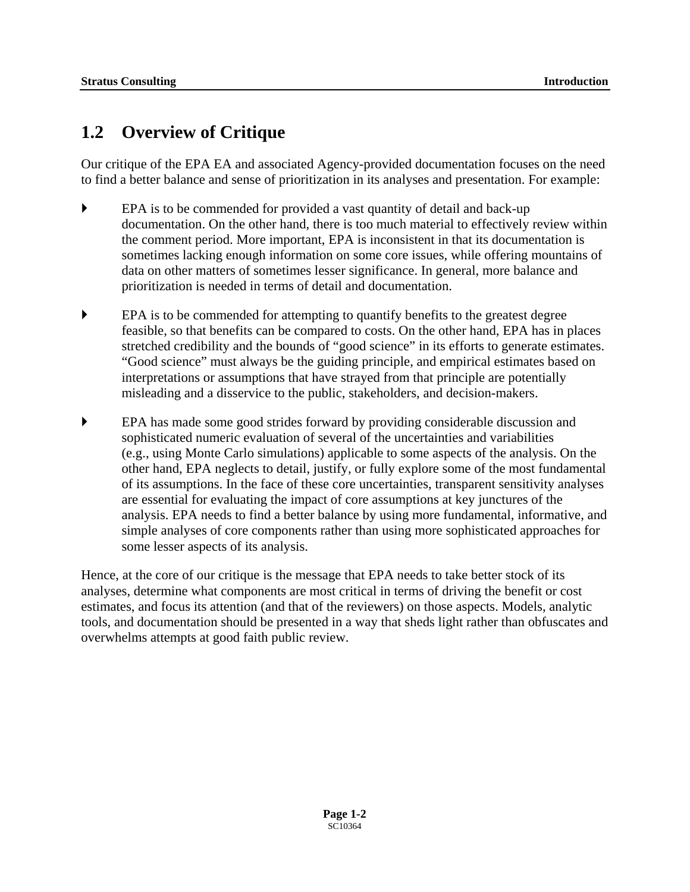# **1.2 Overview of Critique**

Our critique of the EPA EA and associated Agency-provided documentation focuses on the need to find a better balance and sense of prioritization in its analyses and presentation. For example:

- EPA is to be commended for provided a vast quantity of detail and back-up documentation. On the other hand, there is too much material to effectively review within the comment period. More important, EPA is inconsistent in that its documentation is sometimes lacking enough information on some core issues, while offering mountains of data on other matters of sometimes lesser significance. In general, more balance and prioritization is needed in terms of detail and documentation.
- ` EPA is to be commended for attempting to quantify benefits to the greatest degree feasible, so that benefits can be compared to costs. On the other hand, EPA has in places stretched credibility and the bounds of "good science" in its efforts to generate estimates. "Good science" must always be the guiding principle, and empirical estimates based on interpretations or assumptions that have strayed from that principle are potentially misleading and a disservice to the public, stakeholders, and decision-makers.
- ` EPA has made some good strides forward by providing considerable discussion and sophisticated numeric evaluation of several of the uncertainties and variabilities (e.g., using Monte Carlo simulations) applicable to some aspects of the analysis. On the other hand, EPA neglects to detail, justify, or fully explore some of the most fundamental of its assumptions. In the face of these core uncertainties, transparent sensitivity analyses are essential for evaluating the impact of core assumptions at key junctures of the analysis. EPA needs to find a better balance by using more fundamental, informative, and simple analyses of core components rather than using more sophisticated approaches for some lesser aspects of its analysis.

Hence, at the core of our critique is the message that EPA needs to take better stock of its analyses, determine what components are most critical in terms of driving the benefit or cost estimates, and focus its attention (and that of the reviewers) on those aspects. Models, analytic tools, and documentation should be presented in a way that sheds light rather than obfuscates and overwhelms attempts at good faith public review.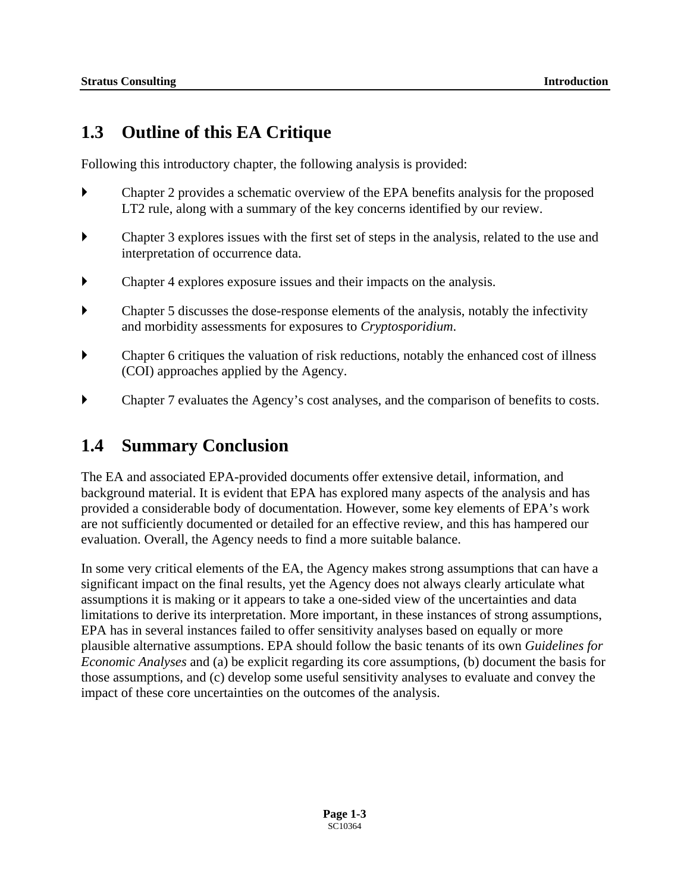# **1.3 Outline of this EA Critique**

Following this introductory chapter, the following analysis is provided:

- ` Chapter 2 provides a schematic overview of the EPA benefits analysis for the proposed LT2 rule, along with a summary of the key concerns identified by our review.
- $\blacktriangleright$  Chapter 3 explores issues with the first set of steps in the analysis, related to the use and interpretation of occurrence data.
- $\blacktriangleright$  Chapter 4 explores exposure issues and their impacts on the analysis.
- ` Chapter 5 discusses the dose-response elements of the analysis, notably the infectivity and morbidity assessments for exposures to *Cryptosporidium*.
- $\blacktriangleright$  Chapter 6 critiques the valuation of risk reductions, notably the enhanced cost of illness (COI) approaches applied by the Agency.
- $\blacktriangleright$  Chapter 7 evaluates the Agency's cost analyses, and the comparison of benefits to costs.

## **1.4 Summary Conclusion**

The EA and associated EPA-provided documents offer extensive detail, information, and background material. It is evident that EPA has explored many aspects of the analysis and has provided a considerable body of documentation. However, some key elements of EPA's work are not sufficiently documented or detailed for an effective review, and this has hampered our evaluation. Overall, the Agency needs to find a more suitable balance.

In some very critical elements of the EA, the Agency makes strong assumptions that can have a significant impact on the final results, yet the Agency does not always clearly articulate what assumptions it is making or it appears to take a one-sided view of the uncertainties and data limitations to derive its interpretation. More important, in these instances of strong assumptions, EPA has in several instances failed to offer sensitivity analyses based on equally or more plausible alternative assumptions. EPA should follow the basic tenants of its own *Guidelines for Economic Analyses* and (a) be explicit regarding its core assumptions, (b) document the basis for those assumptions, and (c) develop some useful sensitivity analyses to evaluate and convey the impact of these core uncertainties on the outcomes of the analysis.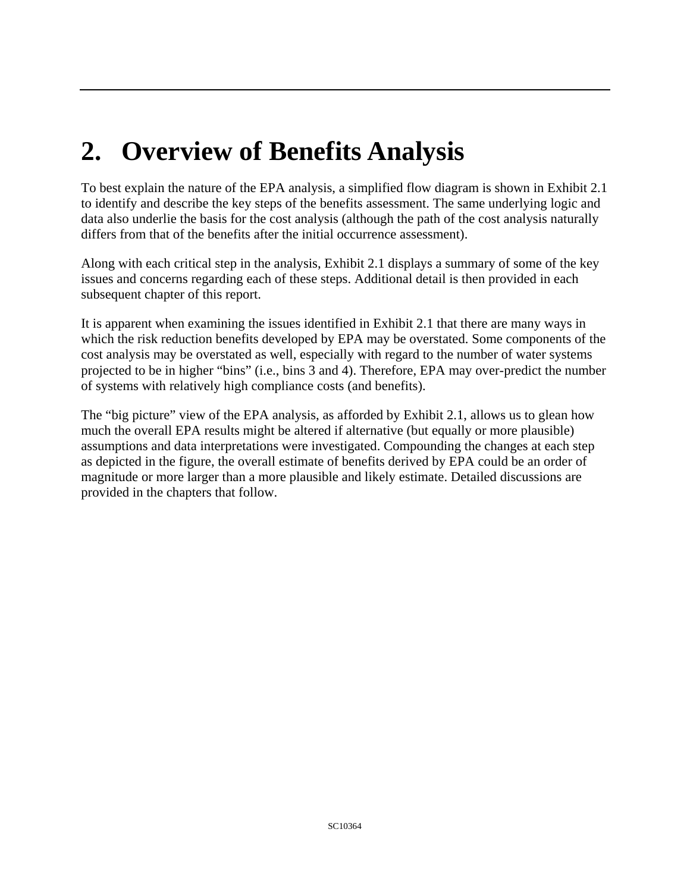# **2. Overview of Benefits Analysis**

To best explain the nature of the EPA analysis, a simplified flow diagram is shown in Exhibit 2.1 to identify and describe the key steps of the benefits assessment. The same underlying logic and data also underlie the basis for the cost analysis (although the path of the cost analysis naturally differs from that of the benefits after the initial occurrence assessment).

Along with each critical step in the analysis, Exhibit 2.1 displays a summary of some of the key issues and concerns regarding each of these steps. Additional detail is then provided in each subsequent chapter of this report.

It is apparent when examining the issues identified in Exhibit 2.1 that there are many ways in which the risk reduction benefits developed by EPA may be overstated. Some components of the cost analysis may be overstated as well, especially with regard to the number of water systems projected to be in higher "bins" (i.e., bins 3 and 4). Therefore, EPA may over-predict the number of systems with relatively high compliance costs (and benefits).

The "big picture" view of the EPA analysis, as afforded by Exhibit 2.1, allows us to glean how much the overall EPA results might be altered if alternative (but equally or more plausible) assumptions and data interpretations were investigated. Compounding the changes at each step as depicted in the figure, the overall estimate of benefits derived by EPA could be an order of magnitude or more larger than a more plausible and likely estimate. Detailed discussions are provided in the chapters that follow.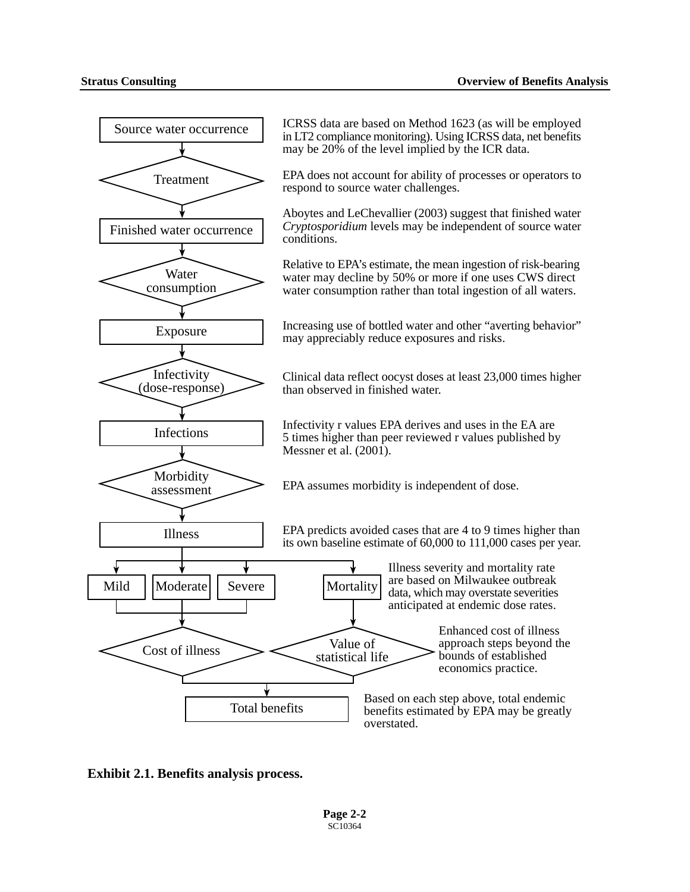

**Exhibit 2.1. Benefits analysis process.**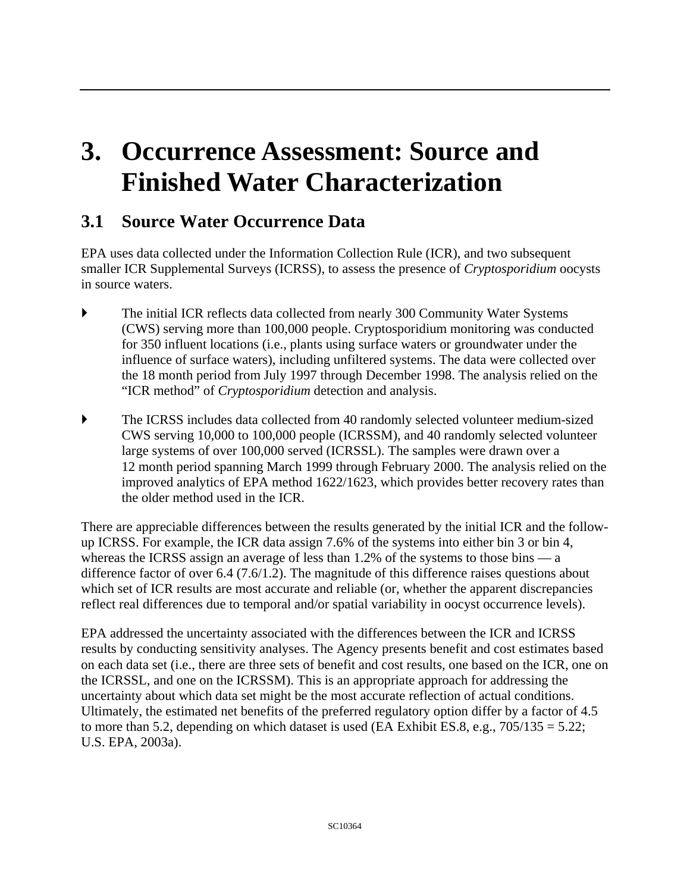# **3. Occurrence Assessment: Source and Finished Water Characterization**

# **3.1 Source Water Occurrence Data**

EPA uses data collected under the Information Collection Rule (ICR), and two subsequent smaller ICR Supplemental Surveys (ICRSS), to assess the presence of *Cryptosporidium* oocysts in source waters.

- The initial ICR reflects data collected from nearly 300 Community Water Systems (CWS) serving more than 100,000 people. Cryptosporidium monitoring was conducted for 350 influent locations (i.e., plants using surface waters or groundwater under the influence of surface waters), including unfiltered systems. The data were collected over the 18 month period from July 1997 through December 1998. The analysis relied on the "ICR method" of *Cryptosporidium* detection and analysis.
- ` The ICRSS includes data collected from 40 randomly selected volunteer medium-sized CWS serving 10,000 to 100,000 people (ICRSSM), and 40 randomly selected volunteer large systems of over 100,000 served (ICRSSL). The samples were drawn over a 12 month period spanning March 1999 through February 2000. The analysis relied on the improved analytics of EPA method 1622/1623, which provides better recovery rates than the older method used in the ICR.

There are appreciable differences between the results generated by the initial ICR and the followup ICRSS. For example, the ICR data assign 7.6% of the systems into either bin 3 or bin 4, whereas the ICRSS assign an average of less than 1.2% of the systems to those bins — a difference factor of over 6.4 (7.6/1.2). The magnitude of this difference raises questions about which set of ICR results are most accurate and reliable (or, whether the apparent discrepancies reflect real differences due to temporal and/or spatial variability in oocyst occurrence levels).

EPA addressed the uncertainty associated with the differences between the ICR and ICRSS results by conducting sensitivity analyses. The Agency presents benefit and cost estimates based on each data set (i.e., there are three sets of benefit and cost results, one based on the ICR, one on the ICRSSL, and one on the ICRSSM). This is an appropriate approach for addressing the uncertainty about which data set might be the most accurate reflection of actual conditions. Ultimately, the estimated net benefits of the preferred regulatory option differ by a factor of 4.5 to more than 5.2, depending on which dataset is used (EA Exhibit ES.8, e.g.,  $705/135 = 5.22$ ; U.S. EPA, 2003a).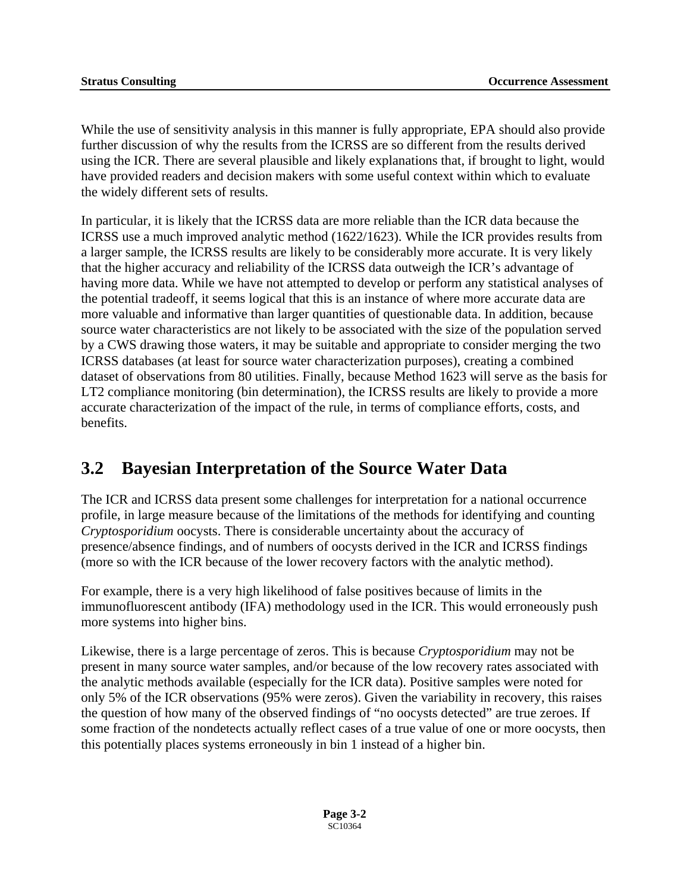While the use of sensitivity analysis in this manner is fully appropriate, EPA should also provide further discussion of why the results from the ICRSS are so different from the results derived using the ICR. There are several plausible and likely explanations that, if brought to light, would have provided readers and decision makers with some useful context within which to evaluate the widely different sets of results.

In particular, it is likely that the ICRSS data are more reliable than the ICR data because the ICRSS use a much improved analytic method (1622/1623). While the ICR provides results from a larger sample, the ICRSS results are likely to be considerably more accurate. It is very likely that the higher accuracy and reliability of the ICRSS data outweigh the ICR's advantage of having more data. While we have not attempted to develop or perform any statistical analyses of the potential tradeoff, it seems logical that this is an instance of where more accurate data are more valuable and informative than larger quantities of questionable data. In addition, because source water characteristics are not likely to be associated with the size of the population served by a CWS drawing those waters, it may be suitable and appropriate to consider merging the two ICRSS databases (at least for source water characterization purposes), creating a combined dataset of observations from 80 utilities. Finally, because Method 1623 will serve as the basis for LT2 compliance monitoring (bin determination), the ICRSS results are likely to provide a more accurate characterization of the impact of the rule, in terms of compliance efforts, costs, and benefits.

# **3.2 Bayesian Interpretation of the Source Water Data**

The ICR and ICRSS data present some challenges for interpretation for a national occurrence profile, in large measure because of the limitations of the methods for identifying and counting *Cryptosporidium* oocysts. There is considerable uncertainty about the accuracy of presence/absence findings, and of numbers of oocysts derived in the ICR and ICRSS findings (more so with the ICR because of the lower recovery factors with the analytic method).

For example, there is a very high likelihood of false positives because of limits in the immunofluorescent antibody (IFA) methodology used in the ICR. This would erroneously push more systems into higher bins.

Likewise, there is a large percentage of zeros. This is because *Cryptosporidium* may not be present in many source water samples, and/or because of the low recovery rates associated with the analytic methods available (especially for the ICR data). Positive samples were noted for only 5% of the ICR observations (95% were zeros). Given the variability in recovery, this raises the question of how many of the observed findings of "no oocysts detected" are true zeroes. If some fraction of the nondetects actually reflect cases of a true value of one or more oocysts, then this potentially places systems erroneously in bin 1 instead of a higher bin.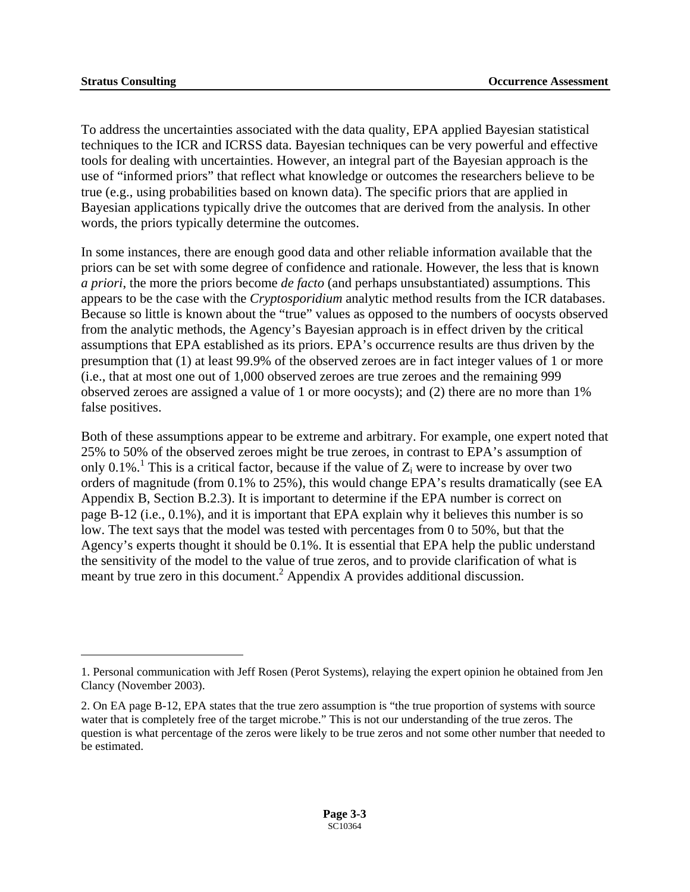1

To address the uncertainties associated with the data quality, EPA applied Bayesian statistical techniques to the ICR and ICRSS data. Bayesian techniques can be very powerful and effective tools for dealing with uncertainties. However, an integral part of the Bayesian approach is the use of "informed priors" that reflect what knowledge or outcomes the researchers believe to be true (e.g., using probabilities based on known data). The specific priors that are applied in Bayesian applications typically drive the outcomes that are derived from the analysis. In other words, the priors typically determine the outcomes.

In some instances, there are enough good data and other reliable information available that the priors can be set with some degree of confidence and rationale. However, the less that is known *a priori*, the more the priors become *de facto* (and perhaps unsubstantiated) assumptions. This appears to be the case with the *Cryptosporidium* analytic method results from the ICR databases. Because so little is known about the "true" values as opposed to the numbers of oocysts observed from the analytic methods, the Agency's Bayesian approach is in effect driven by the critical assumptions that EPA established as its priors. EPA's occurrence results are thus driven by the presumption that (1) at least 99.9% of the observed zeroes are in fact integer values of 1 or more (i.e., that at most one out of 1,000 observed zeroes are true zeroes and the remaining 999 observed zeroes are assigned a value of 1 or more oocysts); and (2) there are no more than 1% false positives.

Both of these assumptions appear to be extreme and arbitrary. For example, one expert noted that 25% to 50% of the observed zeroes might be true zeroes, in contrast to EPA's assumption of only 0.[1](#page-105-0)%.<sup>1</sup> This is a critical factor, because if the value of  $Z_i$  were to increase by over two orders of magnitude (from 0.1% to 25%), this would change EPA's results dramatically (see EA Appendix B, Section B.2.3). It is important to determine if the EPA number is correct on page B-12 (i.e., 0.1%), and it is important that EPA explain why it believes this number is so low. The text says that the model was tested with percentages from 0 to 50%, but that the Agency's experts thought it should be 0.1%. It is essential that EPA help the public understand the sensitivity of the model to the value of true zeros, and to provide clarification of what is meant by true zero in this document.<sup>[2](#page-105-1)</sup> Appendix A provides additional discussion.

<span id="page-105-0"></span><sup>1.</sup> Personal communication with Jeff Rosen (Perot Systems), relaying the expert opinion he obtained from Jen Clancy (November 2003).

<span id="page-105-1"></span><sup>2.</sup> On EA page B-12, EPA states that the true zero assumption is "the true proportion of systems with source water that is completely free of the target microbe." This is not our understanding of the true zeros. The question is what percentage of the zeros were likely to be true zeros and not some other number that needed to be estimated.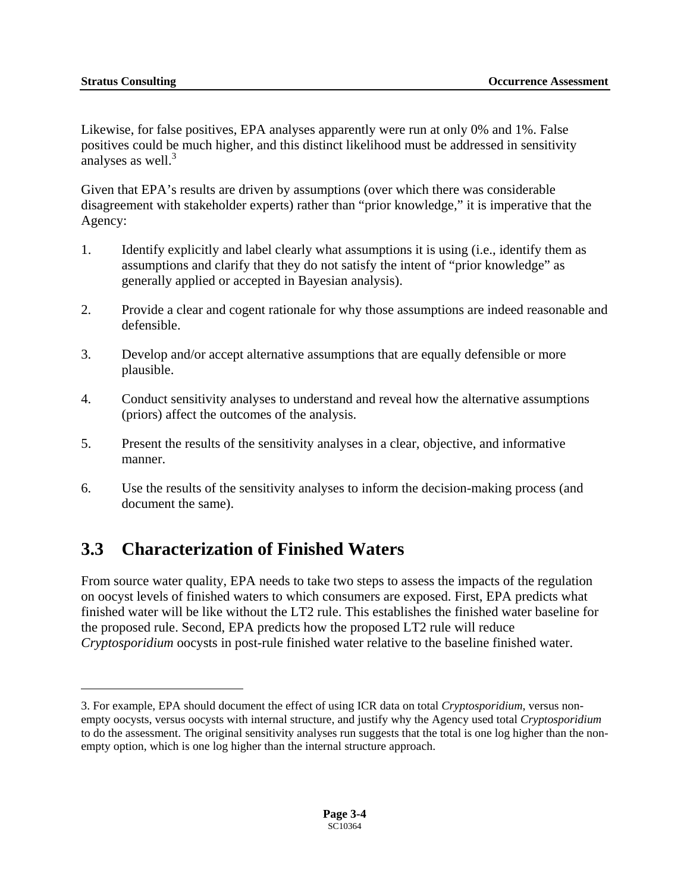$\overline{a}$ 

<span id="page-106-0"></span>Likewise, for false positives, EPA analyses apparently were run at only 0% and 1%. False positives could be much higher, and this distinct likelihood must be addressed in sensitivity analyses as well.<sup>3</sup>

Given that EPA's results are driven by assumptions (over which there was considerable disagreement with stakeholder experts) rather than "prior knowledge," it is imperative that the Agency:

- 1. Identify explicitly and label clearly what assumptions it is using (i.e., identify them as assumptions and clarify that they do not satisfy the intent of "prior knowledge" as generally applied or accepted in Bayesian analysis).
- 2. Provide a clear and cogent rationale for why those assumptions are indeed reasonable and defensible.
- 3. Develop and/or accept alternative assumptions that are equally defensible or more plausible.
- 4. Conduct sensitivity analyses to understand and reveal how the alternative assumptions (priors) affect the outcomes of the analysis.
- 5. Present the results of the sensitivity analyses in a clear, objective, and informative manner.
- 6. Use the results of the sensitivity analyses to inform the decision-making process (and document the same).

# **3.3 Characterization of Finished Waters**

From source water quality, EPA needs to take two steps to assess the impacts of the regulation on oocyst levels of finished waters to which consumers are exposed. First, EPA predicts what finished water will be like without the LT2 rule. This establishes the finished water baseline for the proposed rule. Second, EPA predicts how the proposed LT2 rule will reduce *Cryptosporidium* oocysts in post-rule finished water relative to the baseline finished water.

<span id="page-106-1"></span><sup>3.</sup> For example, EPA should document the effect of using ICR data on total *Cryptosporidium*, versus nonempty oocysts, versus oocysts with internal structure, and justify why the Agency used total *Cryptosporidium*  to do the assessment. The original sensitivity analyses run suggests that the total is one log higher than the nonempty option, which is one log higher than the internal structure approach.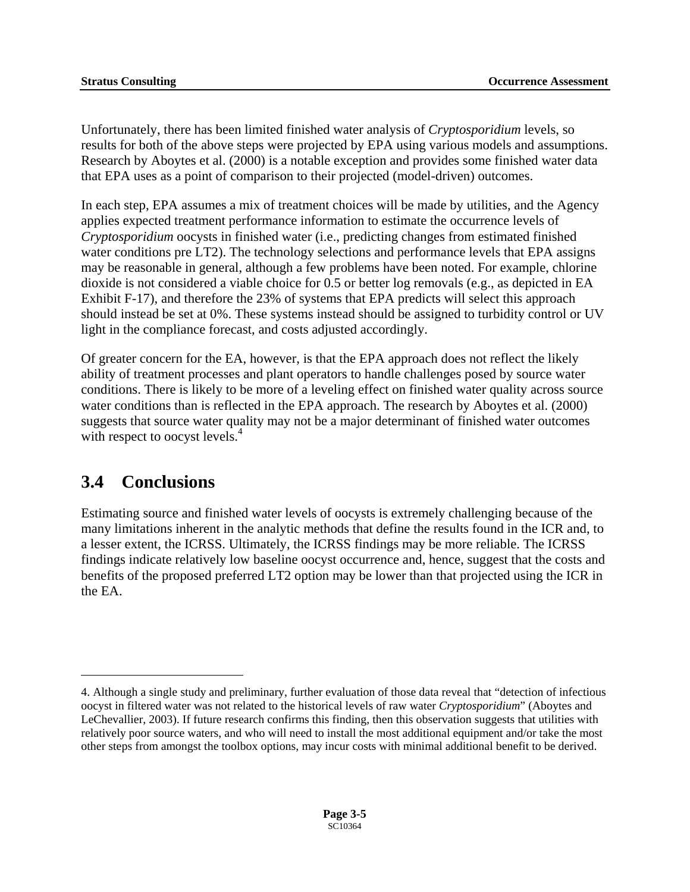<span id="page-107-0"></span>Unfortunately, there has been limited finished water analysis of *Cryptosporidium* levels, so results for both of the above steps were projected by EPA using various models and assumptions. Research by Aboytes et al. (2000) is a notable exception and provides some finished water data that EPA uses as a point of comparison to their projected (model-driven) outcomes.

In each step, EPA assumes a mix of treatment choices will be made by utilities, and the Agency applies expected treatment performance information to estimate the occurrence levels of *Cryptosporidium* oocysts in finished water (i.e., predicting changes from estimated finished water conditions pre LT2). The technology selections and performance levels that EPA assigns may be reasonable in general, although a few problems have been noted. For example, chlorine dioxide is not considered a viable choice for 0.5 or better log removals (e.g., as depicted in EA Exhibit F-17), and therefore the 23% of systems that EPA predicts will select this approach should instead be set at 0%. These systems instead should be assigned to turbidity control or UV light in the compliance forecast, and costs adjusted accordingly.

with respect to oocyst levels.<sup>4</sup> Of greater concern for the EA, however, is that the EPA approach does not reflect the likely ability of treatment processes and plant operators to handle challenges posed by source water conditions. There is likely to be more of a leveling effect on finished water quality across source water conditions than is reflected in the EPA approach. The research by Aboytes et al. (2000) suggests that source water quality may not be a major determinant of finished water outcomes

# **3.4 Conclusions**

 $\overline{a}$ 

Estimating source and finished water levels of oocysts is extremely challenging because of the many limitations inherent in the analytic methods that define the results found in the ICR and, to a lesser extent, the ICRSS. Ultimately, the ICRSS findings may be more reliable. The ICRSS findings indicate relatively low baseline oocyst occurrence and, hence, suggest that the costs and benefits of the proposed preferred LT2 option may be lower than that projected using the ICR in the EA.

<span id="page-107-1"></span><sup>4.</sup> Although a single study and preliminary, further evaluation of those data reveal that "detection of infectious oocyst in filtered water was not related to the historical levels of raw water *Cryptosporidium*" (Aboytes and LeChevallier, 2003). If future research confirms this finding, then this observation suggests that utilities with relatively poor source waters, and who will need to install the most additional equipment and/or take the most other steps from amongst the toolbox options, may incur costs with minimal additional benefit to be derived.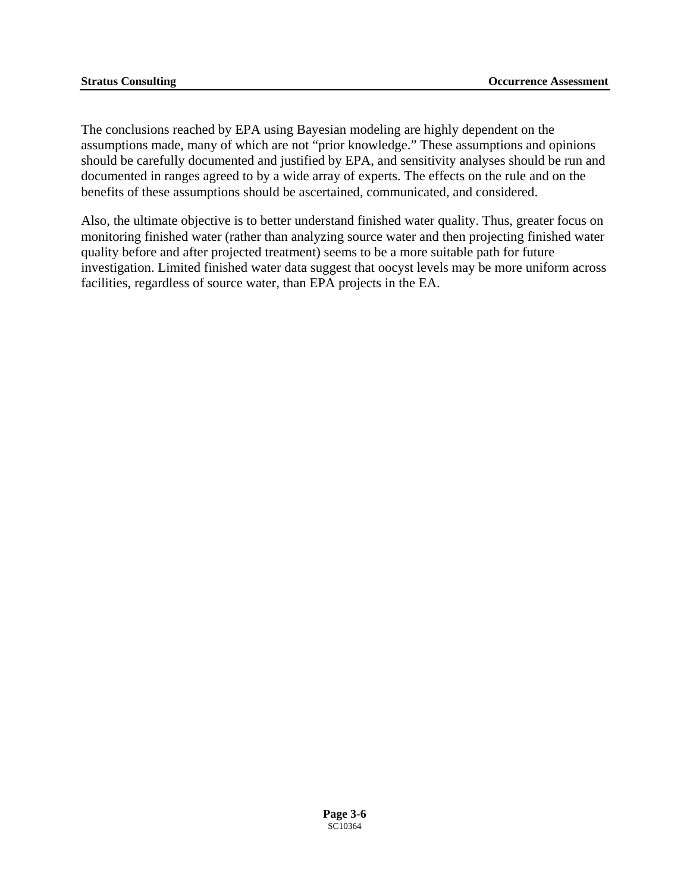The conclusions reached by EPA using Bayesian modeling are highly dependent on the assumptions made, many of which are not "prior knowledge." These assumptions and opinions should be carefully documented and justified by EPA, and sensitivity analyses should be run and documented in ranges agreed to by a wide array of experts. The effects on the rule and on the benefits of these assumptions should be ascertained, communicated, and considered.

Also, the ultimate objective is to better understand finished water quality. Thus, greater focus on monitoring finished water (rather than analyzing source water and then projecting finished water quality before and after projected treatment) seems to be a more suitable path for future investigation. Limited finished water data suggest that oocyst levels may be more uniform across facilities, regardless of source water, than EPA projects in the EA.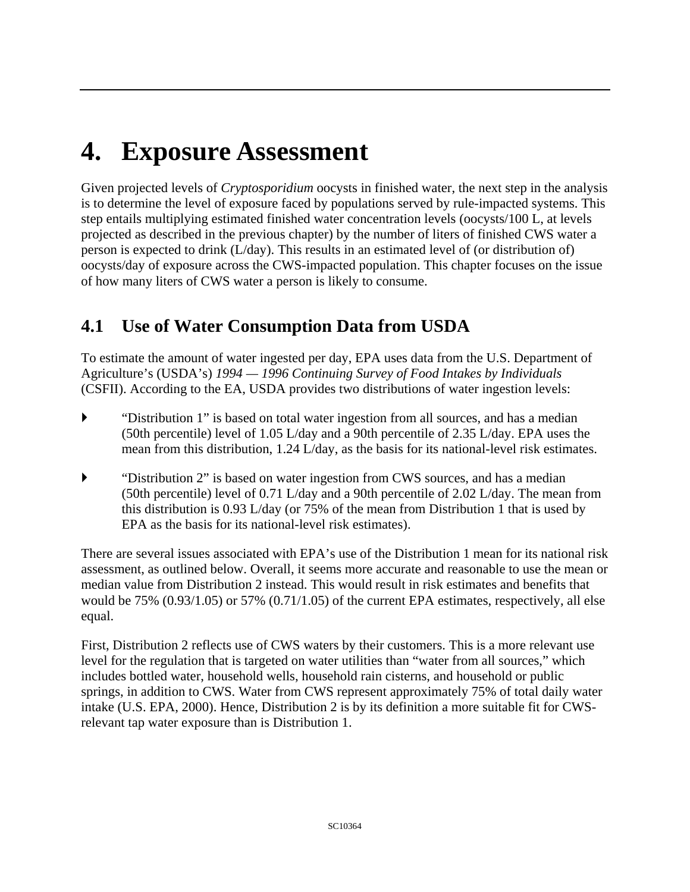## **4. Exposure Assessment**

Given projected levels of *Cryptosporidium* oocysts in finished water, the next step in the analysis is to determine the level of exposure faced by populations served by rule-impacted systems. This step entails multiplying estimated finished water concentration levels (oocysts/100 L, at levels projected as described in the previous chapter) by the number of liters of finished CWS water a person is expected to drink (L/day). This results in an estimated level of (or distribution of) oocysts/day of exposure across the CWS-impacted population. This chapter focuses on the issue of how many liters of CWS water a person is likely to consume.

## **4.1 Use of Water Consumption Data from USDA**

To estimate the amount of water ingested per day, EPA uses data from the U.S. Department of Agriculture's (USDA's) *1994 — 1996 Continuing Survey of Food Intakes by Individuals*  (CSFII). According to the EA, USDA provides two distributions of water ingestion levels:

- ` "Distribution 1" is based on total water ingestion from all sources, and has a median (50th percentile) level of 1.05 L/day and a 90th percentile of 2.35 L/day. EPA uses the mean from this distribution, 1.24 L/day, as the basis for its national-level risk estimates.
- ` "Distribution 2" is based on water ingestion from CWS sources, and has a median (50th percentile) level of 0.71 L/day and a 90th percentile of 2.02 L/day. The mean from this distribution is 0.93 L/day (or 75% of the mean from Distribution 1 that is used by EPA as the basis for its national-level risk estimates).

There are several issues associated with EPA's use of the Distribution 1 mean for its national risk assessment, as outlined below. Overall, it seems more accurate and reasonable to use the mean or median value from Distribution 2 instead. This would result in risk estimates and benefits that would be 75% (0.93/1.05) or 57% (0.71/1.05) of the current EPA estimates, respectively, all else equal.

First, Distribution 2 reflects use of CWS waters by their customers. This is a more relevant use level for the regulation that is targeted on water utilities than "water from all sources," which includes bottled water, household wells, household rain cisterns, and household or public springs, in addition to CWS. Water from CWS represent approximately 75% of total daily water intake (U.S. EPA, 2000). Hence, Distribution 2 is by its definition a more suitable fit for CWSrelevant tap water exposure than is Distribution 1.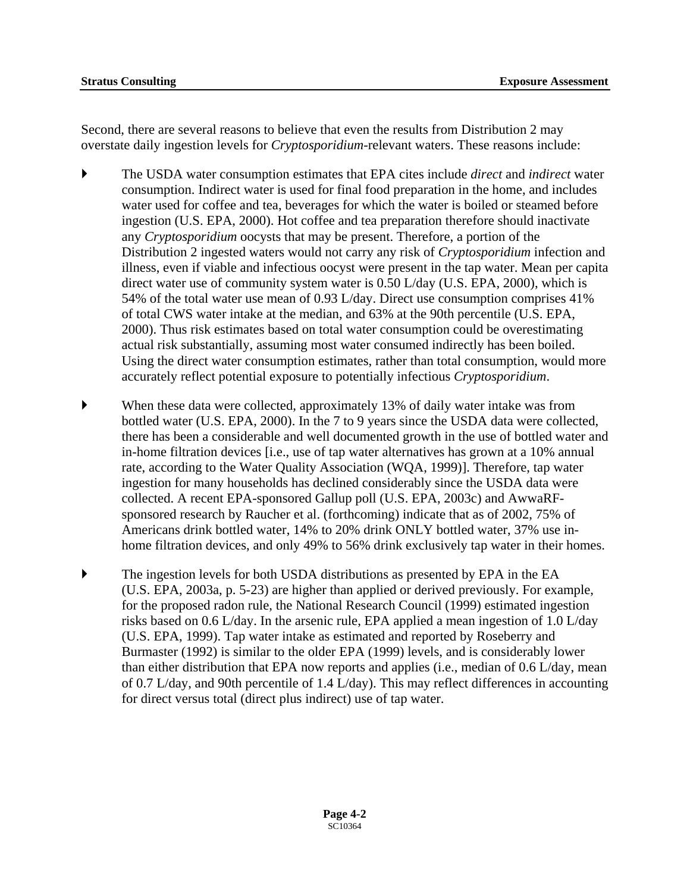Second, there are several reasons to believe that even the results from Distribution 2 may overstate daily ingestion levels for *Cryptosporidium*-relevant waters. These reasons include:

- ` The USDA water consumption estimates that EPA cites include *direct* and *indirect* water consumption. Indirect water is used for final food preparation in the home, and includes water used for coffee and tea, beverages for which the water is boiled or steamed before ingestion (U.S. EPA, 2000). Hot coffee and tea preparation therefore should inactivate any *Cryptosporidium* oocysts that may be present. Therefore, a portion of the Distribution 2 ingested waters would not carry any risk of *Cryptosporidium* infection and illness, even if viable and infectious oocyst were present in the tap water. Mean per capita direct water use of community system water is 0.50 L/day (U.S. EPA, 2000), which is 54% of the total water use mean of 0.93 L/day. Direct use consumption comprises 41% of total CWS water intake at the median, and 63% at the 90th percentile (U.S. EPA, 2000). Thus risk estimates based on total water consumption could be overestimating actual risk substantially, assuming most water consumed indirectly has been boiled. Using the direct water consumption estimates, rather than total consumption, would more accurately reflect potential exposure to potentially infectious *Cryptosporidium*.
- ` When these data were collected, approximately 13% of daily water intake was from bottled water (U.S. EPA, 2000). In the 7 to 9 years since the USDA data were collected, there has been a considerable and well documented growth in the use of bottled water and in-home filtration devices [i.e., use of tap water alternatives has grown at a 10% annual rate, according to the Water Quality Association (WQA, 1999)]. Therefore, tap water ingestion for many households has declined considerably since the USDA data were collected. A recent EPA-sponsored Gallup poll (U.S. EPA, 2003c) and AwwaRFsponsored research by Raucher et al. (forthcoming) indicate that as of 2002, 75% of Americans drink bottled water, 14% to 20% drink ONLY bottled water, 37% use inhome filtration devices, and only 49% to 56% drink exclusively tap water in their homes.
- ` The ingestion levels for both USDA distributions as presented by EPA in the EA (U.S. EPA, 2003a, p. 5-23) are higher than applied or derived previously. For example, for the proposed radon rule, the National Research Council (1999) estimated ingestion risks based on 0.6 L/day. In the arsenic rule, EPA applied a mean ingestion of 1.0 L/day (U.S. EPA, 1999). Tap water intake as estimated and reported by Roseberry and Burmaster (1992) is similar to the older EPA (1999) levels, and is considerably lower than either distribution that EPA now reports and applies (i.e., median of 0.6 L/day, mean of 0.7 L/day, and 90th percentile of 1.4 L/day). This may reflect differences in accounting for direct versus total (direct plus indirect) use of tap water.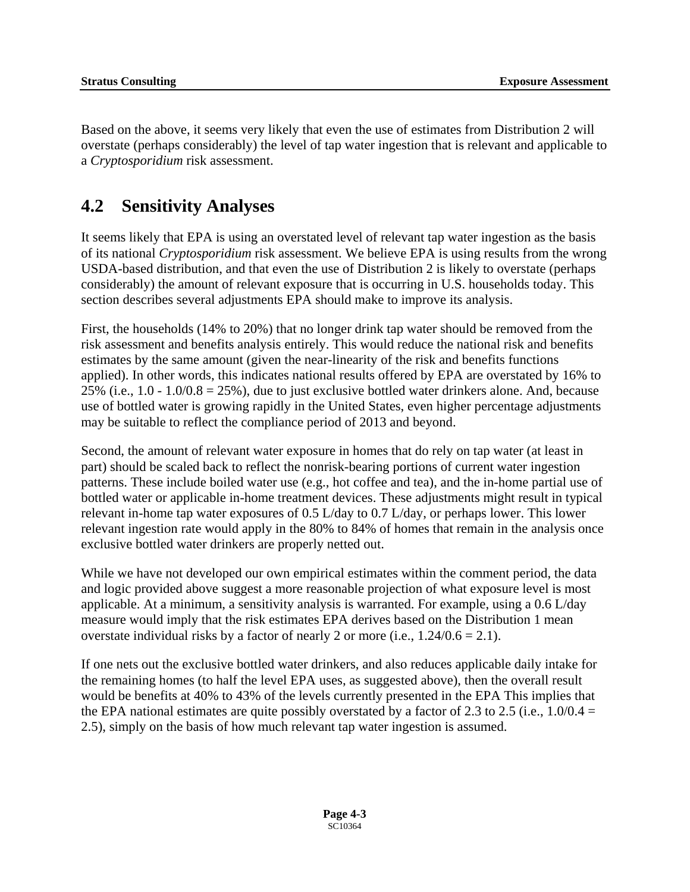Based on the above, it seems very likely that even the use of estimates from Distribution 2 will overstate (perhaps considerably) the level of tap water ingestion that is relevant and applicable to a *Cryptosporidium* risk assessment.

### **4.2 Sensitivity Analyses**

It seems likely that EPA is using an overstated level of relevant tap water ingestion as the basis of its national *Cryptosporidium* risk assessment. We believe EPA is using results from the wrong USDA-based distribution, and that even the use of Distribution 2 is likely to overstate (perhaps considerably) the amount of relevant exposure that is occurring in U.S. households today. This section describes several adjustments EPA should make to improve its analysis.

First, the households (14% to 20%) that no longer drink tap water should be removed from the risk assessment and benefits analysis entirely. This would reduce the national risk and benefits estimates by the same amount (given the near-linearity of the risk and benefits functions applied). In other words, this indicates national results offered by EPA are overstated by 16% to 25% (i.e.,  $1.0 - 1.0/0.8 = 25%$ ), due to just exclusive bottled water drinkers alone. And, because use of bottled water is growing rapidly in the United States, even higher percentage adjustments may be suitable to reflect the compliance period of 2013 and beyond.

Second, the amount of relevant water exposure in homes that do rely on tap water (at least in part) should be scaled back to reflect the nonrisk-bearing portions of current water ingestion patterns. These include boiled water use (e.g., hot coffee and tea), and the in-home partial use of bottled water or applicable in-home treatment devices. These adjustments might result in typical relevant in-home tap water exposures of 0.5 L/day to 0.7 L/day, or perhaps lower. This lower relevant ingestion rate would apply in the 80% to 84% of homes that remain in the analysis once exclusive bottled water drinkers are properly netted out.

While we have not developed our own empirical estimates within the comment period, the data and logic provided above suggest a more reasonable projection of what exposure level is most applicable. At a minimum, a sensitivity analysis is warranted. For example, using a 0.6 L/day measure would imply that the risk estimates EPA derives based on the Distribution 1 mean overstate individual risks by a factor of nearly 2 or more (i.e.,  $1.24/0.6 = 2.1$ ).

If one nets out the exclusive bottled water drinkers, and also reduces applicable daily intake for the remaining homes (to half the level EPA uses, as suggested above), then the overall result would be benefits at 40% to 43% of the levels currently presented in the EPA This implies that the EPA national estimates are quite possibly overstated by a factor of 2.3 to 2.5 (i.e.,  $1.0/0.4 =$ 2.5), simply on the basis of how much relevant tap water ingestion is assumed.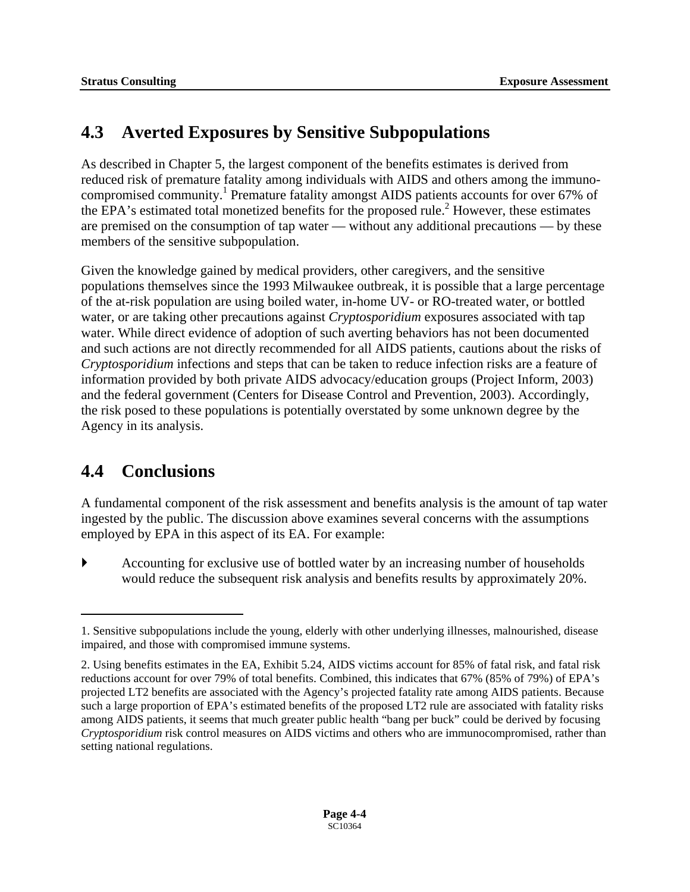## **4.3 Averted Exposures by Sensitive Subpopulations**

As described in Chapter 5, the largest component of the benefits estimates is derived from reduced risk of premature fatality among individuals with AIDS and others among the immuno-compromised community.<sup>[1](#page-112-0)</sup> Premature fatality amongst AIDS patients accounts for over 67% of the EPA's estimated total monetized benefits for the proposed rule.<sup>[2](#page-112-1)</sup> However, these estimates are premised on the consumption of tap water — without any additional precautions — by these members of the sensitive subpopulation.

Given the knowledge gained by medical providers, other caregivers, and the sensitive populations themselves since the 1993 Milwaukee outbreak, it is possible that a large percentage of the at-risk population are using boiled water, in-home UV- or RO-treated water, or bottled water, or are taking other precautions against *Cryptosporidium* exposures associated with tap water. While direct evidence of adoption of such averting behaviors has not been documented and such actions are not directly recommended for all AIDS patients, cautions about the risks of *Cryptosporidium* infections and steps that can be taken to reduce infection risks are a feature of information provided by both private AIDS advocacy/education groups (Project Inform, 2003) and the federal government (Centers for Disease Control and Prevention, 2003). Accordingly, the risk posed to these populations is potentially overstated by some unknown degree by the Agency in its analysis.

## **4.4 Conclusions**

<u>.</u>

A fundamental component of the risk assessment and benefits analysis is the amount of tap water ingested by the public. The discussion above examines several concerns with the assumptions employed by EPA in this aspect of its EA. For example:

` Accounting for exclusive use of bottled water by an increasing number of households would reduce the subsequent risk analysis and benefits results by approximately 20%.

<span id="page-112-0"></span><sup>1.</sup> Sensitive subpopulations include the young, elderly with other underlying illnesses, malnourished, disease impaired, and those with compromised immune systems.

<span id="page-112-1"></span><sup>2.</sup> Using benefits estimates in the EA, Exhibit 5.24, AIDS victims account for 85% of fatal risk, and fatal risk reductions account for over 79% of total benefits. Combined, this indicates that 67% (85% of 79%) of EPA's projected LT2 benefits are associated with the Agency's projected fatality rate among AIDS patients. Because such a large proportion of EPA's estimated benefits of the proposed LT2 rule are associated with fatality risks among AIDS patients, it seems that much greater public health "bang per buck" could be derived by focusing *Cryptosporidium* risk control measures on AIDS victims and others who are immunocompromised, rather than setting national regulations.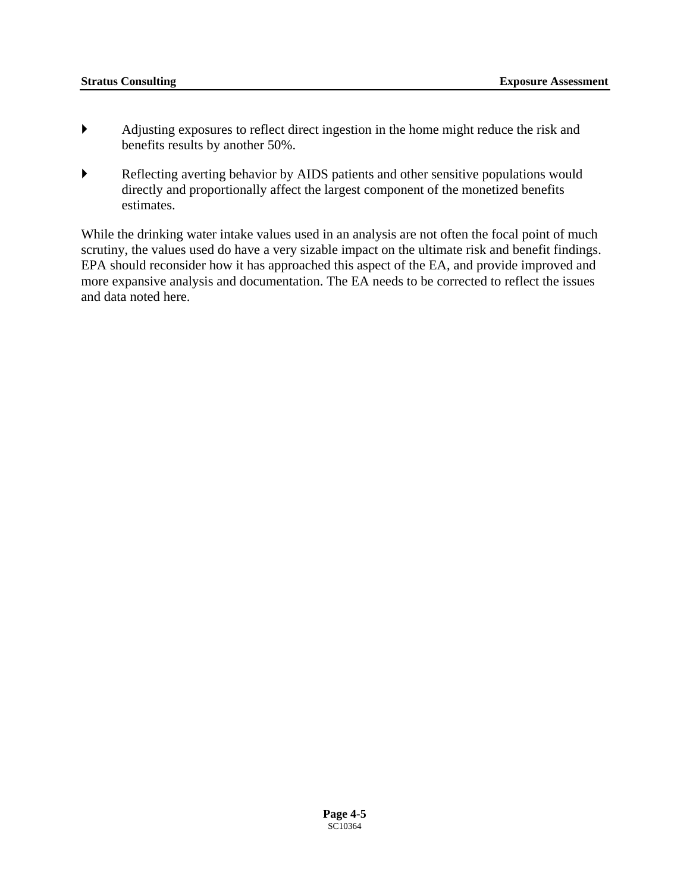- ` Adjusting exposures to reflect direct ingestion in the home might reduce the risk and benefits results by another 50%.
- ` Reflecting averting behavior by AIDS patients and other sensitive populations would directly and proportionally affect the largest component of the monetized benefits estimates.

While the drinking water intake values used in an analysis are not often the focal point of much scrutiny, the values used do have a very sizable impact on the ultimate risk and benefit findings. EPA should reconsider how it has approached this aspect of the EA, and provide improved and more expansive analysis and documentation. The EA needs to be corrected to reflect the issues and data noted here.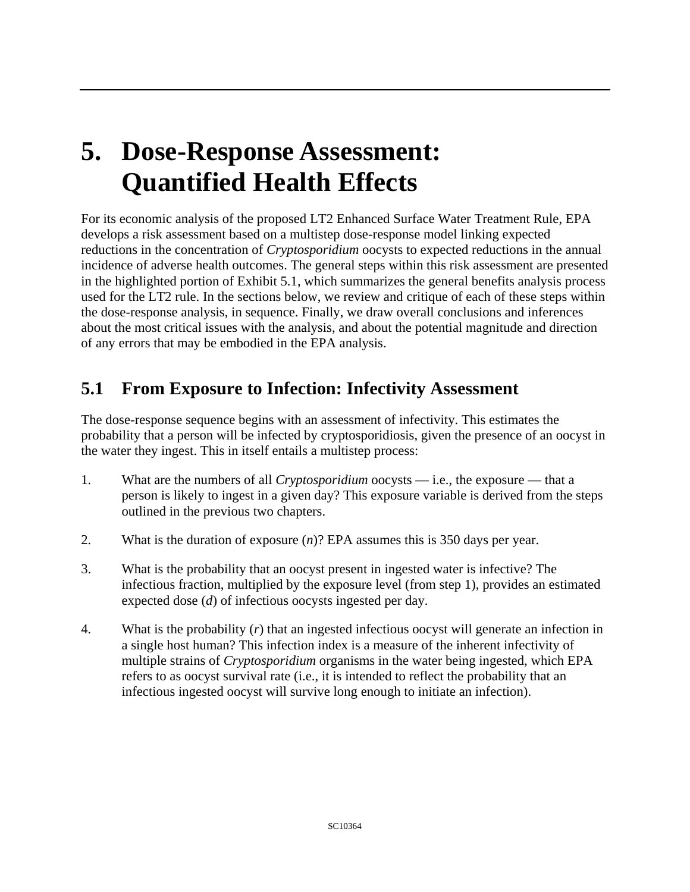# **5. Dose-Response Assessment: Quantified Health Effects**

For its economic analysis of the proposed LT2 Enhanced Surface Water Treatment Rule, EPA develops a risk assessment based on a multistep dose-response model linking expected reductions in the concentration of *Cryptosporidium* oocysts to expected reductions in the annual incidence of adverse health outcomes. The general steps within this risk assessment are presented in the highlighted portion of Exhibit 5.1, which summarizes the general benefits analysis process used for the LT2 rule. In the sections below, we review and critique of each of these steps within the dose-response analysis, in sequence. Finally, we draw overall conclusions and inferences about the most critical issues with the analysis, and about the potential magnitude and direction of any errors that may be embodied in the EPA analysis.

## **5.1 From Exposure to Infection: Infectivity Assessment**

The dose-response sequence begins with an assessment of infectivity. This estimates the probability that a person will be infected by cryptosporidiosis, given the presence of an oocyst in the water they ingest. This in itself entails a multistep process:

- 1. What are the numbers of all *Cryptosporidium* oocysts i.e., the exposure that a person is likely to ingest in a given day? This exposure variable is derived from the steps outlined in the previous two chapters.
- 2. What is the duration of exposure (*n*)? EPA assumes this is 350 days per year.
- 3. What is the probability that an oocyst present in ingested water is infective? The infectious fraction, multiplied by the exposure level (from step 1), provides an estimated expected dose (*d*) of infectious oocysts ingested per day.
- 4. What is the probability (*r*) that an ingested infectious oocyst will generate an infection in a single host human? This infection index is a measure of the inherent infectivity of multiple strains of *Cryptosporidium* organisms in the water being ingested, which EPA refers to as oocyst survival rate (i.e., it is intended to reflect the probability that an infectious ingested oocyst will survive long enough to initiate an infection).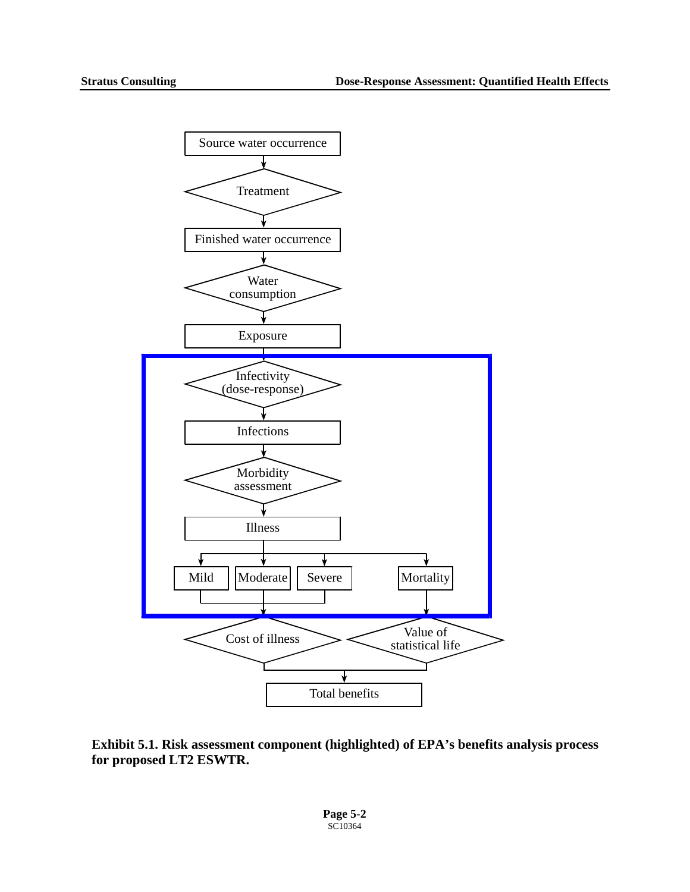

**Exhibit 5.1. Risk assessment component (highlighted) of EPA's benefits analysis process for proposed LT2 ESWTR.** 

**Page 5-2**   $SC10364$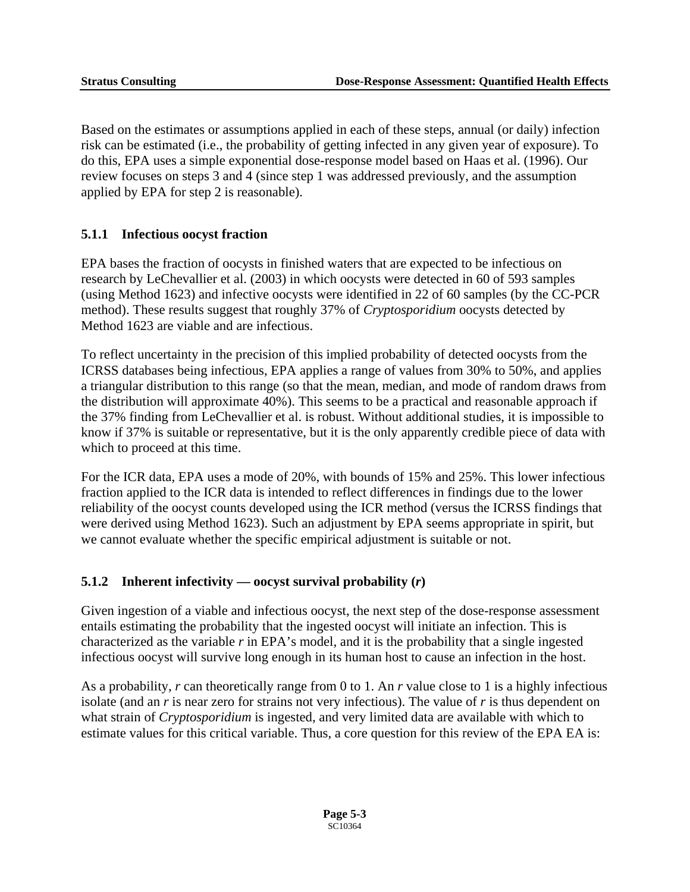Based on the estimates or assumptions applied in each of these steps, annual (or daily) infection risk can be estimated (i.e., the probability of getting infected in any given year of exposure). To do this, EPA uses a simple exponential dose-response model based on Haas et al. (1996). Our review focuses on steps 3 and 4 (since step 1 was addressed previously, and the assumption applied by EPA for step 2 is reasonable).

#### **5.1.1 Infectious oocyst fraction**

EPA bases the fraction of oocysts in finished waters that are expected to be infectious on research by LeChevallier et al. (2003) in which oocysts were detected in 60 of 593 samples (using Method 1623) and infective oocysts were identified in 22 of 60 samples (by the CC-PCR method). These results suggest that roughly 37% of *Cryptosporidium* oocysts detected by Method 1623 are viable and are infectious.

To reflect uncertainty in the precision of this implied probability of detected oocysts from the ICRSS databases being infectious, EPA applies a range of values from 30% to 50%, and applies a triangular distribution to this range (so that the mean, median, and mode of random draws from the distribution will approximate 40%). This seems to be a practical and reasonable approach if the 37% finding from LeChevallier et al. is robust. Without additional studies, it is impossible to know if 37% is suitable or representative, but it is the only apparently credible piece of data with which to proceed at this time.

For the ICR data, EPA uses a mode of 20%, with bounds of 15% and 25%. This lower infectious fraction applied to the ICR data is intended to reflect differences in findings due to the lower reliability of the oocyst counts developed using the ICR method (versus the ICRSS findings that were derived using Method 1623). Such an adjustment by EPA seems appropriate in spirit, but we cannot evaluate whether the specific empirical adjustment is suitable or not.

#### **5.1.2 Inherent infectivity — oocyst survival probability (***r***)**

Given ingestion of a viable and infectious oocyst, the next step of the dose-response assessment entails estimating the probability that the ingested oocyst will initiate an infection. This is characterized as the variable *r* in EPA's model, and it is the probability that a single ingested infectious oocyst will survive long enough in its human host to cause an infection in the host.

As a probability, *r* can theoretically range from 0 to 1. An *r* value close to 1 is a highly infectious isolate (and an *r* is near zero for strains not very infectious). The value of *r* is thus dependent on what strain of *Cryptosporidium* is ingested, and very limited data are available with which to estimate values for this critical variable. Thus, a core question for this review of the EPA EA is: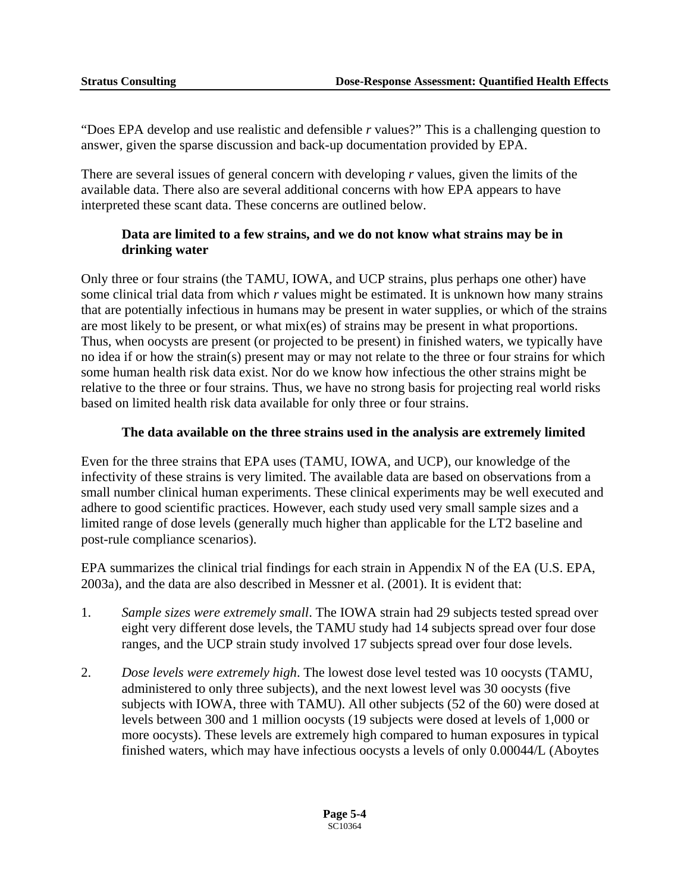"Does EPA develop and use realistic and defensible *r* values?" This is a challenging question to answer, given the sparse discussion and back-up documentation provided by EPA.

There are several issues of general concern with developing *r* values, given the limits of the available data. There also are several additional concerns with how EPA appears to have interpreted these scant data. These concerns are outlined below.

#### **Data are limited to a few strains, and we do not know what strains may be in drinking water**

Only three or four strains (the TAMU, IOWA, and UCP strains, plus perhaps one other) have some clinical trial data from which *r* values might be estimated. It is unknown how many strains that are potentially infectious in humans may be present in water supplies, or which of the strains are most likely to be present, or what mix(es) of strains may be present in what proportions. Thus, when oocysts are present (or projected to be present) in finished waters, we typically have no idea if or how the strain(s) present may or may not relate to the three or four strains for which some human health risk data exist. Nor do we know how infectious the other strains might be relative to the three or four strains. Thus, we have no strong basis for projecting real world risks based on limited health risk data available for only three or four strains.

#### **The data available on the three strains used in the analysis are extremely limited**

Even for the three strains that EPA uses (TAMU, IOWA, and UCP), our knowledge of the infectivity of these strains is very limited. The available data are based on observations from a small number clinical human experiments. These clinical experiments may be well executed and adhere to good scientific practices. However, each study used very small sample sizes and a limited range of dose levels (generally much higher than applicable for the LT2 baseline and post-rule compliance scenarios).

EPA summarizes the clinical trial findings for each strain in Appendix N of the EA (U.S. EPA, 2003a), and the data are also described in Messner et al. (2001). It is evident that:

- 1. *Sample sizes were extremely small*. The IOWA strain had 29 subjects tested spread over eight very different dose levels, the TAMU study had 14 subjects spread over four dose ranges, and the UCP strain study involved 17 subjects spread over four dose levels.
- 2. *Dose levels were extremely high*. The lowest dose level tested was 10 oocysts (TAMU, administered to only three subjects), and the next lowest level was 30 oocysts (five subjects with IOWA, three with TAMU). All other subjects (52 of the 60) were dosed at levels between 300 and 1 million oocysts (19 subjects were dosed at levels of 1,000 or more oocysts). These levels are extremely high compared to human exposures in typical finished waters, which may have infectious oocysts a levels of only 0.00044/L (Aboytes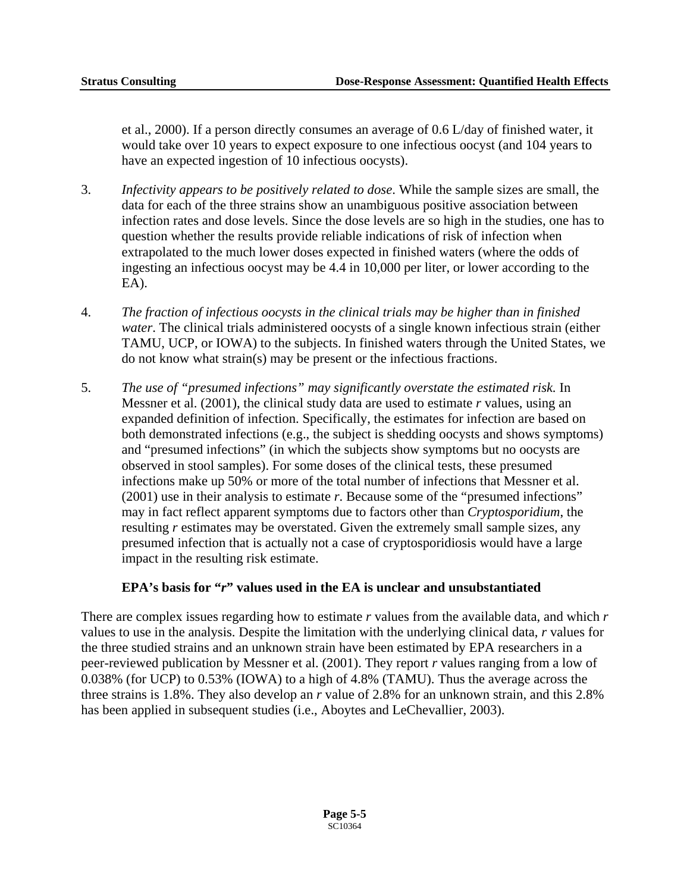et al., 2000). If a person directly consumes an average of 0.6 L/day of finished water, it would take over 10 years to expect exposure to one infectious oocyst (and 104 years to have an expected ingestion of 10 infectious oocysts).

- 3. *Infectivity appears to be positively related to dose*. While the sample sizes are small, the data for each of the three strains show an unambiguous positive association between infection rates and dose levels. Since the dose levels are so high in the studies, one has to question whether the results provide reliable indications of risk of infection when extrapolated to the much lower doses expected in finished waters (where the odds of ingesting an infectious oocyst may be 4.4 in 10,000 per liter, or lower according to the EA).
- 4. *The fraction of infectious oocysts in the clinical trials may be higher than in finished water*. The clinical trials administered oocysts of a single known infectious strain (either TAMU, UCP, or IOWA) to the subjects. In finished waters through the United States, we do not know what strain(s) may be present or the infectious fractions.
- 5. *The use of "presumed infections" may significantly overstate the estimated risk.* In Messner et al. (2001), the clinical study data are used to estimate *r* values, using an expanded definition of infection. Specifically, the estimates for infection are based on both demonstrated infections (e.g., the subject is shedding oocysts and shows symptoms) and "presumed infections" (in which the subjects show symptoms but no oocysts are observed in stool samples). For some doses of the clinical tests, these presumed infections make up 50% or more of the total number of infections that Messner et al. (2001) use in their analysis to estimate *r*. Because some of the "presumed infections" may in fact reflect apparent symptoms due to factors other than *Cryptosporidium*, the resulting *r* estimates may be overstated. Given the extremely small sample sizes, any presumed infection that is actually not a case of cryptosporidiosis would have a large impact in the resulting risk estimate.

#### **EPA's basis for "***r***" values used in the EA is unclear and unsubstantiated**

There are complex issues regarding how to estimate *r* values from the available data, and which *r*  values to use in the analysis. Despite the limitation with the underlying clinical data, *r* values for the three studied strains and an unknown strain have been estimated by EPA researchers in a peer-reviewed publication by Messner et al. (2001). They report *r* values ranging from a low of 0.038% (for UCP) to 0.53% (IOWA) to a high of 4.8% (TAMU). Thus the average across the three strains is 1.8%. They also develop an *r* value of 2.8% for an unknown strain, and this 2.8% has been applied in subsequent studies (i.e., Aboytes and LeChevallier, 2003).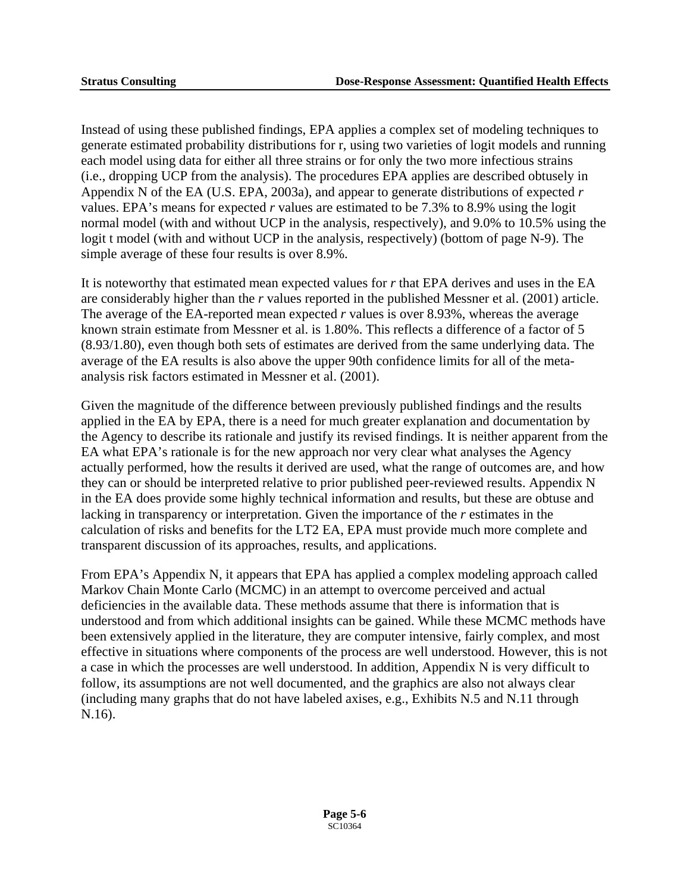Instead of using these published findings, EPA applies a complex set of modeling techniques to generate estimated probability distributions for r, using two varieties of logit models and running each model using data for either all three strains or for only the two more infectious strains (i.e., dropping UCP from the analysis). The procedures EPA applies are described obtusely in Appendix N of the EA (U.S. EPA, 2003a), and appear to generate distributions of expected *r*  values. EPA's means for expected *r* values are estimated to be 7.3% to 8.9% using the logit normal model (with and without UCP in the analysis, respectively), and 9.0% to 10.5% using the logit t model (with and without UCP in the analysis, respectively) (bottom of page N-9). The simple average of these four results is over 8.9%.

It is noteworthy that estimated mean expected values for *r* that EPA derives and uses in the EA are considerably higher than the *r* values reported in the published Messner et al. (2001) article. The average of the EA-reported mean expected *r* values is over 8.93%, whereas the average known strain estimate from Messner et al. is 1.80%. This reflects a difference of a factor of 5 (8.93/1.80), even though both sets of estimates are derived from the same underlying data. The average of the EA results is also above the upper 90th confidence limits for all of the metaanalysis risk factors estimated in Messner et al. (2001).

Given the magnitude of the difference between previously published findings and the results applied in the EA by EPA, there is a need for much greater explanation and documentation by the Agency to describe its rationale and justify its revised findings. It is neither apparent from the EA what EPA's rationale is for the new approach nor very clear what analyses the Agency actually performed, how the results it derived are used, what the range of outcomes are, and how they can or should be interpreted relative to prior published peer-reviewed results. Appendix N in the EA does provide some highly technical information and results, but these are obtuse and lacking in transparency or interpretation. Given the importance of the *r* estimates in the calculation of risks and benefits for the LT2 EA, EPA must provide much more complete and transparent discussion of its approaches, results, and applications.

From EPA's Appendix N, it appears that EPA has applied a complex modeling approach called Markov Chain Monte Carlo (MCMC) in an attempt to overcome perceived and actual deficiencies in the available data. These methods assume that there is information that is understood and from which additional insights can be gained. While these MCMC methods have been extensively applied in the literature, they are computer intensive, fairly complex, and most effective in situations where components of the process are well understood. However, this is not a case in which the processes are well understood. In addition, Appendix N is very difficult to follow, its assumptions are not well documented, and the graphics are also not always clear (including many graphs that do not have labeled axises, e.g., Exhibits N.5 and N.11 through N.16).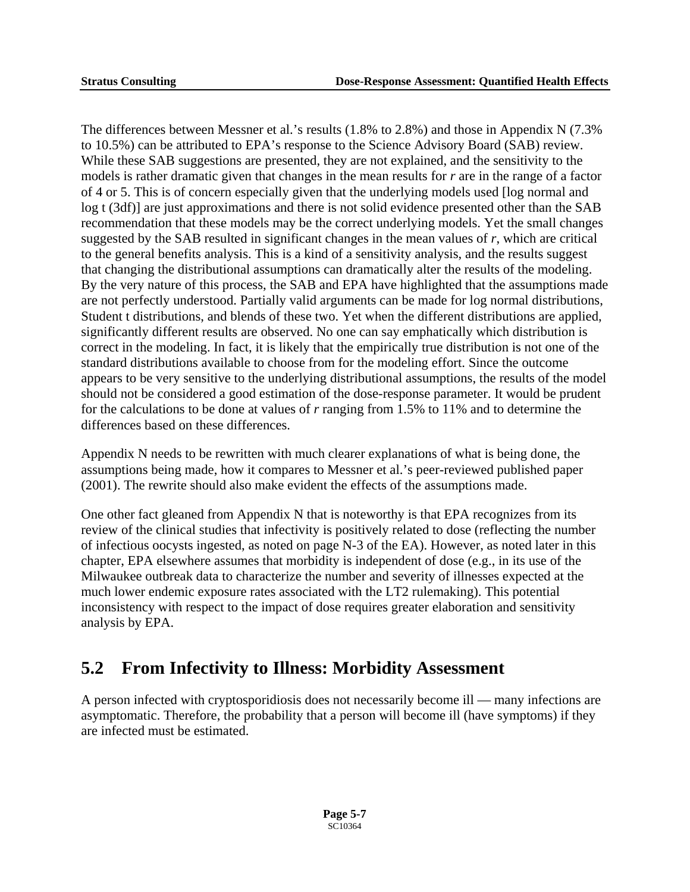The differences between Messner et al.'s results (1.8% to 2.8%) and those in Appendix N (7.3% to 10.5%) can be attributed to EPA's response to the Science Advisory Board (SAB) review. While these SAB suggestions are presented, they are not explained, and the sensitivity to the models is rather dramatic given that changes in the mean results for *r* are in the range of a factor of 4 or 5. This is of concern especially given that the underlying models used [log normal and log t (3df)] are just approximations and there is not solid evidence presented other than the SAB recommendation that these models may be the correct underlying models. Yet the small changes suggested by the SAB resulted in significant changes in the mean values of *r*, which are critical to the general benefits analysis. This is a kind of a sensitivity analysis, and the results suggest that changing the distributional assumptions can dramatically alter the results of the modeling. By the very nature of this process, the SAB and EPA have highlighted that the assumptions made are not perfectly understood. Partially valid arguments can be made for log normal distributions, Student t distributions, and blends of these two. Yet when the different distributions are applied, significantly different results are observed. No one can say emphatically which distribution is correct in the modeling. In fact, it is likely that the empirically true distribution is not one of the standard distributions available to choose from for the modeling effort. Since the outcome appears to be very sensitive to the underlying distributional assumptions, the results of the model should not be considered a good estimation of the dose-response parameter. It would be prudent for the calculations to be done at values of *r* ranging from 1.5% to 11% and to determine the differences based on these differences.

Appendix N needs to be rewritten with much clearer explanations of what is being done, the assumptions being made, how it compares to Messner et al.'s peer-reviewed published paper (2001). The rewrite should also make evident the effects of the assumptions made.

One other fact gleaned from Appendix N that is noteworthy is that EPA recognizes from its review of the clinical studies that infectivity is positively related to dose (reflecting the number of infectious oocysts ingested, as noted on page N-3 of the EA). However, as noted later in this chapter, EPA elsewhere assumes that morbidity is independent of dose (e.g., in its use of the Milwaukee outbreak data to characterize the number and severity of illnesses expected at the much lower endemic exposure rates associated with the LT2 rulemaking). This potential inconsistency with respect to the impact of dose requires greater elaboration and sensitivity analysis by EPA.

## **5.2 From Infectivity to Illness: Morbidity Assessment**

A person infected with cryptosporidiosis does not necessarily become ill — many infections are asymptomatic. Therefore, the probability that a person will become ill (have symptoms) if they are infected must be estimated.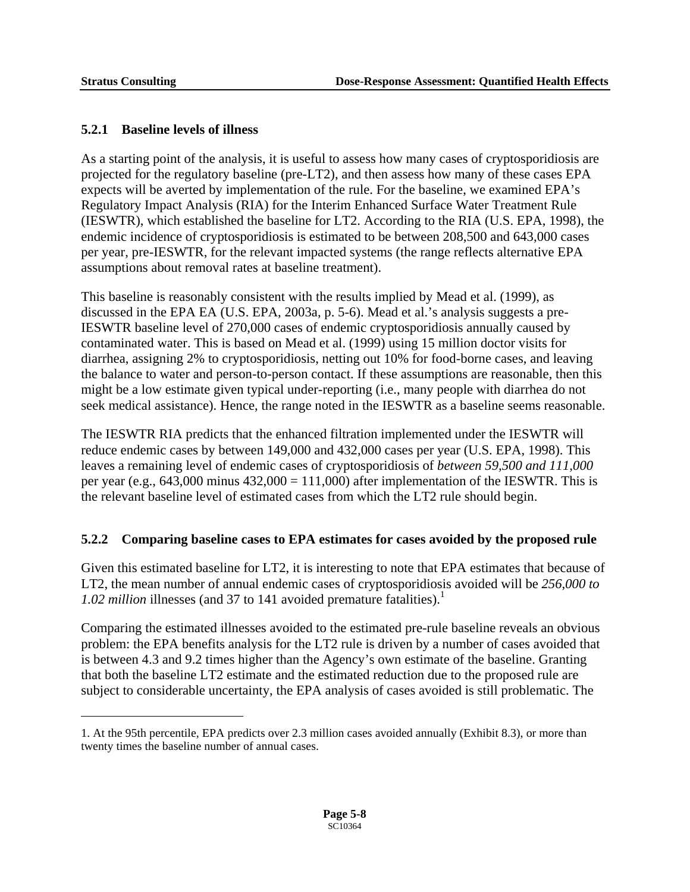$\overline{a}$ 

#### **5.2.1 Baseline levels of illness**

As a starting point of the analysis, it is useful to assess how many cases of cryptosporidiosis are projected for the regulatory baseline (pre-LT2), and then assess how many of these cases EPA expects will be averted by implementation of the rule. For the baseline, we examined EPA's Regulatory Impact Analysis (RIA) for the Interim Enhanced Surface Water Treatment Rule (IESWTR), which established the baseline for LT2. According to the RIA (U.S. EPA, 1998), the endemic incidence of cryptosporidiosis is estimated to be between 208,500 and 643,000 cases per year, pre-IESWTR, for the relevant impacted systems (the range reflects alternative EPA assumptions about removal rates at baseline treatment).

This baseline is reasonably consistent with the results implied by Mead et al. (1999), as discussed in the EPA EA (U.S. EPA, 2003a, p. 5-6). Mead et al.'s analysis suggests a pre-IESWTR baseline level of 270,000 cases of endemic cryptosporidiosis annually caused by contaminated water. This is based on Mead et al. (1999) using 15 million doctor visits for diarrhea, assigning 2% to cryptosporidiosis, netting out 10% for food-borne cases, and leaving the balance to water and person-to-person contact. If these assumptions are reasonable, then this might be a low estimate given typical under-reporting (i.e., many people with diarrhea do not seek medical assistance). Hence, the range noted in the IESWTR as a baseline seems reasonable.

The IESWTR RIA predicts that the enhanced filtration implemented under the IESWTR will reduce endemic cases by between 149,000 and 432,000 cases per year (U.S. EPA, 1998). This leaves a remaining level of endemic cases of cryptosporidiosis of *between 59,500 and 111,000*  per year (e.g.,  $643,000$  minus  $432,000 = 111,000$ ) after implementation of the IESWTR. This is the relevant baseline level of estimated cases from which the LT2 rule should begin.

#### **5.2.2 Comparing baseline cases to EPA estimates for cases avoided by the proposed rule**

Given this estimated baseline for LT2, it is interesting to note that EPA estimates that because of LT2, the mean number of annual endemic cases of cryptosporidiosis avoided will be *256,000 to*  1.02 million illnesses (and 37 to 14[1](#page-121-0) avoided premature fatalities).<sup>1</sup>

Comparing the estimated illnesses avoided to the estimated pre-rule baseline reveals an obvious problem: the EPA benefits analysis for the LT2 rule is driven by a number of cases avoided that is between 4.3 and 9.2 times higher than the Agency's own estimate of the baseline. Granting that both the baseline LT2 estimate and the estimated reduction due to the proposed rule are subject to considerable uncertainty, the EPA analysis of cases avoided is still problematic. The

<span id="page-121-0"></span><sup>1.</sup> At the 95th percentile, EPA predicts over 2.3 million cases avoided annually (Exhibit 8.3), or more than twenty times the baseline number of annual cases.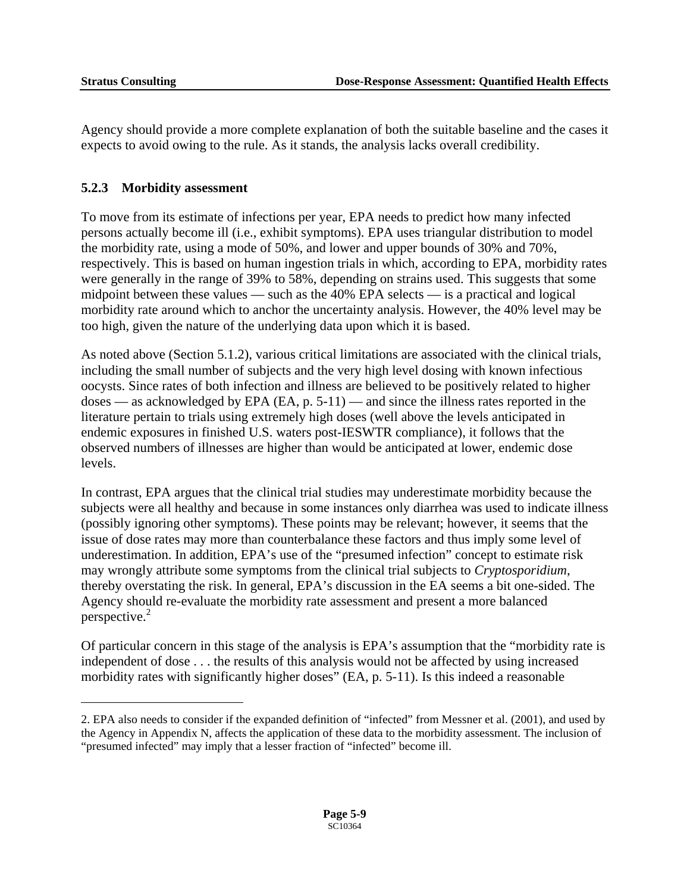$\overline{a}$ 

Agency should provide a more complete explanation of both the suitable baseline and the cases it expects to avoid owing to the rule. As it stands, the analysis lacks overall credibility.

#### **5.2.3 Morbidity assessment**

To move from its estimate of infections per year, EPA needs to predict how many infected persons actually become ill (i.e., exhibit symptoms). EPA uses triangular distribution to model the morbidity rate, using a mode of 50%, and lower and upper bounds of 30% and 70%, respectively. This is based on human ingestion trials in which, according to EPA, morbidity rates were generally in the range of 39% to 58%, depending on strains used. This suggests that some midpoint between these values — such as the 40% EPA selects — is a practical and logical morbidity rate around which to anchor the uncertainty analysis. However, the 40% level may be too high, given the nature of the underlying data upon which it is based.

As noted above (Section 5.1.2), various critical limitations are associated with the clinical trials, including the small number of subjects and the very high level dosing with known infectious oocysts. Since rates of both infection and illness are believed to be positively related to higher doses — as acknowledged by EPA (EA, p. 5-11) — and since the illness rates reported in the literature pertain to trials using extremely high doses (well above the levels anticipated in endemic exposures in finished U.S. waters post-IESWTR compliance), it follows that the observed numbers of illnesses are higher than would be anticipated at lower, endemic dose levels.

In contrast, EPA argues that the clinical trial studies may underestimate morbidity because the subjects were all healthy and because in some instances only diarrhea was used to indicate illness (possibly ignoring other symptoms). These points may be relevant; however, it seems that the issue of dose rates may more than counterbalance these factors and thus imply some level of underestimation. In addition, EPA's use of the "presumed infection" concept to estimate risk may wrongly attribute some symptoms from the clinical trial subjects to *Cryptosporidium*, thereby overstating the risk. In general, EPA's discussion in the EA seems a bit one-sided. The Agency should re-evaluate the morbidity rate assessment and present a more balanced perspective. $2$ 

Of particular concern in this stage of the analysis is EPA's assumption that the "morbidity rate is independent of dose . . . the results of this analysis would not be affected by using increased morbidity rates with significantly higher doses" (EA, p. 5-11). Is this indeed a reasonable

<span id="page-122-0"></span><sup>2.</sup> EPA also needs to consider if the expanded definition of "infected" from Messner et al. (2001), and used by the Agency in Appendix N, affects the application of these data to the morbidity assessment. The inclusion of "presumed infected" may imply that a lesser fraction of "infected" become ill.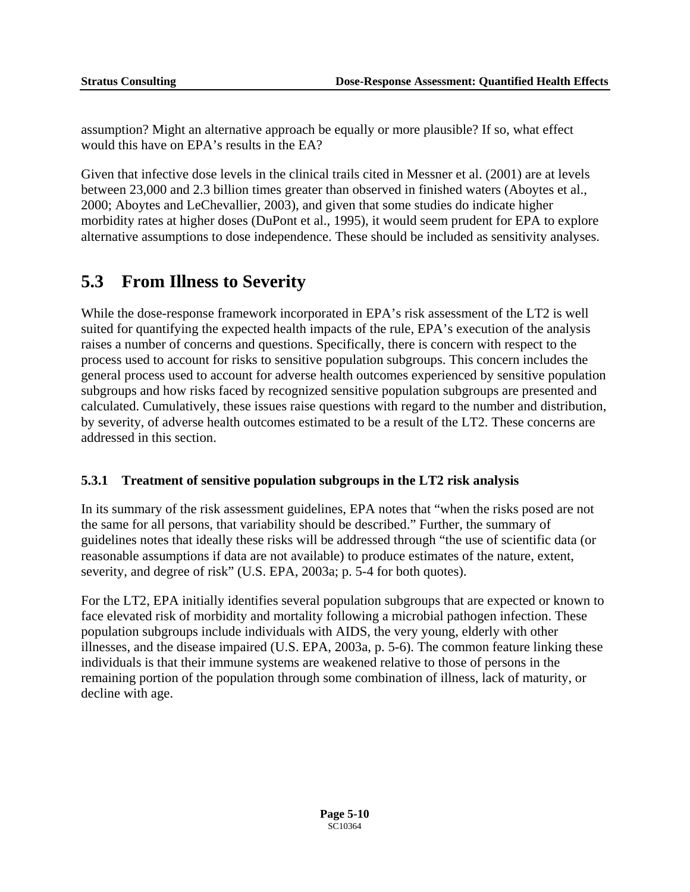assumption? Might an alternative approach be equally or more plausible? If so, what effect would this have on EPA's results in the EA?

Given that infective dose levels in the clinical trails cited in Messner et al. (2001) are at levels between 23,000 and 2.3 billion times greater than observed in finished waters (Aboytes et al., 2000; Aboytes and LeChevallier, 2003), and given that some studies do indicate higher morbidity rates at higher doses (DuPont et al., 1995), it would seem prudent for EPA to explore alternative assumptions to dose independence. These should be included as sensitivity analyses.

## **5.3 From Illness to Severity**

While the dose-response framework incorporated in EPA's risk assessment of the LT2 is well suited for quantifying the expected health impacts of the rule, EPA's execution of the analysis raises a number of concerns and questions. Specifically, there is concern with respect to the process used to account for risks to sensitive population subgroups. This concern includes the general process used to account for adverse health outcomes experienced by sensitive population subgroups and how risks faced by recognized sensitive population subgroups are presented and calculated. Cumulatively, these issues raise questions with regard to the number and distribution, by severity, of adverse health outcomes estimated to be a result of the LT2. These concerns are addressed in this section.

#### **5.3.1 Treatment of sensitive population subgroups in the LT2 risk analysis**

In its summary of the risk assessment guidelines, EPA notes that "when the risks posed are not the same for all persons, that variability should be described." Further, the summary of guidelines notes that ideally these risks will be addressed through "the use of scientific data (or reasonable assumptions if data are not available) to produce estimates of the nature, extent, severity, and degree of risk" (U.S. EPA, 2003a; p. 5-4 for both quotes).

For the LT2, EPA initially identifies several population subgroups that are expected or known to face elevated risk of morbidity and mortality following a microbial pathogen infection. These population subgroups include individuals with AIDS, the very young, elderly with other illnesses, and the disease impaired (U.S. EPA, 2003a, p. 5-6). The common feature linking these individuals is that their immune systems are weakened relative to those of persons in the remaining portion of the population through some combination of illness, lack of maturity, or decline with age.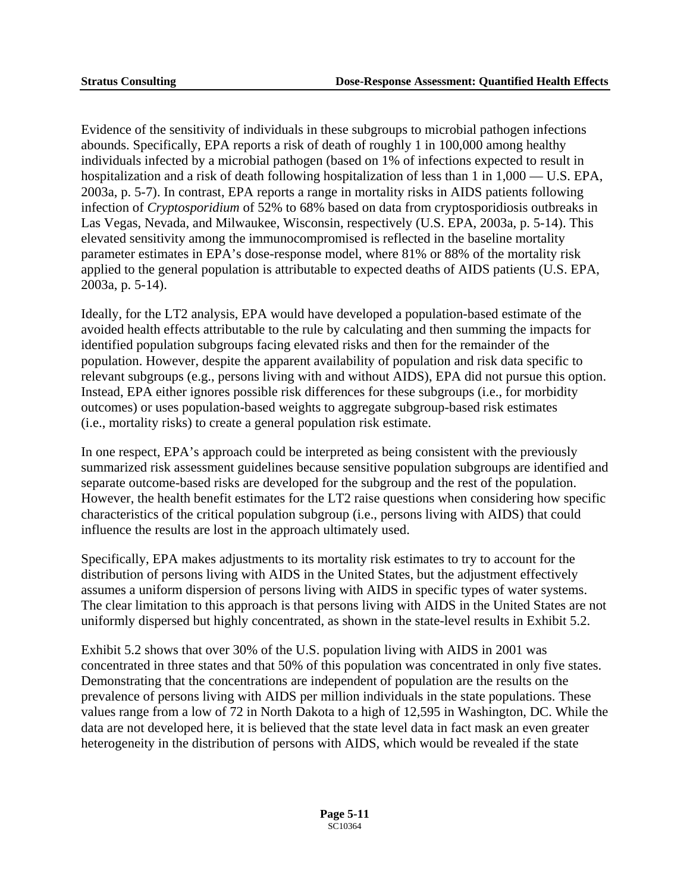Evidence of the sensitivity of individuals in these subgroups to microbial pathogen infections abounds. Specifically, EPA reports a risk of death of roughly 1 in 100,000 among healthy individuals infected by a microbial pathogen (based on 1% of infections expected to result in hospitalization and a risk of death following hospitalization of less than 1 in 1,000 — U.S. EPA, 2003a, p. 5-7). In contrast, EPA reports a range in mortality risks in AIDS patients following infection of *Cryptosporidium* of 52% to 68% based on data from cryptosporidiosis outbreaks in Las Vegas, Nevada, and Milwaukee, Wisconsin, respectively (U.S. EPA, 2003a, p. 5-14). This elevated sensitivity among the immunocompromised is reflected in the baseline mortality parameter estimates in EPA's dose-response model, where 81% or 88% of the mortality risk applied to the general population is attributable to expected deaths of AIDS patients (U.S. EPA, 2003a, p. 5-14).

Ideally, for the LT2 analysis, EPA would have developed a population-based estimate of the avoided health effects attributable to the rule by calculating and then summing the impacts for identified population subgroups facing elevated risks and then for the remainder of the population. However, despite the apparent availability of population and risk data specific to relevant subgroups (e.g., persons living with and without AIDS), EPA did not pursue this option. Instead, EPA either ignores possible risk differences for these subgroups (i.e., for morbidity outcomes) or uses population-based weights to aggregate subgroup-based risk estimates (i.e., mortality risks) to create a general population risk estimate.

In one respect, EPA's approach could be interpreted as being consistent with the previously summarized risk assessment guidelines because sensitive population subgroups are identified and separate outcome-based risks are developed for the subgroup and the rest of the population. However, the health benefit estimates for the LT2 raise questions when considering how specific characteristics of the critical population subgroup (i.e., persons living with AIDS) that could influence the results are lost in the approach ultimately used.

Specifically, EPA makes adjustments to its mortality risk estimates to try to account for the distribution of persons living with AIDS in the United States, but the adjustment effectively assumes a uniform dispersion of persons living with AIDS in specific types of water systems. The clear limitation to this approach is that persons living with AIDS in the United States are not uniformly dispersed but highly concentrated, as shown in the state-level results in Exhibit 5.2.

Exhibit 5.2 shows that over 30% of the U.S. population living with AIDS in 2001 was concentrated in three states and that 50% of this population was concentrated in only five states. Demonstrating that the concentrations are independent of population are the results on the prevalence of persons living with AIDS per million individuals in the state populations. These values range from a low of 72 in North Dakota to a high of 12,595 in Washington, DC. While the data are not developed here, it is believed that the state level data in fact mask an even greater heterogeneity in the distribution of persons with AIDS, which would be revealed if the state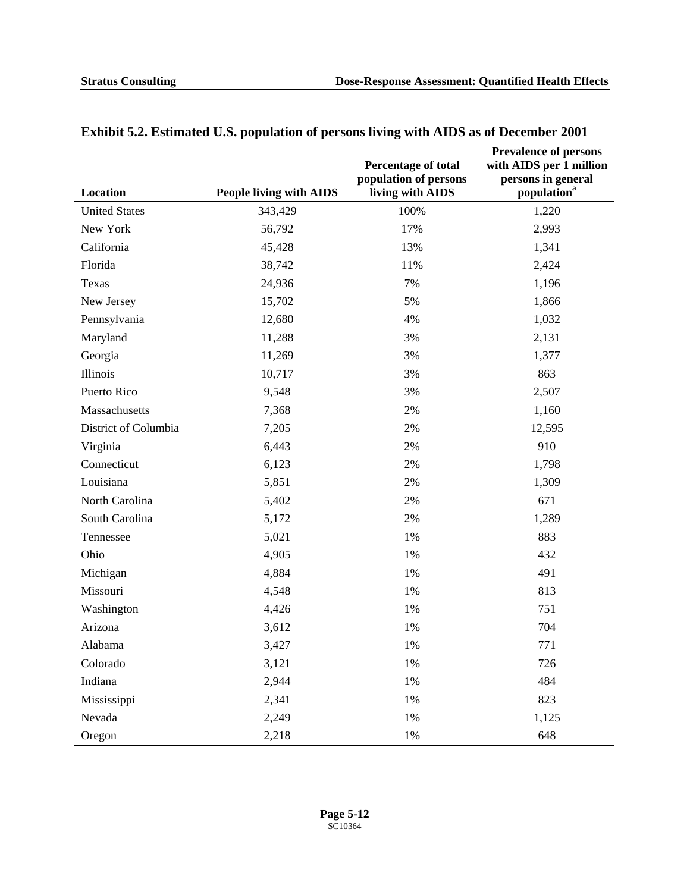| Location             | <b>People living with AIDS</b> | Percentage of total<br>population of persons<br>living with AIDS | <b>Prevalence of persons</b><br>with AIDS per 1 million<br>persons in general<br>population <sup>a</sup> |
|----------------------|--------------------------------|------------------------------------------------------------------|----------------------------------------------------------------------------------------------------------|
| <b>United States</b> | 343,429                        | 100%                                                             | 1,220                                                                                                    |
| New York             | 56,792                         | 17%                                                              | 2,993                                                                                                    |
| California           | 45,428                         | 13%                                                              | 1,341                                                                                                    |
| Florida              | 38,742                         | 11%                                                              | 2,424                                                                                                    |
| Texas                | 24,936                         | 7%                                                               | 1,196                                                                                                    |
| New Jersey           | 15,702                         | 5%                                                               | 1,866                                                                                                    |
| Pennsylvania         | 12,680                         | 4%                                                               | 1,032                                                                                                    |
| Maryland             | 11,288                         | 3%                                                               | 2,131                                                                                                    |
| Georgia              | 11,269                         | 3%                                                               | 1,377                                                                                                    |
| Illinois             | 10,717                         | 3%                                                               | 863                                                                                                      |
| Puerto Rico          | 9,548                          | 3%                                                               | 2,507                                                                                                    |
| Massachusetts        | 7,368                          | $2\%$                                                            | 1,160                                                                                                    |
| District of Columbia | 7,205                          | 2%                                                               | 12,595                                                                                                   |
| Virginia             | 6,443                          | 2%                                                               | 910                                                                                                      |
| Connecticut          | 6,123                          | 2%                                                               | 1,798                                                                                                    |
| Louisiana            | 5,851                          | 2%                                                               | 1,309                                                                                                    |
| North Carolina       | 5,402                          | 2%                                                               | 671                                                                                                      |
| South Carolina       | 5,172                          | 2%                                                               | 1,289                                                                                                    |
| Tennessee            | 5,021                          | 1%                                                               | 883                                                                                                      |
| Ohio                 | 4,905                          | 1%                                                               | 432                                                                                                      |
| Michigan             | 4,884                          | 1%                                                               | 491                                                                                                      |
| Missouri             | 4,548                          | 1%                                                               | 813                                                                                                      |
| Washington           | 4,426                          | 1%                                                               | 751                                                                                                      |
| Arizona              | 3,612                          | 1%                                                               | 704                                                                                                      |
| Alabama              | 3,427                          | 1%                                                               | 771                                                                                                      |
| Colorado             | 3,121                          | 1%                                                               | 726                                                                                                      |
| Indiana              | 2,944                          | 1%                                                               | 484                                                                                                      |
| Mississippi          | 2,341                          | 1%                                                               | 823                                                                                                      |
| Nevada               | 2,249                          | 1%                                                               | 1,125                                                                                                    |
| Oregon               | 2,218                          | $1\%$                                                            | 648                                                                                                      |

### **Exhibit 5.2. Estimated U.S. population of persons living with AIDS as of December 2001**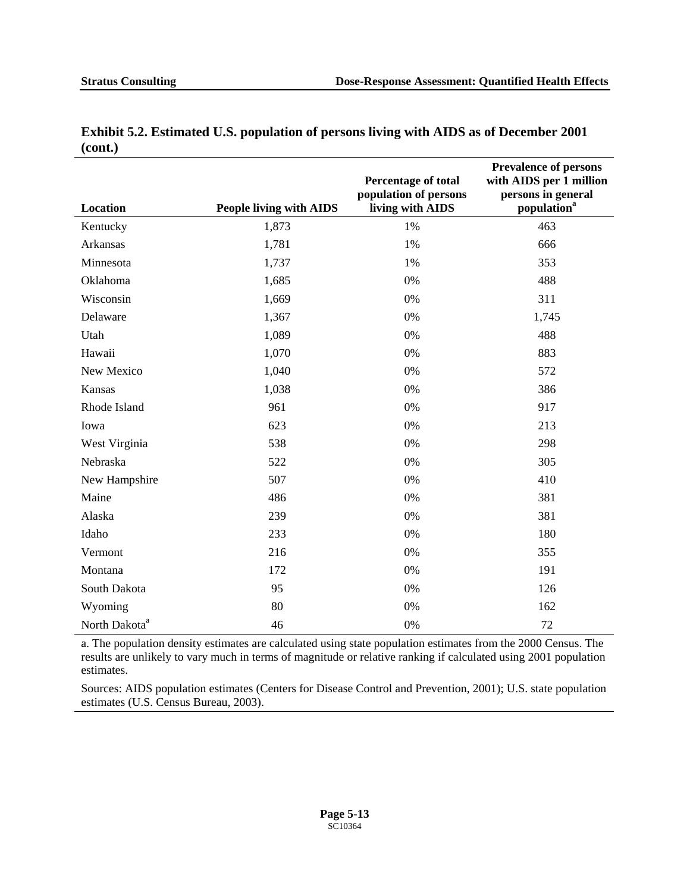|                           |                                | <b>Percentage of total</b><br>population of persons | <b>Prevalence of persons</b><br>with AIDS per 1 million<br>persons in general |
|---------------------------|--------------------------------|-----------------------------------------------------|-------------------------------------------------------------------------------|
| Location                  | <b>People living with AIDS</b> | living with AIDS                                    | population <sup>a</sup>                                                       |
| Kentucky                  | 1,873                          | 1%                                                  | 463                                                                           |
| Arkansas                  | 1,781                          | 1%                                                  | 666                                                                           |
| Minnesota                 | 1,737                          | 1%                                                  | 353                                                                           |
| Oklahoma                  | 1,685                          | 0%                                                  | 488                                                                           |
| Wisconsin                 | 1,669                          | 0%                                                  | 311                                                                           |
| Delaware                  | 1,367                          | 0%                                                  | 1,745                                                                         |
| Utah                      | 1,089                          | 0%                                                  | 488                                                                           |
| Hawaii                    | 1,070                          | 0%                                                  | 883                                                                           |
| New Mexico                | 1,040                          | $0\%$                                               | 572                                                                           |
| Kansas                    | 1,038                          | $0\%$                                               | 386                                                                           |
| Rhode Island              | 961                            | $0\%$                                               | 917                                                                           |
| Iowa                      | 623                            | 0%                                                  | 213                                                                           |
| West Virginia             | 538                            | 0%                                                  | 298                                                                           |
| Nebraska                  | 522                            | 0%                                                  | 305                                                                           |
| New Hampshire             | 507                            | 0%                                                  | 410                                                                           |
| Maine                     | 486                            | 0%                                                  | 381                                                                           |
| Alaska                    | 239                            | 0%                                                  | 381                                                                           |
| Idaho                     | 233                            | $0\%$                                               | 180                                                                           |
| Vermont                   | 216                            | $0\%$                                               | 355                                                                           |
| Montana                   | 172                            | 0%                                                  | 191                                                                           |
| South Dakota              | 95                             | $0\%$                                               | 126                                                                           |
| Wyoming                   | 80                             | $0\%$                                               | 162                                                                           |
| North Dakota <sup>a</sup> | 46                             | 0%                                                  | 72                                                                            |

#### **Exhibit 5.2. Estimated U.S. population of persons living with AIDS as of December 2001 (cont.)**

a. The population density estimates are calculated using state population estimates from the 2000 Census. The results are unlikely to vary much in terms of magnitude or relative ranking if calculated using 2001 population estimates.

Sources: AIDS population estimates (Centers for Disease Control and Prevention, 2001); U.S. state population estimates (U.S. Census Bureau, 2003).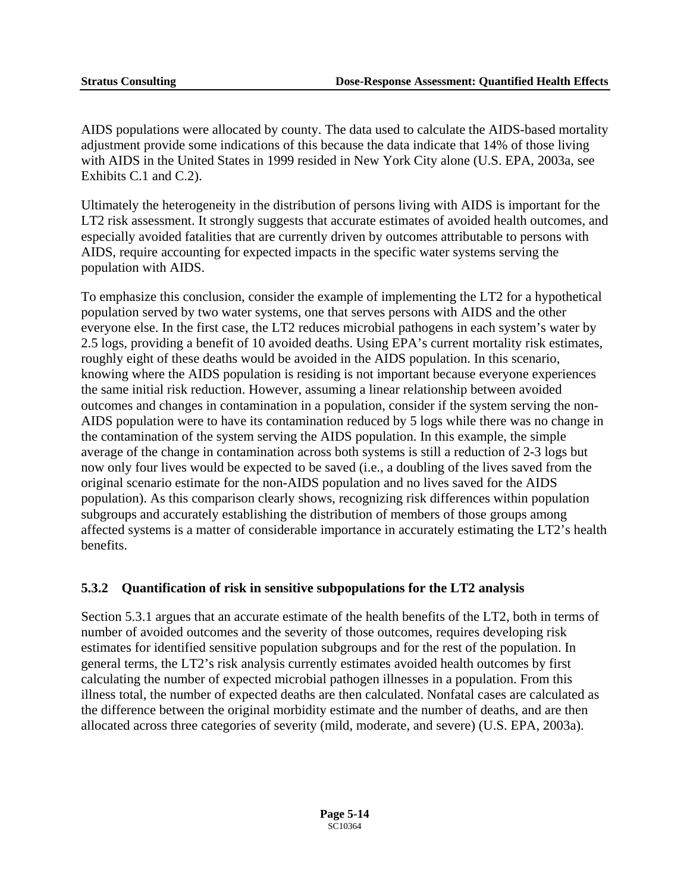AIDS populations were allocated by county. The data used to calculate the AIDS-based mortality adjustment provide some indications of this because the data indicate that 14% of those living with AIDS in the United States in 1999 resided in New York City alone (U.S. EPA, 2003a, see Exhibits C.1 and C.2).

Ultimately the heterogeneity in the distribution of persons living with AIDS is important for the LT2 risk assessment. It strongly suggests that accurate estimates of avoided health outcomes, and especially avoided fatalities that are currently driven by outcomes attributable to persons with AIDS, require accounting for expected impacts in the specific water systems serving the population with AIDS.

To emphasize this conclusion, consider the example of implementing the LT2 for a hypothetical population served by two water systems, one that serves persons with AIDS and the other everyone else. In the first case, the LT2 reduces microbial pathogens in each system's water by 2.5 logs, providing a benefit of 10 avoided deaths. Using EPA's current mortality risk estimates, roughly eight of these deaths would be avoided in the AIDS population. In this scenario, knowing where the AIDS population is residing is not important because everyone experiences the same initial risk reduction. However, assuming a linear relationship between avoided outcomes and changes in contamination in a population, consider if the system serving the non-AIDS population were to have its contamination reduced by 5 logs while there was no change in the contamination of the system serving the AIDS population. In this example, the simple average of the change in contamination across both systems is still a reduction of 2-3 logs but now only four lives would be expected to be saved (i.e., a doubling of the lives saved from the original scenario estimate for the non-AIDS population and no lives saved for the AIDS population). As this comparison clearly shows, recognizing risk differences within population subgroups and accurately establishing the distribution of members of those groups among affected systems is a matter of considerable importance in accurately estimating the LT2's health benefits.

#### **5.3.2 Quantification of risk in sensitive subpopulations for the LT2 analysis**

Section 5.3.1 argues that an accurate estimate of the health benefits of the LT2, both in terms of number of avoided outcomes and the severity of those outcomes, requires developing risk estimates for identified sensitive population subgroups and for the rest of the population. In general terms, the LT2's risk analysis currently estimates avoided health outcomes by first calculating the number of expected microbial pathogen illnesses in a population. From this illness total, the number of expected deaths are then calculated. Nonfatal cases are calculated as the difference between the original morbidity estimate and the number of deaths, and are then allocated across three categories of severity (mild, moderate, and severe) (U.S. EPA, 2003a).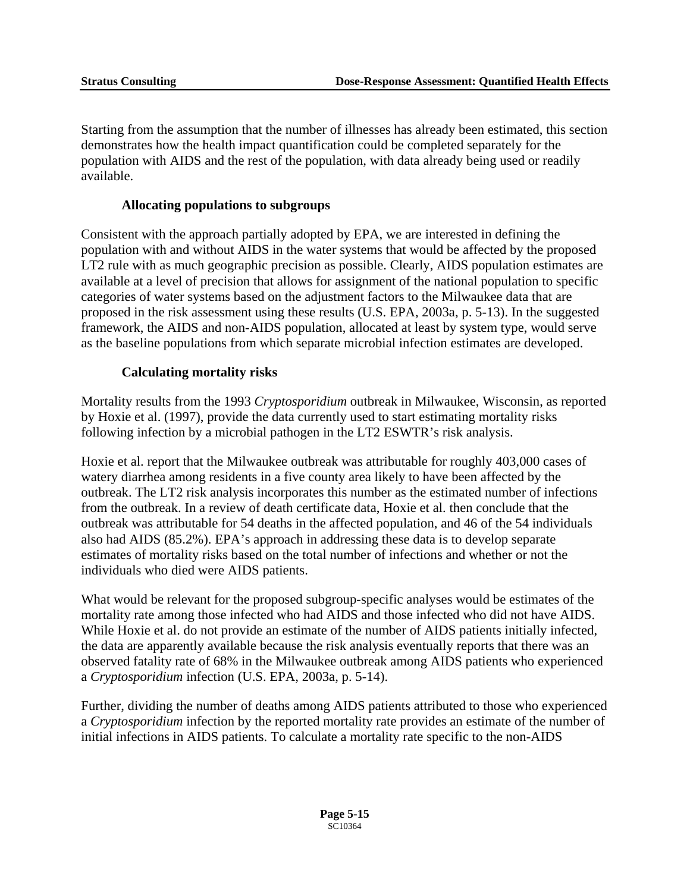Starting from the assumption that the number of illnesses has already been estimated, this section demonstrates how the health impact quantification could be completed separately for the population with AIDS and the rest of the population, with data already being used or readily available.

#### **Allocating populations to subgroups**

Consistent with the approach partially adopted by EPA, we are interested in defining the population with and without AIDS in the water systems that would be affected by the proposed LT2 rule with as much geographic precision as possible. Clearly, AIDS population estimates are available at a level of precision that allows for assignment of the national population to specific categories of water systems based on the adjustment factors to the Milwaukee data that are proposed in the risk assessment using these results (U.S. EPA, 2003a, p. 5-13). In the suggested framework, the AIDS and non-AIDS population, allocated at least by system type, would serve as the baseline populations from which separate microbial infection estimates are developed.

#### **Calculating mortality risks**

Mortality results from the 1993 *Cryptosporidium* outbreak in Milwaukee, Wisconsin, as reported by Hoxie et al. (1997), provide the data currently used to start estimating mortality risks following infection by a microbial pathogen in the LT2 ESWTR's risk analysis.

Hoxie et al. report that the Milwaukee outbreak was attributable for roughly 403,000 cases of watery diarrhea among residents in a five county area likely to have been affected by the outbreak. The LT2 risk analysis incorporates this number as the estimated number of infections from the outbreak. In a review of death certificate data, Hoxie et al. then conclude that the outbreak was attributable for 54 deaths in the affected population, and 46 of the 54 individuals also had AIDS (85.2%). EPA's approach in addressing these data is to develop separate estimates of mortality risks based on the total number of infections and whether or not the individuals who died were AIDS patients.

What would be relevant for the proposed subgroup-specific analyses would be estimates of the mortality rate among those infected who had AIDS and those infected who did not have AIDS. While Hoxie et al. do not provide an estimate of the number of AIDS patients initially infected, the data are apparently available because the risk analysis eventually reports that there was an observed fatality rate of 68% in the Milwaukee outbreak among AIDS patients who experienced a *Cryptosporidium* infection (U.S. EPA, 2003a, p. 5-14).

Further, dividing the number of deaths among AIDS patients attributed to those who experienced a *Cryptosporidium* infection by the reported mortality rate provides an estimate of the number of initial infections in AIDS patients. To calculate a mortality rate specific to the non-AIDS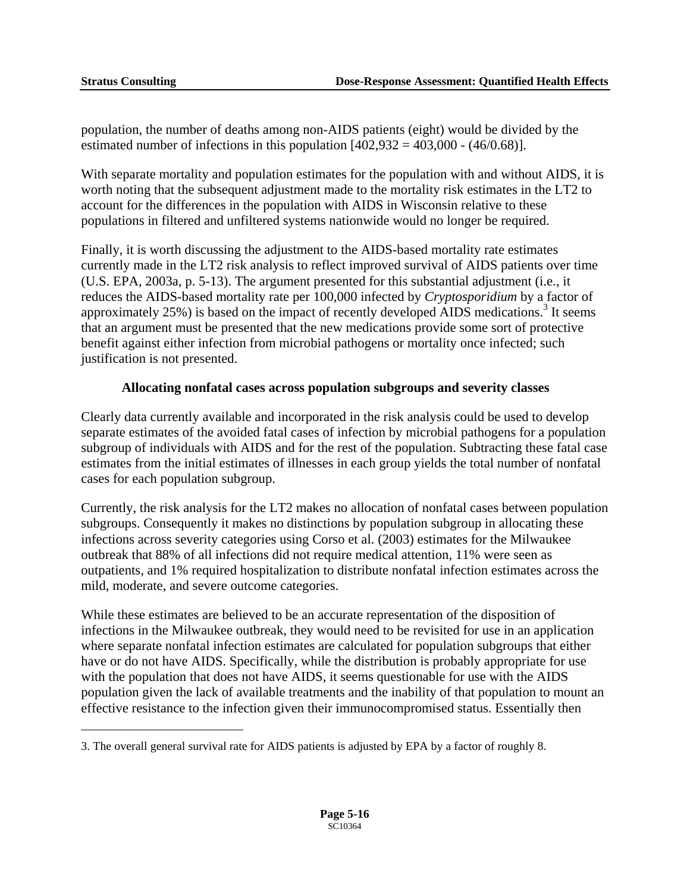$\overline{a}$ 

population, the number of deaths among non-AIDS patients (eight) would be divided by the estimated number of infections in this population  $[402,932 = 403,000 - (46/0.68)]$ .

With separate mortality and population estimates for the population with and without AIDS, it is worth noting that the subsequent adjustment made to the mortality risk estimates in the LT2 to account for the differences in the population with AIDS in Wisconsin relative to these populations in filtered and unfiltered systems nationwide would no longer be required.

Finally, it is worth discussing the adjustment to the AIDS-based mortality rate estimates currently made in the LT2 risk analysis to reflect improved survival of AIDS patients over time (U.S. EPA, 2003a, p. 5-13). The argument presented for this substantial adjustment (i.e., it reduces the AIDS-based mortality rate per 100,000 infected by *Cryptosporidium* by a factor of approximately  $25\%$ ) is based on the impact of recently developed AIDS medications.<sup>[3](#page-129-0)</sup> It seems that an argument must be presented that the new medications provide some sort of protective benefit against either infection from microbial pathogens or mortality once infected; such justification is not presented.

#### **Allocating nonfatal cases across population subgroups and severity classes**

Clearly data currently available and incorporated in the risk analysis could be used to develop separate estimates of the avoided fatal cases of infection by microbial pathogens for a population subgroup of individuals with AIDS and for the rest of the population. Subtracting these fatal case estimates from the initial estimates of illnesses in each group yields the total number of nonfatal cases for each population subgroup.

Currently, the risk analysis for the LT2 makes no allocation of nonfatal cases between population subgroups. Consequently it makes no distinctions by population subgroup in allocating these infections across severity categories using Corso et al. (2003) estimates for the Milwaukee outbreak that 88% of all infections did not require medical attention, 11% were seen as outpatients, and 1% required hospitalization to distribute nonfatal infection estimates across the mild, moderate, and severe outcome categories.

While these estimates are believed to be an accurate representation of the disposition of infections in the Milwaukee outbreak, they would need to be revisited for use in an application where separate nonfatal infection estimates are calculated for population subgroups that either have or do not have AIDS. Specifically, while the distribution is probably appropriate for use with the population that does not have AIDS, it seems questionable for use with the AIDS population given the lack of available treatments and the inability of that population to mount an effective resistance to the infection given their immunocompromised status. Essentially then

<span id="page-129-0"></span><sup>3.</sup> The overall general survival rate for AIDS patients is adjusted by EPA by a factor of roughly 8.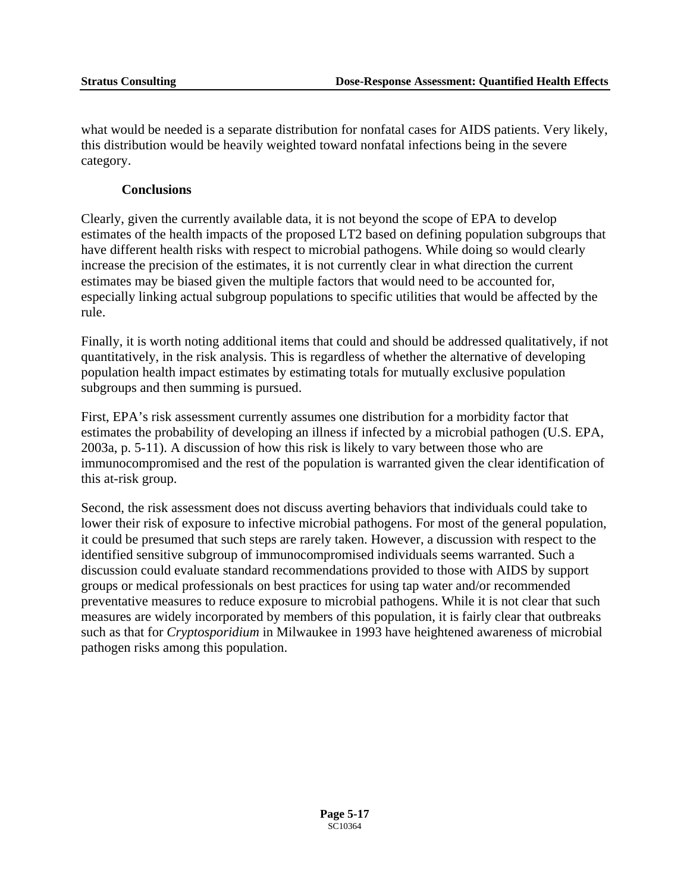what would be needed is a separate distribution for nonfatal cases for AIDS patients. Very likely, this distribution would be heavily weighted toward nonfatal infections being in the severe category.

#### **Conclusions**

Clearly, given the currently available data, it is not beyond the scope of EPA to develop estimates of the health impacts of the proposed LT2 based on defining population subgroups that have different health risks with respect to microbial pathogens. While doing so would clearly increase the precision of the estimates, it is not currently clear in what direction the current estimates may be biased given the multiple factors that would need to be accounted for, especially linking actual subgroup populations to specific utilities that would be affected by the rule.

Finally, it is worth noting additional items that could and should be addressed qualitatively, if not quantitatively, in the risk analysis. This is regardless of whether the alternative of developing population health impact estimates by estimating totals for mutually exclusive population subgroups and then summing is pursued.

First, EPA's risk assessment currently assumes one distribution for a morbidity factor that estimates the probability of developing an illness if infected by a microbial pathogen (U.S. EPA, 2003a, p. 5-11). A discussion of how this risk is likely to vary between those who are immunocompromised and the rest of the population is warranted given the clear identification of this at-risk group.

Second, the risk assessment does not discuss averting behaviors that individuals could take to lower their risk of exposure to infective microbial pathogens. For most of the general population, it could be presumed that such steps are rarely taken. However, a discussion with respect to the identified sensitive subgroup of immunocompromised individuals seems warranted. Such a discussion could evaluate standard recommendations provided to those with AIDS by support groups or medical professionals on best practices for using tap water and/or recommended preventative measures to reduce exposure to microbial pathogens. While it is not clear that such measures are widely incorporated by members of this population, it is fairly clear that outbreaks such as that for *Cryptosporidium* in Milwaukee in 1993 have heightened awareness of microbial pathogen risks among this population.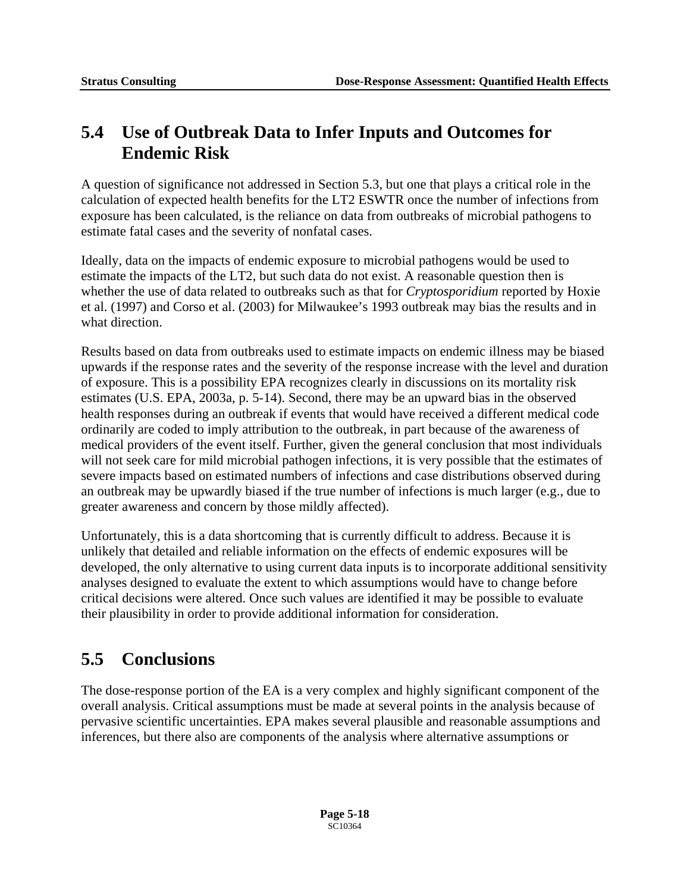## **5.4 Use of Outbreak Data to Infer Inputs and Outcomes for Endemic Risk**

A question of significance not addressed in Section 5.3, but one that plays a critical role in the calculation of expected health benefits for the LT2 ESWTR once the number of infections from exposure has been calculated, is the reliance on data from outbreaks of microbial pathogens to estimate fatal cases and the severity of nonfatal cases.

Ideally, data on the impacts of endemic exposure to microbial pathogens would be used to estimate the impacts of the LT2, but such data do not exist. A reasonable question then is whether the use of data related to outbreaks such as that for *Cryptosporidium* reported by Hoxie et al. (1997) and Corso et al. (2003) for Milwaukee's 1993 outbreak may bias the results and in what direction.

Results based on data from outbreaks used to estimate impacts on endemic illness may be biased upwards if the response rates and the severity of the response increase with the level and duration of exposure. This is a possibility EPA recognizes clearly in discussions on its mortality risk estimates (U.S. EPA, 2003a, p. 5-14). Second, there may be an upward bias in the observed health responses during an outbreak if events that would have received a different medical code ordinarily are coded to imply attribution to the outbreak, in part because of the awareness of medical providers of the event itself. Further, given the general conclusion that most individuals will not seek care for mild microbial pathogen infections, it is very possible that the estimates of severe impacts based on estimated numbers of infections and case distributions observed during an outbreak may be upwardly biased if the true number of infections is much larger (e.g., due to greater awareness and concern by those mildly affected).

Unfortunately, this is a data shortcoming that is currently difficult to address. Because it is unlikely that detailed and reliable information on the effects of endemic exposures will be developed, the only alternative to using current data inputs is to incorporate additional sensitivity analyses designed to evaluate the extent to which assumptions would have to change before critical decisions were altered. Once such values are identified it may be possible to evaluate their plausibility in order to provide additional information for consideration.

## **5.5 Conclusions**

The dose-response portion of the EA is a very complex and highly significant component of the overall analysis. Critical assumptions must be made at several points in the analysis because of pervasive scientific uncertainties. EPA makes several plausible and reasonable assumptions and inferences, but there also are components of the analysis where alternative assumptions or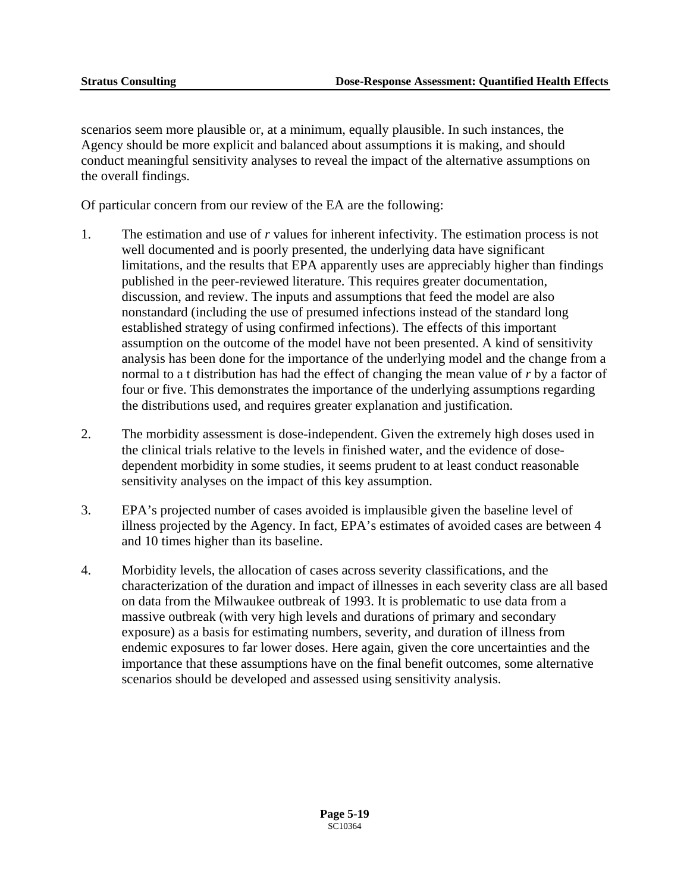scenarios seem more plausible or, at a minimum, equally plausible. In such instances, the Agency should be more explicit and balanced about assumptions it is making, and should conduct meaningful sensitivity analyses to reveal the impact of the alternative assumptions on the overall findings.

Of particular concern from our review of the EA are the following:

- 1. The estimation and use of *r* values for inherent infectivity. The estimation process is not well documented and is poorly presented, the underlying data have significant limitations, and the results that EPA apparently uses are appreciably higher than findings published in the peer-reviewed literature. This requires greater documentation, discussion, and review. The inputs and assumptions that feed the model are also nonstandard (including the use of presumed infections instead of the standard long established strategy of using confirmed infections). The effects of this important assumption on the outcome of the model have not been presented. A kind of sensitivity analysis has been done for the importance of the underlying model and the change from a normal to a t distribution has had the effect of changing the mean value of *r* by a factor of four or five. This demonstrates the importance of the underlying assumptions regarding the distributions used, and requires greater explanation and justification.
- 2. The morbidity assessment is dose-independent. Given the extremely high doses used in the clinical trials relative to the levels in finished water, and the evidence of dosedependent morbidity in some studies, it seems prudent to at least conduct reasonable sensitivity analyses on the impact of this key assumption.
- 3. EPA's projected number of cases avoided is implausible given the baseline level of illness projected by the Agency. In fact, EPA's estimates of avoided cases are between 4 and 10 times higher than its baseline.
- 4. Morbidity levels, the allocation of cases across severity classifications, and the characterization of the duration and impact of illnesses in each severity class are all based on data from the Milwaukee outbreak of 1993. It is problematic to use data from a massive outbreak (with very high levels and durations of primary and secondary exposure) as a basis for estimating numbers, severity, and duration of illness from endemic exposures to far lower doses. Here again, given the core uncertainties and the importance that these assumptions have on the final benefit outcomes, some alternative scenarios should be developed and assessed using sensitivity analysis.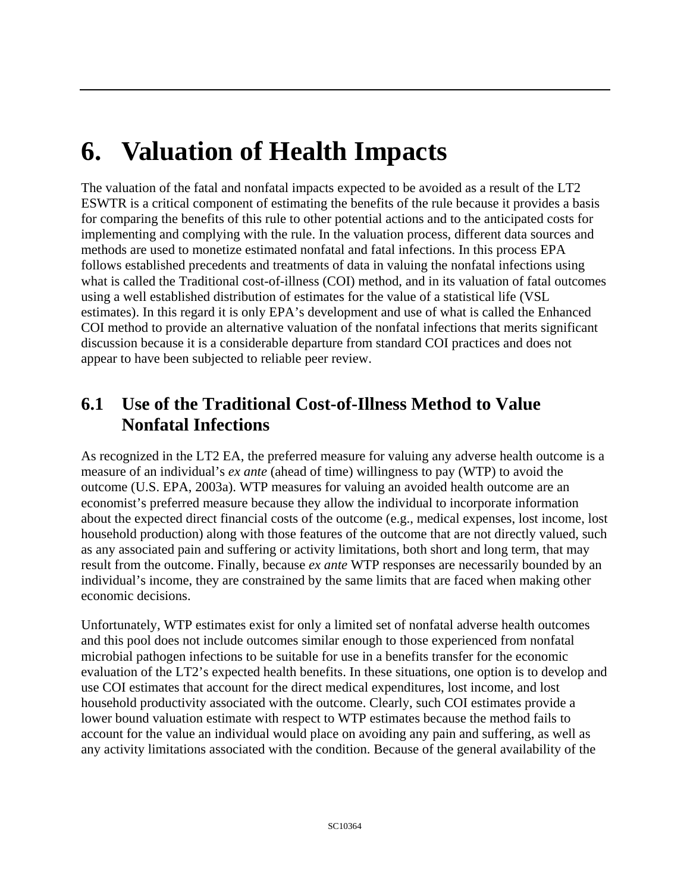## **6. Valuation of Health Impacts**

The valuation of the fatal and nonfatal impacts expected to be avoided as a result of the LT2 ESWTR is a critical component of estimating the benefits of the rule because it provides a basis for comparing the benefits of this rule to other potential actions and to the anticipated costs for implementing and complying with the rule. In the valuation process, different data sources and methods are used to monetize estimated nonfatal and fatal infections. In this process EPA follows established precedents and treatments of data in valuing the nonfatal infections using what is called the Traditional cost-of-illness (COI) method, and in its valuation of fatal outcomes using a well established distribution of estimates for the value of a statistical life (VSL estimates). In this regard it is only EPA's development and use of what is called the Enhanced COI method to provide an alternative valuation of the nonfatal infections that merits significant discussion because it is a considerable departure from standard COI practices and does not appear to have been subjected to reliable peer review.

## **6.1 Use of the Traditional Cost-of-Illness Method to Value Nonfatal Infections**

As recognized in the LT2 EA, the preferred measure for valuing any adverse health outcome is a measure of an individual's *ex ante* (ahead of time) willingness to pay (WTP) to avoid the outcome (U.S. EPA, 2003a). WTP measures for valuing an avoided health outcome are an economist's preferred measure because they allow the individual to incorporate information about the expected direct financial costs of the outcome (e.g., medical expenses, lost income, lost household production) along with those features of the outcome that are not directly valued, such as any associated pain and suffering or activity limitations, both short and long term, that may result from the outcome. Finally, because *ex ante* WTP responses are necessarily bounded by an individual's income, they are constrained by the same limits that are faced when making other economic decisions.

Unfortunately, WTP estimates exist for only a limited set of nonfatal adverse health outcomes and this pool does not include outcomes similar enough to those experienced from nonfatal microbial pathogen infections to be suitable for use in a benefits transfer for the economic evaluation of the LT2's expected health benefits. In these situations, one option is to develop and use COI estimates that account for the direct medical expenditures, lost income, and lost household productivity associated with the outcome. Clearly, such COI estimates provide a lower bound valuation estimate with respect to WTP estimates because the method fails to account for the value an individual would place on avoiding any pain and suffering, as well as any activity limitations associated with the condition. Because of the general availability of the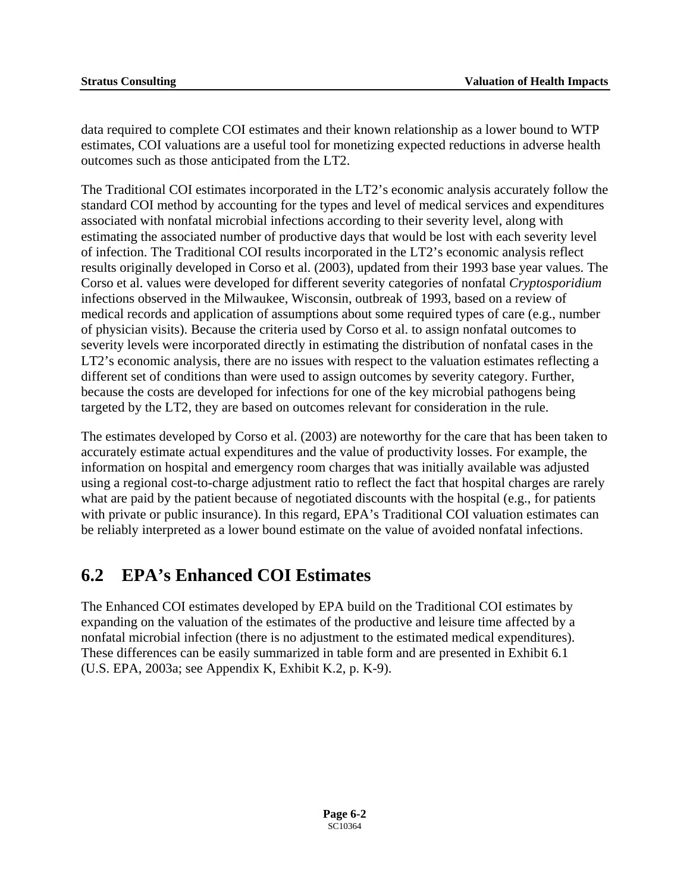data required to complete COI estimates and their known relationship as a lower bound to WTP estimates, COI valuations are a useful tool for monetizing expected reductions in adverse health outcomes such as those anticipated from the LT2.

The Traditional COI estimates incorporated in the LT2's economic analysis accurately follow the standard COI method by accounting for the types and level of medical services and expenditures associated with nonfatal microbial infections according to their severity level, along with estimating the associated number of productive days that would be lost with each severity level of infection. The Traditional COI results incorporated in the LT2's economic analysis reflect results originally developed in Corso et al. (2003), updated from their 1993 base year values. The Corso et al. values were developed for different severity categories of nonfatal *Cryptosporidium*  infections observed in the Milwaukee, Wisconsin, outbreak of 1993, based on a review of medical records and application of assumptions about some required types of care (e.g., number of physician visits). Because the criteria used by Corso et al. to assign nonfatal outcomes to severity levels were incorporated directly in estimating the distribution of nonfatal cases in the LT2's economic analysis, there are no issues with respect to the valuation estimates reflecting a different set of conditions than were used to assign outcomes by severity category. Further, because the costs are developed for infections for one of the key microbial pathogens being targeted by the LT2, they are based on outcomes relevant for consideration in the rule.

The estimates developed by Corso et al. (2003) are noteworthy for the care that has been taken to accurately estimate actual expenditures and the value of productivity losses. For example, the information on hospital and emergency room charges that was initially available was adjusted using a regional cost-to-charge adjustment ratio to reflect the fact that hospital charges are rarely what are paid by the patient because of negotiated discounts with the hospital (e.g., for patients with private or public insurance). In this regard, EPA's Traditional COI valuation estimates can be reliably interpreted as a lower bound estimate on the value of avoided nonfatal infections.

## **6.2 EPA's Enhanced COI Estimates**

The Enhanced COI estimates developed by EPA build on the Traditional COI estimates by expanding on the valuation of the estimates of the productive and leisure time affected by a nonfatal microbial infection (there is no adjustment to the estimated medical expenditures). These differences can be easily summarized in table form and are presented in Exhibit 6.1 (U.S. EPA, 2003a; see Appendix K, Exhibit K.2, p. K-9).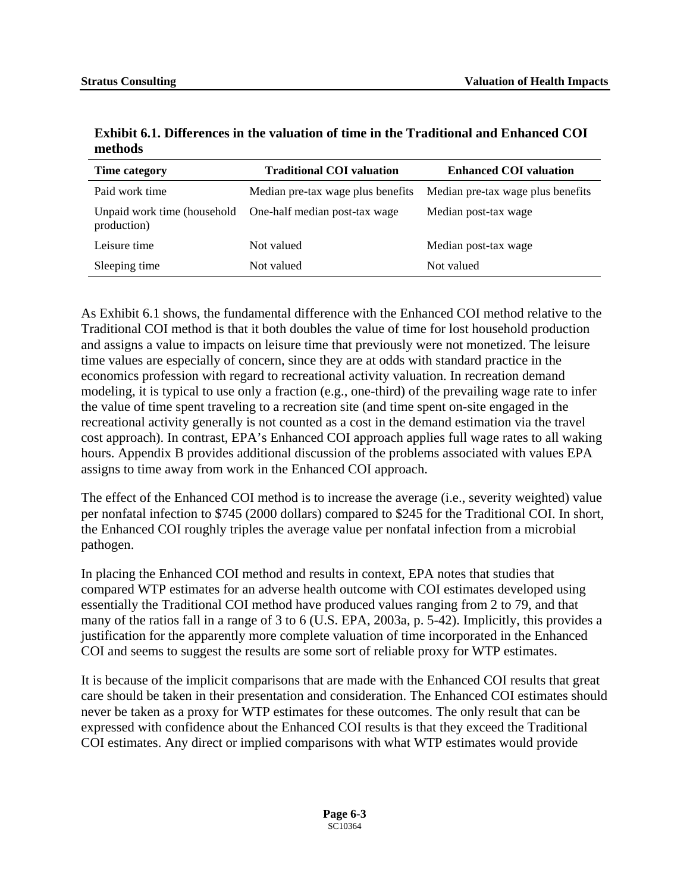| Time category                              | <b>Traditional COI valuation</b>  | <b>Enhanced COI valuation</b>     |
|--------------------------------------------|-----------------------------------|-----------------------------------|
| Paid work time                             | Median pre-tax wage plus benefits | Median pre-tax wage plus benefits |
| Unpaid work time (household<br>production) | One-half median post-tax wage     | Median post-tax wage              |
| Leisure time                               | Not valued                        | Median post-tax wage              |
| Sleeping time                              | Not valued                        | Not valued                        |

**Exhibit 6.1. Differences in the valuation of time in the Traditional and Enhanced COI methods** 

As Exhibit 6.1 shows, the fundamental difference with the Enhanced COI method relative to the Traditional COI method is that it both doubles the value of time for lost household production and assigns a value to impacts on leisure time that previously were not monetized. The leisure time values are especially of concern, since they are at odds with standard practice in the economics profession with regard to recreational activity valuation. In recreation demand modeling, it is typical to use only a fraction (e.g., one-third) of the prevailing wage rate to infer the value of time spent traveling to a recreation site (and time spent on-site engaged in the recreational activity generally is not counted as a cost in the demand estimation via the travel cost approach). In contrast, EPA's Enhanced COI approach applies full wage rates to all waking hours. Appendix B provides additional discussion of the problems associated with values EPA assigns to time away from work in the Enhanced COI approach.

The effect of the Enhanced COI method is to increase the average (i.e., severity weighted) value per nonfatal infection to \$745 (2000 dollars) compared to \$245 for the Traditional COI. In short, the Enhanced COI roughly triples the average value per nonfatal infection from a microbial pathogen.

In placing the Enhanced COI method and results in context, EPA notes that studies that compared WTP estimates for an adverse health outcome with COI estimates developed using essentially the Traditional COI method have produced values ranging from 2 to 79, and that many of the ratios fall in a range of 3 to 6 (U.S. EPA, 2003a, p. 5-42). Implicitly, this provides a justification for the apparently more complete valuation of time incorporated in the Enhanced COI and seems to suggest the results are some sort of reliable proxy for WTP estimates.

It is because of the implicit comparisons that are made with the Enhanced COI results that great care should be taken in their presentation and consideration. The Enhanced COI estimates should never be taken as a proxy for WTP estimates for these outcomes. The only result that can be expressed with confidence about the Enhanced COI results is that they exceed the Traditional COI estimates. Any direct or implied comparisons with what WTP estimates would provide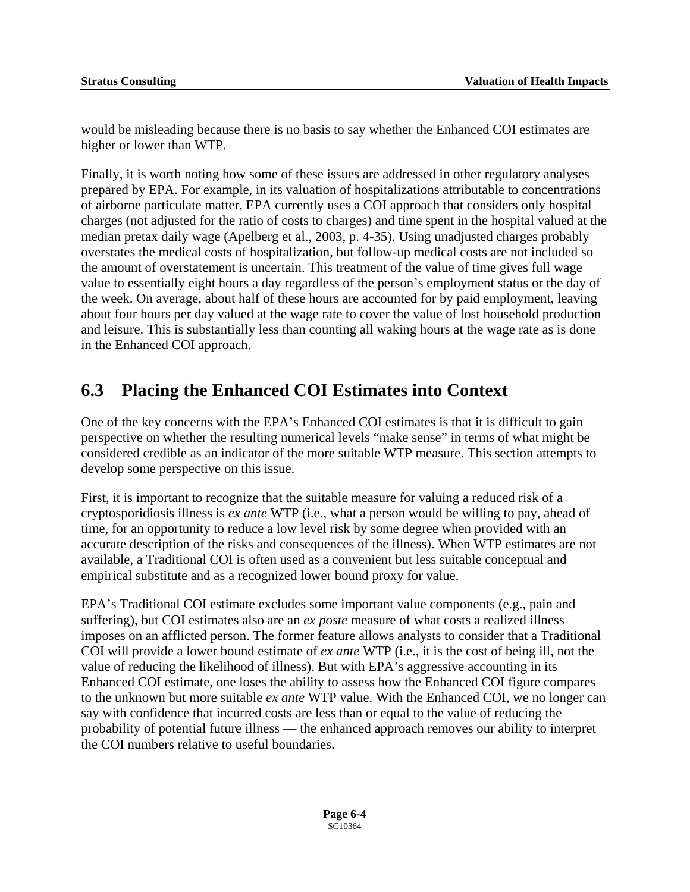would be misleading because there is no basis to say whether the Enhanced COI estimates are higher or lower than WTP.

Finally, it is worth noting how some of these issues are addressed in other regulatory analyses prepared by EPA. For example, in its valuation of hospitalizations attributable to concentrations of airborne particulate matter, EPA currently uses a COI approach that considers only hospital charges (not adjusted for the ratio of costs to charges) and time spent in the hospital valued at the median pretax daily wage (Apelberg et al., 2003, p. 4-35). Using unadjusted charges probably overstates the medical costs of hospitalization, but follow-up medical costs are not included so the amount of overstatement is uncertain. This treatment of the value of time gives full wage value to essentially eight hours a day regardless of the person's employment status or the day of the week. On average, about half of these hours are accounted for by paid employment, leaving about four hours per day valued at the wage rate to cover the value of lost household production and leisure. This is substantially less than counting all waking hours at the wage rate as is done in the Enhanced COI approach.

## **6.3 Placing the Enhanced COI Estimates into Context**

One of the key concerns with the EPA's Enhanced COI estimates is that it is difficult to gain perspective on whether the resulting numerical levels "make sense" in terms of what might be considered credible as an indicator of the more suitable WTP measure. This section attempts to develop some perspective on this issue.

First, it is important to recognize that the suitable measure for valuing a reduced risk of a cryptosporidiosis illness is *ex ante* WTP (i.e., what a person would be willing to pay, ahead of time, for an opportunity to reduce a low level risk by some degree when provided with an accurate description of the risks and consequences of the illness). When WTP estimates are not available, a Traditional COI is often used as a convenient but less suitable conceptual and empirical substitute and as a recognized lower bound proxy for value.

EPA's Traditional COI estimate excludes some important value components (e.g., pain and suffering), but COI estimates also are an *ex poste* measure of what costs a realized illness imposes on an afflicted person. The former feature allows analysts to consider that a Traditional COI will provide a lower bound estimate of *ex ante* WTP (i.e., it is the cost of being ill, not the value of reducing the likelihood of illness). But with EPA's aggressive accounting in its Enhanced COI estimate, one loses the ability to assess how the Enhanced COI figure compares to the unknown but more suitable *ex ante* WTP value. With the Enhanced COI, we no longer can say with confidence that incurred costs are less than or equal to the value of reducing the probability of potential future illness — the enhanced approach removes our ability to interpret the COI numbers relative to useful boundaries.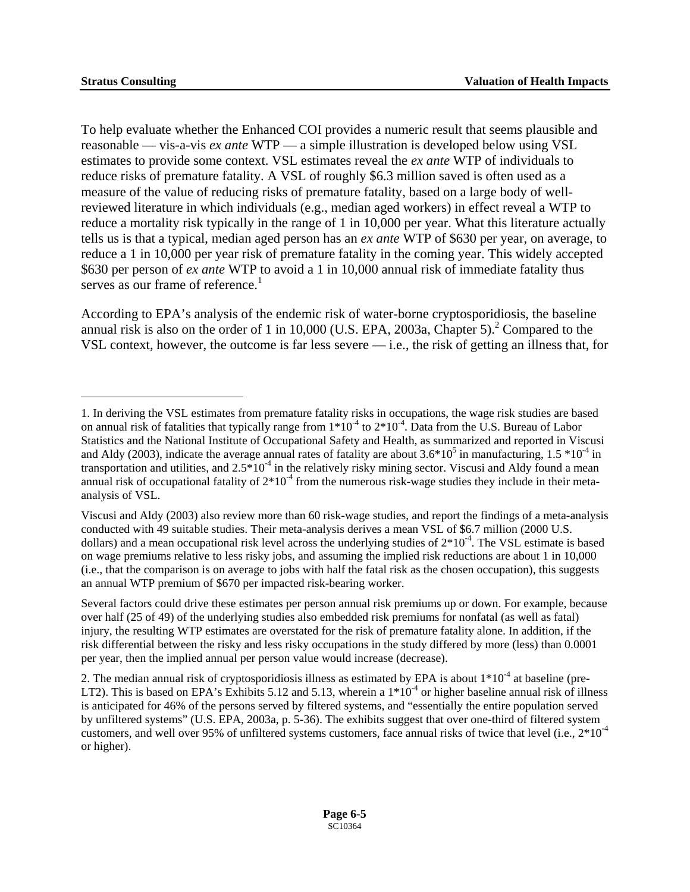$\overline{a}$ 

serves as our frame of reference.<sup>1</sup> To help evaluate whether the Enhanced COI provides a numeric result that seems plausible and reasonable — vis-a-vis *ex ante* WTP — a simple illustration is developed below using VSL estimates to provide some context. VSL estimates reveal the *ex ante* WTP of individuals to reduce risks of premature fatality. A VSL of roughly \$6.3 million saved is often used as a measure of the value of reducing risks of premature fatality, based on a large body of wellreviewed literature in which individuals (e.g., median aged workers) in effect reveal a WTP to reduce a mortality risk typically in the range of 1 in 10,000 per year. What this literature actually tells us is that a typical, median aged person has an *ex ante* WTP of \$630 per year, on average, to reduce a 1 in 10,000 per year risk of premature fatality in the coming year. This widely accepted \$630 per person of *ex ante* WTP to avoid a 1 in 10,000 annual risk of immediate fatality thus

According to EPA's analysis of the endemic risk of water-borne cryptosporidiosis, the baseline annual risk is also on the order of 1 in 10,000 (U.S. EPA, 2003a, Chapter 5).<sup>2</sup> Compared to the VSL context, however, the outcome is far less severe — i.e., the risk of getting an illness that, for

<span id="page-137-0"></span><sup>1.</sup> In deriving the VSL estimates from premature fatality risks in occupations, the wage risk studies are based on annual risk of fatalities that typically range from  $1*10^{-4}$  to  $2*10^{-4}$ . Data from the U.S. Bureau of Labor Statistics and the National Institute of Occupational Safety and Health, as summarized and reported in Viscusi and Aldy (2003), indicate the average annual rates of fatality are about  $3.6*10^5$  in manufacturing,  $1.5*10^{-4}$  in transportation and utilities, and  $2.5*10<sup>-4</sup>$  in the relatively risky mining sector. Viscusi and Aldy found a mean annual risk of occupational fatality of  $2*10<sup>-4</sup>$  from the numerous risk-wage studies they include in their metaanalysis of VSL.

Viscusi and Aldy (2003) also review more than 60 risk-wage studies, and report the findings of a meta-analysis conducted with 49 suitable studies. Their meta-analysis derives a mean VSL of \$6.7 million (2000 U.S. dollars) and a mean occupational risk level across the underlying studies of  $2*10^{-4}$ . The VSL estimate is based on wage premiums relative to less risky jobs, and assuming the implied risk reductions are about 1 in 10,000 (i.e., that the comparison is on average to jobs with half the fatal risk as the chosen occupation), this suggests an annual WTP premium of \$670 per impacted risk-bearing worker.

Several factors could drive these estimates per person annual risk premiums up or down. For example, because over half (25 of 49) of the underlying studies also embedded risk premiums for nonfatal (as well as fatal) injury, the resulting WTP estimates are overstated for the risk of premature fatality alone. In addition, if the risk differential between the risky and less risky occupations in the study differed by more (less) than 0.0001 per year, then the implied annual per person value would increase (decrease).

<span id="page-137-1"></span><sup>2.</sup> The median annual risk of cryptosporidiosis illness as estimated by EPA is about  $1*10<sup>-4</sup>$  at baseline (pre-LT2). This is based on EPA's Exhibits 5.12 and 5.13, wherein a  $1*10<sup>-4</sup>$  or higher baseline annual risk of illness is anticipated for 46% of the persons served by filtered systems, and "essentially the entire population served by unfiltered systems" (U.S. EPA, 2003a, p. 5-36). The exhibits suggest that over one-third of filtered system customers, and well over 95% of unfiltered systems customers, face annual risks of twice that level (i.e., 2\*10-4 or higher).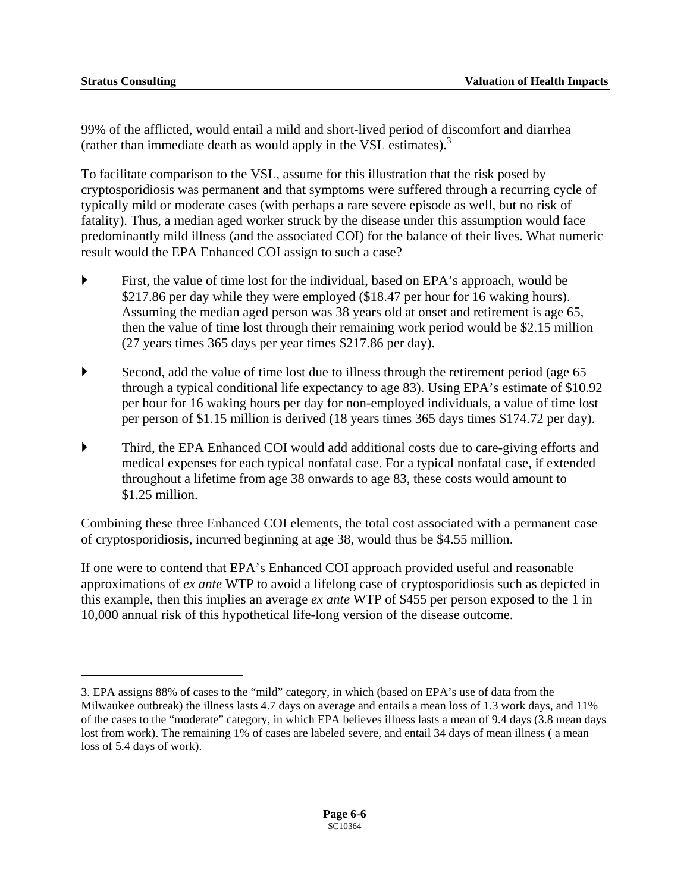$\overline{a}$ 

(rather than immediate death as would apply in the VSL estimates). $3$ 99% of the afflicted, would entail a mild and short-lived period of discomfort and diarrhea

To facilitate comparison to the VSL, assume for this illustration that the risk posed by cryptosporidiosis was permanent and that symptoms were suffered through a recurring cycle of typically mild or moderate cases (with perhaps a rare severe episode as well, but no risk of fatality). Thus, a median aged worker struck by the disease under this assumption would face predominantly mild illness (and the associated COI) for the balance of their lives. What numeric result would the EPA Enhanced COI assign to such a case?

- First, the value of time lost for the individual, based on EPA's approach, would be \$217.86 per day while they were employed (\$18.47 per hour for 16 waking hours). Assuming the median aged person was 38 years old at onset and retirement is age 65, then the value of time lost through their remaining work period would be \$2.15 million (27 years times 365 days per year times \$217.86 per day).
- Second, add the value of time lost due to illness through the retirement period (age  $65$ ) through a typical conditional life expectancy to age 83). Using EPA's estimate of \$10.92 per hour for 16 waking hours per day for non-employed individuals, a value of time lost per person of \$1.15 million is derived (18 years times 365 days times \$174.72 per day).
- ` Third, the EPA Enhanced COI would add additional costs due to care-giving efforts and medical expenses for each typical nonfatal case. For a typical nonfatal case, if extended throughout a lifetime from age 38 onwards to age 83, these costs would amount to \$1.25 million.

Combining these three Enhanced COI elements, the total cost associated with a permanent case of cryptosporidiosis, incurred beginning at age 38, would thus be \$4.55 million.

If one were to contend that EPA's Enhanced COI approach provided useful and reasonable approximations of *ex ante* WTP to avoid a lifelong case of cryptosporidiosis such as depicted in this example, then this implies an average *ex ante* WTP of \$455 per person exposed to the 1 in 10,000 annual risk of this hypothetical life-long version of the disease outcome.

<span id="page-138-0"></span><sup>3.</sup> EPA assigns 88% of cases to the "mild" category, in which (based on EPA's use of data from the Milwaukee outbreak) the illness lasts 4.7 days on average and entails a mean loss of 1.3 work days, and 11% of the cases to the "moderate" category, in which EPA believes illness lasts a mean of 9.4 days (3.8 mean days lost from work). The remaining 1% of cases are labeled severe, and entail 34 days of mean illness (a mean loss of 5.4 days of work).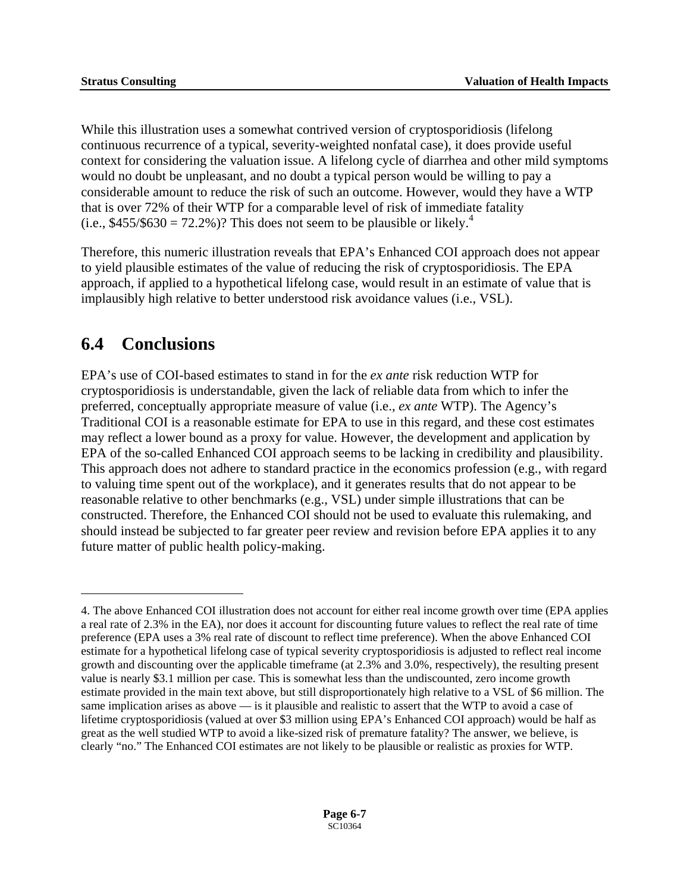(i.e.,  $$455/\$630 = 72.2\%$ )? This does not seem to be plausible or likely.<sup>4</sup> While this illustration uses a somewhat contrived version of cryptosporidiosis (lifelong continuous recurrence of a typical, severity-weighted nonfatal case), it does provide useful context for considering the valuation issue. A lifelong cycle of diarrhea and other mild symptoms would no doubt be unpleasant, and no doubt a typical person would be willing to pay a considerable amount to reduce the risk of such an outcome. However, would they have a WTP that is over 72% of their WTP for a comparable level of risk of immediate fatality

Therefore, this numeric illustration reveals that EPA's Enhanced COI approach does not appear to yield plausible estimates of the value of reducing the risk of cryptosporidiosis. The EPA approach, if applied to a hypothetical lifelong case, would result in an estimate of value that is implausibly high relative to better understood risk avoidance values (i.e., VSL).

## **6.4 Conclusions**

 $\overline{a}$ 

EPA's use of COI-based estimates to stand in for the *ex ante* risk reduction WTP for cryptosporidiosis is understandable, given the lack of reliable data from which to infer the preferred, conceptually appropriate measure of value (i.e., *ex ante* WTP). The Agency's Traditional COI is a reasonable estimate for EPA to use in this regard, and these cost estimates may reflect a lower bound as a proxy for value. However, the development and application by EPA of the so-called Enhanced COI approach seems to be lacking in credibility and plausibility. This approach does not adhere to standard practice in the economics profession (e.g., with regard to valuing time spent out of the workplace), and it generates results that do not appear to be reasonable relative to other benchmarks (e.g., VSL) under simple illustrations that can be constructed. Therefore, the Enhanced COI should not be used to evaluate this rulemaking, and should instead be subjected to far greater peer review and revision before EPA applies it to any future matter of public health policy-making.

<span id="page-139-0"></span><sup>4.</sup> The above Enhanced COI illustration does not account for either real income growth over time (EPA applies a real rate of 2.3% in the EA), nor does it account for discounting future values to reflect the real rate of time preference (EPA uses a 3% real rate of discount to reflect time preference). When the above Enhanced COI estimate for a hypothetical lifelong case of typical severity cryptosporidiosis is adjusted to reflect real income growth and discounting over the applicable timeframe (at 2.3% and 3.0%, respectively), the resulting present value is nearly \$3.1 million per case. This is somewhat less than the undiscounted, zero income growth estimate provided in the main text above, but still disproportionately high relative to a VSL of \$6 million. The same implication arises as above — is it plausible and realistic to assert that the WTP to avoid a case of lifetime cryptosporidiosis (valued at over \$3 million using EPA's Enhanced COI approach) would be half as great as the well studied WTP to avoid a like-sized risk of premature fatality? The answer, we believe, is clearly "no." The Enhanced COI estimates are not likely to be plausible or realistic as proxies for WTP.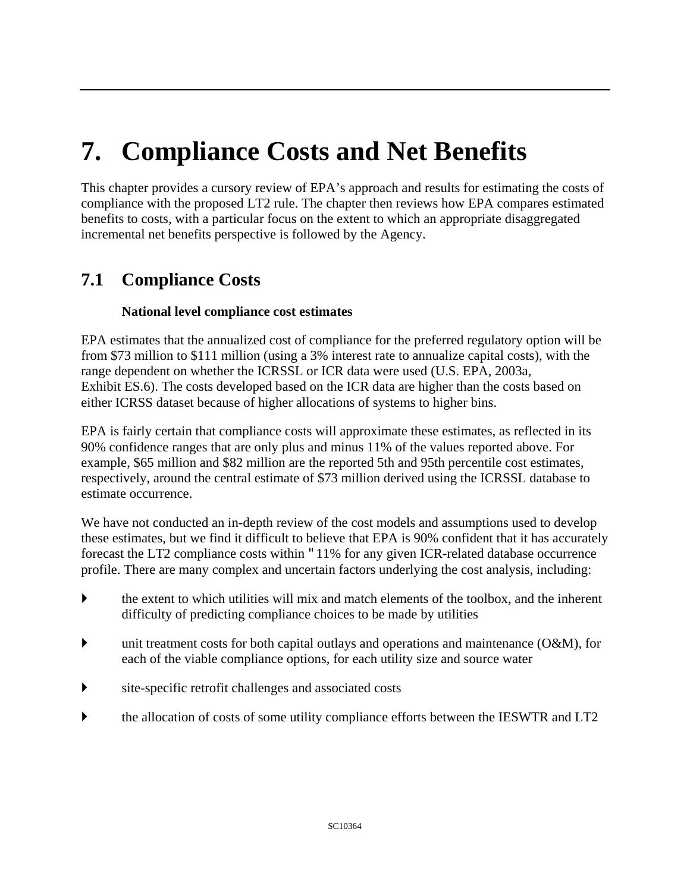# **7. Compliance Costs and Net Benefits**

This chapter provides a cursory review of EPA's approach and results for estimating the costs of compliance with the proposed LT2 rule. The chapter then reviews how EPA compares estimated benefits to costs, with a particular focus on the extent to which an appropriate disaggregated incremental net benefits perspective is followed by the Agency.

## **7.1 Compliance Costs**

#### **National level compliance cost estimates**

EPA estimates that the annualized cost of compliance for the preferred regulatory option will be from \$73 million to \$111 million (using a 3% interest rate to annualize capital costs), with the range dependent on whether the ICRSSL or ICR data were used (U.S. EPA, 2003a, Exhibit ES.6). The costs developed based on the ICR data are higher than the costs based on either ICRSS dataset because of higher allocations of systems to higher bins.

EPA is fairly certain that compliance costs will approximate these estimates, as reflected in its 90% confidence ranges that are only plus and minus 11% of the values reported above. For example, \$65 million and \$82 million are the reported 5th and 95th percentile cost estimates, respectively, around the central estimate of \$73 million derived using the ICRSSL database to estimate occurrence.

We have not conducted an in-depth review of the cost models and assumptions used to develop these estimates, but we find it difficult to believe that EPA is 90% confident that it has accurately forecast the LT2 compliance costs within "11% for any given ICR-related database occurrence profile. There are many complex and uncertain factors underlying the cost analysis, including:

- $\blacktriangleright$  the extent to which utilities will mix and match elements of the toolbox, and the inherent difficulty of predicting compliance choices to be made by utilities
- unit treatment costs for both capital outlays and operations and maintenance  $(O&M)$ , for each of the viable compliance options, for each utility size and source water
- $\triangleright$  site-specific retrofit challenges and associated costs
- ` the allocation of costs of some utility compliance efforts between the IESWTR and LT2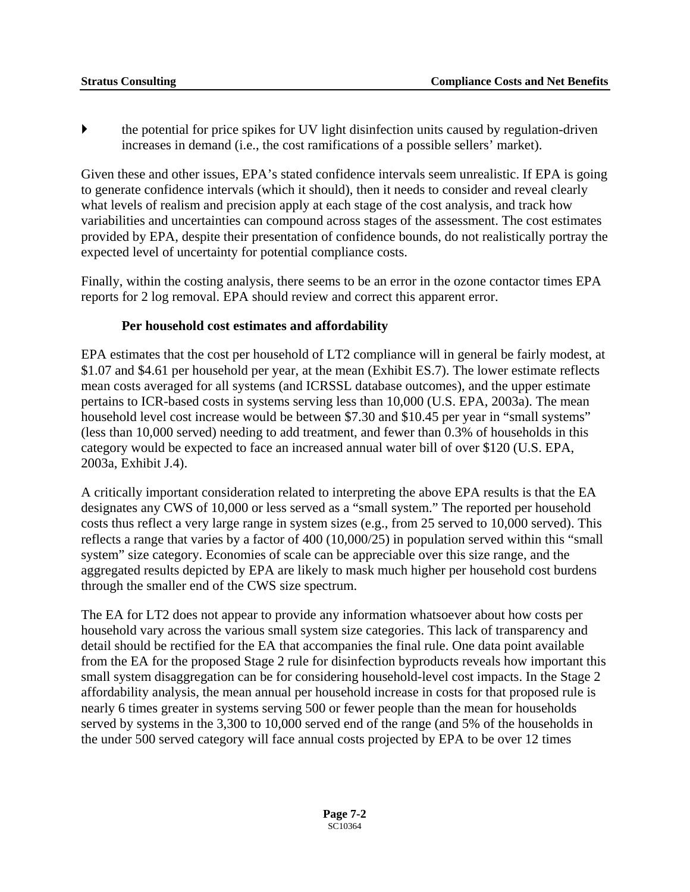$\blacktriangleright$  the potential for price spikes for UV light disinfection units caused by regulation-driven increases in demand (i.e., the cost ramifications of a possible sellers' market).

Given these and other issues, EPA's stated confidence intervals seem unrealistic. If EPA is going to generate confidence intervals (which it should), then it needs to consider and reveal clearly what levels of realism and precision apply at each stage of the cost analysis, and track how variabilities and uncertainties can compound across stages of the assessment. The cost estimates provided by EPA, despite their presentation of confidence bounds, do not realistically portray the expected level of uncertainty for potential compliance costs.

Finally, within the costing analysis, there seems to be an error in the ozone contactor times EPA reports for 2 log removal. EPA should review and correct this apparent error.

#### **Per household cost estimates and affordability**

EPA estimates that the cost per household of LT2 compliance will in general be fairly modest, at \$1.07 and \$4.61 per household per year, at the mean (Exhibit ES.7). The lower estimate reflects mean costs averaged for all systems (and ICRSSL database outcomes), and the upper estimate pertains to ICR-based costs in systems serving less than 10,000 (U.S. EPA, 2003a). The mean household level cost increase would be between \$7.30 and \$10.45 per year in "small systems" (less than 10,000 served) needing to add treatment, and fewer than 0.3% of households in this category would be expected to face an increased annual water bill of over \$120 (U.S. EPA, 2003a, Exhibit J.4).

through the smaller end of the CWS size spectrum. A critically important consideration related to interpreting the above EPA results is that the EA designates any CWS of 10,000 or less served as a "small system." The reported per household costs thus reflect a very large range in system sizes (e.g., from 25 served to 10,000 served). This reflects a range that varies by a factor of 400 (10,000/25) in population served within this "small system" size category. Economies of scale can be appreciable over this size range, and the aggregated results depicted by EPA are likely to mask much higher per household cost burdens

The EA for LT2 does not appear to provide any information whatsoever about how costs per household vary across the various small system size categories. This lack of transparency and detail should be rectified for the EA that accompanies the final rule. One data point available from the EA for the proposed Stage 2 rule for disinfection byproducts reveals how important this small system disaggregation can be for considering household-level cost impacts. In the Stage 2 affordability analysis, the mean annual per household increase in costs for that proposed rule is nearly 6 times greater in systems serving 500 or fewer people than the mean for households served by systems in the 3,300 to 10,000 served end of the range (and 5% of the households in the under 500 served category will face annual costs projected by EPA to be over 12 times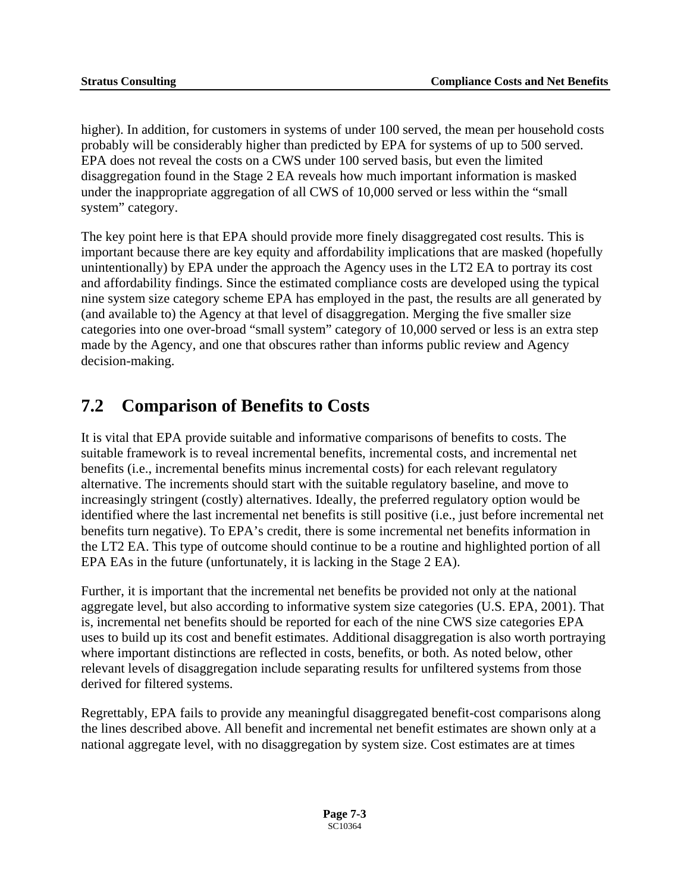higher). In addition, for customers in systems of under 100 served, the mean per household costs probably will be considerably higher than predicted by EPA for systems of up to 500 served. EPA does not reveal the costs on a CWS under 100 served basis, but even the limited disaggregation found in the Stage 2 EA reveals how much important information is masked under the inappropriate aggregation of all CWS of 10,000 served or less within the "small system" category.

The key point here is that EPA should provide more finely disaggregated cost results. This is important because there are key equity and affordability implications that are masked (hopefully unintentionally) by EPA under the approach the Agency uses in the LT2 EA to portray its cost and affordability findings. Since the estimated compliance costs are developed using the typical nine system size category scheme EPA has employed in the past, the results are all generated by (and available to) the Agency at that level of disaggregation. Merging the five smaller size categories into one over-broad "small system" category of 10,000 served or less is an extra step made by the Agency, and one that obscures rather than informs public review and Agency decision-making.

## **7.2 Comparison of Benefits to Costs**

It is vital that EPA provide suitable and informative comparisons of benefits to costs. The suitable framework is to reveal incremental benefits, incremental costs, and incremental net benefits (i.e., incremental benefits minus incremental costs) for each relevant regulatory alternative. The increments should start with the suitable regulatory baseline, and move to increasingly stringent (costly) alternatives. Ideally, the preferred regulatory option would be identified where the last incremental net benefits is still positive (i.e., just before incremental net benefits turn negative). To EPA's credit, there is some incremental net benefits information in the LT2 EA. This type of outcome should continue to be a routine and highlighted portion of all EPA EAs in the future (unfortunately, it is lacking in the Stage 2 EA).

Further, it is important that the incremental net benefits be provided not only at the national aggregate level, but also according to informative system size categories (U.S. EPA, 2001). That is, incremental net benefits should be reported for each of the nine CWS size categories EPA uses to build up its cost and benefit estimates. Additional disaggregation is also worth portraying where important distinctions are reflected in costs, benefits, or both. As noted below, other relevant levels of disaggregation include separating results for unfiltered systems from those derived for filtered systems.

Regrettably, EPA fails to provide any meaningful disaggregated benefit-cost comparisons along the lines described above. All benefit and incremental net benefit estimates are shown only at a national aggregate level, with no disaggregation by system size. Cost estimates are at times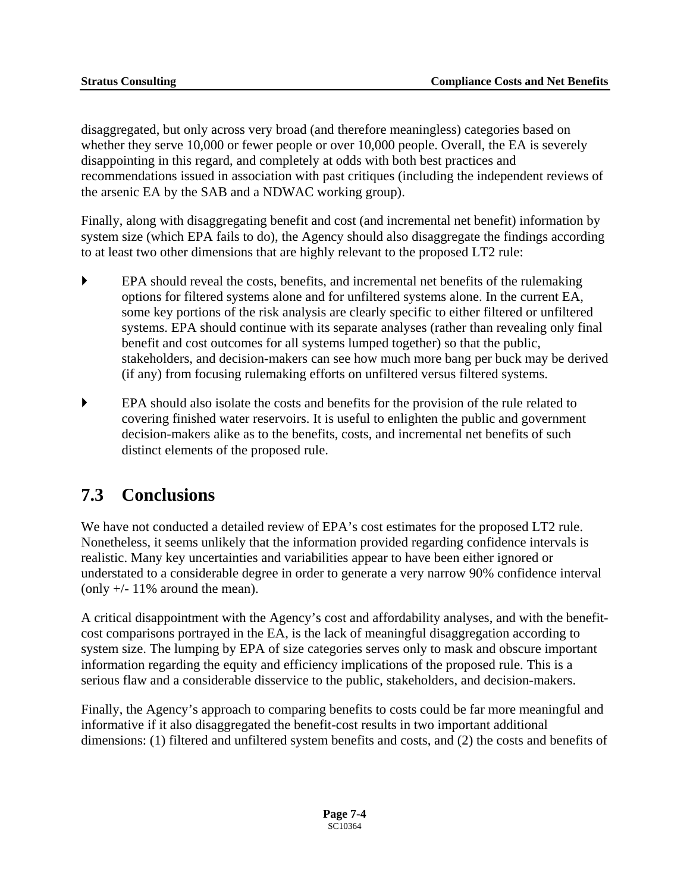disaggregated, but only across very broad (and therefore meaningless) categories based on whether they serve 10,000 or fewer people or over 10,000 people. Overall, the EA is severely disappointing in this regard, and completely at odds with both best practices and recommendations issued in association with past critiques (including the independent reviews of the arsenic EA by the SAB and a NDWAC working group).

Finally, along with disaggregating benefit and cost (and incremental net benefit) information by system size (which EPA fails to do), the Agency should also disaggregate the findings according to at least two other dimensions that are highly relevant to the proposed LT2 rule:

- ` EPA should reveal the costs, benefits, and incremental net benefits of the rulemaking options for filtered systems alone and for unfiltered systems alone. In the current EA, some key portions of the risk analysis are clearly specific to either filtered or unfiltered systems. EPA should continue with its separate analyses (rather than revealing only final benefit and cost outcomes for all systems lumped together) so that the public, stakeholders, and decision-makers can see how much more bang per buck may be derived (if any) from focusing rulemaking efforts on unfiltered versus filtered systems.
- ` EPA should also isolate the costs and benefits for the provision of the rule related to covering finished water reservoirs. It is useful to enlighten the public and government decision-makers alike as to the benefits, costs, and incremental net benefits of such distinct elements of the proposed rule.

## **7.3 Conclusions**

We have not conducted a detailed review of EPA's cost estimates for the proposed LT2 rule. Nonetheless, it seems unlikely that the information provided regarding confidence intervals is realistic. Many key uncertainties and variabilities appear to have been either ignored or understated to a considerable degree in order to generate a very narrow 90% confidence interval (only  $+/- 11\%$  around the mean).

A critical disappointment with the Agency's cost and affordability analyses, and with the benefitcost comparisons portrayed in the EA, is the lack of meaningful disaggregation according to system size. The lumping by EPA of size categories serves only to mask and obscure important information regarding the equity and efficiency implications of the proposed rule. This is a serious flaw and a considerable disservice to the public, stakeholders, and decision-makers.

Finally, the Agency's approach to comparing benefits to costs could be far more meaningful and informative if it also disaggregated the benefit-cost results in two important additional dimensions: (1) filtered and unfiltered system benefits and costs, and (2) the costs and benefits of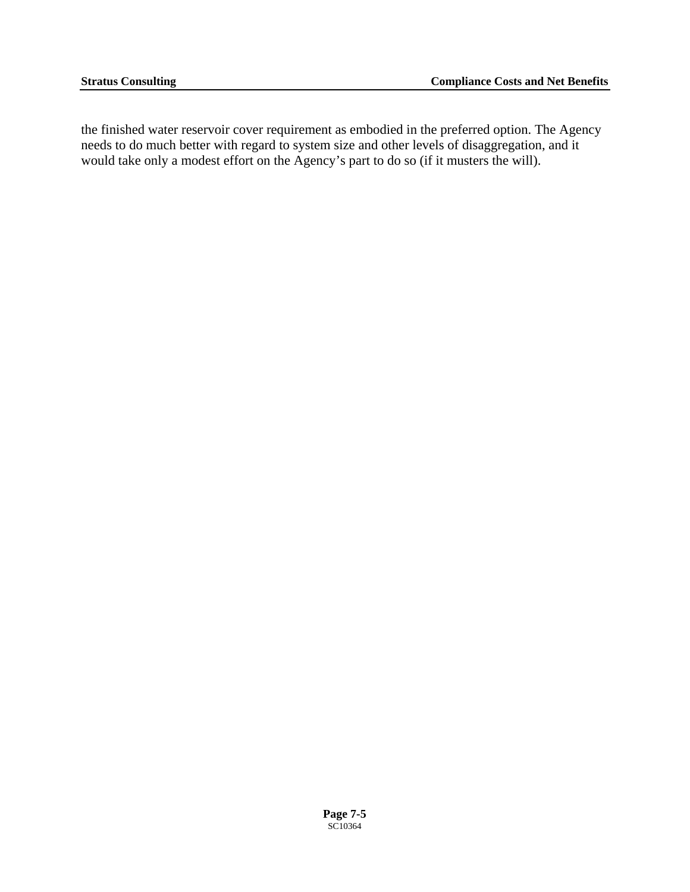the finished water reservoir cover requirement as embodied in the preferred option. The Agency needs to do much better with regard to system size and other levels of disaggregation, and it would take only a modest effort on the Agency's part to do so (if it musters the will).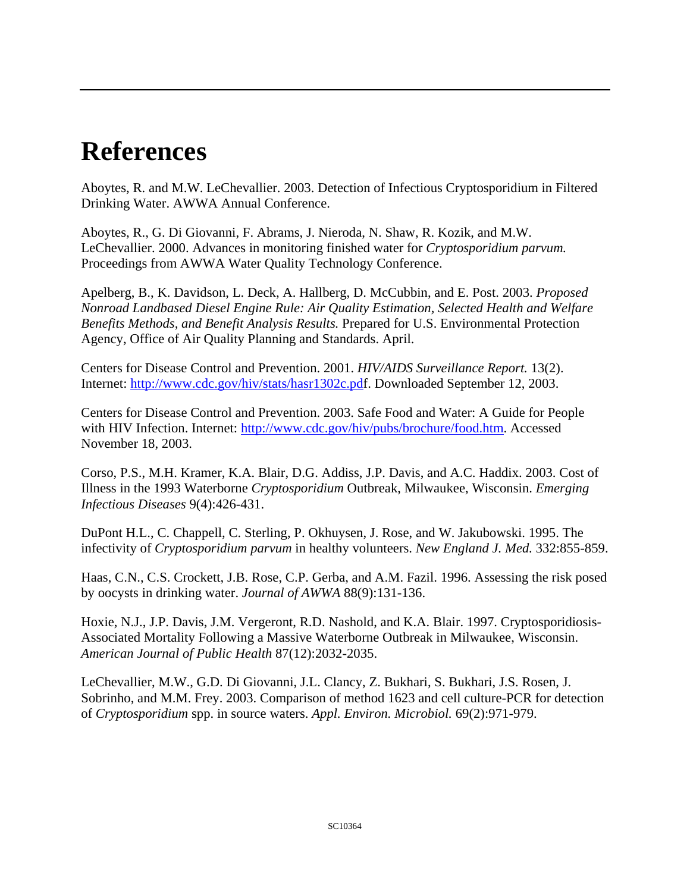## **References**

Aboytes, R. and M.W. LeChevallier. 2003. Detection of Infectious Cryptosporidium in Filtered Drinking Water. AWWA Annual Conference.

Aboytes, R., G. Di Giovanni, F. Abrams, J. Nieroda, N. Shaw, R. Kozik, and M.W. LeChevallier. 2000. Advances in monitoring finished water for *Cryptosporidium parvum.*  Proceedings from AWWA Water Quality Technology Conference.

Apelberg, B., K. Davidson, L. Deck, A. Hallberg, D. McCubbin, and E. Post. 2003. *Proposed Nonroad Landbased Diesel Engine Rule: Air Quality Estimation, Selected Health and Welfare Benefits Methods, and Benefit Analysis Results.* Prepared for U.S. Environmental Protection Agency, Office of Air Quality Planning and Standards. April.

Centers for Disease Control and Prevention. 2001. *HIV/AIDS Surveillance Report.* 13(2). Internet: [http://www.cdc.gov/hiv/stats/hasr1302c.pd](http://www.cdc.gov/hiv/stats/hasr1302c.pfd)f. Downloaded September 12, 2003.

Centers for Disease Control and Prevention. 2003. Safe Food and Water: A Guide for People with HIV Infection. Internet: <http://www.cdc.gov/hiv/pubs/brochure/food.htm>. Accessed November 18, 2003.

Corso, P.S., M.H. Kramer, K.A. Blair, D.G. Addiss, J.P. Davis, and A.C. Haddix. 2003. Cost of Illness in the 1993 Waterborne *Cryptosporidium* Outbreak, Milwaukee, Wisconsin. *Emerging Infectious Diseases* 9(4):426-431.

DuPont H.L., C. Chappell, C. Sterling, P. Okhuysen, J. Rose, and W. Jakubowski. 1995. The infectivity of *Cryptosporidium parvum* in healthy volunteers. *New England J. Med.* 332:855-859.

Haas, C.N., C.S. Crockett, J.B. Rose, C.P. Gerba, and A.M. Fazil. 1996. Assessing the risk posed by oocysts in drinking water. *Journal of AWWA* 88(9):131-136.

Hoxie, N.J., J.P. Davis, J.M. Vergeront, R.D. Nashold, and K.A. Blair. 1997. Cryptosporidiosis-Associated Mortality Following a Massive Waterborne Outbreak in Milwaukee, Wisconsin. *American Journal of Public Health* 87(12):2032-2035.

LeChevallier, M.W., G.D. Di Giovanni, J.L. Clancy, Z. Bukhari, S. Bukhari, J.S. Rosen, J. Sobrinho, and M.M. Frey. 2003. Comparison of method 1623 and cell culture-PCR for detection of *Cryptosporidium* spp. in source waters. *Appl. Environ. Microbiol.* 69(2):971-979.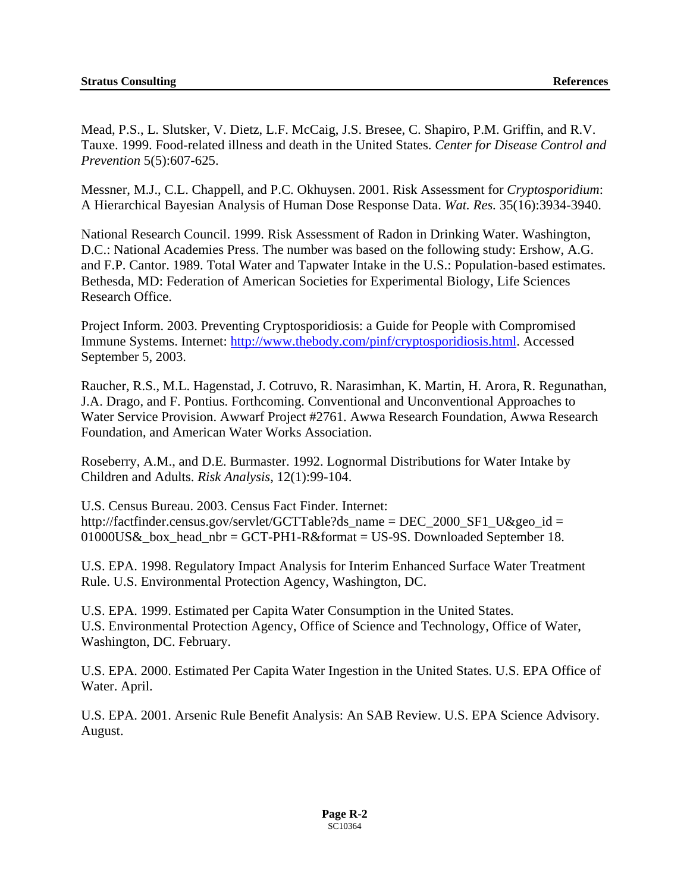Mead, P.S., L. Slutsker, V. Dietz, L.F. McCaig, J.S. Bresee, C. Shapiro, P.M. Griffin, and R.V. Tauxe. 1999. Food-related illness and death in the United States. *Center for Disease Control and Prevention* 5(5):607-625.

Messner, M.J., C.L. Chappell, and P.C. Okhuysen. 2001. Risk Assessment for *Cryptosporidium*: A Hierarchical Bayesian Analysis of Human Dose Response Data. *Wat. Res.* 35(16):3934-3940.

National Research Council. 1999. Risk Assessment of Radon in Drinking Water. Washington, D.C.: National Academies Press. The number was based on the following study: Ershow, A.G. and F.P. Cantor. 1989. Total Water and Tapwater Intake in the U.S.: Population-based estimates. Bethesda, MD: Federation of American Societies for Experimental Biology, Life Sciences Research Office.

Project Inform. 2003. Preventing Cryptosporidiosis: a Guide for People with Compromised Immune Systems. Internet: <http://www.thebody.com/pinf/cryptosporidiosis.html>. Accessed September 5, 2003.

Raucher, R.S., M.L. Hagenstad, J. Cotruvo, R. Narasimhan, K. Martin, H. Arora, R. Regunathan, J.A. Drago, and F. Pontius. Forthcoming. Conventional and Unconventional Approaches to Water Service Provision. Awwarf Project #2761. Awwa Research Foundation, Awwa Research Foundation, and American Water Works Association.

Roseberry, A.M., and D.E. Burmaster. 1992. Lognormal Distributions for Water Intake by Children and Adults. *Risk Analysis*, 12(1):99-104.

U.S. Census Bureau. 2003. Census Fact Finder. Internet: http://factfinder.census.gov/servlet/GCTTable?ds\_name = DEC\_2000\_SF1\_U&geo\_id = 01000US&\_box\_head\_nbr = GCT-PH1-R&format = US-9S. Downloaded September 18.

U.S. EPA. 1998. Regulatory Impact Analysis for Interim Enhanced Surface Water Treatment Rule. U.S. Environmental Protection Agency, Washington, DC.

U.S. EPA. 1999. Estimated per Capita Water Consumption in the United States. U.S. Environmental Protection Agency, Office of Science and Technology, Office of Water, Washington, DC. February.

U.S. EPA. 2000. Estimated Per Capita Water Ingestion in the United States. U.S. EPA Office of Water. April.

U.S. EPA. 2001. Arsenic Rule Benefit Analysis: An SAB Review. U.S. EPA Science Advisory. August.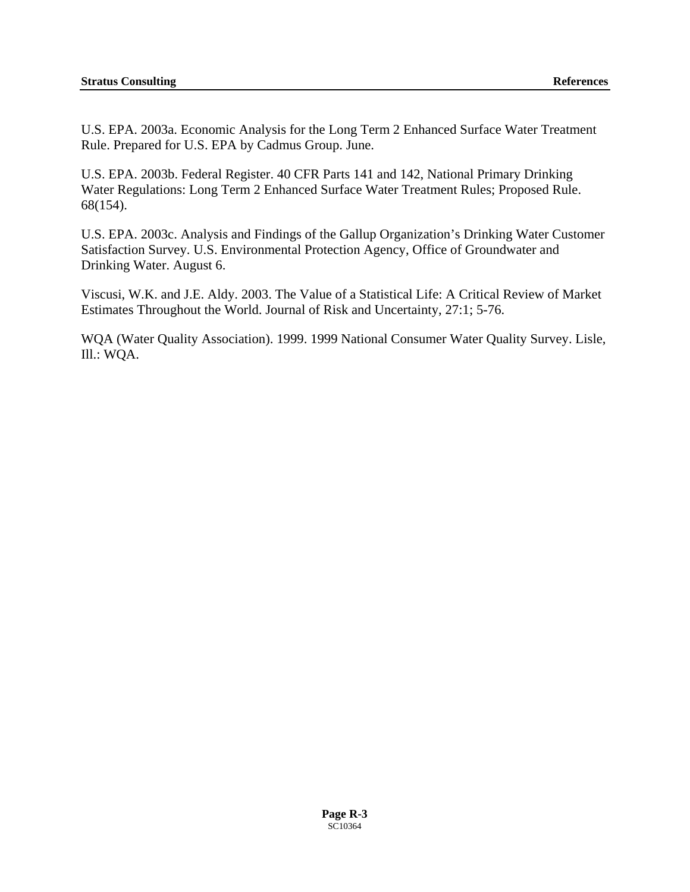U.S. EPA. 2003a. Economic Analysis for the Long Term 2 Enhanced Surface Water Treatment Rule. Prepared for U.S. EPA by Cadmus Group. June.

U.S. EPA. 2003b. Federal Register. 40 CFR Parts 141 and 142, National Primary Drinking Water Regulations: Long Term 2 Enhanced Surface Water Treatment Rules; Proposed Rule. 68(154).

U.S. EPA. 2003c. Analysis and Findings of the Gallup Organization's Drinking Water Customer Satisfaction Survey. U.S. Environmental Protection Agency, Office of Groundwater and Drinking Water. August 6.

Viscusi, W.K. and J.E. Aldy. 2003. The Value of a Statistical Life: A Critical Review of Market Estimates Throughout the World. Journal of Risk and Uncertainty, 27:1; 5-76.

WQA (Water Quality Association). 1999. 1999 National Consumer Water Quality Survey. Lisle, Ill.: WQA.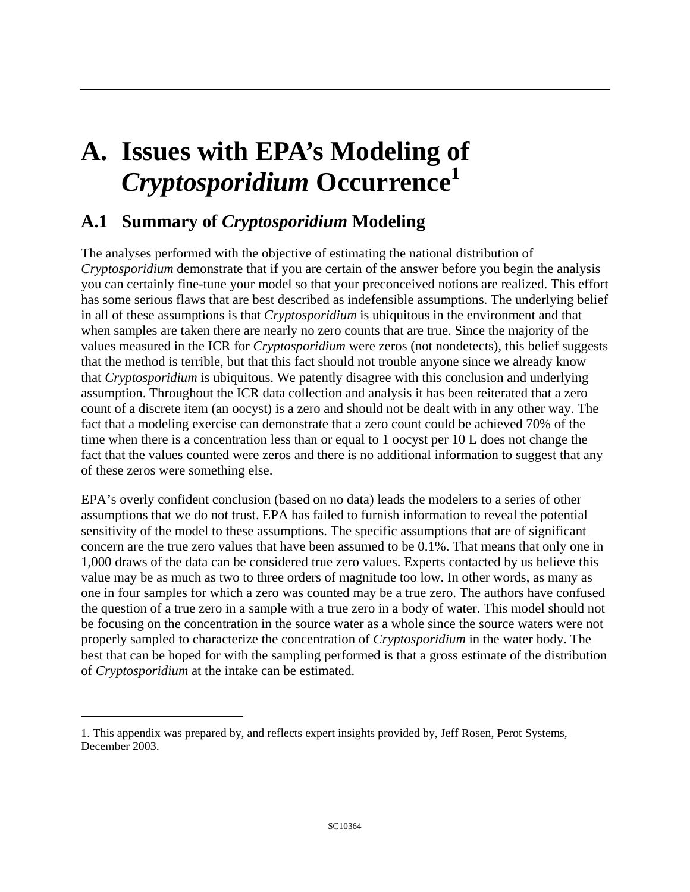## **A. Issues with EPA's Modeling of**  *Cryptosporidium* **Occurrence[1](#page-148-0)**

## **A.1 Summary of** *Cryptosporidium* **Modeling**

The analyses performed with the objective of estimating the national distribution of *Cryptosporidium* demonstrate that if you are certain of the answer before you begin the analysis you can certainly fine-tune your model so that your preconceived notions are realized. This effort has some serious flaws that are best described as indefensible assumptions. The underlying belief in all of these assumptions is that *Cryptosporidium* is ubiquitous in the environment and that when samples are taken there are nearly no zero counts that are true. Since the majority of the values measured in the ICR for *Cryptosporidium* were zeros (not nondetects), this belief suggests that the method is terrible, but that this fact should not trouble anyone since we already know that *Cryptosporidium* is ubiquitous. We patently disagree with this conclusion and underlying assumption. Throughout the ICR data collection and analysis it has been reiterated that a zero count of a discrete item (an oocyst) is a zero and should not be dealt with in any other way. The fact that a modeling exercise can demonstrate that a zero count could be achieved 70% of the time when there is a concentration less than or equal to 1 oocyst per 10 L does not change the fact that the values counted were zeros and there is no additional information to suggest that any of these zeros were something else.

EPA's overly confident conclusion (based on no data) leads the modelers to a series of other assumptions that we do not trust. EPA has failed to furnish information to reveal the potential sensitivity of the model to these assumptions. The specific assumptions that are of significant concern are the true zero values that have been assumed to be 0.1%. That means that only one in 1,000 draws of the data can be considered true zero values. Experts contacted by us believe this value may be as much as two to three orders of magnitude too low. In other words, as many as one in four samples for which a zero was counted may be a true zero. The authors have confused the question of a true zero in a sample with a true zero in a body of water. This model should not be focusing on the concentration in the source water as a whole since the source waters were not properly sampled to characterize the concentration of *Cryptosporidium* in the water body. The best that can be hoped for with the sampling performed is that a gross estimate of the distribution of *Cryptosporidium* at the intake can be estimated.

 $\overline{a}$ 

<span id="page-148-0"></span><sup>1.</sup> This appendix was prepared by, and reflects expert insights provided by, Jeff Rosen, Perot Systems, December 2003.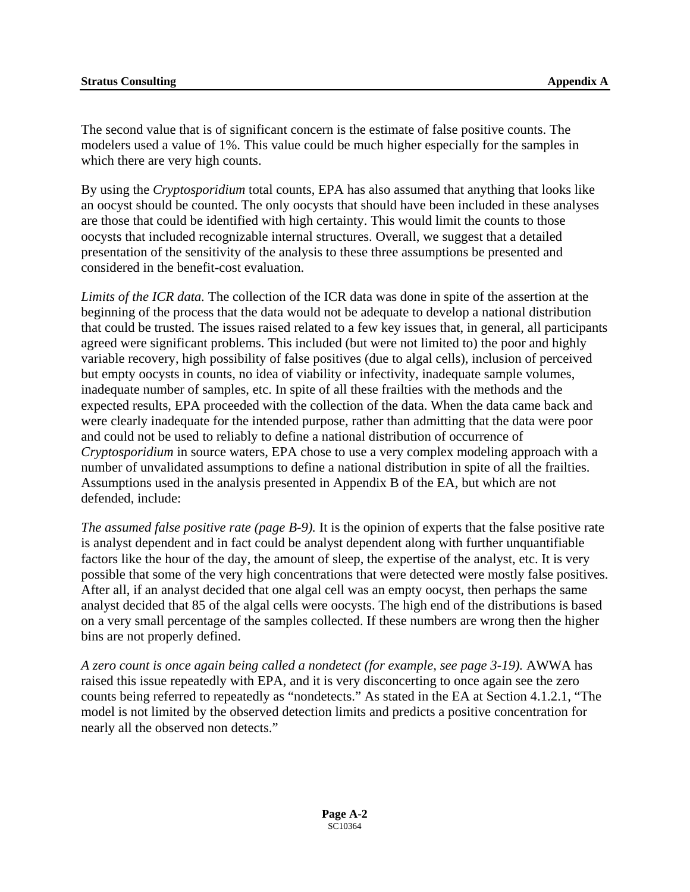The second value that is of significant concern is the estimate of false positive counts. The modelers used a value of 1%. This value could be much higher especially for the samples in which there are very high counts.

By using the *Cryptosporidium* total counts, EPA has also assumed that anything that looks like an oocyst should be counted. The only oocysts that should have been included in these analyses are those that could be identified with high certainty. This would limit the counts to those oocysts that included recognizable internal structures. Overall, we suggest that a detailed presentation of the sensitivity of the analysis to these three assumptions be presented and considered in the benefit-cost evaluation.

*Limits of the ICR data.* The collection of the ICR data was done in spite of the assertion at the beginning of the process that the data would not be adequate to develop a national distribution that could be trusted. The issues raised related to a few key issues that, in general, all participants agreed were significant problems. This included (but were not limited to) the poor and highly variable recovery, high possibility of false positives (due to algal cells), inclusion of perceived but empty oocysts in counts, no idea of viability or infectivity, inadequate sample volumes, inadequate number of samples, etc. In spite of all these frailties with the methods and the expected results, EPA proceeded with the collection of the data. When the data came back and were clearly inadequate for the intended purpose, rather than admitting that the data were poor and could not be used to reliably to define a national distribution of occurrence of *Cryptosporidium* in source waters, EPA chose to use a very complex modeling approach with a number of unvalidated assumptions to define a national distribution in spite of all the frailties. Assumptions used in the analysis presented in Appendix B of the EA, but which are not defended, include:

*The assumed false positive rate (page B-9).* It is the opinion of experts that the false positive rate is analyst dependent and in fact could be analyst dependent along with further unquantifiable factors like the hour of the day, the amount of sleep, the expertise of the analyst, etc. It is very possible that some of the very high concentrations that were detected were mostly false positives. After all, if an analyst decided that one algal cell was an empty oocyst, then perhaps the same analyst decided that 85 of the algal cells were oocysts. The high end of the distributions is based on a very small percentage of the samples collected. If these numbers are wrong then the higher bins are not properly defined.

*A zero count is once again being called a nondetect (for example, see page 3-19).* AWWA has raised this issue repeatedly with EPA, and it is very disconcerting to once again see the zero counts being referred to repeatedly as "nondetects." As stated in the EA at Section 4.1.2.1, "The model is not limited by the observed detection limits and predicts a positive concentration for nearly all the observed non detects."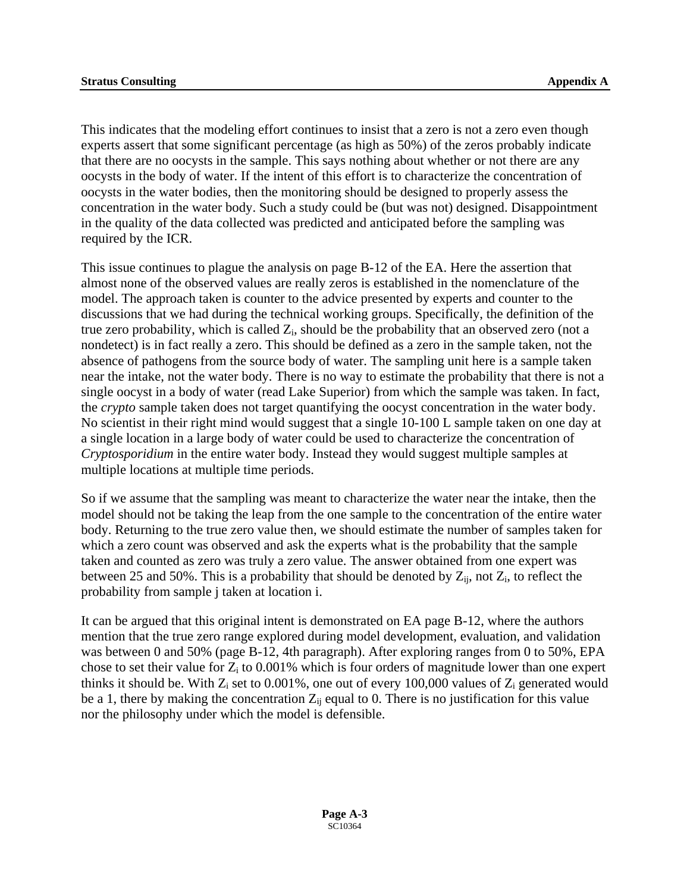This indicates that the modeling effort continues to insist that a zero is not a zero even though experts assert that some significant percentage (as high as 50%) of the zeros probably indicate that there are no oocysts in the sample. This says nothing about whether or not there are any oocysts in the body of water. If the intent of this effort is to characterize the concentration of oocysts in the water bodies, then the monitoring should be designed to properly assess the concentration in the water body. Such a study could be (but was not) designed. Disappointment in the quality of the data collected was predicted and anticipated before the sampling was required by the ICR.

This issue continues to plague the analysis on page B-12 of the EA. Here the assertion that almost none of the observed values are really zeros is established in the nomenclature of the model. The approach taken is counter to the advice presented by experts and counter to the discussions that we had during the technical working groups. Specifically, the definition of the true zero probability, which is called  $Z_i$ , should be the probability that an observed zero (not a nondetect) is in fact really a zero. This should be defined as a zero in the sample taken, not the absence of pathogens from the source body of water. The sampling unit here is a sample taken near the intake, not the water body. There is no way to estimate the probability that there is not a single oocyst in a body of water (read Lake Superior) from which the sample was taken. In fact, the *crypto* sample taken does not target quantifying the oocyst concentration in the water body. No scientist in their right mind would suggest that a single 10-100 L sample taken on one day at a single location in a large body of water could be used to characterize the concentration of *Cryptosporidium* in the entire water body. Instead they would suggest multiple samples at multiple locations at multiple time periods.

So if we assume that the sampling was meant to characterize the water near the intake, then the model should not be taking the leap from the one sample to the concentration of the entire water body. Returning to the true zero value then, we should estimate the number of samples taken for which a zero count was observed and ask the experts what is the probability that the sample taken and counted as zero was truly a zero value. The answer obtained from one expert was between 25 and 50%. This is a probability that should be denoted by  $Z_{ii}$ , not  $Z_i$ , to reflect the probability from sample j taken at location i.

It can be argued that this original intent is demonstrated on EA page B-12, where the authors mention that the true zero range explored during model development, evaluation, and validation was between 0 and 50% (page B-12, 4th paragraph). After exploring ranges from 0 to 50%, EPA chose to set their value for  $Z_i$  to 0.001% which is four orders of magnitude lower than one expert thinks it should be. With  $Z_i$  set to 0.001%, one out of every 100,000 values of  $Z_i$  generated would be a 1, there by making the concentration  $Z_{ij}$  equal to 0. There is no justification for this value nor the philosophy under which the model is defensible.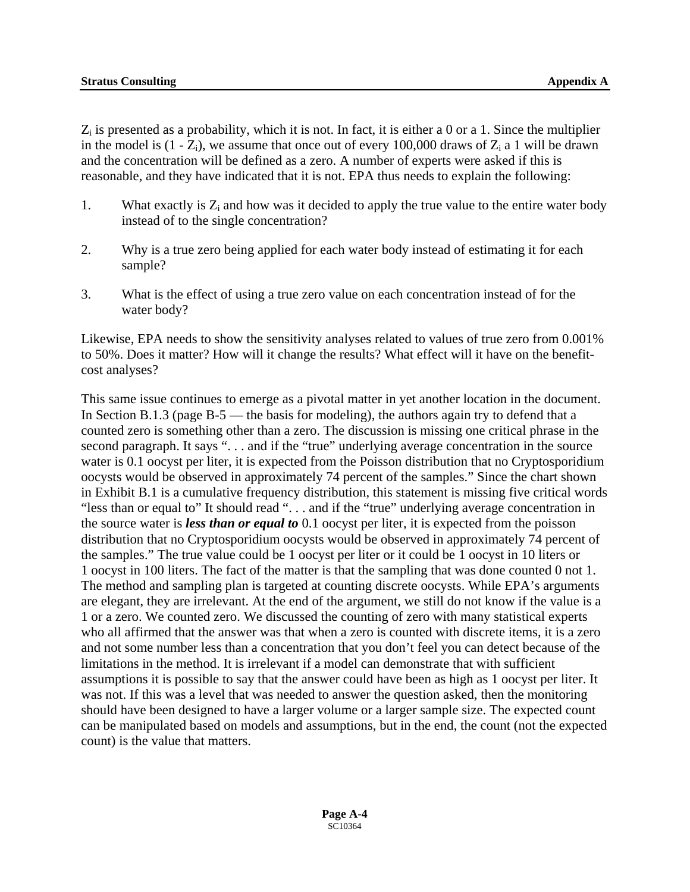$Z_i$  is presented as a probability, which it is not. In fact, it is either a 0 or a 1. Since the multiplier in the model is  $(1 - Z_i)$ , we assume that once out of every 100,000 draws of  $Z_i$  a 1 will be drawn and the concentration will be defined as a zero. A number of experts were asked if this is reasonable, and they have indicated that it is not. EPA thus needs to explain the following:

- 1. What exactly is  $Z_i$  and how was it decided to apply the true value to the entire water body instead of to the single concentration?
- 2. Why is a true zero being applied for each water body instead of estimating it for each sample?
- 3. What is the effect of using a true zero value on each concentration instead of for the water body?

Likewise, EPA needs to show the sensitivity analyses related to values of true zero from 0.001% to 50%. Does it matter? How will it change the results? What effect will it have on the benefitcost analyses?

This same issue continues to emerge as a pivotal matter in yet another location in the document. In Section B.1.3 (page B-5 — the basis for modeling), the authors again try to defend that a counted zero is something other than a zero. The discussion is missing one critical phrase in the second paragraph. It says ". . . and if the "true" underlying average concentration in the source water is 0.1 oocyst per liter, it is expected from the Poisson distribution that no Cryptosporidium oocysts would be observed in approximately 74 percent of the samples." Since the chart shown in Exhibit B.1 is a cumulative frequency distribution, this statement is missing five critical words "less than or equal to" It should read ". . . and if the "true" underlying average concentration in the source water is *less than or equal to* 0.1 oocyst per liter, it is expected from the poisson distribution that no Cryptosporidium oocysts would be observed in approximately 74 percent of the samples." The true value could be 1 oocyst per liter or it could be 1 oocyst in 10 liters or 1 oocyst in 100 liters. The fact of the matter is that the sampling that was done counted 0 not 1. The method and sampling plan is targeted at counting discrete oocysts. While EPA's arguments are elegant, they are irrelevant. At the end of the argument, we still do not know if the value is a 1 or a zero. We counted zero. We discussed the counting of zero with many statistical experts who all affirmed that the answer was that when a zero is counted with discrete items, it is a zero and not some number less than a concentration that you don't feel you can detect because of the limitations in the method. It is irrelevant if a model can demonstrate that with sufficient assumptions it is possible to say that the answer could have been as high as 1 oocyst per liter. It was not. If this was a level that was needed to answer the question asked, then the monitoring should have been designed to have a larger volume or a larger sample size. The expected count can be manipulated based on models and assumptions, but in the end, the count (not the expected count) is the value that matters.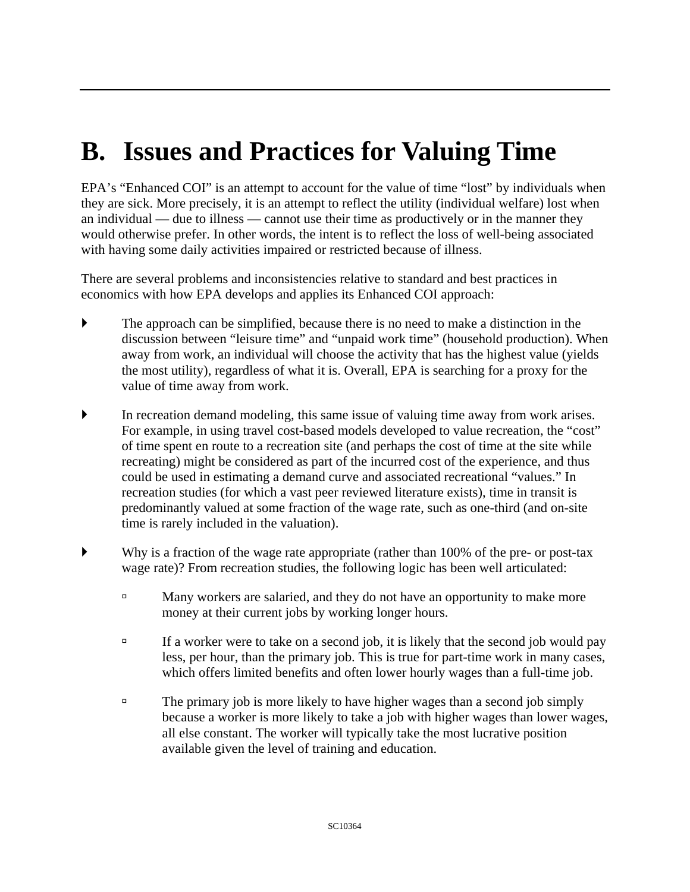## **B. Issues and Practices for Valuing Time**

EPA's "Enhanced COI" is an attempt to account for the value of time "lost" by individuals when they are sick. More precisely, it is an attempt to reflect the utility (individual welfare) lost when an individual — due to illness — cannot use their time as productively or in the manner they would otherwise prefer. In other words, the intent is to reflect the loss of well-being associated with having some daily activities impaired or restricted because of illness.

There are several problems and inconsistencies relative to standard and best practices in economics with how EPA develops and applies its Enhanced COI approach:

- $\blacktriangleright$  The approach can be simplified, because there is no need to make a distinction in the discussion between "leisure time" and "unpaid work time" (household production). When away from work, an individual will choose the activity that has the highest value (yields the most utility), regardless of what it is. Overall, EPA is searching for a proxy for the value of time away from work.
- ` In recreation demand modeling, this same issue of valuing time away from work arises. For example, in using travel cost-based models developed to value recreation, the "cost" of time spent en route to a recreation site (and perhaps the cost of time at the site while recreating) might be considered as part of the incurred cost of the experience, and thus could be used in estimating a demand curve and associated recreational "values." In recreation studies (for which a vast peer reviewed literature exists), time in transit is predominantly valued at some fraction of the wage rate, such as one-third (and on-site time is rarely included in the valuation).
- $\blacktriangleright$  Why is a fraction of the wage rate appropriate (rather than 100% of the pre- or post-tax wage rate)? From recreation studies, the following logic has been well articulated:
	- <sup> $\Box$ </sup> Many workers are salaried, and they do not have an opportunity to make more money at their current jobs by working longer hours.
	- $\Box$  If a worker were to take on a second job, it is likely that the second job would pay less, per hour, than the primary job. This is true for part-time work in many cases, which offers limited benefits and often lower hourly wages than a full-time job.
	- $\overline{a}$  The primary job is more likely to have higher wages than a second job simply because a worker is more likely to take a job with higher wages than lower wages, all else constant. The worker will typically take the most lucrative position available given the level of training and education.